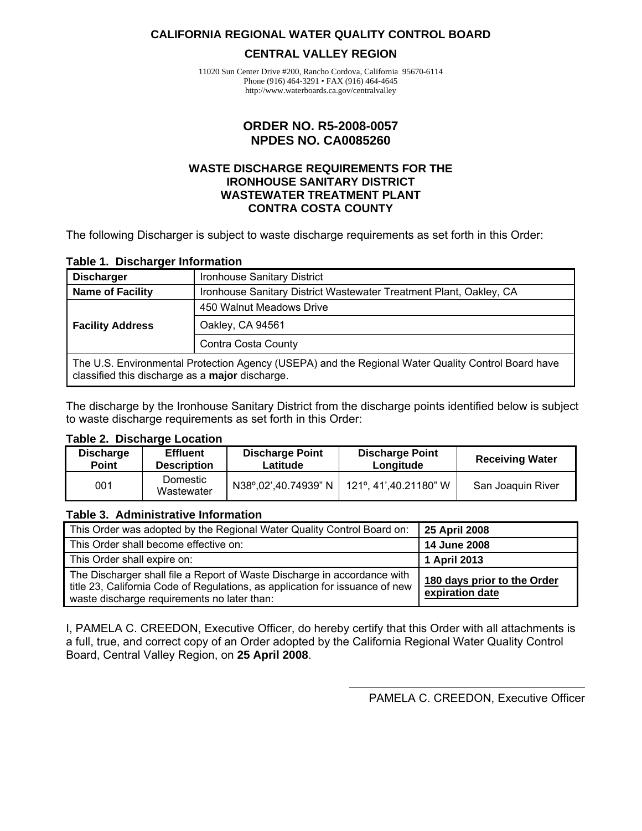#### <span id="page-0-0"></span>**CALIFORNIA REGIONAL WATER QUALITY CONTROL BOARD**

#### **CENTRAL VALLEY REGION**

11020 Sun Center Drive #200, Rancho Cordova, California 95670-6114 Phone (916) 464-3291 • FAX (916) 464-4645 http://www.waterboards.ca.gov/centralvalley

#### **ORDER NO. R5-2008-0057 NPDES NO. CA0085260**

#### **WASTE DISCHARGE REQUIREMENTS FOR THE IRONHOUSE SANITARY DISTRICT WASTEWATER TREATMENT PLANT CONTRA COSTA COUNTY**

The following Discharger is subject to waste discharge requirements as set forth in this Order:

#### **Table 1. Discharger Information**

| <b>Discharger</b>                                                                                                                                     | Ironhouse Sanitary District                                        |  |  |  |
|-------------------------------------------------------------------------------------------------------------------------------------------------------|--------------------------------------------------------------------|--|--|--|
| <b>Name of Facility</b>                                                                                                                               | Ironhouse Sanitary District Wastewater Treatment Plant, Oakley, CA |  |  |  |
|                                                                                                                                                       | 450 Walnut Meadows Drive                                           |  |  |  |
| <b>Facility Address</b>                                                                                                                               | Oakley, CA 94561                                                   |  |  |  |
|                                                                                                                                                       | Contra Costa County                                                |  |  |  |
| The U.S. Environmental Protection Agency (USEPA) and the Regional Water Quality Control Board have<br>classified this discharge as a major discharge. |                                                                    |  |  |  |

The discharge by the Ironhouse Sanitary District from the discharge points identified below is subject to waste discharge requirements as set forth in this Order:

#### **Table 2. Discharge Location**

| <b>Discharge</b><br><b>Point</b> | <b>Discharge Point</b><br><b>Effluent</b><br><b>Description</b><br>Latitude |                      | <b>Discharge Point</b><br>Longitude | <b>Receiving Water</b> |  |
|----------------------------------|-----------------------------------------------------------------------------|----------------------|-------------------------------------|------------------------|--|
| 001                              | Domestic<br>Wastewater                                                      | N38°,02',40.74939" N | 121°, 41',40.21180" W               | San Joaquin River      |  |

#### **Table 3. Administrative Information**

| This Order was adopted by the Regional Water Quality Control Board on:                                                                                                                                  | 25 April 2008                                  |
|---------------------------------------------------------------------------------------------------------------------------------------------------------------------------------------------------------|------------------------------------------------|
| This Order shall become effective on:                                                                                                                                                                   | 14 June 2008                                   |
| This Order shall expire on:                                                                                                                                                                             | 1 April 2013                                   |
| The Discharger shall file a Report of Waste Discharge in accordance with<br>title 23, California Code of Regulations, as application for issuance of new<br>waste discharge requirements no later than: | 180 days prior to the Order<br>expiration date |

I, PAMELA C. CREEDON, Executive Officer, do hereby certify that this Order with all attachments is a full, true, and correct copy of an Order adopted by the California Regional Water Quality Control Board, Central Valley Region, on **25 April 2008**.

PAMELA C. CREEDON, Executive Officer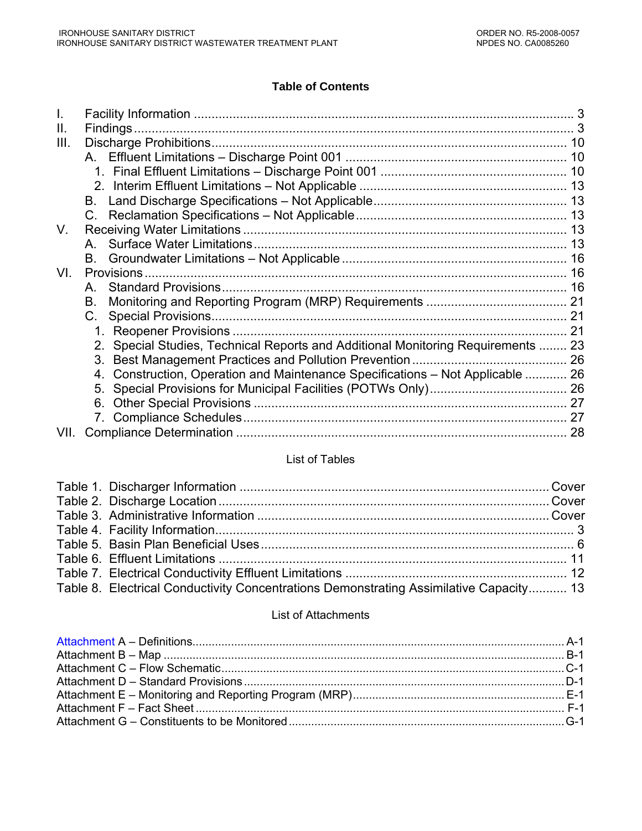#### **Table of Contents**

| Ш.   |                                                                                   |    |
|------|-----------------------------------------------------------------------------------|----|
| III. |                                                                                   |    |
|      |                                                                                   |    |
|      |                                                                                   |    |
|      |                                                                                   |    |
|      | В.                                                                                |    |
|      | $C_{\cdot}$                                                                       |    |
| V.   |                                                                                   |    |
|      |                                                                                   |    |
|      |                                                                                   |    |
| VI.  |                                                                                   |    |
|      | A                                                                                 |    |
|      | В.                                                                                |    |
|      | C.                                                                                |    |
|      |                                                                                   |    |
|      | 2. Special Studies, Technical Reports and Additional Monitoring Requirements  23  |    |
|      | 3.                                                                                |    |
|      | Construction, Operation and Maintenance Specifications - Not Applicable  26<br>4. |    |
|      |                                                                                   |    |
|      | 6.                                                                                |    |
|      |                                                                                   |    |
| VII. |                                                                                   | 28 |

# List of Tables

| Table 8. Electrical Conductivity Concentrations Demonstrating Assimilative Capacity 13 |  |
|----------------------------------------------------------------------------------------|--|
|                                                                                        |  |

#### List of Attachments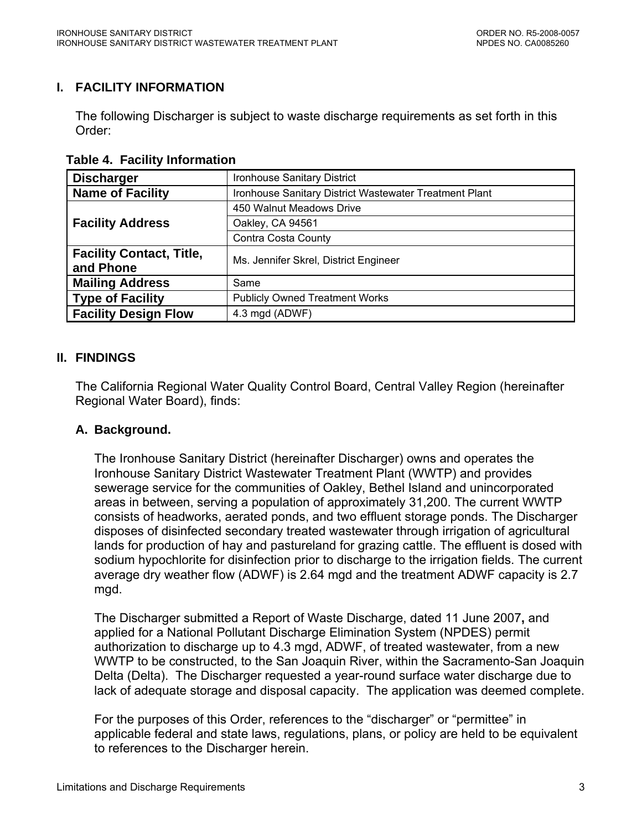# <span id="page-2-0"></span>**I. FACILITY INFORMATION**

The following Discharger is subject to waste discharge requirements as set forth in this Order:

 **Table 4. Facility Information** 

| <b>Discharger</b>               | <b>Ironhouse Sanitary District</b>                     |
|---------------------------------|--------------------------------------------------------|
| <b>Name of Facility</b>         | Ironhouse Sanitary District Wastewater Treatment Plant |
|                                 | 450 Walnut Meadows Drive                               |
| <b>Facility Address</b>         | Oakley, CA 94561                                       |
|                                 | Contra Costa County                                    |
| <b>Facility Contact, Title,</b> | Ms. Jennifer Skrel, District Engineer                  |
| and Phone                       |                                                        |
| <b>Mailing Address</b>          | Same                                                   |
| <b>Type of Facility</b>         | <b>Publicly Owned Treatment Works</b>                  |
| <b>Facility Design Flow</b>     | 4.3 mgd (ADWF)                                         |

# **II. FINDINGS**

The California Regional Water Quality Control Board, Central Valley Region (hereinafter Regional Water Board), finds:

## **A. Background.**

 The Ironhouse Sanitary District (hereinafter Discharger) owns and operates the Ironhouse Sanitary District Wastewater Treatment Plant (WWTP) and provides sewerage service for the communities of Oakley, Bethel Island and unincorporated areas in between, serving a population of approximately 31,200. The current WWTP consists of headworks, aerated ponds, and two effluent storage ponds. The Discharger disposes of disinfected secondary treated wastewater through irrigation of agricultural lands for production of hay and pastureland for grazing cattle. The effluent is dosed with sodium hypochlorite for disinfection prior to discharge to the irrigation fields. The current average dry weather flow (ADWF) is 2.64 mgd and the treatment ADWF capacity is 2.7 mgd.

The Discharger submitted a Report of Waste Discharge, dated 11 June 2007**,** and applied for a National Pollutant Discharge Elimination System (NPDES) permit authorization to discharge up to 4.3 mgd, ADWF, of treated wastewater, from a new WWTP to be constructed, to the San Joaquin River, within the Sacramento-San Joaquin Delta (Delta). The Discharger requested a year-round surface water discharge due to lack of adequate storage and disposal capacity. The application was deemed complete.

For the purposes of this Order, references to the "discharger" or "permittee" in applicable federal and state laws, regulations, plans, or policy are held to be equivalent to references to the Discharger herein.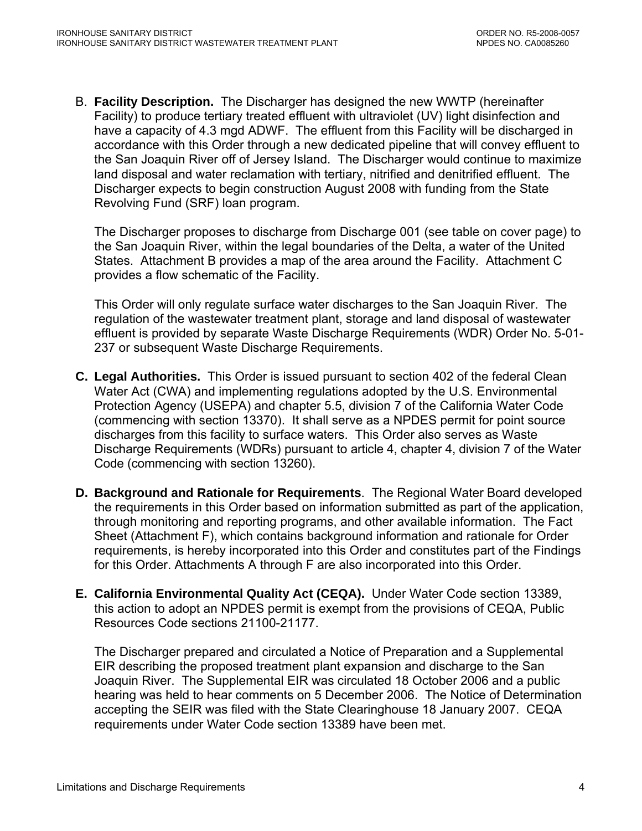B. **Facility Description.** The Discharger has designed the new WWTP (hereinafter Facility) to produce tertiary treated effluent with ultraviolet (UV) light disinfection and have a capacity of 4.3 mgd ADWF. The effluent from this Facility will be discharged in accordance with this Order through a new dedicated pipeline that will convey effluent to the San Joaquin River off of Jersey Island. The Discharger would continue to maximize land disposal and water reclamation with tertiary, nitrified and denitrified effluent. The Discharger expects to begin construction August 2008 with funding from the State Revolving Fund (SRF) loan program.

The Discharger proposes to discharge from Discharge 001 (see table on cover page) to the San Joaquin River, within the legal boundaries of the Delta, a water of the United States. Attachment B provides a map of the area around the Facility. Attachment C provides a flow schematic of the Facility.

This Order will only regulate surface water discharges to the San Joaquin River. The regulation of the wastewater treatment plant, storage and land disposal of wastewater effluent is provided by separate Waste Discharge Requirements (WDR) Order No. 5-01- 237 or subsequent Waste Discharge Requirements.

- **C. Legal Authorities.** This Order is issued pursuant to section 402 of the federal Clean Water Act (CWA) and implementing regulations adopted by the U.S. Environmental Protection Agency (USEPA) and chapter 5.5, division 7 of the California Water Code (commencing with section 13370). It shall serve as a NPDES permit for point source discharges from this facility to surface waters. This Order also serves as Waste Discharge Requirements (WDRs) pursuant to article 4, chapter 4, division 7 of the Water Code (commencing with section 13260).
- **D. Background and Rationale for Requirements**. The Regional Water Board developed the requirements in this Order based on information submitted as part of the application, through monitoring and reporting programs, and other available information. The Fact Sheet (Attachment F), which contains background information and rationale for Order requirements, is hereby incorporated into this Order and constitutes part of the Findings for this Order. Attachments A through F are also incorporated into this Order.
- **E. California Environmental Quality Act (CEQA).** Under Water Code section 13389, this action to adopt an NPDES permit is exempt from the provisions of CEQA, Public Resources Code sections 21100-21177.

The Discharger prepared and circulated a Notice of Preparation and a Supplemental EIR describing the proposed treatment plant expansion and discharge to the San Joaquin River. The Supplemental EIR was circulated 18 October 2006 and a public hearing was held to hear comments on 5 December 2006. The Notice of Determination accepting the SEIR was filed with the State Clearinghouse 18 January 2007. CEQA requirements under Water Code section 13389 have been met.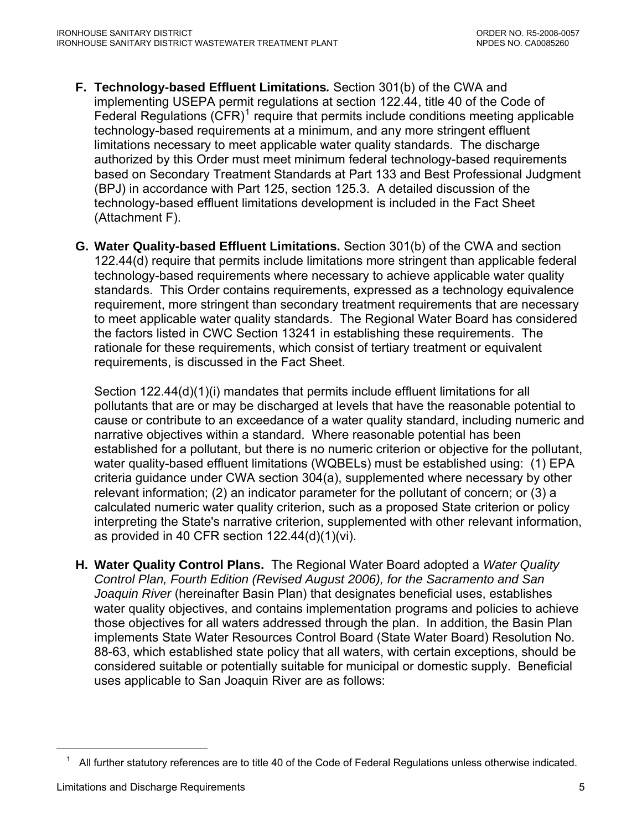- **F. Technology-based Effluent Limitations***.* Section 301(b) of the CWA and implementing USEPA permit regulations at section 122.44, title 40 of the Code of Federal Regulations  $(CFR)^1$  $(CFR)^1$  require that permits include conditions meeting applicable technology-based requirements at a minimum, and any more stringent effluent limitations necessary to meet applicable water quality standards. The discharge authorized by this Order must meet minimum federal technology-based requirements based on Secondary Treatment Standards at Part 133 and Best Professional Judgment (BPJ) in accordance with Part 125, section 125.3. A detailed discussion of the technology-based effluent limitations development is included in the Fact Sheet (Attachment F).
- **G. Water Quality-based Effluent Limitations.** Section 301(b) of the CWA and section 122.44(d) require that permits include limitations more stringent than applicable federal technology-based requirements where necessary to achieve applicable water quality standards. This Order contains requirements, expressed as a technology equivalence requirement, more stringent than secondary treatment requirements that are necessary to meet applicable water quality standards. The Regional Water Board has considered the factors listed in CWC Section 13241 in establishing these requirements. The rationale for these requirements, which consist of tertiary treatment or equivalent requirements, is discussed in the Fact Sheet.

Section 122.44(d)(1)(i) mandates that permits include effluent limitations for all pollutants that are or may be discharged at levels that have the reasonable potential to cause or contribute to an exceedance of a water quality standard, including numeric and narrative objectives within a standard. Where reasonable potential has been established for a pollutant, but there is no numeric criterion or objective for the pollutant, water quality-based effluent limitations (WQBELs) must be established using: (1) EPA criteria guidance under CWA section 304(a), supplemented where necessary by other relevant information; (2) an indicator parameter for the pollutant of concern; or (3) a calculated numeric water quality criterion, such as a proposed State criterion or policy interpreting the State's narrative criterion, supplemented with other relevant information, as provided in 40 CFR section 122.44(d)(1)(vi).

**H. Water Quality Control Plans.** The Regional Water Board adopted a *Water Quality Control Plan, Fourth Edition (Revised August 2006), for the Sacramento and San Joaquin River* (hereinafter Basin Plan) that designates beneficial uses, establishes water quality objectives, and contains implementation programs and policies to achieve those objectives for all waters addressed through the plan. In addition, the Basin Plan implements State Water Resources Control Board (State Water Board) Resolution No. 88-63, which established state policy that all waters, with certain exceptions, should be considered suitable or potentially suitable for municipal or domestic supply. Beneficial uses applicable to San Joaquin River are as follows:

<span id="page-4-0"></span> $\overline{a}$ 

 $1$  All further statutory references are to title 40 of the Code of Federal Regulations unless otherwise indicated.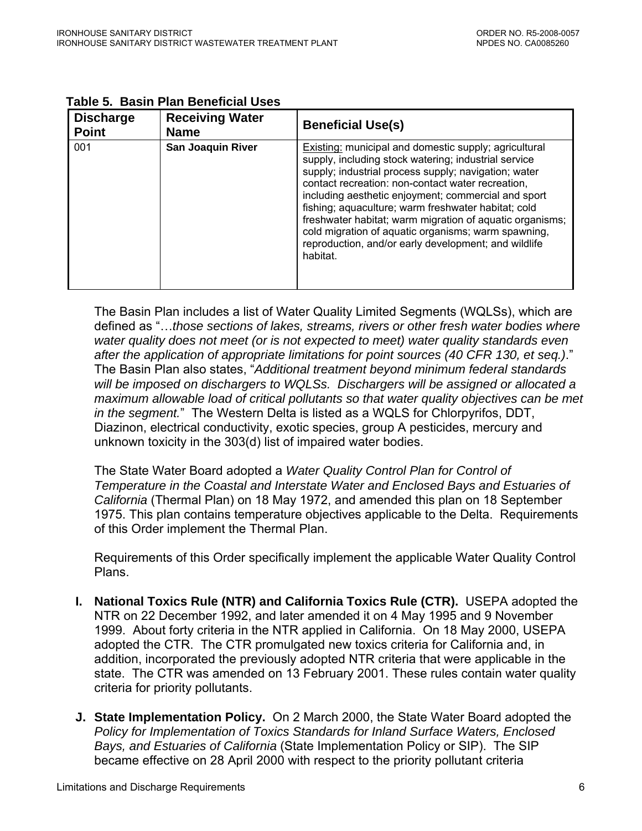| <b>Discharge</b><br><b>Point</b> | <b>Receiving Water</b><br><b>Name</b> | <b>Beneficial Use(s)</b>                                                                                                                                                                                                                                                                                                                                                                                                                                                                                                        |
|----------------------------------|---------------------------------------|---------------------------------------------------------------------------------------------------------------------------------------------------------------------------------------------------------------------------------------------------------------------------------------------------------------------------------------------------------------------------------------------------------------------------------------------------------------------------------------------------------------------------------|
| 001                              | <b>San Joaquin River</b>              | Existing: municipal and domestic supply; agricultural<br>supply, including stock watering; industrial service<br>supply; industrial process supply; navigation; water<br>contact recreation: non-contact water recreation,<br>including aesthetic enjoyment; commercial and sport<br>fishing; aquaculture; warm freshwater habitat; cold<br>freshwater habitat; warm migration of aquatic organisms;<br>cold migration of aquatic organisms; warm spawning,<br>reproduction, and/or early development; and wildlife<br>habitat. |

<span id="page-5-0"></span>

| Table 5. Basin Plan Beneficial Uses |  |  |  |  |
|-------------------------------------|--|--|--|--|
|-------------------------------------|--|--|--|--|

The Basin Plan includes a list of Water Quality Limited Segments (WQLSs), which are defined as "…*those sections of lakes, streams, rivers or other fresh water bodies where water quality does not meet (or is not expected to meet) water quality standards even after the application of appropriate limitations for point sources (40 CFR 130, et seq.)*." The Basin Plan also states, "*Additional treatment beyond minimum federal standards will be imposed on dischargers to WQLSs. Dischargers will be assigned or allocated a maximum allowable load of critical pollutants so that water quality objectives can be met in the segment.*" The Western Delta is listed as a WQLS for Chlorpyrifos, DDT, Diazinon, electrical conductivity, exotic species, group A pesticides, mercury and unknown toxicity in the 303(d) list of impaired water bodies.

The State Water Board adopted a *Water Quality Control Plan for Control of Temperature in the Coastal and Interstate Water and Enclosed Bays and Estuaries of California* (Thermal Plan) on 18 May 1972, and amended this plan on 18 September 1975. This plan contains temperature objectives applicable to the Delta. Requirements of this Order implement the Thermal Plan.

Requirements of this Order specifically implement the applicable Water Quality Control Plans.

- **I. National Toxics Rule (NTR) and California Toxics Rule (CTR).** USEPA adopted the NTR on 22 December 1992, and later amended it on 4 May 1995 and 9 November 1999. About forty criteria in the NTR applied in California. On 18 May 2000, USEPA adopted the CTR. The CTR promulgated new toxics criteria for California and, in addition, incorporated the previously adopted NTR criteria that were applicable in the state. The CTR was amended on 13 February 2001. These rules contain water quality criteria for priority pollutants.
- **J. State Implementation Policy.** On 2 March 2000, the State Water Board adopted the *Policy for Implementation of Toxics Standards for Inland Surface Waters, Enclosed Bays, and Estuaries of California* (State Implementation Policy or SIP). The SIP became effective on 28 April 2000 with respect to the priority pollutant criteria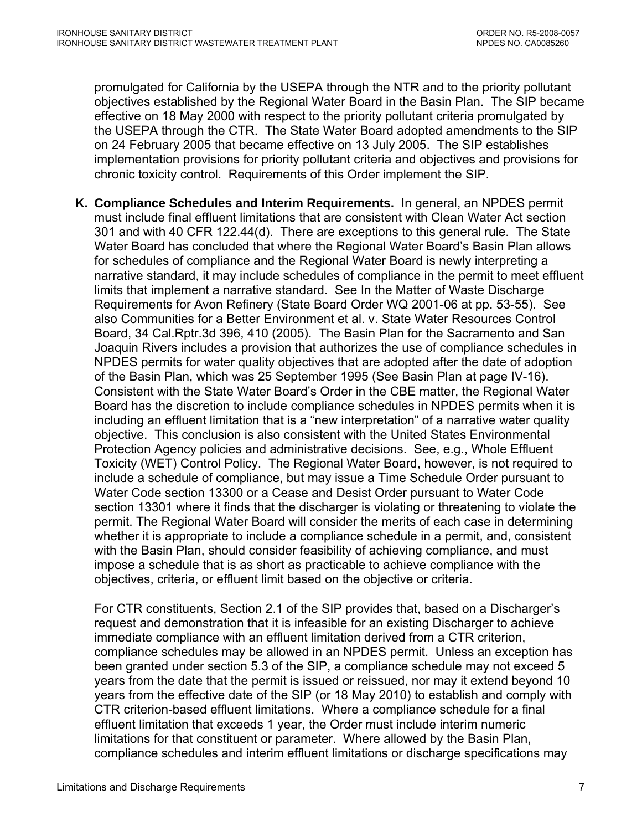promulgated for California by the USEPA through the NTR and to the priority pollutant objectives established by the Regional Water Board in the Basin Plan. The SIP became effective on 18 May 2000 with respect to the priority pollutant criteria promulgated by the USEPA through the CTR. The State Water Board adopted amendments to the SIP on 24 February 2005 that became effective on 13 July 2005. The SIP establishes implementation provisions for priority pollutant criteria and objectives and provisions for chronic toxicity control. Requirements of this Order implement the SIP.

**K. Compliance Schedules and Interim Requirements.** In general, an NPDES permit must include final effluent limitations that are consistent with Clean Water Act section 301 and with 40 CFR 122.44(d). There are exceptions to this general rule. The State Water Board has concluded that where the Regional Water Board's Basin Plan allows for schedules of compliance and the Regional Water Board is newly interpreting a narrative standard, it may include schedules of compliance in the permit to meet effluent limits that implement a narrative standard. See In the Matter of Waste Discharge Requirements for Avon Refinery (State Board Order WQ 2001-06 at pp. 53-55). See also Communities for a Better Environment et al. v. State Water Resources Control Board, 34 Cal.Rptr.3d 396, 410 (2005). The Basin Plan for the Sacramento and San Joaquin Rivers includes a provision that authorizes the use of compliance schedules in NPDES permits for water quality objectives that are adopted after the date of adoption of the Basin Plan, which was 25 September 1995 (See Basin Plan at page IV-16). Consistent with the State Water Board's Order in the CBE matter, the Regional Water Board has the discretion to include compliance schedules in NPDES permits when it is including an effluent limitation that is a "new interpretation" of a narrative water quality objective. This conclusion is also consistent with the United States Environmental Protection Agency policies and administrative decisions. See, e.g., Whole Effluent Toxicity (WET) Control Policy. The Regional Water Board, however, is not required to include a schedule of compliance, but may issue a Time Schedule Order pursuant to Water Code section 13300 or a Cease and Desist Order pursuant to Water Code section 13301 where it finds that the discharger is violating or threatening to violate the permit. The Regional Water Board will consider the merits of each case in determining whether it is appropriate to include a compliance schedule in a permit, and, consistent with the Basin Plan, should consider feasibility of achieving compliance, and must impose a schedule that is as short as practicable to achieve compliance with the objectives, criteria, or effluent limit based on the objective or criteria.

For CTR constituents, Section 2.1 of the SIP provides that, based on a Discharger's request and demonstration that it is infeasible for an existing Discharger to achieve immediate compliance with an effluent limitation derived from a CTR criterion, compliance schedules may be allowed in an NPDES permit. Unless an exception has been granted under section 5.3 of the SIP, a compliance schedule may not exceed 5 years from the date that the permit is issued or reissued, nor may it extend beyond 10 years from the effective date of the SIP (or 18 May 2010) to establish and comply with CTR criterion-based effluent limitations. Where a compliance schedule for a final effluent limitation that exceeds 1 year, the Order must include interim numeric limitations for that constituent or parameter. Where allowed by the Basin Plan, compliance schedules and interim effluent limitations or discharge specifications may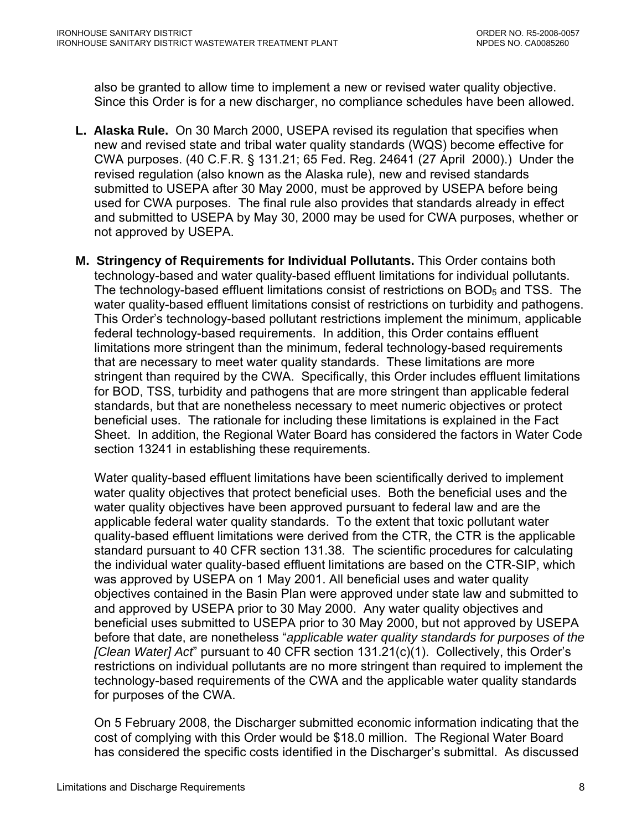also be granted to allow time to implement a new or revised water quality objective. Since this Order is for a new discharger, no compliance schedules have been allowed.

- **L. Alaska Rule.** On 30 March 2000, USEPA revised its regulation that specifies when new and revised state and tribal water quality standards (WQS) become effective for CWA purposes. (40 C.F.R. § 131.21; 65 Fed. Reg. 24641 (27 April 2000).) Under the revised regulation (also known as the Alaska rule), new and revised standards submitted to USEPA after 30 May 2000, must be approved by USEPA before being used for CWA purposes. The final rule also provides that standards already in effect and submitted to USEPA by May 30, 2000 may be used for CWA purposes, whether or not approved by USEPA.
- **M. Stringency of Requirements for Individual Pollutants.** This Order contains both technology-based and water quality-based effluent limitations for individual pollutants. The technology-based effluent limitations consist of restrictions on  $BOD<sub>5</sub>$  and TSS. The water quality-based effluent limitations consist of restrictions on turbidity and pathogens. This Order's technology-based pollutant restrictions implement the minimum, applicable federal technology-based requirements. In addition, this Order contains effluent limitations more stringent than the minimum, federal technology-based requirements that are necessary to meet water quality standards. These limitations are more stringent than required by the CWA. Specifically, this Order includes effluent limitations for BOD, TSS, turbidity and pathogens that are more stringent than applicable federal standards, but that are nonetheless necessary to meet numeric objectives or protect beneficial uses. The rationale for including these limitations is explained in the Fact Sheet. In addition, the Regional Water Board has considered the factors in Water Code section 13241 in establishing these requirements.

Water quality-based effluent limitations have been scientifically derived to implement water quality objectives that protect beneficial uses. Both the beneficial uses and the water quality objectives have been approved pursuant to federal law and are the applicable federal water quality standards. To the extent that toxic pollutant water quality-based effluent limitations were derived from the CTR, the CTR is the applicable standard pursuant to 40 CFR section 131.38. The scientific procedures for calculating the individual water quality-based effluent limitations are based on the CTR-SIP, which was approved by USEPA on 1 May 2001. All beneficial uses and water quality objectives contained in the Basin Plan were approved under state law and submitted to and approved by USEPA prior to 30 May 2000. Any water quality objectives and beneficial uses submitted to USEPA prior to 30 May 2000, but not approved by USEPA before that date, are nonetheless "*applicable water quality standards for purposes of the [Clean Water] Act*" pursuant to 40 CFR section 131.21(c)(1). Collectively, this Order's restrictions on individual pollutants are no more stringent than required to implement the technology-based requirements of the CWA and the applicable water quality standards for purposes of the CWA.

On 5 February 2008, the Discharger submitted economic information indicating that the cost of complying with this Order would be \$18.0 million. The Regional Water Board has considered the specific costs identified in the Discharger's submittal. As discussed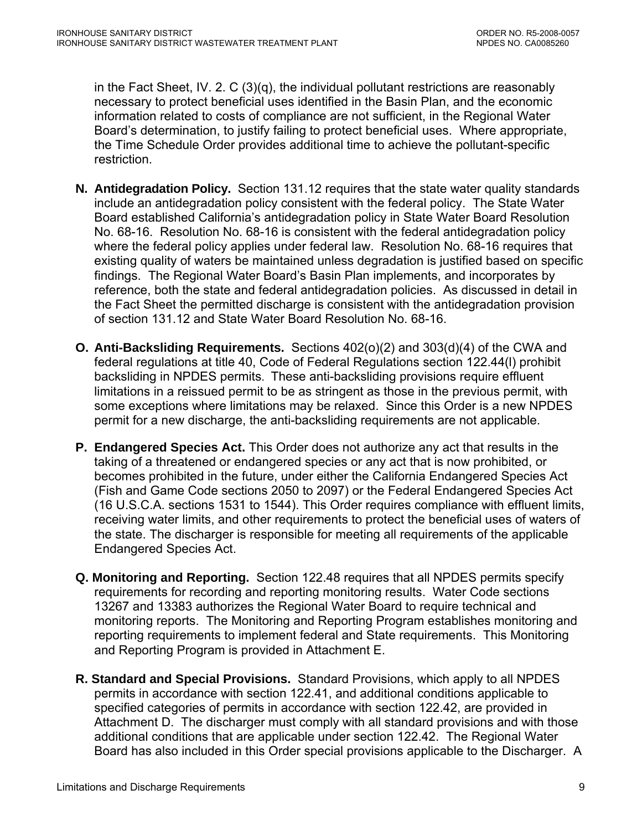in the Fact Sheet, IV. 2. C (3)(q), the individual pollutant restrictions are reasonably necessary to protect beneficial uses identified in the Basin Plan, and the economic information related to costs of compliance are not sufficient, in the Regional Water Board's determination, to justify failing to protect beneficial uses. Where appropriate, the Time Schedule Order provides additional time to achieve the pollutant-specific restriction.

- **N. Antidegradation Policy.** Section 131.12 requires that the state water quality standards include an antidegradation policy consistent with the federal policy. The State Water Board established California's antidegradation policy in State Water Board Resolution No. 68-16. Resolution No. 68-16 is consistent with the federal antidegradation policy where the federal policy applies under federal law. Resolution No. 68-16 requires that existing quality of waters be maintained unless degradation is justified based on specific findings. The Regional Water Board's Basin Plan implements, and incorporates by reference, both the state and federal antidegradation policies. As discussed in detail in the Fact Sheet the permitted discharge is consistent with the antidegradation provision of section 131.12 and State Water Board Resolution No. 68-16.
- **O. Anti-Backsliding Requirements.** Sections 402(o)(2) and 303(d)(4) of the CWA and federal regulations at title 40, Code of Federal Regulations section 122.44(l) prohibit backsliding in NPDES permits. These anti-backsliding provisions require effluent limitations in a reissued permit to be as stringent as those in the previous permit, with some exceptions where limitations may be relaxed. Since this Order is a new NPDES permit for a new discharge, the anti-backsliding requirements are not applicable.
- **P. Endangered Species Act.** This Order does not authorize any act that results in the taking of a threatened or endangered species or any act that is now prohibited, or becomes prohibited in the future, under either the California Endangered Species Act (Fish and Game Code sections 2050 to 2097) or the Federal Endangered Species Act (16 U.S.C.A. sections 1531 to 1544). This Order requires compliance with effluent limits, receiving water limits, and other requirements to protect the beneficial uses of waters of the state. The discharger is responsible for meeting all requirements of the applicable Endangered Species Act.
- **Q. Monitoring and Reporting.** Section 122.48 requires that all NPDES permits specify requirements for recording and reporting monitoring results. Water Code sections 13267 and 13383 authorizes the Regional Water Board to require technical and monitoring reports. The Monitoring and Reporting Program establishes monitoring and reporting requirements to implement federal and State requirements. This Monitoring and Reporting Program is provided in Attachment E.
- **R. Standard and Special Provisions.** Standard Provisions, which apply to all NPDES permits in accordance with section 122.41, and additional conditions applicable to specified categories of permits in accordance with section 122.42, are provided in Attachment D. The discharger must comply with all standard provisions and with those additional conditions that are applicable under section 122.42. The Regional Water Board has also included in this Order special provisions applicable to the Discharger. A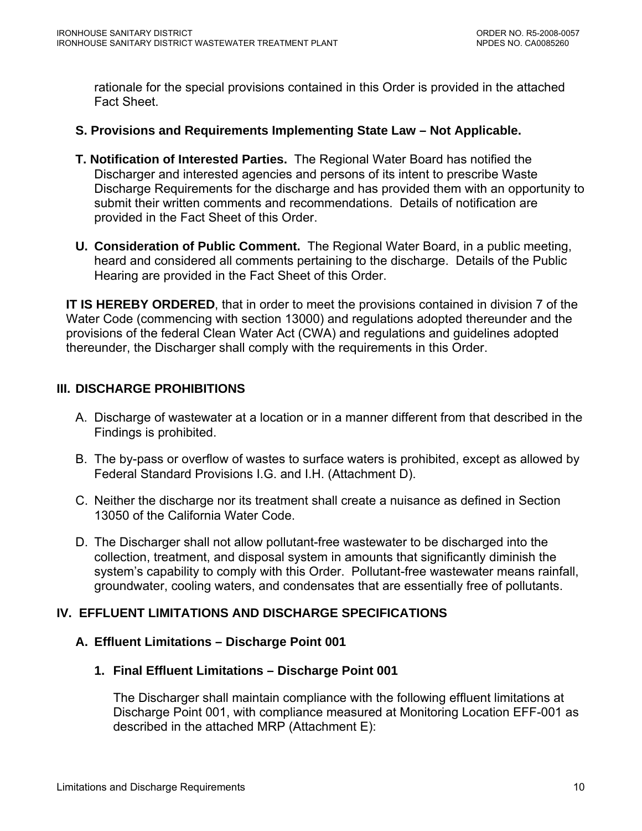<span id="page-9-0"></span>rationale for the special provisions contained in this Order is provided in the attached Fact Sheet.

### **S. Provisions and Requirements Implementing State Law – Not Applicable.**

- **T. Notification of Interested Parties.** The Regional Water Board has notified the Discharger and interested agencies and persons of its intent to prescribe Waste Discharge Requirements for the discharge and has provided them with an opportunity to submit their written comments and recommendations. Details of notification are provided in the Fact Sheet of this Order.
- **U. Consideration of Public Comment.** The Regional Water Board, in a public meeting, heard and considered all comments pertaining to the discharge. Details of the Public Hearing are provided in the Fact Sheet of this Order.

**IT IS HEREBY ORDERED**, that in order to meet the provisions contained in division 7 of the Water Code (commencing with section 13000) and regulations adopted thereunder and the provisions of the federal Clean Water Act (CWA) and regulations and guidelines adopted thereunder, the Discharger shall comply with the requirements in this Order.

# **III. DISCHARGE PROHIBITIONS**

- A. Discharge of wastewater at a location or in a manner different from that described in the Findings is prohibited.
- B. The by-pass or overflow of wastes to surface waters is prohibited, except as allowed by Federal Standard Provisions [I.G.](#page-37-0) and [I.H.](#page-38-0) (Attachment D).
- C. Neither the discharge nor its treatment shall create a nuisance as defined in Section 13050 of the California Water Code.
- D. The Discharger shall not allow pollutant-free wastewater to be discharged into the collection, treatment, and disposal system in amounts that significantly diminish the system's capability to comply with this Order. Pollutant-free wastewater means rainfall, groundwater, cooling waters, and condensates that are essentially free of pollutants.

# **IV. EFFLUENT LIMITATIONS AND DISCHARGE SPECIFICATIONS**

## **A. Effluent Limitations – Discharge Point 001**

**1. Final Effluent Limitations – Discharge Point 001** 

The Discharger shall maintain compliance with the following effluent limitations at Discharge Point 001, with compliance measured at Monitoring Location EFF-001 as described in the attached MRP (Attachment E):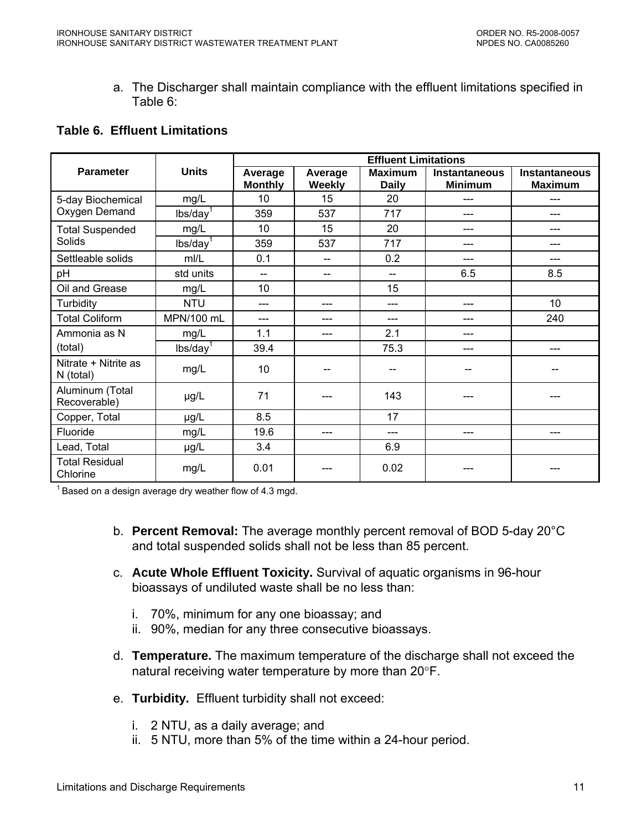a. The Discharger shall maintain compliance with the effluent limitations specified in Table 6:

# <span id="page-10-0"></span>**Table 6. Effluent Limitations**

|                                   |                      | <b>Effluent Limitations</b> |                   |                                |                                        |                                        |
|-----------------------------------|----------------------|-----------------------------|-------------------|--------------------------------|----------------------------------------|----------------------------------------|
| <b>Parameter</b>                  | <b>Units</b>         | Average<br><b>Monthly</b>   | Average<br>Weekly | <b>Maximum</b><br><b>Daily</b> | <b>Instantaneous</b><br><b>Minimum</b> | <b>Instantaneous</b><br><b>Maximum</b> |
| 5-day Biochemical                 | mg/L                 | 10                          | 15                | 20                             |                                        |                                        |
| Oxygen Demand                     | lbs/day <sup>1</sup> | 359                         | 537               | 717                            |                                        |                                        |
| <b>Total Suspended</b>            | mg/L                 | 10                          | 15                | 20                             | ---                                    | ---                                    |
| Solids                            | lbs/day <sup>1</sup> | 359                         | 537               | 717                            |                                        |                                        |
| Settleable solids                 | mI/L                 | 0.1                         |                   | 0.2                            |                                        |                                        |
| pH                                | std units            | $\qquad \qquad -$           | --                | $\overline{\phantom{a}}$       | 6.5                                    | 8.5                                    |
| Oil and Grease                    | mg/L                 | 10                          |                   | 15                             |                                        |                                        |
| Turbidity                         | <b>NTU</b>           | ---                         | ---               | ---                            | ---                                    | 10 <sup>1</sup>                        |
| <b>Total Coliform</b>             | MPN/100 mL           | ---                         |                   | ---                            |                                        | 240                                    |
| Ammonia as N                      | mg/L                 | 1.1                         | ---               | 2.1                            |                                        |                                        |
| (total)                           | lbs/day <sup>1</sup> | 39.4                        |                   | 75.3                           | ---                                    | ---                                    |
| Nitrate + Nitrite as<br>N (total) | mg/L                 | 10                          |                   | $-$                            |                                        |                                        |
| Aluminum (Total<br>Recoverable)   | µg/L                 | 71                          |                   | 143                            |                                        |                                        |
| Copper, Total                     | µg/L                 | 8.5                         |                   | 17                             |                                        |                                        |
| Fluoride                          | mg/L                 | 19.6                        | ---               | ---                            | ---                                    | ---                                    |
| Lead, Total                       | µg/L                 | 3.4                         |                   | 6.9                            |                                        |                                        |
| <b>Total Residual</b><br>Chlorine | mg/L                 | 0.01                        |                   | 0.02                           |                                        |                                        |

 $1$  Based on a design average dry weather flow of 4.3 mgd.

- b. **Percent Removal:** The average monthly percent removal of BOD 5-day 20°C and total suspended solids shall not be less than 85 percent.
- c. **Acute Whole Effluent Toxicity.** Survival of aquatic organisms in 96-hour bioassays of undiluted waste shall be no less than:
	- i. 70%, minimum for any one bioassay; and
	- ii. 90%, median for any three consecutive bioassays.
- d. **Temperature.** The maximum temperature of the discharge shall not exceed the natural receiving water temperature by more than 20°F.
- e. **Turbidity.** Effluent turbidity shall not exceed:
	- i. 2 NTU, as a daily average; and
	- ii. 5 NTU, more than 5% of the time within a 24-hour period.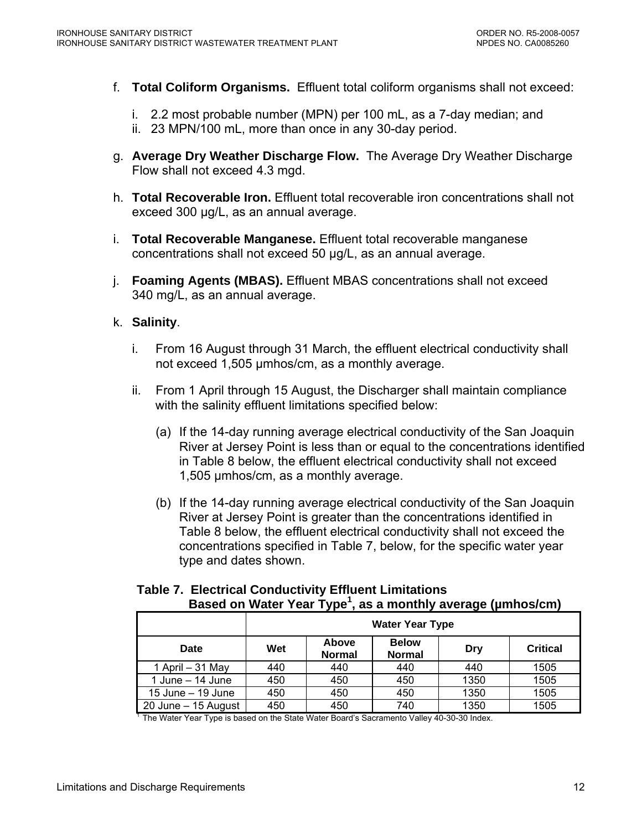- <span id="page-11-0"></span>f. **Total Coliform Organisms.** Effluent total coliform organisms shall not exceed:
	- i. 2.2 most probable number (MPN) per 100 mL, as a 7-day median; and
	- ii. 23 MPN/100 mL, more than once in any 30-day period.
- g. **Average Dry Weather Discharge Flow.** The Average Dry Weather Discharge Flow shall not exceed 4.3 mgd.
- h. **Total Recoverable Iron.** Effluent total recoverable iron concentrations shall not exceed 300 μg/L, as an annual average.
- i. **Total Recoverable Manganese.** Effluent total recoverable manganese concentrations shall not exceed 50 µg/L, as an annual average.
- j. **Foaming Agents (MBAS).** Effluent MBAS concentrations shall not exceed 340 mg/L, as an annual average.
- k. **Salinity**.
	- i. From 16 August through 31 March, the effluent electrical conductivity shall not exceed 1,505 µmhos/cm, as a monthly average.
	- ii. From 1 April through 15 August, the Discharger shall maintain compliance with the salinity effluent limitations specified below:
		- (a) If the 14-day running average electrical conductivity of the San Joaquin River at Jersey Point is less than or equal to the concentrations identified in Table 8 below, the effluent electrical conductivity shall not exceed 1,505 µmhos/cm, as a monthly average.
		- (b) If the 14-day running average electrical conductivity of the San Joaquin River at Jersey Point is greater than the concentrations identified in Table 8 below, the effluent electrical conductivity shall not exceed the concentrations specified in Table 7, below, for the specific water year type and dates shown.

| $\frac{1}{2}$          |     |                        |                               |      |                 |  |
|------------------------|-----|------------------------|-------------------------------|------|-----------------|--|
| <b>Water Year Type</b> |     |                        |                               |      |                 |  |
| Date                   | Wet | Above<br><b>Normal</b> | <b>Below</b><br><b>Normal</b> | Dry  | <b>Critical</b> |  |
| 1 April - 31 May       | 440 | 440                    | 440                           | 440  | 1505            |  |
| 1 June $-$ 14 June     | 450 | 450                    | 450                           | 1350 | 1505            |  |
| 15 June $-$ 19 June    | 450 | 450                    | 450                           | 1350 | 1505            |  |
| $20$ June $-15$ August | 450 | 450                    | 740                           | 1350 | 1505            |  |

# **Table 7. Electrical Conductivity Effluent Limitations**  Based on Water Year Type<sup>1</sup>, as a monthly average (µmhos/cm)

 $1$  The Water Year Type is based on the State Water Board's Sacramento Valley 40-30-30 Index.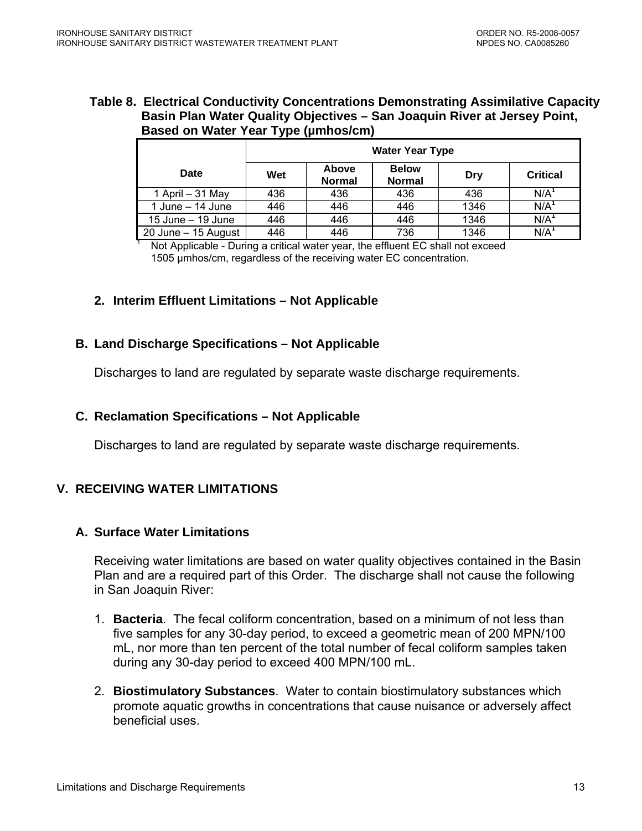#### <span id="page-12-0"></span>**Table 8. Electrical Conductivity Concentrations Demonstrating Assimilative Capacity Basin Plan Water Quality Objectives – San Joaquin River at Jersey Point, Based on Water Year Type (µmhos/cm)**

|                      | <b>Water Year Type</b> |                        |                               |      |                  |  |  |
|----------------------|------------------------|------------------------|-------------------------------|------|------------------|--|--|
| Date                 | Wet                    | Above<br><b>Normal</b> | <b>Below</b><br><b>Normal</b> | Dry  | <b>Critical</b>  |  |  |
| 1 April - 31 May     | 436                    | 436                    | 436                           | 436  | N/A <sup>1</sup> |  |  |
| 1 June $-$ 14 June   | 446                    | 446                    | 446                           | 1346 | N/A <sup>1</sup> |  |  |
| $15$ June $-19$ June | 446                    | 446                    | 446                           | 1346 | N/A <sup>1</sup> |  |  |
| 20 June - 15 August  | 446                    | 446                    | 736                           | 1346 | N/A <sup>1</sup> |  |  |

 Not Applicable - During a critical water year, the effluent EC shall not exceed 1505 µmhos/cm, regardless of the receiving water EC concentration.

# **2. Interim Effluent Limitations – Not Applicable**

## **B. Land Discharge Specifications – Not Applicable**

Discharges to land are regulated by separate waste discharge requirements.

### **C. Reclamation Specifications – Not Applicable**

Discharges to land are regulated by separate waste discharge requirements.

# **V. RECEIVING WATER LIMITATIONS**

1

## **A. Surface Water Limitations**

Receiving water limitations are based on water quality objectives contained in the Basin Plan and are a required part of this Order. The discharge shall not cause the following in San Joaquin River:

- 1. **Bacteria**. The fecal coliform concentration, based on a minimum of not less than five samples for any 30-day period, to exceed a geometric mean of 200 MPN/100 mL, nor more than ten percent of the total number of fecal coliform samples taken during any 30-day period to exceed 400 MPN/100 mL.
- 2. **Biostimulatory Substances**. Water to contain biostimulatory substances which promote aquatic growths in concentrations that cause nuisance or adversely affect beneficial uses.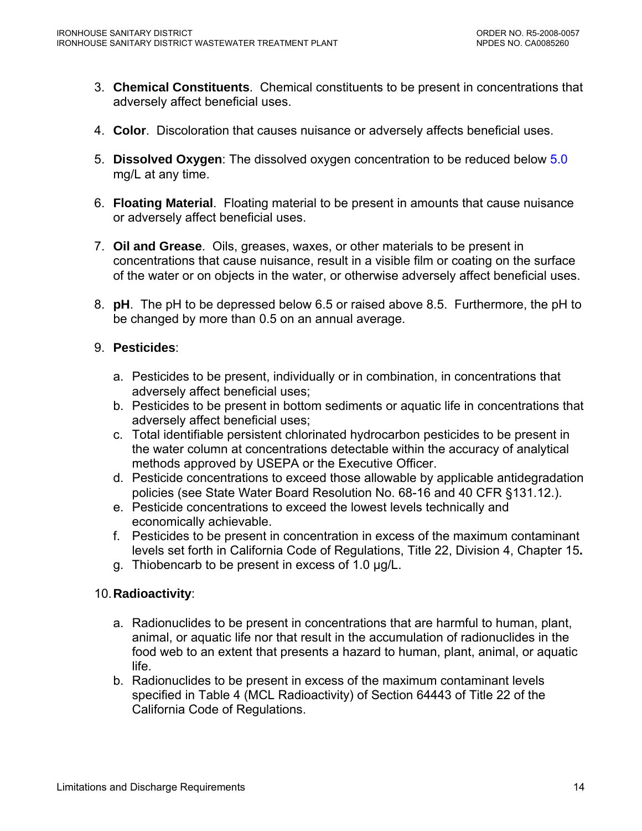- 3. **Chemical Constituents**. Chemical constituents to be present in concentrations that adversely affect beneficial uses.
- 4. **Color**. Discoloration that causes nuisance or adversely affects beneficial uses.
- 5. **Dissolved Oxygen**: The dissolved oxygen concentration to be reduced below 5.0 mg/L at any time.
- 6. **Floating Material**. Floating material to be present in amounts that cause nuisance or adversely affect beneficial uses.
- 7. **Oil and Grease**. Oils, greases, waxes, or other materials to be present in concentrations that cause nuisance, result in a visible film or coating on the surface of the water or on objects in the water, or otherwise adversely affect beneficial uses.
- 8. **pH**. The pH to be depressed below 6.5 or raised above 8.5. Furthermore, the pH to be changed by more than 0.5 on an annual average.

# 9. **Pesticides**:

- a. Pesticides to be present, individually or in combination, in concentrations that adversely affect beneficial uses;
- b. Pesticides to be present in bottom sediments or aquatic life in concentrations that adversely affect beneficial uses;
- c. Total identifiable persistent chlorinated hydrocarbon pesticides to be present in the water column at concentrations detectable within the accuracy of analytical methods approved by USEPA or the Executive Officer.
- d. Pesticide concentrations to exceed those allowable by applicable antidegradation policies (see State Water Board Resolution No. 68-16 and 40 CFR §131.12.).
- e. Pesticide concentrations to exceed the lowest levels technically and economically achievable.
- f. Pesticides to be present in concentration in excess of the maximum contaminant levels set forth in California Code of Regulations, Title 22, Division 4, Chapter 15**.**
- g. Thiobencarb to be present in excess of 1.0 µg/L.

# 10. **Radioactivity**:

- a. Radionuclides to be present in concentrations that are harmful to human, plant, animal, or aquatic life nor that result in the accumulation of radionuclides in the food web to an extent that presents a hazard to human, plant, animal, or aquatic life.
- b. Radionuclides to be present in excess of the maximum contaminant levels specified in Table 4 (MCL Radioactivity) of Section 64443 of Title 22 of the California Code of Regulations.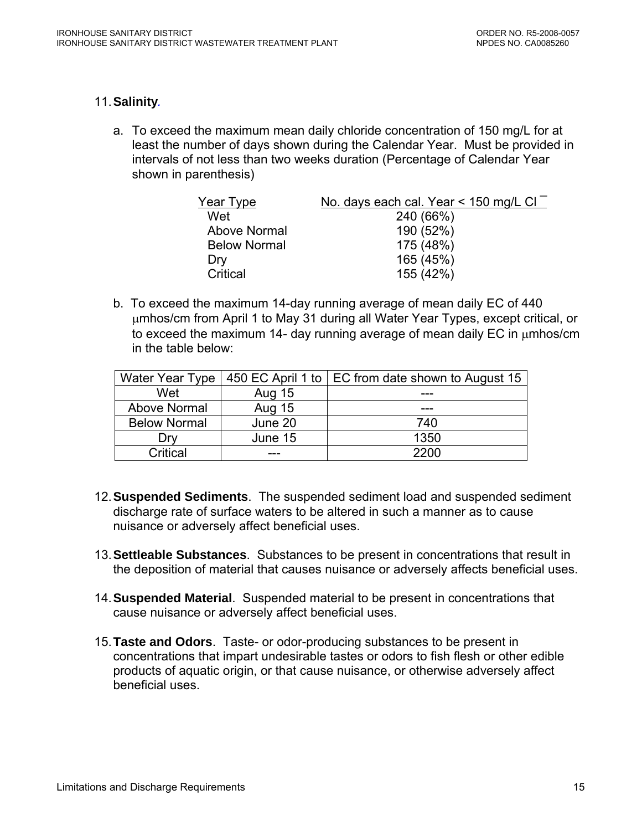## 11.**Salinity***.*

a. To exceed the maximum mean daily chloride concentration of 150 mg/L for at least the number of days shown during the Calendar Year. Must be provided in intervals of not less than two weeks duration (Percentage of Calendar Year shown in parenthesis)

| Year Type           | No. days each cal. Year $\leq$ 150 mg/L Cl $^{-}$ |
|---------------------|---------------------------------------------------|
| Wet                 | 240 (66%)                                         |
| Above Normal        | 190 (52%)                                         |
| <b>Below Normal</b> | 175 (48%)                                         |
| Drv                 | 165 (45%)                                         |
| Critical            | 155 (42%)                                         |

b. To exceed the maximum 14-day running average of mean daily EC of 440 μmhos/cm from April 1 to May 31 during all Water Year Types, except critical, or to exceed the maximum 14- day running average of mean daily EC in μmhos/cm in the table below:

| Water Year Type     |               | 450 EC April 1 to   EC from date shown to August 15 |
|---------------------|---------------|-----------------------------------------------------|
| Wet                 | <b>Aug 15</b> |                                                     |
| Above Normal        | <b>Aug 15</b> |                                                     |
| <b>Below Normal</b> | June 20       | 740                                                 |
| I )rv               | June 15       | 1350                                                |
| Critical            |               | 2200                                                |

- 12. **Suspended Sediments**. The suspended sediment load and suspended sediment discharge rate of surface waters to be altered in such a manner as to cause nuisance or adversely affect beneficial uses.
- 13. **Settleable Substances**. Substances to be present in concentrations that result in the deposition of material that causes nuisance or adversely affects beneficial uses.
- 14.**Suspended Material**. Suspended material to be present in concentrations that cause nuisance or adversely affect beneficial uses.
- 15.**Taste and Odors**. Taste- or odor-producing substances to be present in concentrations that impart undesirable tastes or odors to fish flesh or other edible products of aquatic origin, or that cause nuisance, or otherwise adversely affect beneficial uses.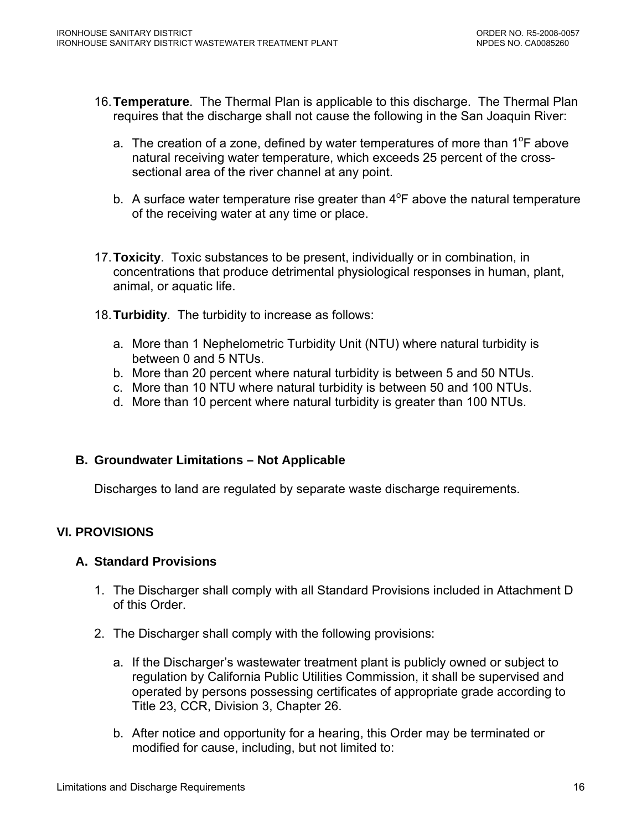- <span id="page-15-0"></span>16.**Temperature**. The Thermal Plan is applicable to this discharge. The Thermal Plan requires that the discharge shall not cause the following in the San Joaquin River:
	- a. The creation of a zone, defined by water temperatures of more than  $1^{\circ}$ F above natural receiving water temperature, which exceeds 25 percent of the crosssectional area of the river channel at any point.
	- b. A surface water temperature rise greater than  $4^{\circ}F$  above the natural temperature of the receiving water at any time or place.
- 17.**Toxicity**. Toxic substances to be present, individually or in combination, in concentrations that produce detrimental physiological responses in human, plant, animal, or aquatic life.
- 18. **Turbidity**. The turbidity to increase as follows:
	- a. More than 1 Nephelometric Turbidity Unit (NTU) where natural turbidity is between 0 and 5 NTUs.
	- b. More than 20 percent where natural turbidity is between 5 and 50 NTUs.
	- c. More than 10 NTU where natural turbidity is between 50 and 100 NTUs.
	- d. More than 10 percent where natural turbidity is greater than 100 NTUs.

## **B. Groundwater Limitations – Not Applicable**

Discharges to land are regulated by separate waste discharge requirements.

# **VI. PROVISIONS**

## **A. Standard Provisions**

- 1. The Discharger shall comply with all Standard Provisions included in Attachment D of this Order.
- 2. The Discharger shall comply with the following provisions:
	- a. If the Discharger's wastewater treatment plant is publicly owned or subject to regulation by California Public Utilities Commission, it shall be supervised and operated by persons possessing certificates of appropriate grade according to Title 23, CCR, Division 3, Chapter 26.
	- b. After notice and opportunity for a hearing, this Order may be terminated or modified for cause, including, but not limited to: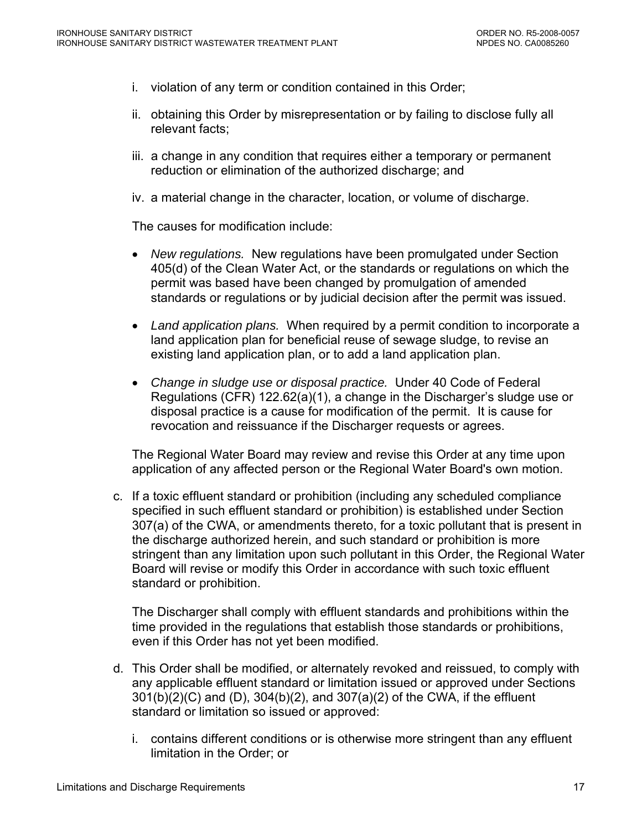- i. violation of any term or condition contained in this Order;
- ii. obtaining this Order by misrepresentation or by failing to disclose fully all relevant facts;
- iii. a change in any condition that requires either a temporary or permanent reduction or elimination of the authorized discharge; and
- iv. a material change in the character, location, or volume of discharge.

The causes for modification include:

- *New regulations.* New regulations have been promulgated under Section 405(d) of the Clean Water Act, or the standards or regulations on which the permit was based have been changed by promulgation of amended standards or regulations or by judicial decision after the permit was issued.
- *Land application plans.* When required by a permit condition to incorporate a land application plan for beneficial reuse of sewage sludge, to revise an existing land application plan, or to add a land application plan.
- *Change in sludge use or disposal practice.* Under 40 Code of Federal Regulations (CFR) 122.62(a)(1), a change in the Discharger's sludge use or disposal practice is a cause for modification of the permit. It is cause for revocation and reissuance if the Discharger requests or agrees.

The Regional Water Board may review and revise this Order at any time upon application of any affected person or the Regional Water Board's own motion.

c. If a toxic effluent standard or prohibition (including any scheduled compliance specified in such effluent standard or prohibition) is established under Section 307(a) of the CWA, or amendments thereto, for a toxic pollutant that is present in the discharge authorized herein, and such standard or prohibition is more stringent than any limitation upon such pollutant in this Order, the Regional Water Board will revise or modify this Order in accordance with such toxic effluent standard or prohibition.

The Discharger shall comply with effluent standards and prohibitions within the time provided in the regulations that establish those standards or prohibitions, even if this Order has not yet been modified.

- d. This Order shall be modified, or alternately revoked and reissued, to comply with any applicable effluent standard or limitation issued or approved under Sections 301(b)(2)(C) and (D), 304(b)(2), and 307(a)(2) of the CWA, if the effluent standard or limitation so issued or approved:
	- i. contains different conditions or is otherwise more stringent than any effluent limitation in the Order; or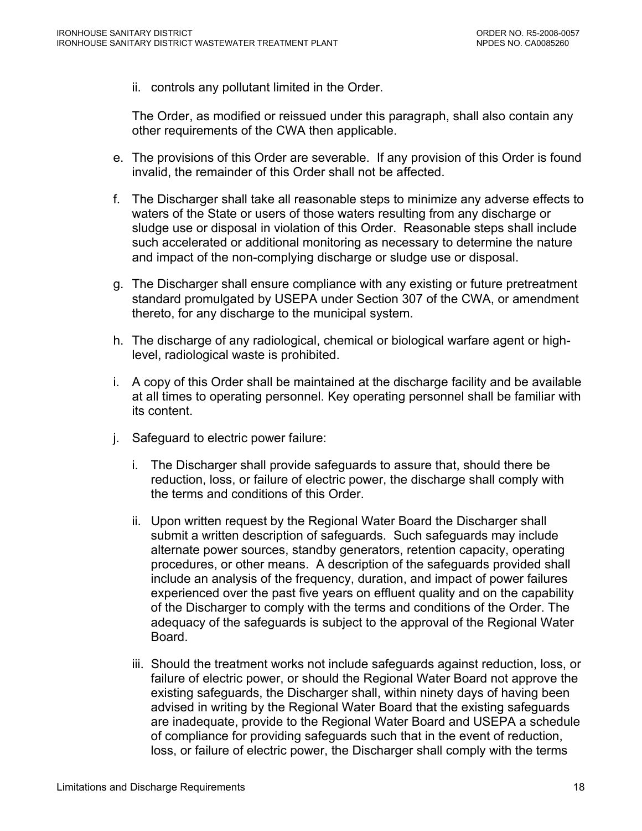ii. controls any pollutant limited in the Order.

The Order, as modified or reissued under this paragraph, shall also contain any other requirements of the CWA then applicable.

- e. The provisions of this Order are severable. If any provision of this Order is found invalid, the remainder of this Order shall not be affected.
- f. The Discharger shall take all reasonable steps to minimize any adverse effects to waters of the State or users of those waters resulting from any discharge or sludge use or disposal in violation of this Order. Reasonable steps shall include such accelerated or additional monitoring as necessary to determine the nature and impact of the non-complying discharge or sludge use or disposal.
- g. The Discharger shall ensure compliance with any existing or future pretreatment standard promulgated by USEPA under Section 307 of the CWA, or amendment thereto, for any discharge to the municipal system.
- h. The discharge of any radiological, chemical or biological warfare agent or highlevel, radiological waste is prohibited.
- i. A copy of this Order shall be maintained at the discharge facility and be available at all times to operating personnel. Key operating personnel shall be familiar with its content.
- j. Safeguard to electric power failure:
	- i. The Discharger shall provide safeguards to assure that, should there be reduction, loss, or failure of electric power, the discharge shall comply with the terms and conditions of this Order.
	- ii. Upon written request by the Regional Water Board the Discharger shall submit a written description of safeguards. Such safeguards may include alternate power sources, standby generators, retention capacity, operating procedures, or other means. A description of the safeguards provided shall include an analysis of the frequency, duration, and impact of power failures experienced over the past five years on effluent quality and on the capability of the Discharger to comply with the terms and conditions of the Order. The adequacy of the safeguards is subject to the approval of the Regional Water Board.
	- iii. Should the treatment works not include safeguards against reduction, loss, or failure of electric power, or should the Regional Water Board not approve the existing safeguards, the Discharger shall, within ninety days of having been advised in writing by the Regional Water Board that the existing safeguards are inadequate, provide to the Regional Water Board and USEPA a schedule of compliance for providing safeguards such that in the event of reduction, loss, or failure of electric power, the Discharger shall comply with the terms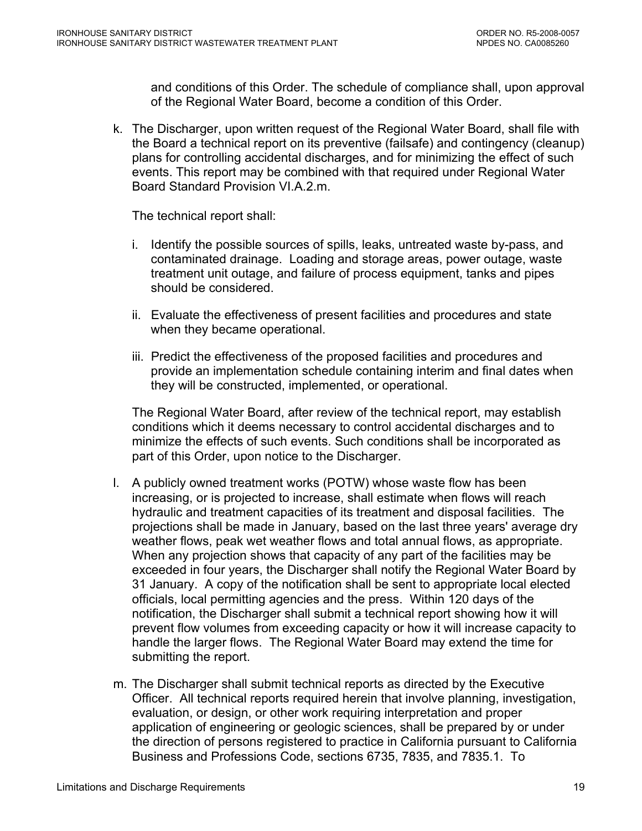and conditions of this Order. The schedule of compliance shall, upon approval of the Regional Water Board, become a condition of this Order.

k. The Discharger, upon written request of the Regional Water Board, shall file with the Board a technical report on its preventive (failsafe) and contingency (cleanup) plans for controlling accidental discharges, and for minimizing the effect of such events. This report may be combined with that required under Regional Water Board Standard Provision VI.A.2.m.

The technical report shall:

- i. Identify the possible sources of spills, leaks, untreated waste by-pass, and contaminated drainage. Loading and storage areas, power outage, waste treatment unit outage, and failure of process equipment, tanks and pipes should be considered.
- ii. Evaluate the effectiveness of present facilities and procedures and state when they became operational.
- iii. Predict the effectiveness of the proposed facilities and procedures and provide an implementation schedule containing interim and final dates when they will be constructed, implemented, or operational.

The Regional Water Board, after review of the technical report, may establish conditions which it deems necessary to control accidental discharges and to minimize the effects of such events. Such conditions shall be incorporated as part of this Order, upon notice to the Discharger.

- l. A publicly owned treatment works (POTW) whose waste flow has been increasing, or is projected to increase, shall estimate when flows will reach hydraulic and treatment capacities of its treatment and disposal facilities. The projections shall be made in January, based on the last three years' average dry weather flows, peak wet weather flows and total annual flows, as appropriate. When any projection shows that capacity of any part of the facilities may be exceeded in four years, the Discharger shall notify the Regional Water Board by 31 January. A copy of the notification shall be sent to appropriate local elected officials, local permitting agencies and the press. Within 120 days of the notification, the Discharger shall submit a technical report showing how it will prevent flow volumes from exceeding capacity or how it will increase capacity to handle the larger flows. The Regional Water Board may extend the time for submitting the report.
- m. The Discharger shall submit technical reports as directed by the Executive Officer. All technical reports required herein that involve planning, investigation, evaluation, or design, or other work requiring interpretation and proper application of engineering or geologic sciences, shall be prepared by or under the direction of persons registered to practice in California pursuant to California Business and Professions Code, sections 6735, 7835, and 7835.1. To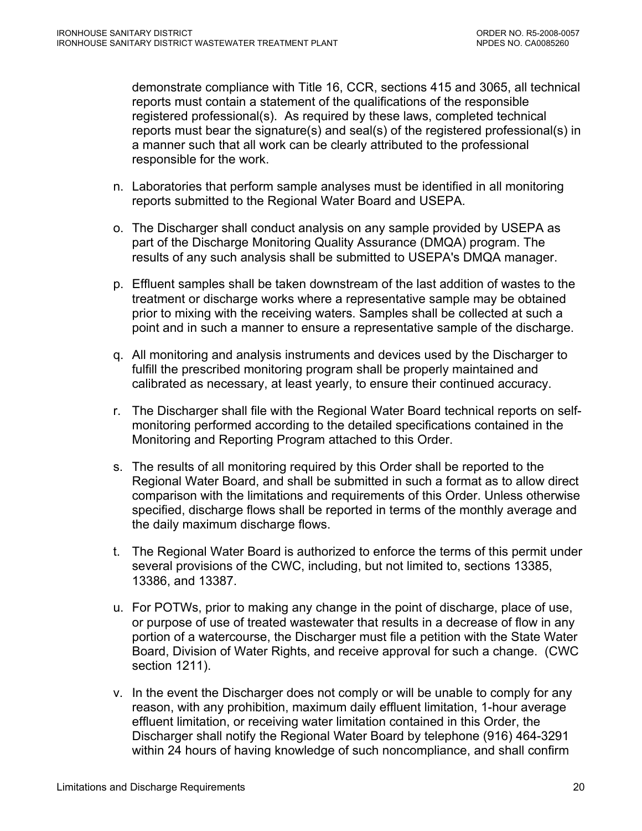demonstrate compliance with Title 16, CCR, sections 415 and 3065, all technical reports must contain a statement of the qualifications of the responsible registered professional(s). As required by these laws, completed technical reports must bear the signature(s) and seal(s) of the registered professional(s) in a manner such that all work can be clearly attributed to the professional responsible for the work.

- n. Laboratories that perform sample analyses must be identified in all monitoring reports submitted to the Regional Water Board and USEPA.
- o. The Discharger shall conduct analysis on any sample provided by USEPA as part of the Discharge Monitoring Quality Assurance (DMQA) program. The results of any such analysis shall be submitted to USEPA's DMQA manager.
- p. Effluent samples shall be taken downstream of the last addition of wastes to the treatment or discharge works where a representative sample may be obtained prior to mixing with the receiving waters. Samples shall be collected at such a point and in such a manner to ensure a representative sample of the discharge.
- q. All monitoring and analysis instruments and devices used by the Discharger to fulfill the prescribed monitoring program shall be properly maintained and calibrated as necessary, at least yearly, to ensure their continued accuracy.
- r. The Discharger shall file with the Regional Water Board technical reports on selfmonitoring performed according to the detailed specifications contained in the Monitoring and Reporting Program attached to this Order.
- s. The results of all monitoring required by this Order shall be reported to the Regional Water Board, and shall be submitted in such a format as to allow direct comparison with the limitations and requirements of this Order. Unless otherwise specified, discharge flows shall be reported in terms of the monthly average and the daily maximum discharge flows.
- t. The Regional Water Board is authorized to enforce the terms of this permit under several provisions of the CWC, including, but not limited to, sections 13385, 13386, and 13387.
- u. For POTWs, prior to making any change in the point of discharge, place of use, or purpose of use of treated wastewater that results in a decrease of flow in any portion of a watercourse, the Discharger must file a petition with the State Water Board, Division of Water Rights, and receive approval for such a change. (CWC section 1211).
- v. In the event the Discharger does not comply or will be unable to comply for any reason, with any prohibition, maximum daily effluent limitation, 1-hour average effluent limitation, or receiving water limitation contained in this Order, the Discharger shall notify the Regional Water Board by telephone (916) 464-3291 within 24 hours of having knowledge of such noncompliance, and shall confirm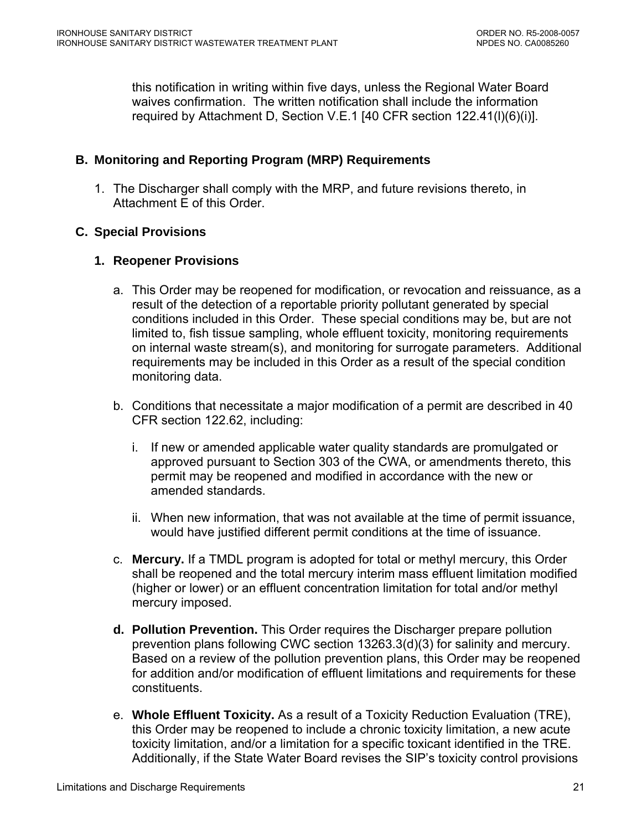<span id="page-20-0"></span>this notification in writing within five days, unless the Regional Water Board waives confirmation. The written notification shall include the information required by [Attachment D, Section V.E.1](#page-0-0) [40 CFR section 122.41(l)(6)(i)].

# **B. Monitoring and Reporting Program (MRP) Requirements**

1. The Discharger shall comply with the MRP, and future revisions thereto, in Attachment E of this Order.

# **C. Special Provisions**

# **1. Reopener Provisions**

- a. This Order may be reopened for modification, or revocation and reissuance, as a result of the detection of a reportable priority pollutant generated by special conditions included in this Order. These special conditions may be, but are not limited to, fish tissue sampling, whole effluent toxicity, monitoring requirements on internal waste stream(s), and monitoring for surrogate parameters. Additional requirements may be included in this Order as a result of the special condition monitoring data.
- b. Conditions that necessitate a major modification of a permit are described in 40 CFR section 122.62, including:
	- i. If new or amended applicable water quality standards are promulgated or approved pursuant to Section 303 of the CWA, or amendments thereto, this permit may be reopened and modified in accordance with the new or amended standards.
	- ii. When new information, that was not available at the time of permit issuance, would have justified different permit conditions at the time of issuance.
- c. **Mercury.** If a TMDL program is adopted for total or methyl mercury, this Order shall be reopened and the total mercury interim mass effluent limitation modified (higher or lower) or an effluent concentration limitation for total and/or methyl mercury imposed.
- **d. Pollution Prevention.** This Order requires the Discharger prepare pollution prevention plans following CWC section 13263.3(d)(3) for salinity and mercury. Based on a review of the pollution prevention plans, this Order may be reopened for addition and/or modification of effluent limitations and requirements for these constituents.
- e. **Whole Effluent Toxicity.** As a result of a Toxicity Reduction Evaluation (TRE), this Order may be reopened to include a chronic toxicity limitation, a new acute toxicity limitation, and/or a limitation for a specific toxicant identified in the TRE. Additionally, if the State Water Board revises the SIP's toxicity control provisions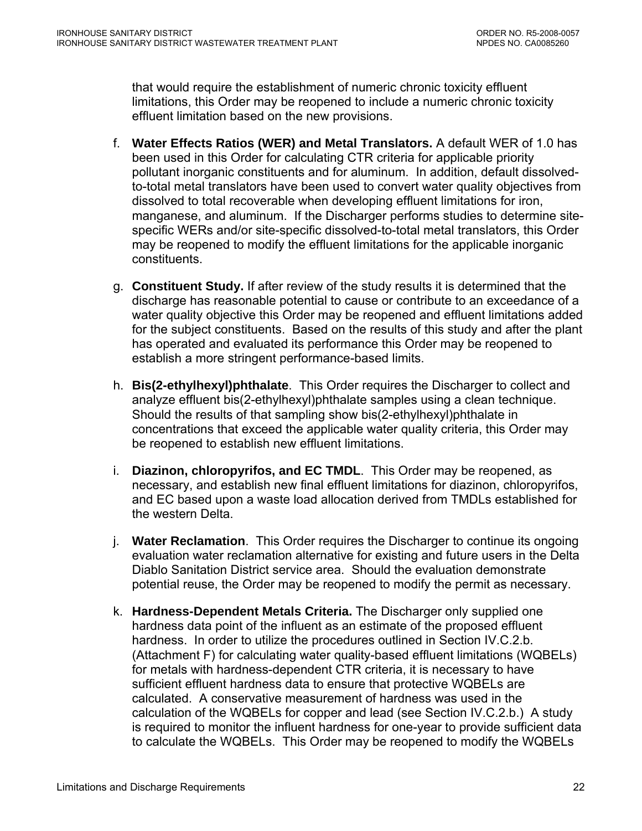that would require the establishment of numeric chronic toxicity effluent limitations, this Order may be reopened to include a numeric chronic toxicity effluent limitation based on the new provisions.

- f. **Water Effects Ratios (WER) and Metal Translators.** A default WER of 1.0 has been used in this Order for calculating CTR criteria for applicable priority pollutant inorganic constituents and for aluminum.In addition, default dissolvedto-total metal translators have been used to convert water quality objectives from dissolved to total recoverable when developing effluent limitations for iron, manganese, and aluminum. If the Discharger performs studies to determine sitespecific WERs and/or site-specific dissolved-to-total metal translators, this Order may be reopened to modify the effluent limitations for the applicable inorganic constituents.
- g. **Constituent Study.** If after review of the study results it is determined that the discharge has reasonable potential to cause or contribute to an exceedance of a water quality objective this Order may be reopened and effluent limitations added for the subject constituents. Based on the results of this study and after the plant has operated and evaluated its performance this Order may be reopened to establish a more stringent performance-based limits.
- h. **Bis(2-ethylhexyl)phthalate**. This Order requires the Discharger to collect and analyze effluent bis(2-ethylhexyl)phthalate samples using a clean technique. Should the results of that sampling show bis(2-ethylhexyl)phthalate in concentrations that exceed the applicable water quality criteria, this Order may be reopened to establish new effluent limitations.
- i. **Diazinon, chloropyrifos, and EC TMDL**. This Order may be reopened, as necessary, and establish new final effluent limitations for diazinon, chloropyrifos, and EC based upon a waste load allocation derived from TMDLs established for the western Delta.
- j. **Water Reclamation**. This Order requires the Discharger to continue its ongoing evaluation water reclamation alternative for existing and future users in the Delta Diablo Sanitation District service area. Should the evaluation demonstrate potential reuse, the Order may be reopened to modify the permit as necessary.
- k. **Hardness-Dependent Metals Criteria.** The Discharger only supplied one hardness data point of the influent as an estimate of the proposed effluent hardness. In order to utilize the procedures outlined in Section IV.C.2.b. (Attachment F) for calculating water quality-based effluent limitations (WQBELs) for metals with hardness-dependent CTR criteria, it is necessary to have sufficient effluent hardness data to ensure that protective WQBELs are calculated. A conservative measurement of hardness was used in the calculation of the WQBELs for copper and lead (see Section IV.C.2.b.) A study is required to monitor the influent hardness for one-year to provide sufficient data to calculate the WQBELs. This Order may be reopened to modify the WQBELs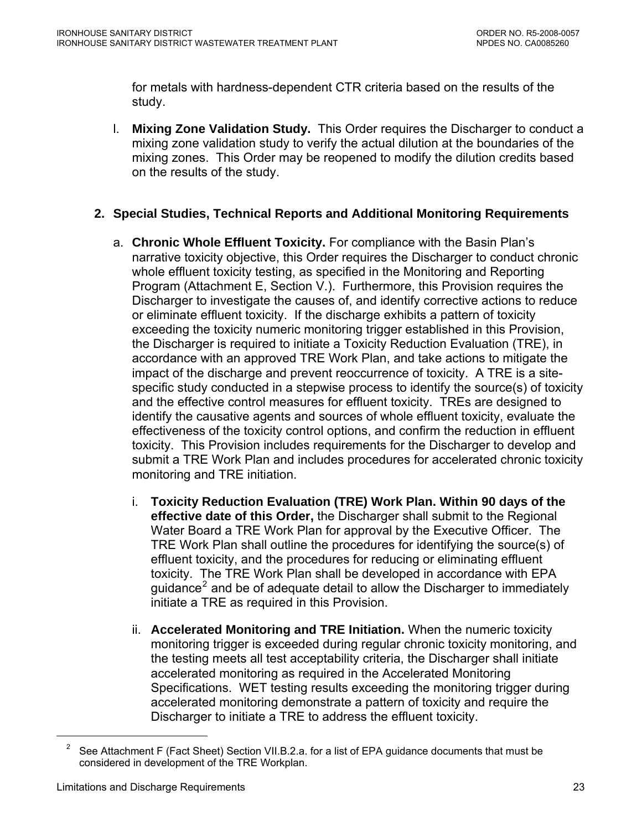<span id="page-22-0"></span>for metals with hardness-dependent CTR criteria based on the results of the study.

l. **Mixing Zone Validation Study.** This Order requires the Discharger to conduct a mixing zone validation study to verify the actual dilution at the boundaries of the mixing zones. This Order may be reopened to modify the dilution credits based on the results of the study.

# **2. Special Studies, Technical Reports and Additional Monitoring Requirements**

- a. **Chronic Whole Effluent Toxicity.** For compliance with the Basin Plan's narrative toxicity objective, this Order requires the Discharger to conduct chronic whole effluent toxicity testing, as specified in the Monitoring and Reporting Program (Attachment E, Section V.). Furthermore, this Provision requires the Discharger to investigate the causes of, and identify corrective actions to reduce or eliminate effluent toxicity. If the discharge exhibits a pattern of toxicity exceeding the toxicity numeric monitoring trigger established in this Provision, the Discharger is required to initiate a Toxicity Reduction Evaluation (TRE), in accordance with an approved TRE Work Plan, and take actions to mitigate the impact of the discharge and prevent reoccurrence of toxicity. A TRE is a sitespecific study conducted in a stepwise process to identify the source(s) of toxicity and the effective control measures for effluent toxicity. TREs are designed to identify the causative agents and sources of whole effluent toxicity, evaluate the effectiveness of the toxicity control options, and confirm the reduction in effluent toxicity. This Provision includes requirements for the Discharger to develop and submit a TRE Work Plan and includes procedures for accelerated chronic toxicity monitoring and TRE initiation.
	- i. **Toxicity Reduction Evaluation (TRE) Work Plan. Within 90 days of the effective date of this Order,** the Discharger shall submit to the Regional Water Board a TRE Work Plan for approval by the Executive Officer. The TRE Work Plan shall outline the procedures for identifying the source(s) of effluent toxicity, and the procedures for reducing or eliminating effluent toxicity. The TRE Work Plan shall be developed in accordance with EPA guidance<sup>[2](#page-22-0)</sup> and be of adequate detail to allow the Discharger to immediately initiate a TRE as required in this Provision.
	- ii. **Accelerated Monitoring and TRE Initiation.** When the numeric toxicity monitoring trigger is exceeded during regular chronic toxicity monitoring, and the testing meets all test acceptability criteria, the Discharger shall initiate accelerated monitoring as required in the Accelerated Monitoring Specifications. WET testing results exceeding the monitoring trigger during accelerated monitoring demonstrate a pattern of toxicity and require the Discharger to initiate a TRE to address the effluent toxicity.

 $\overline{a}$ 

<sup>&</sup>lt;sup>2</sup> See Attachment F (Fact Sheet) Section VII.B.2.a. for a list of EPA guidance documents that must be considered in development of the TRE Workplan.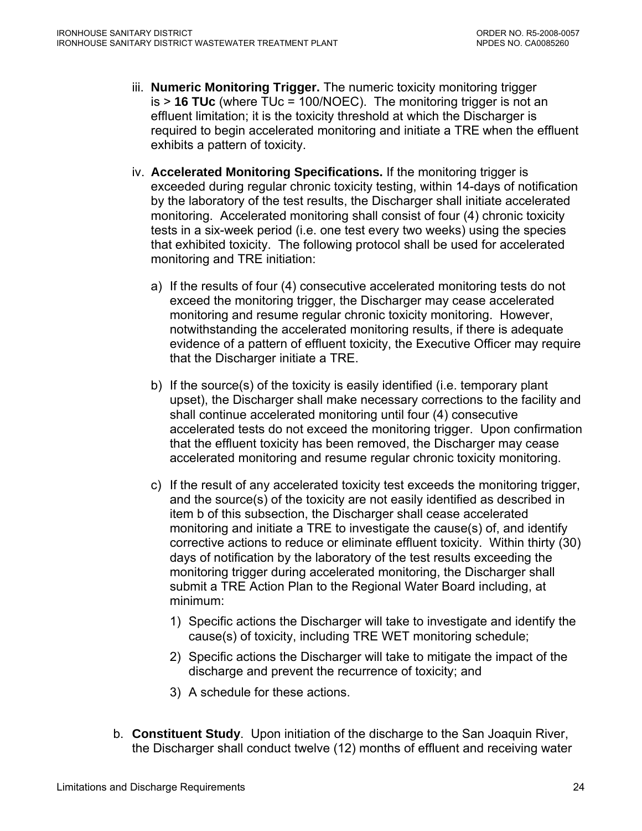- iii. **Numeric Monitoring Trigger.** The numeric toxicity monitoring trigger is > **16 TUc** (where TUc = 100/NOEC). The monitoring trigger is not an effluent limitation; it is the toxicity threshold at which the Discharger is required to begin accelerated monitoring and initiate a TRE when the effluent exhibits a pattern of toxicity.
- iv. **Accelerated Monitoring Specifications.** If the monitoring trigger is exceeded during regular chronic toxicity testing, within 14-days of notification by the laboratory of the test results, the Discharger shall initiate accelerated monitoring. Accelerated monitoring shall consist of four (4) chronic toxicity tests in a six-week period (i.e. one test every two weeks) using the species that exhibited toxicity. The following protocol shall be used for accelerated monitoring and TRE initiation:
	- a) If the results of four (4) consecutive accelerated monitoring tests do not exceed the monitoring trigger, the Discharger may cease accelerated monitoring and resume regular chronic toxicity monitoring. However, notwithstanding the accelerated monitoring results, if there is adequate evidence of a pattern of effluent toxicity, the Executive Officer may require that the Discharger initiate a TRE.
	- b) If the source(s) of the toxicity is easily identified (i.e. temporary plant upset), the Discharger shall make necessary corrections to the facility and shall continue accelerated monitoring until four (4) consecutive accelerated tests do not exceed the monitoring trigger. Upon confirmation that the effluent toxicity has been removed, the Discharger may cease accelerated monitoring and resume regular chronic toxicity monitoring.
	- c) If the result of any accelerated toxicity test exceeds the monitoring trigger, and the source(s) of the toxicity are not easily identified as described in item b of this subsection, the Discharger shall cease accelerated monitoring and initiate a TRE to investigate the cause(s) of, and identify corrective actions to reduce or eliminate effluent toxicity. Within thirty (30) days of notification by the laboratory of the test results exceeding the monitoring trigger during accelerated monitoring, the Discharger shall submit a TRE Action Plan to the Regional Water Board including, at minimum:
		- 1) Specific actions the Discharger will take to investigate and identify the cause(s) of toxicity, including TRE WET monitoring schedule;
		- 2) Specific actions the Discharger will take to mitigate the impact of the discharge and prevent the recurrence of toxicity; and
		- 3) A schedule for these actions.
- b. **Constituent Study**. Upon initiation of the discharge to the San Joaquin River, the Discharger shall conduct twelve (12) months of effluent and receiving water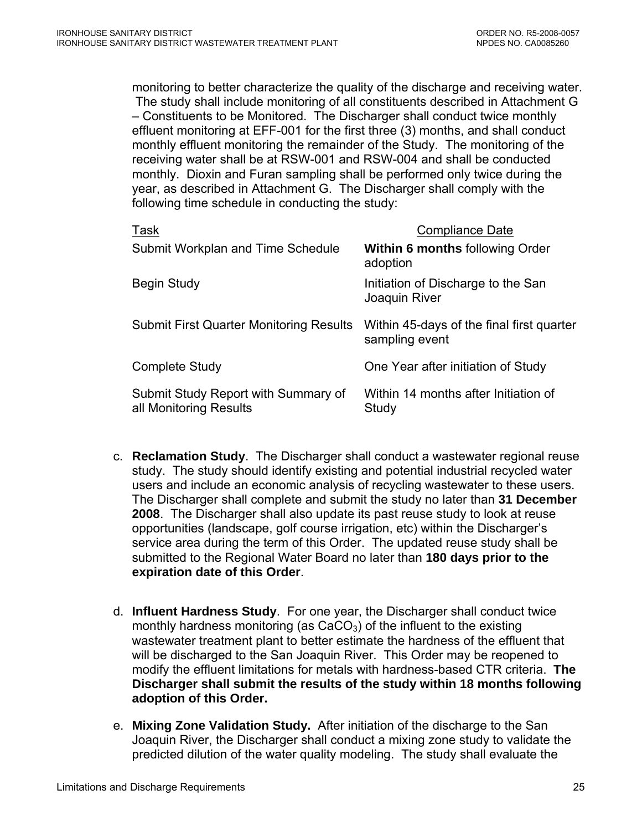monitoring to better characterize the quality of the discharge and receiving water. The study shall include monitoring of all constituents described in Attachment G – Constituents to be Monitored. The Discharger shall conduct twice monthly effluent monitoring at EFF-001 for the first three (3) months, and shall conduct monthly effluent monitoring the remainder of the Study. The monitoring of the receiving water shall be at RSW-001 and RSW-004 and shall be conducted monthly. Dioxin and Furan sampling shall be performed only twice during the year, as described in Attachment G. The Discharger shall comply with the following time schedule in conducting the study:

| Task                                                          | <b>Compliance Date</b>                                      |
|---------------------------------------------------------------|-------------------------------------------------------------|
| Submit Workplan and Time Schedule                             | <b>Within 6 months following Order</b><br>adoption          |
| Begin Study                                                   | Initiation of Discharge to the San<br>Joaquin River         |
| <b>Submit First Quarter Monitoring Results</b>                | Within 45-days of the final first quarter<br>sampling event |
| <b>Complete Study</b>                                         | One Year after initiation of Study                          |
| Submit Study Report with Summary of<br>all Monitoring Results | Within 14 months after Initiation of<br>Study               |

- c. **Reclamation Study**. The Discharger shall conduct a wastewater regional reuse study. The study should identify existing and potential industrial recycled water users and include an economic analysis of recycling wastewater to these users. The Discharger shall complete and submit the study no later than **31 December 2008**. The Discharger shall also update its past reuse study to look at reuse opportunities (landscape, golf course irrigation, etc) within the Discharger's service area during the term of this Order. The updated reuse study shall be submitted to the Regional Water Board no later than **180 days prior to the expiration date of this Order**.
- d. **Influent Hardness Study**. For one year, the Discharger shall conduct twice monthly hardness monitoring (as  $CaCO<sub>3</sub>$ ) of the influent to the existing wastewater treatment plant to better estimate the hardness of the effluent that will be discharged to the San Joaquin River. This Order may be reopened to modify the effluent limitations for metals with hardness-based CTR criteria. **The Discharger shall submit the results of the study within 18 months following adoption of this Order.**
- e. **Mixing Zone Validation Study.** After initiation of the discharge to the San Joaquin River, the Discharger shall conduct a mixing zone study to validate the predicted dilution of the water quality modeling. The study shall evaluate the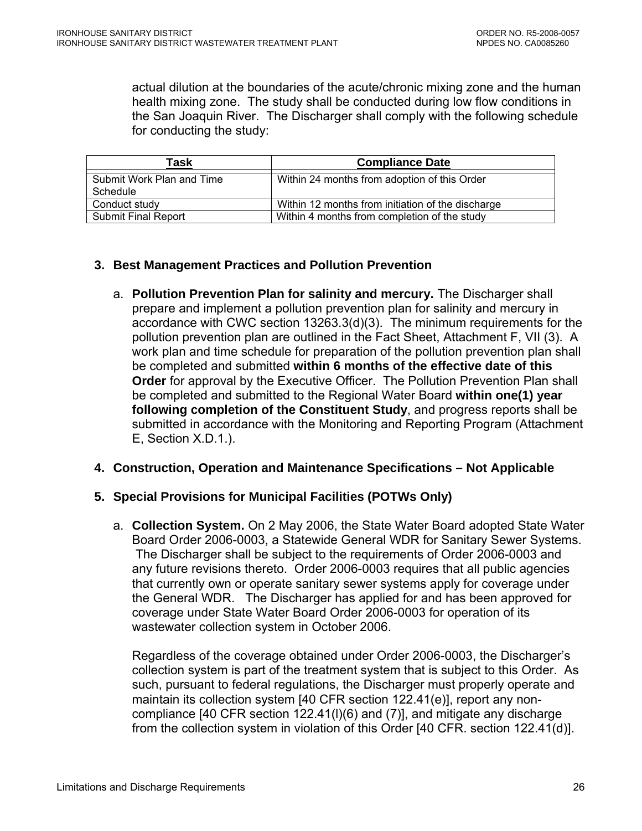<span id="page-25-0"></span>actual dilution at the boundaries of the acute/chronic mixing zone and the human health mixing zone. The study shall be conducted during low flow conditions in the San Joaquin River. The Discharger shall comply with the following schedule for conducting the study:

| Task                                  | <b>Compliance Date</b>                            |
|---------------------------------------|---------------------------------------------------|
| Submit Work Plan and Time<br>Schedule | Within 24 months from adoption of this Order      |
| Conduct study                         | Within 12 months from initiation of the discharge |
| <b>Submit Final Report</b>            | Within 4 months from completion of the study      |

# **3. Best Management Practices and Pollution Prevention**

a. **Pollution Prevention Plan for salinity and mercury.** The Discharger shall prepare and implement a pollution prevention plan for salinity and mercury in accordance with CWC section 13263.3(d)(3). The minimum requirements for the pollution prevention plan are outlined in the Fact Sheet, Attachment F, VII (3). A work plan and time schedule for preparation of the pollution prevention plan shall be completed and submitted **within 6 months of the effective date of this Order** for approval by the Executive Officer. The Pollution Prevention Plan shall be completed and submitted to the Regional Water Board **within one(1) year following completion of the Constituent Study**, and progress reports shall be submitted in accordance with the Monitoring and Reporting Program ([Attachment](#page-58-0)  [E, Section X.D.1.](#page-58-0)).

## **4. Construction, Operation and Maintenance Specifications – Not Applicable**

## **5. Special Provisions for Municipal Facilities (POTWs Only)**

a. **Collection System.** On 2 May 2006, the State Water Board adopted State Water Board Order 2006-0003, a Statewide General WDR for Sanitary Sewer Systems. The Discharger shall be subject to the requirements of Order 2006-0003 and any future revisions thereto. Order 2006-0003 requires that all public agencies that currently own or operate sanitary sewer systems apply for coverage under the General WDR. The Discharger has applied for and has been approved for coverage under State Water Board Order 2006-0003 for operation of its wastewater collection system in October 2006.

Regardless of the coverage obtained under Order 2006-0003, the Discharger's collection system is part of the treatment system that is subject to this Order. As such, pursuant to federal regulations, the Discharger must properly operate and maintain its collection system [40 CFR section 122.41(e)], report any noncompliance [40 CFR section 122.41(l)(6) and (7)], and mitigate any discharge from the collection system in violation of this Order [40 CFR. section 122.41(d)].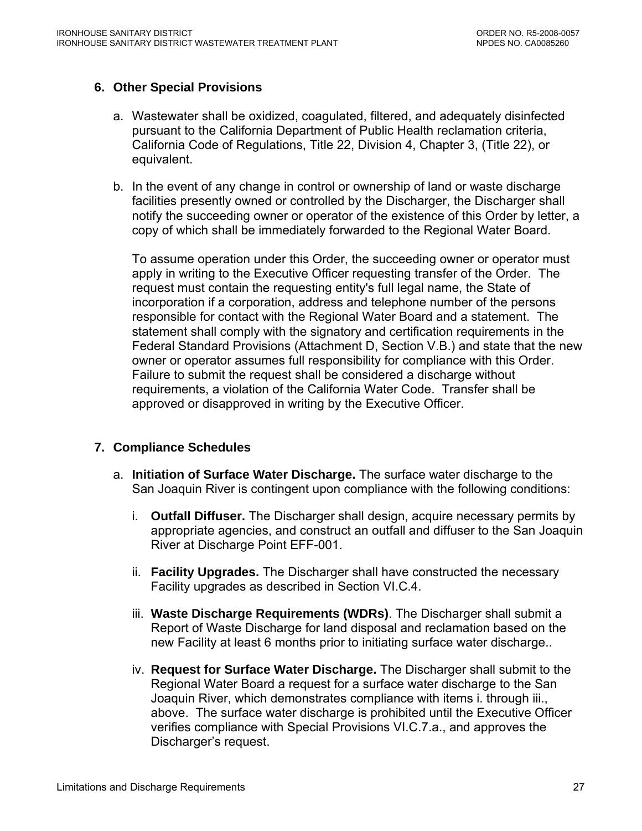# <span id="page-26-0"></span>**6. Other Special Provisions**

- a. Wastewater shall be oxidized, coagulated, filtered, and adequately disinfected pursuant to the California Department of Public Health reclamation criteria, California Code of Regulations, Title 22, Division 4, Chapter 3, (Title 22), or equivalent.
- b. In the event of any change in control or ownership of land or waste discharge facilities presently owned or controlled by the Discharger, the Discharger shall notify the succeeding owner or operator of the existence of this Order by letter, a copy of which shall be immediately forwarded to the Regional Water Board.

To assume operation under this Order, the succeeding owner or operator must apply in writing to the Executive Officer requesting transfer of the Order. The request must contain the requesting entity's full legal name, the State of incorporation if a corporation, address and telephone number of the persons responsible for contact with the Regional Water Board and a statement. The statement shall comply with the signatory and certification requirements in the Federal Standard Provisions (Attachment D, Section V.B.) and state that the new owner or operator assumes full responsibility for compliance with this Order. Failure to submit the request shall be considered a discharge without requirements, a violation of the California Water Code. Transfer shall be approved or disapproved in writing by the Executive Officer.

## **7. Compliance Schedules**

- a. **Initiation of Surface Water Discharge.** The surface water discharge to the San Joaquin River is contingent upon compliance with the following conditions:
	- i. **Outfall Diffuser.** The Discharger shall design, acquire necessary permits by appropriate agencies, and construct an outfall and diffuser to the San Joaquin River at Discharge Point EFF-001.
	- ii. **Facility Upgrades.** The Discharger shall have constructed the necessary Facility upgrades as described in Section VI.C.4.
	- iii. **Waste Discharge Requirements (WDRs)**. The Discharger shall submit a Report of Waste Discharge for land disposal and reclamation based on the new Facility at least 6 months prior to initiating surface water discharge..
	- iv. **Request for Surface Water Discharge.** The Discharger shall submit to the Regional Water Board a request for a surface water discharge to the San Joaquin River, which demonstrates compliance with items i. through iii., above. The surface water discharge is prohibited until the Executive Officer verifies compliance with Special Provisions VI.C.7.a., and approves the Discharger's request.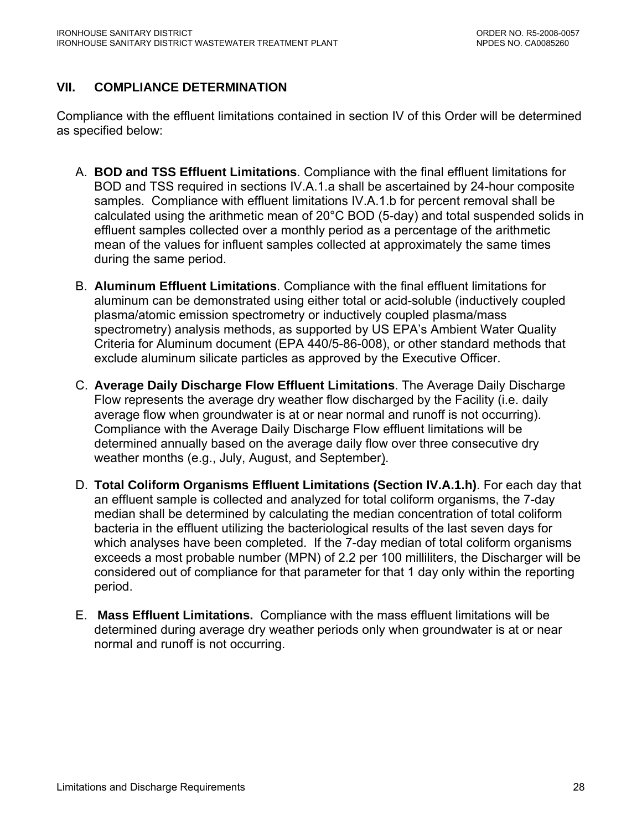# <span id="page-27-0"></span>**VII. COMPLIANCE DETERMINATION**

Compliance with the effluent limitations contained in section IV of this Order will be determined as specified below:

- A. **BOD and TSS Effluent Limitations**. Compliance with the final effluent limitations for BOD and TSS required in sections IV.A.1.a shall be ascertained by 24-hour composite samples. Compliance with effluent limitations IV.A.1.b for percent removal shall be calculated using the arithmetic mean of 20°C BOD (5-day) and total suspended solids in effluent samples collected over a monthly period as a percentage of the arithmetic mean of the values for influent samples collected at approximately the same times during the same period.
- B. **Aluminum Effluent Limitations**. Compliance with the final effluent limitations for aluminum can be demonstrated using either total or acid-soluble (inductively coupled plasma/atomic emission spectrometry or inductively coupled plasma/mass spectrometry) analysis methods, as supported by US EPA's Ambient Water Quality Criteria for Aluminum document (EPA 440/5-86-008), or other standard methods that exclude aluminum silicate particles as approved by the Executive Officer.
- C. **Average Daily Discharge Flow Effluent Limitations**. The Average Daily Discharge Flow represents the average dry weather flow discharged by the Facility (i.e. daily average flow when groundwater is at or near normal and runoff is not occurring). Compliance with the Average Daily Discharge Flow effluent limitations will be determined annually based on the average daily flow over three consecutive dry weather months (e.g., July, August, and September).
- D. **Total Coliform Organisms Effluent Limitations (Section IV.A.1.h)**. For each day that an effluent sample is collected and analyzed for total coliform organisms, the 7-day median shall be determined by calculating the median concentration of total coliform bacteria in the effluent utilizing the bacteriological results of the last seven days for which analyses have been completed. If the 7-day median of total coliform organisms exceeds a most probable number (MPN) of 2.2 per 100 milliliters, the Discharger will be considered out of compliance for that parameter for that 1 day only within the reporting period.
- E. **Mass Effluent Limitations.** Compliance with the mass effluent limitations will be determined during average dry weather periods only when groundwater is at or near normal and runoff is not occurring.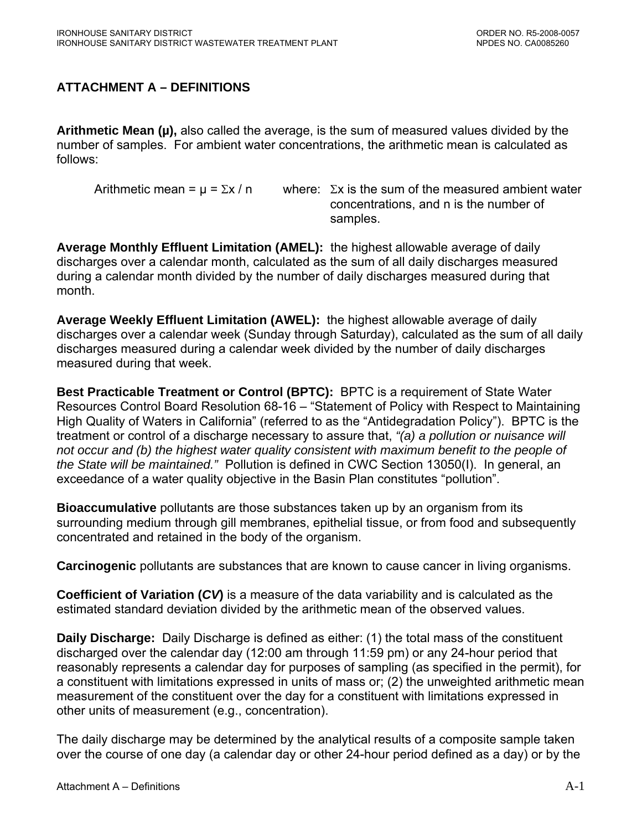# <span id="page-28-0"></span>**ATTACHMENT A – DEFINITIONS**

**Arithmetic Mean (µ),** also called the average, is the sum of measured values divided by the number of samples. For ambient water concentrations, the arithmetic mean is calculated as follows:

Arithmetic mean =  $\mu$  =  $\Sigma x / n$  where:  $\Sigma x$  is the sum of the measured ambient water concentrations, and n is the number of samples.

**Average Monthly Effluent Limitation (AMEL):** the highest allowable average of daily discharges over a calendar month, calculated as the sum of all daily discharges measured during a calendar month divided by the number of daily discharges measured during that month.

**Average Weekly Effluent Limitation (AWEL):** the highest allowable average of daily discharges over a calendar week (Sunday through Saturday), calculated as the sum of all daily discharges measured during a calendar week divided by the number of daily discharges measured during that week.

**Best Practicable Treatment or Control (BPTC):** BPTC is a requirement of State Water Resources Control Board Resolution 68-16 – "Statement of Policy with Respect to Maintaining High Quality of Waters in California" (referred to as the "Antidegradation Policy"). BPTC is the treatment or control of a discharge necessary to assure that, *"(a) a pollution or nuisance will not occur and (b) the highest water quality consistent with maximum benefit to the people of the State will be maintained."* Pollution is defined in CWC Section 13050(I). In general, an exceedance of a water quality objective in the Basin Plan constitutes "pollution".

**Bioaccumulative** pollutants are those substances taken up by an organism from its surrounding medium through gill membranes, epithelial tissue, or from food and subsequently concentrated and retained in the body of the organism.

**Carcinogenic** pollutants are substances that are known to cause cancer in living organisms.

**Coefficient of Variation (***CV***)** is a measure of the data variability and is calculated as the estimated standard deviation divided by the arithmetic mean of the observed values.

**Daily Discharge:** Daily Discharge is defined as either: (1) the total mass of the constituent discharged over the calendar day (12:00 am through 11:59 pm) or any 24-hour period that reasonably represents a calendar day for purposes of sampling (as specified in the permit), for a constituent with limitations expressed in units of mass or; (2) the unweighted arithmetic mean measurement of the constituent over the day for a constituent with limitations expressed in other units of measurement (e.g., concentration).

The daily discharge may be determined by the analytical results of a composite sample taken over the course of one day (a calendar day or other 24-hour period defined as a day) or by the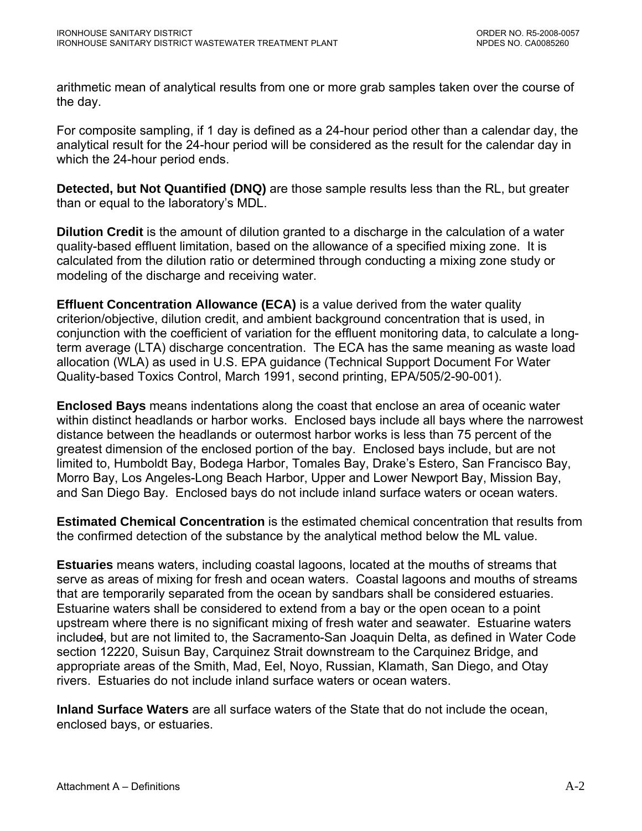arithmetic mean of analytical results from one or more grab samples taken over the course of the day.

For composite sampling, if 1 day is defined as a 24-hour period other than a calendar day, the analytical result for the 24-hour period will be considered as the result for the calendar day in which the 24-hour period ends.

**Detected, but Not Quantified (DNQ)** are those sample results less than the RL, but greater than or equal to the laboratory's MDL.

**Dilution Credit** is the amount of dilution granted to a discharge in the calculation of a water quality-based effluent limitation, based on the allowance of a specified mixing zone. It is calculated from the dilution ratio or determined through conducting a mixing zone study or modeling of the discharge and receiving water.

**Effluent Concentration Allowance (ECA)** is a value derived from the water quality criterion/objective, dilution credit, and ambient background concentration that is used, in conjunction with the coefficient of variation for the effluent monitoring data, to calculate a longterm average (LTA) discharge concentration. The ECA has the same meaning as waste load allocation (WLA) as used in U.S. EPA guidance (Technical Support Document For Water Quality-based Toxics Control, March 1991, second printing, EPA/505/2-90-001).

**Enclosed Bays** means indentations along the coast that enclose an area of oceanic water within distinct headlands or harbor works. Enclosed bays include all bays where the narrowest distance between the headlands or outermost harbor works is less than 75 percent of the greatest dimension of the enclosed portion of the bay. Enclosed bays include, but are not limited to, Humboldt Bay, Bodega Harbor, Tomales Bay, Drake's Estero, San Francisco Bay, Morro Bay, Los Angeles-Long Beach Harbor, Upper and Lower Newport Bay, Mission Bay, and San Diego Bay. Enclosed bays do not include inland surface waters or ocean waters.

**Estimated Chemical Concentration** is the estimated chemical concentration that results from the confirmed detection of the substance by the analytical method below the ML value.

**Estuaries** means waters, including coastal lagoons, located at the mouths of streams that serve as areas of mixing for fresh and ocean waters. Coastal lagoons and mouths of streams that are temporarily separated from the ocean by sandbars shall be considered estuaries. Estuarine waters shall be considered to extend from a bay or the open ocean to a point upstream where there is no significant mixing of fresh water and seawater. Estuarine waters included, but are not limited to, the Sacramento-San Joaquin Delta, as defined in Water Code section 12220, Suisun Bay, Carquinez Strait downstream to the Carquinez Bridge, and appropriate areas of the Smith, Mad, Eel, Noyo, Russian, Klamath, San Diego, and Otay rivers. Estuaries do not include inland surface waters or ocean waters.

**Inland Surface Waters** are all surface waters of the State that do not include the ocean, enclosed bays, or estuaries.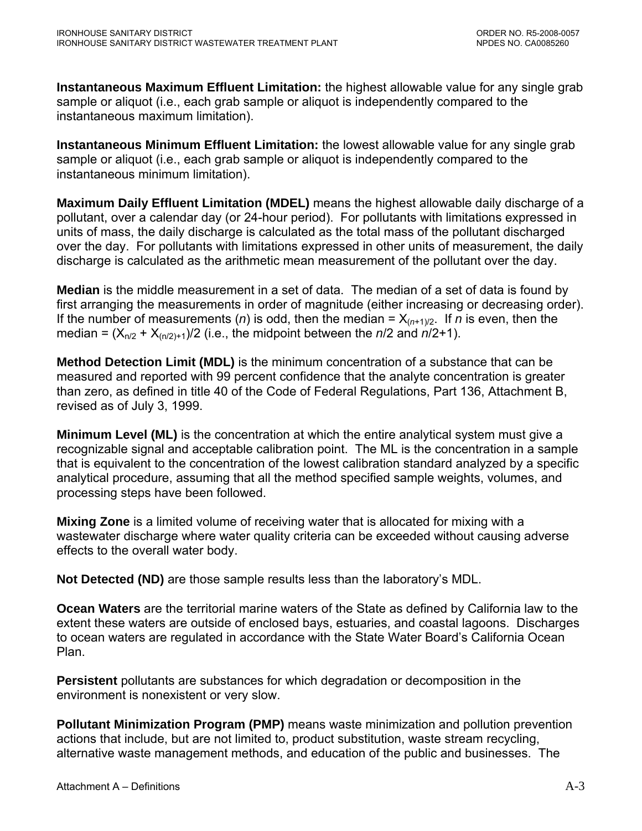**Instantaneous Maximum Effluent Limitation:** the highest allowable value for any single grab sample or aliquot (i.e., each grab sample or aliquot is independently compared to the instantaneous maximum limitation).

**Instantaneous Minimum Effluent Limitation:** the lowest allowable value for any single grab sample or aliquot (i.e., each grab sample or aliquot is independently compared to the instantaneous minimum limitation).

**Maximum Daily Effluent Limitation (MDEL)** means the highest allowable daily discharge of a pollutant, over a calendar day (or 24-hour period). For pollutants with limitations expressed in units of mass, the daily discharge is calculated as the total mass of the pollutant discharged over the day. For pollutants with limitations expressed in other units of measurement, the daily discharge is calculated as the arithmetic mean measurement of the pollutant over the day.

**Median** is the middle measurement in a set of data. The median of a set of data is found by first arranging the measurements in order of magnitude (either increasing or decreasing order). If the number of measurements (*n*) is odd, then the median =  $X_{(n+1)/2}$ . If *n* is even, then the median =  $(X_{n/2} + X_{(n/2)+1})/2$  (i.e., the midpoint between the  $n/2$  and  $n/2+1$ ).

**Method Detection Limit (MDL)** is the minimum concentration of a substance that can be measured and reported with 99 percent confidence that the analyte concentration is greater than zero, as defined in title 40 of the Code of Federal Regulations, Part 136, Attachment B, revised as of July 3, 1999.

**Minimum Level (ML)** is the concentration at which the entire analytical system must give a recognizable signal and acceptable calibration point. The ML is the concentration in a sample that is equivalent to the concentration of the lowest calibration standard analyzed by a specific analytical procedure, assuming that all the method specified sample weights, volumes, and processing steps have been followed.

**Mixing Zone** is a limited volume of receiving water that is allocated for mixing with a wastewater discharge where water quality criteria can be exceeded without causing adverse effects to the overall water body.

**Not Detected (ND)** are those sample results less than the laboratory's MDL.

**Ocean Waters** are the territorial marine waters of the State as defined by California law to the extent these waters are outside of enclosed bays, estuaries, and coastal lagoons. Discharges to ocean waters are regulated in accordance with the State Water Board's California Ocean Plan.

**Persistent** pollutants are substances for which degradation or decomposition in the environment is nonexistent or very slow.

**Pollutant Minimization Program (PMP)** means waste minimization and pollution prevention actions that include, but are not limited to, product substitution, waste stream recycling, alternative waste management methods, and education of the public and businesses. The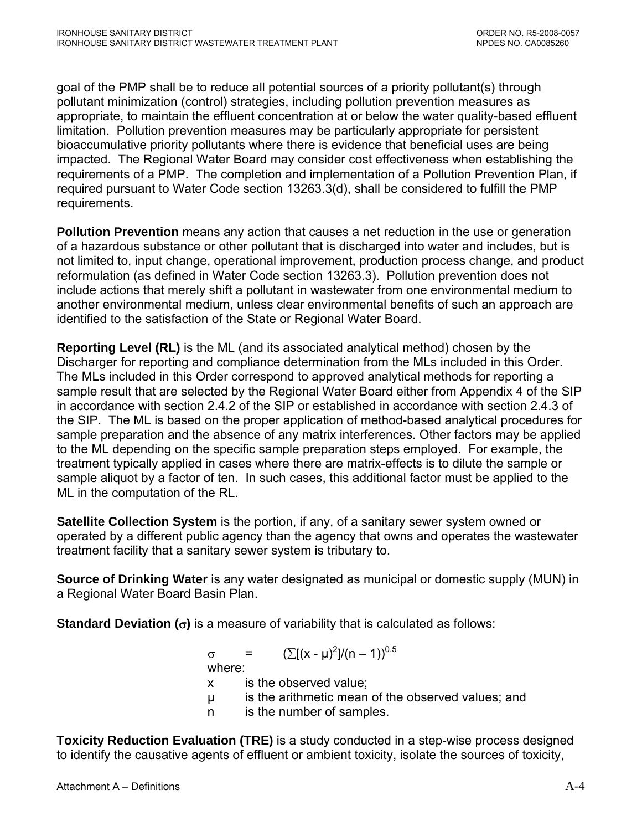goal of the PMP shall be to reduce all potential sources of a priority pollutant(s) through pollutant minimization (control) strategies, including pollution prevention measures as appropriate, to maintain the effluent concentration at or below the water quality-based effluent limitation. Pollution prevention measures may be particularly appropriate for persistent bioaccumulative priority pollutants where there is evidence that beneficial uses are being impacted. The Regional Water Board may consider cost effectiveness when establishing the requirements of a PMP. The completion and implementation of a Pollution Prevention Plan, if required pursuant to Water Code section 13263.3(d), shall be considered to fulfill the PMP requirements.

**Pollution Prevention** means any action that causes a net reduction in the use or generation of a hazardous substance or other pollutant that is discharged into water and includes, but is not limited to, input change, operational improvement, production process change, and product reformulation (as defined in Water Code section 13263.3). Pollution prevention does not include actions that merely shift a pollutant in wastewater from one environmental medium to another environmental medium, unless clear environmental benefits of such an approach are identified to the satisfaction of the State or Regional Water Board.

**Reporting Level (RL)** is the ML (and its associated analytical method) chosen by the Discharger for reporting and compliance determination from the MLs included in this Order. The MLs included in this Order correspond to approved analytical methods for reporting a sample result that are selected by the Regional Water Board either from Appendix 4 of the SIP in accordance with section 2.4.2 of the SIP or established in accordance with section 2.4.3 of the SIP. The ML is based on the proper application of method-based analytical procedures for sample preparation and the absence of any matrix interferences. Other factors may be applied to the ML depending on the specific sample preparation steps employed. For example, the treatment typically applied in cases where there are matrix-effects is to dilute the sample or sample aliquot by a factor of ten. In such cases, this additional factor must be applied to the ML in the computation of the RL.

**Satellite Collection System** is the portion, if any, of a sanitary sewer system owned or operated by a different public agency than the agency that owns and operates the wastewater treatment facility that a sanitary sewer system is tributary to.

**Source of Drinking Water** is any water designated as municipal or domestic supply (MUN) in a Regional Water Board Basin Plan.

**Standard Deviation (**σ**)** is a measure of variability that is calculated as follows:

 $\sigma = (\sum [(x - μ)^2]/(n - 1))^{0.5}$ 

where:

- x is the observed value;
- µ is the arithmetic mean of the observed values; and
- n is the number of samples.

**Toxicity Reduction Evaluation (TRE)** is a study conducted in a step-wise process designed to identify the causative agents of effluent or ambient toxicity, isolate the sources of toxicity,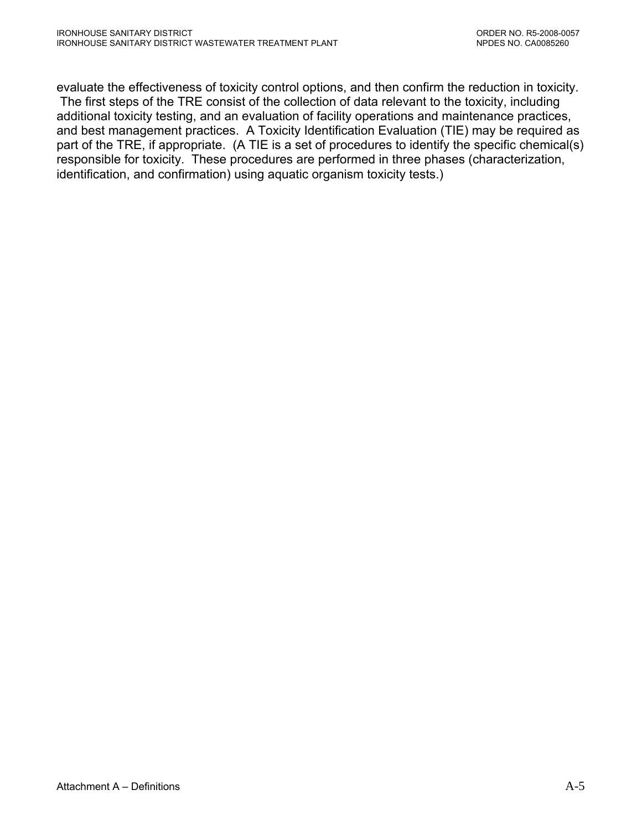evaluate the effectiveness of toxicity control options, and then confirm the reduction in toxicity. The first steps of the TRE consist of the collection of data relevant to the toxicity, including additional toxicity testing, and an evaluation of facility operations and maintenance practices, and best management practices. A Toxicity Identification Evaluation (TIE) may be required as part of the TRE, if appropriate. (A TIE is a set of procedures to identify the specific chemical(s) responsible for toxicity. These procedures are performed in three phases (characterization, identification, and confirmation) using aquatic organism toxicity tests.)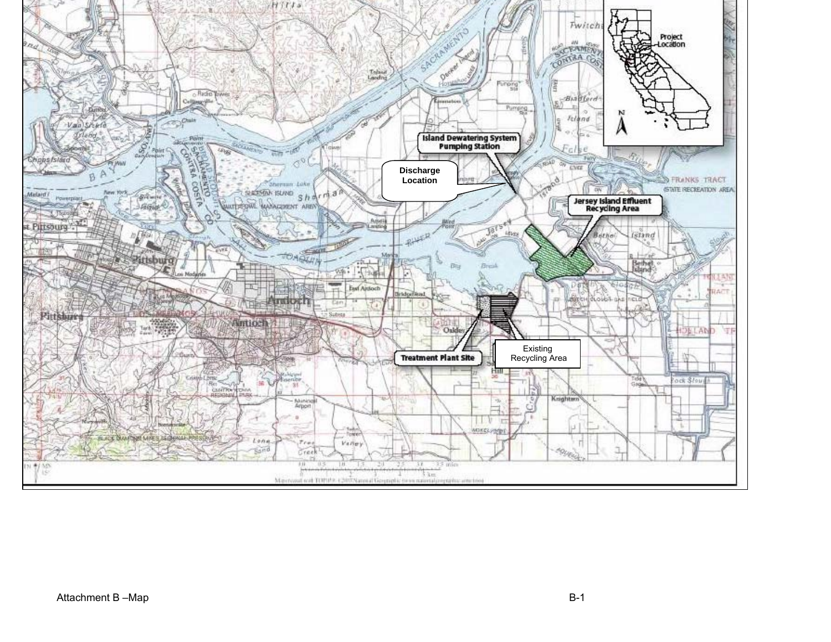<span id="page-33-0"></span>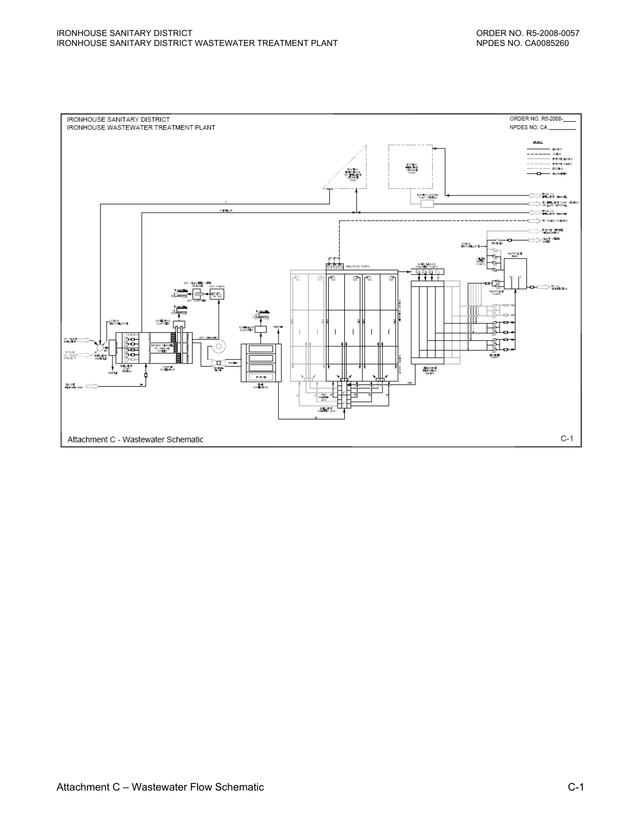<span id="page-34-0"></span>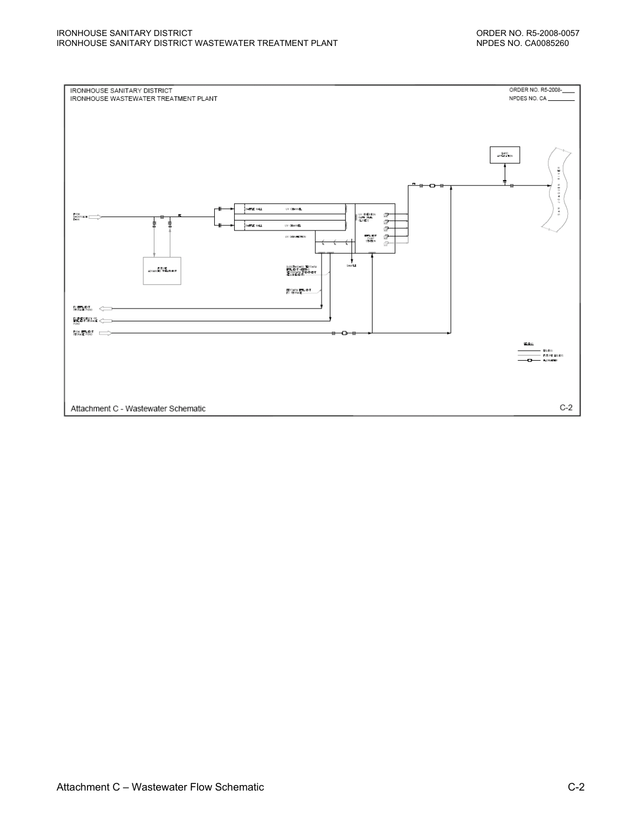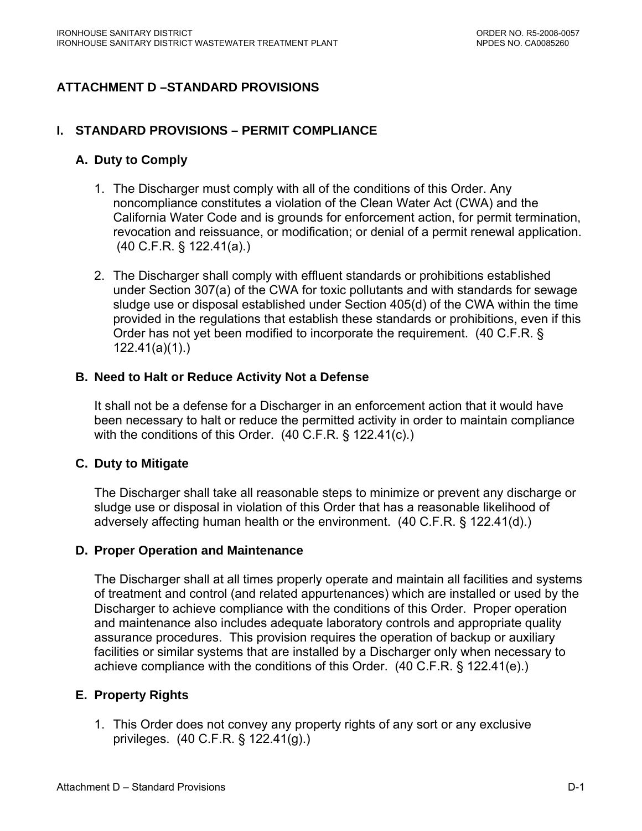# **ATTACHMENT D –STANDARD PROVISIONS**

#### **I. STANDARD PROVISIONS – PERMIT COMPLIANCE**

#### **A. Duty to Comply**

- 1. The Discharger must comply with all of the conditions of this Order. Any noncompliance constitutes a violation of the Clean Water Act (CWA) and the California Water Code and is grounds for enforcement action, for permit termination, revocation and reissuance, or modification; or denial of a permit renewal application. (40 C.F.R. § 122.41(a).)
- 2. The Discharger shall comply with effluent standards or prohibitions established under Section 307(a) of the CWA for toxic pollutants and with standards for sewage sludge use or disposal established under Section 405(d) of the CWA within the time provided in the regulations that establish these standards or prohibitions, even if this Order has not yet been modified to incorporate the requirement. (40 C.F.R. § 122.41(a)(1).)

#### **B. Need to Halt or Reduce Activity Not a Defense**

It shall not be a defense for a Discharger in an enforcement action that it would have been necessary to halt or reduce the permitted activity in order to maintain compliance with the conditions of this Order. (40 C.F.R. § 122.41(c).)

#### **C. Duty to Mitigate**

The Discharger shall take all reasonable steps to minimize or prevent any discharge or sludge use or disposal in violation of this Order that has a reasonable likelihood of adversely affecting human health or the environment. (40 C.F.R. § 122.41(d).)

#### **D. Proper Operation and Maintenance**

The Discharger shall at all times properly operate and maintain all facilities and systems of treatment and control (and related appurtenances) which are installed or used by the Discharger to achieve compliance with the conditions of this Order. Proper operation and maintenance also includes adequate laboratory controls and appropriate quality assurance procedures. This provision requires the operation of backup or auxiliary facilities or similar systems that are installed by a Discharger only when necessary to achieve compliance with the conditions of this Order. (40 C.F.R. § 122.41(e).)

#### **E. Property Rights**

1. This Order does not convey any property rights of any sort or any exclusive privileges. (40 C.F.R. § 122.41(g).)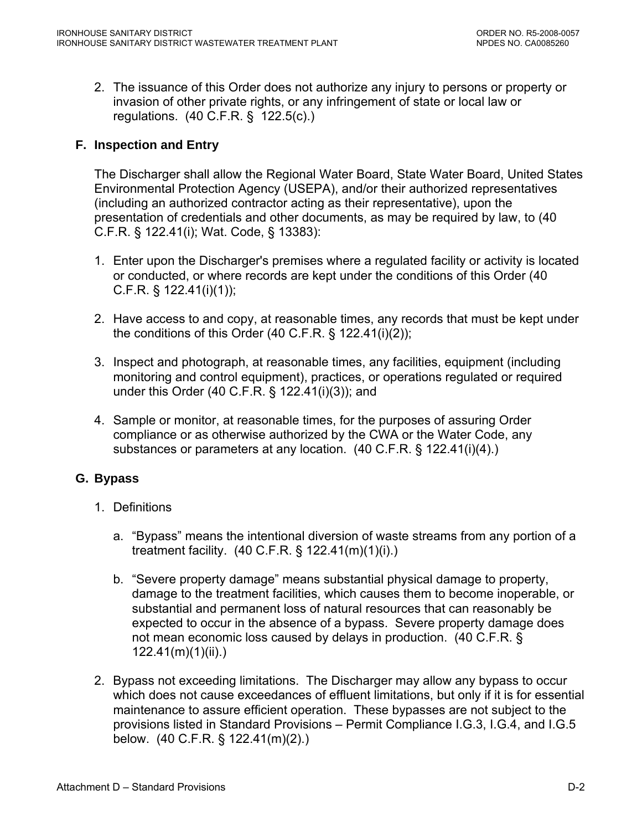2. The issuance of this Order does not authorize any injury to persons or property or invasion of other private rights, or any infringement of state or local law or regulations. (40 C.F.R. § 122.5(c).)

# **F. Inspection and Entry**

The Discharger shall allow the Regional Water Board, State Water Board, United States Environmental Protection Agency (USEPA), and/or their authorized representatives (including an authorized contractor acting as their representative), upon the presentation of credentials and other documents, as may be required by law, to (40 C.F.R. § 122.41(i); Wat. Code, § 13383):

- 1. Enter upon the Discharger's premises where a regulated facility or activity is located or conducted, or where records are kept under the conditions of this Order (40 C.F.R. § 122.41(i)(1));
- 2. Have access to and copy, at reasonable times, any records that must be kept under the conditions of this Order  $(40 \text{ C.F.R. } § 122.41(i)(2));$
- 3. Inspect and photograph, at reasonable times, any facilities, equipment (including monitoring and control equipment), practices, or operations regulated or required under this Order (40 C.F.R. § 122.41(i)(3)); and
- 4. Sample or monitor, at reasonable times, for the purposes of assuring Order compliance or as otherwise authorized by the CWA or the Water Code, any substances or parameters at any location. (40 C.F.R. § 122.41(i)(4).)

# **G. Bypass**

- 1. Definitions
	- a. "Bypass" means the intentional diversion of waste streams from any portion of a treatment facility. (40 C.F.R. § 122.41(m)(1)(i).)
	- b. "Severe property damage" means substantial physical damage to property, damage to the treatment facilities, which causes them to become inoperable, or substantial and permanent loss of natural resources that can reasonably be expected to occur in the absence of a bypass. Severe property damage does not mean economic loss caused by delays in production. (40 C.F.R. § 122.41(m)(1)(ii).)
- 2. Bypass not exceeding limitations. The Discharger may allow any bypass to occur which does not cause exceedances of effluent limitations, but only if it is for essential maintenance to assure efficient operation. These bypasses are not subject to the provisions listed in Standard Provisions – Permit Compliance I.G.3, I.G.4, and I.G.5 below. (40 C.F.R. § 122.41(m)(2).)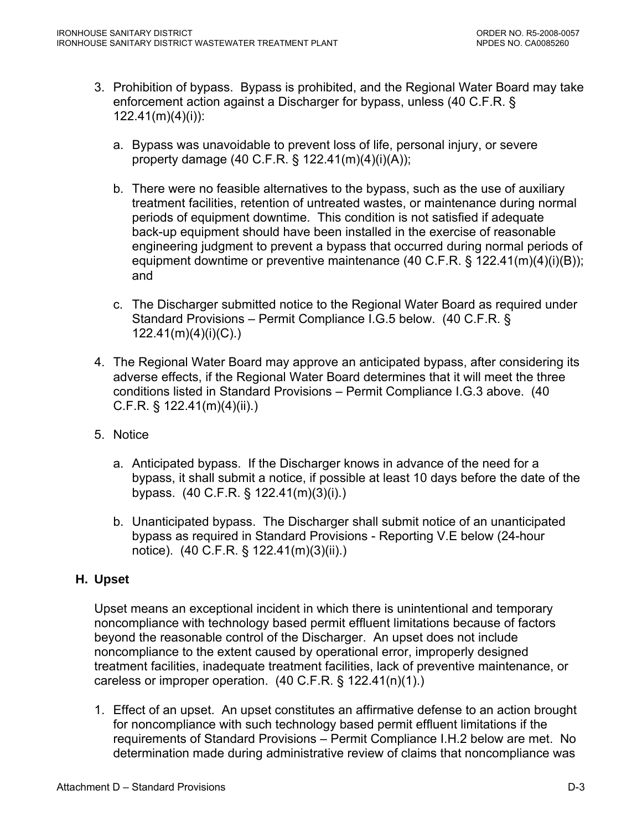- 3. Prohibition of bypass. Bypass is prohibited, and the Regional Water Board may take enforcement action against a Discharger for bypass, unless (40 C.F.R. § 122.41(m)(4)(i)):
	- a. Bypass was unavoidable to prevent loss of life, personal injury, or severe property damage (40 C.F.R. § 122.41(m)(4)(i)(A));
	- b. There were no feasible alternatives to the bypass, such as the use of auxiliary treatment facilities, retention of untreated wastes, or maintenance during normal periods of equipment downtime. This condition is not satisfied if adequate back-up equipment should have been installed in the exercise of reasonable engineering judgment to prevent a bypass that occurred during normal periods of equipment downtime or preventive maintenance (40 C.F.R. § 122.41(m)(4)(i)(B)); and
	- c. The Discharger submitted notice to the Regional Water Board as required under Standard Provisions – Permit Compliance I.G.5 below. (40 C.F.R. § 122.41(m)(4)(i)(C).)
- 4. The Regional Water Board may approve an anticipated bypass, after considering its adverse effects, if the Regional Water Board determines that it will meet the three conditions listed in Standard Provisions – Permit Compliance I.G.3 above. (40 C.F.R. § 122.41(m)(4)(ii).)
- 5. Notice
	- a. Anticipated bypass. If the Discharger knows in advance of the need for a bypass, it shall submit a notice, if possible at least 10 days before the date of the bypass. (40 C.F.R. § 122.41(m)(3)(i).)
	- b. Unanticipated bypass. The Discharger shall submit notice of an unanticipated bypass as required in Standard Provisions - Reporting V.E below (24-hour notice). (40 C.F.R. § 122.41(m)(3)(ii).)

# **H. Upset**

Upset means an exceptional incident in which there is unintentional and temporary noncompliance with technology based permit effluent limitations because of factors beyond the reasonable control of the Discharger. An upset does not include noncompliance to the extent caused by operational error, improperly designed treatment facilities, inadequate treatment facilities, lack of preventive maintenance, or careless or improper operation. (40 C.F.R. § 122.41(n)(1).)

1. Effect of an upset. An upset constitutes an affirmative defense to an action brought for noncompliance with such technology based permit effluent limitations if the requirements of Standard Provisions – Permit Compliance I.H.2 below are met. No determination made during administrative review of claims that noncompliance was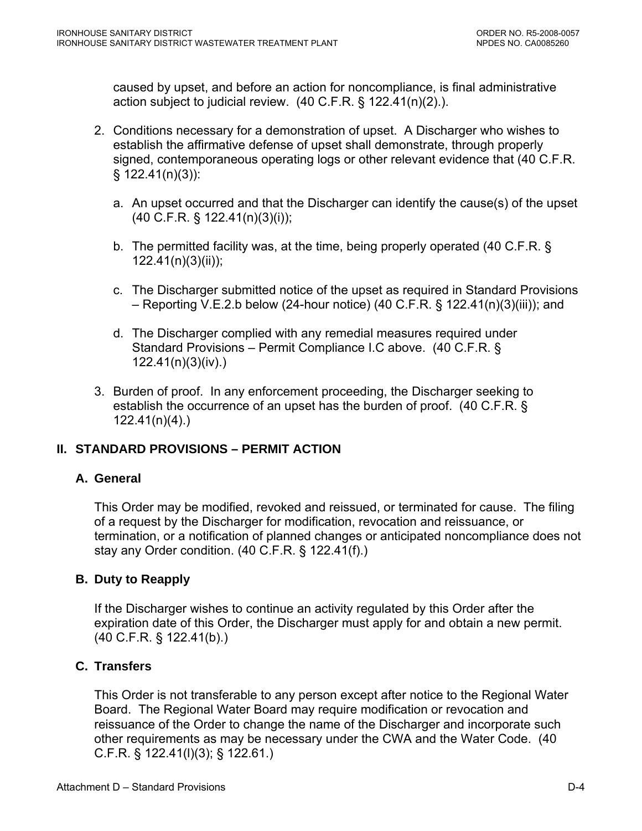caused by upset, and before an action for noncompliance, is final administrative action subject to judicial review. (40 C.F.R. § 122.41(n)(2).).

- 2. Conditions necessary for a demonstration of upset. A Discharger who wishes to establish the affirmative defense of upset shall demonstrate, through properly signed, contemporaneous operating logs or other relevant evidence that (40 C.F.R. § 122.41(n)(3)):
	- a. An upset occurred and that the Discharger can identify the cause(s) of the upset (40 C.F.R. § 122.41(n)(3)(i));
	- b. The permitted facility was, at the time, being properly operated (40 C.F.R. § 122.41(n)(3)(ii));
	- c. The Discharger submitted notice of the upset as required in Standard Provisions – Reporting V.E.2.b below (24-hour notice) (40 C.F.R. § 122.41(n)(3)(iii)); and
	- d. The Discharger complied with any remedial measures required under Standard Provisions – Permit Compliance I.C above. (40 C.F.R. § 122.41(n)(3)(iv).)
- 3. Burden of proof. In any enforcement proceeding, the Discharger seeking to establish the occurrence of an upset has the burden of proof. (40 C.F.R. § 122.41(n)(4).)

# **II. STANDARD PROVISIONS – PERMIT ACTION**

# **A. General**

This Order may be modified, revoked and reissued, or terminated for cause. The filing of a request by the Discharger for modification, revocation and reissuance, or termination, or a notification of planned changes or anticipated noncompliance does not stay any Order condition. (40 C.F.R. § 122.41(f).)

# **B. Duty to Reapply**

If the Discharger wishes to continue an activity regulated by this Order after the expiration date of this Order, the Discharger must apply for and obtain a new permit. (40 C.F.R. § 122.41(b).)

# **C. Transfers**

This Order is not transferable to any person except after notice to the Regional Water Board. The Regional Water Board may require modification or revocation and reissuance of the Order to change the name of the Discharger and incorporate such other requirements as may be necessary under the CWA and the Water Code. (40 C.F.R. § 122.41(l)(3); § 122.61.)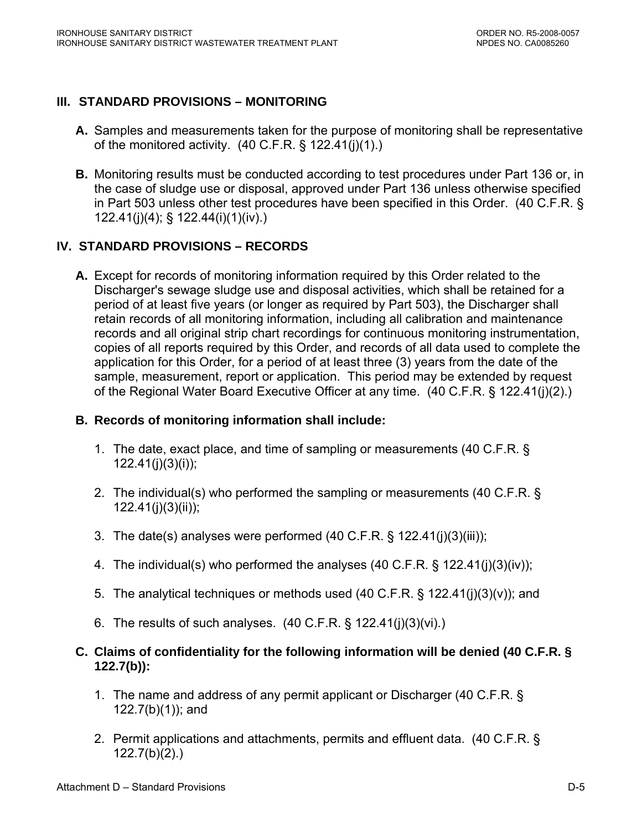# **III. STANDARD PROVISIONS – MONITORING**

- **A.** Samples and measurements taken for the purpose of monitoring shall be representative of the monitored activity.  $(40 \text{ C.F.R.} \S 122.41(i)(1))$ .
- **B.** Monitoring results must be conducted according to test procedures under Part 136 or, in the case of sludge use or disposal, approved under Part 136 unless otherwise specified in Part 503 unless other test procedures have been specified in this Order. (40 C.F.R. § 122.41(j)(4); § 122.44(i)(1)(iv).)

# **IV. STANDARD PROVISIONS – RECORDS**

**A.** Except for records of monitoring information required by this Order related to the Discharger's sewage sludge use and disposal activities, which shall be retained for a period of at least five years (or longer as required by Part 503), the Discharger shall retain records of all monitoring information, including all calibration and maintenance records and all original strip chart recordings for continuous monitoring instrumentation, copies of all reports required by this Order, and records of all data used to complete the application for this Order, for a period of at least three (3) years from the date of the sample, measurement, report or application. This period may be extended by request of the Regional Water Board Executive Officer at any time. (40 C.F.R. § 122.41(j)(2).)

#### **B. Records of monitoring information shall include:**

- 1. The date, exact place, and time of sampling or measurements (40 C.F.R. § 122.41(j)(3)(i));
- 2. The individual(s) who performed the sampling or measurements (40 C.F.R. § 122.41(j)(3)(ii));
- 3. The date(s) analyses were performed (40 C.F.R. § 122.41(j)(3)(iii));
- 4. The individual(s) who performed the analyses (40 C.F.R. § 122.41(j)(3)(iv));
- 5. The analytical techniques or methods used (40 C.F.R. § 122.41(j)(3)(v)); and
- 6. The results of such analyses. (40 C.F.R. § 122.41(j)(3)(vi).)

### **C. Claims of confidentiality for the following information will be denied (40 C.F.R. § 122.7(b)):**

- 1. The name and address of any permit applicant or Discharger (40 C.F.R. § 122.7(b)(1)); and
- 2. Permit applications and attachments, permits and effluent data. (40 C.F.R. § 122.7(b)(2).)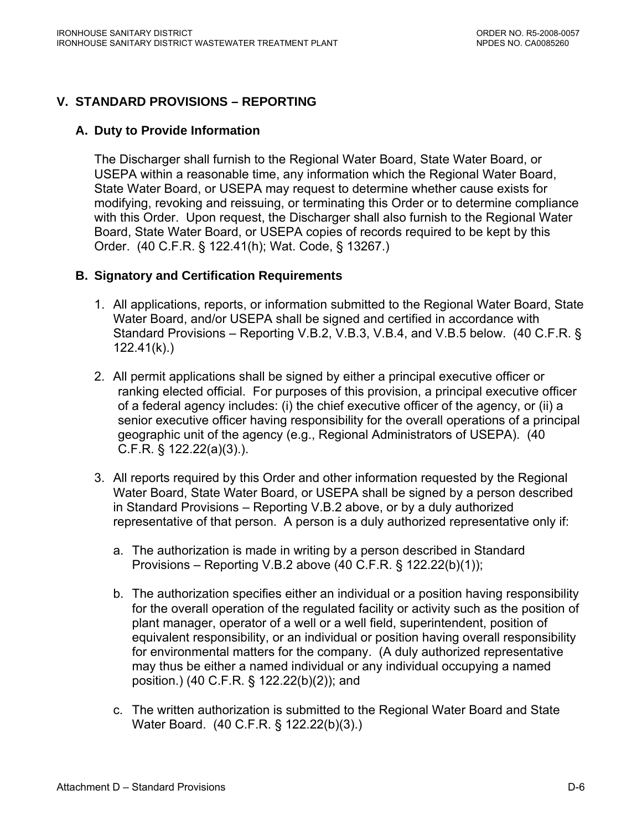# **V. STANDARD PROVISIONS – REPORTING**

#### **A. Duty to Provide Information**

The Discharger shall furnish to the Regional Water Board, State Water Board, or USEPA within a reasonable time, any information which the Regional Water Board, State Water Board, or USEPA may request to determine whether cause exists for modifying, revoking and reissuing, or terminating this Order or to determine compliance with this Order. Upon request, the Discharger shall also furnish to the Regional Water Board, State Water Board, or USEPA copies of records required to be kept by this Order. (40 C.F.R. § 122.41(h); Wat. Code, § 13267.)

### **B. Signatory and Certification Requirements**

- 1. All applications, reports, or information submitted to the Regional Water Board, State Water Board, and/or USEPA shall be signed and certified in accordance with Standard Provisions – Reporting V.B.2, V.B.3, V.B.4, and V.B.5 below. (40 C.F.R. § 122.41(k).)
- 2. All permit applications shall be signed by either a principal executive officer or ranking elected official. For purposes of this provision, a principal executive officer of a federal agency includes: (i) the chief executive officer of the agency, or (ii) a senior executive officer having responsibility for the overall operations of a principal geographic unit of the agency (e.g., Regional Administrators of USEPA). (40 C.F.R. § 122.22(a)(3).).
- 3. All reports required by this Order and other information requested by the Regional Water Board, State Water Board, or USEPA shall be signed by a person described in Standard Provisions – Reporting V.B.2 above, or by a duly authorized representative of that person. A person is a duly authorized representative only if:
	- a. The authorization is made in writing by a person described in Standard Provisions – Reporting V.B.2 above (40 C.F.R. § 122.22(b)(1));
	- b. The authorization specifies either an individual or a position having responsibility for the overall operation of the regulated facility or activity such as the position of plant manager, operator of a well or a well field, superintendent, position of equivalent responsibility, or an individual or position having overall responsibility for environmental matters for the company. (A duly authorized representative may thus be either a named individual or any individual occupying a named position.) (40 C.F.R. § 122.22(b)(2)); and
	- c. The written authorization is submitted to the Regional Water Board and State Water Board. (40 C.F.R. § 122.22(b)(3).)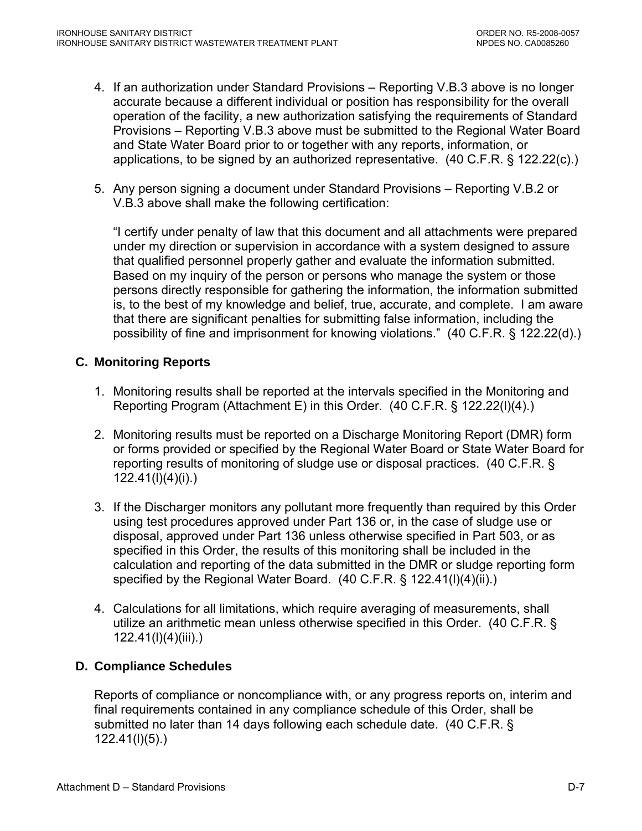- 4. If an authorization under Standard Provisions Reporting V.B.3 above is no longer accurate because a different individual or position has responsibility for the overall operation of the facility, a new authorization satisfying the requirements of Standard Provisions – Reporting V.B.3 above must be submitted to the Regional Water Board and State Water Board prior to or together with any reports, information, or applications, to be signed by an authorized representative. (40 C.F.R. § 122.22(c).)
- 5. Any person signing a document under Standard Provisions Reporting V.B.2 or V.B.3 above shall make the following certification:

"I certify under penalty of law that this document and all attachments were prepared under my direction or supervision in accordance with a system designed to assure that qualified personnel properly gather and evaluate the information submitted. Based on my inquiry of the person or persons who manage the system or those persons directly responsible for gathering the information, the information submitted is, to the best of my knowledge and belief, true, accurate, and complete. I am aware that there are significant penalties for submitting false information, including the possibility of fine and imprisonment for knowing violations." (40 C.F.R. § 122.22(d).)

# **C. Monitoring Reports**

- 1. Monitoring results shall be reported at the intervals specified in the Monitoring and Reporting Program (Attachment E) in this Order. (40 C.F.R. § 122.22(l)(4).)
- 2. Monitoring results must be reported on a Discharge Monitoring Report (DMR) form or forms provided or specified by the Regional Water Board or State Water Board for reporting results of monitoring of sludge use or disposal practices. (40 C.F.R. § 122.41(l)(4)(i).)
- 3. If the Discharger monitors any pollutant more frequently than required by this Order using test procedures approved under Part 136 or, in the case of sludge use or disposal, approved under Part 136 unless otherwise specified in Part 503, or as specified in this Order, the results of this monitoring shall be included in the calculation and reporting of the data submitted in the DMR or sludge reporting form specified by the Regional Water Board. (40 C.F.R. § 122.41(I)(4)(ii).)
- 4. Calculations for all limitations, which require averaging of measurements, shall utilize an arithmetic mean unless otherwise specified in this Order. (40 C.F.R. § 122.41(l)(4)(iii).)

# **D. Compliance Schedules**

Reports of compliance or noncompliance with, or any progress reports on, interim and final requirements contained in any compliance schedule of this Order, shall be submitted no later than 14 days following each schedule date. (40 C.F.R. § 122.41(l)(5).)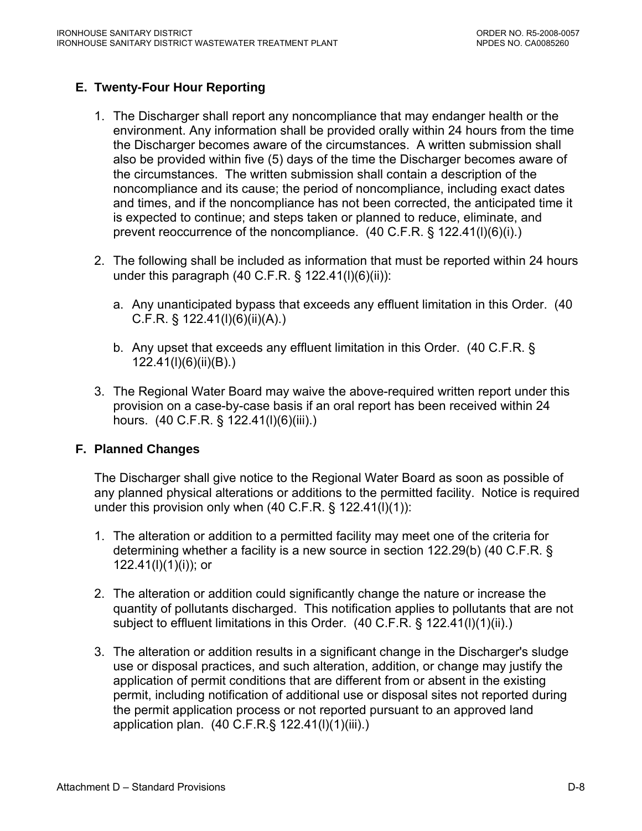# **E. Twenty-Four Hour Reporting**

- 1. The Discharger shall report any noncompliance that may endanger health or the environment. Any information shall be provided orally within 24 hours from the time the Discharger becomes aware of the circumstances. A written submission shall also be provided within five (5) days of the time the Discharger becomes aware of the circumstances. The written submission shall contain a description of the noncompliance and its cause; the period of noncompliance, including exact dates and times, and if the noncompliance has not been corrected, the anticipated time it is expected to continue; and steps taken or planned to reduce, eliminate, and prevent reoccurrence of the noncompliance. (40 C.F.R. § 122.41(l)(6)(i).)
- 2. The following shall be included as information that must be reported within 24 hours under this paragraph (40 C.F.R. § 122.41(I)(6)(ii)):
	- a. Any unanticipated bypass that exceeds any effluent limitation in this Order. (40 C.F.R. § 122.41(l)(6)(ii)(A).)
	- b. Any upset that exceeds any effluent limitation in this Order. (40 C.F.R. § 122.41(l)(6)(ii)(B).)
- 3. The Regional Water Board may waive the above-required written report under this provision on a case-by-case basis if an oral report has been received within 24 hours. (40 C.F.R. § 122.41(l)(6)(iii).)

#### **F. Planned Changes**

The Discharger shall give notice to the Regional Water Board as soon as possible of any planned physical alterations or additions to the permitted facility. Notice is required under this provision only when (40 C.F.R. § 122.41(l)(1)):

- 1. The alteration or addition to a permitted facility may meet one of the criteria for determining whether a facility is a new source in section 122.29(b) (40 C.F.R. § 122.41(l)(1)(i)); or
- 2. The alteration or addition could significantly change the nature or increase the quantity of pollutants discharged. This notification applies to pollutants that are not subject to effluent limitations in this Order. (40 C.F.R. § 122.41(I)(1)(ii).)
- 3. The alteration or addition results in a significant change in the Discharger's sludge use or disposal practices, and such alteration, addition, or change may justify the application of permit conditions that are different from or absent in the existing permit, including notification of additional use or disposal sites not reported during the permit application process or not reported pursuant to an approved land application plan. (40 C.F.R.§ 122.41(l)(1)(iii).)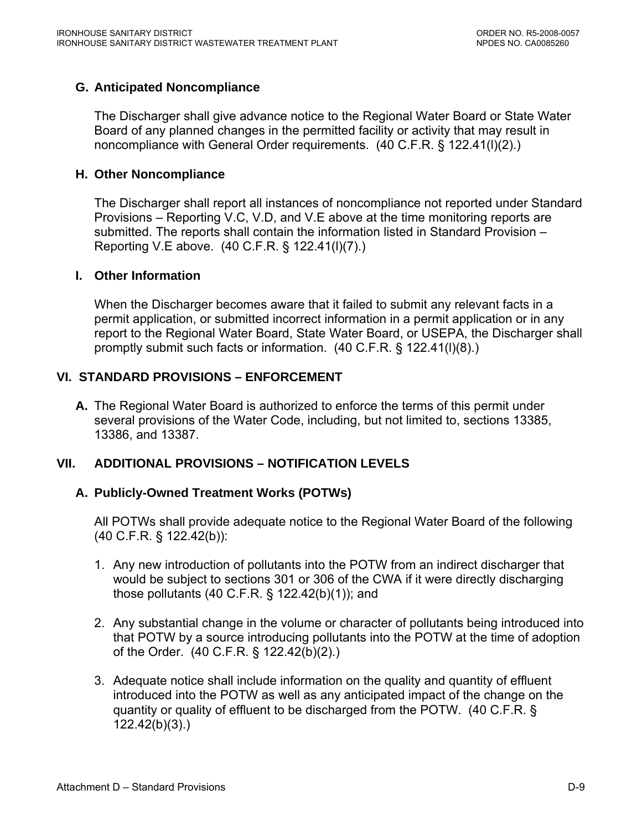#### **G. Anticipated Noncompliance**

The Discharger shall give advance notice to the Regional Water Board or State Water Board of any planned changes in the permitted facility or activity that may result in noncompliance with General Order requirements. (40 C.F.R. § 122.41(l)(2).)

#### **H. Other Noncompliance**

The Discharger shall report all instances of noncompliance not reported under Standard Provisions – Reporting V.C, V.D, and V.E above at the time monitoring reports are submitted. The reports shall contain the information listed in Standard Provision – Reporting V.E above. (40 C.F.R. § 122.41(l)(7).)

#### **I. Other Information**

When the Discharger becomes aware that it failed to submit any relevant facts in a permit application, or submitted incorrect information in a permit application or in any report to the Regional Water Board, State Water Board, or USEPA, the Discharger shall promptly submit such facts or information. (40 C.F.R. § 122.41(l)(8).)

### **VI. STANDARD PROVISIONS – ENFORCEMENT**

**A.** The Regional Water Board is authorized to enforce the terms of this permit under several provisions of the Water Code, including, but not limited to, sections 13385, 13386, and 13387.

#### **VII. ADDITIONAL PROVISIONS – NOTIFICATION LEVELS**

#### **A. Publicly-Owned Treatment Works (POTWs)**

 All POTWs shall provide adequate notice to the Regional Water Board of the following (40 C.F.R. § 122.42(b)):

- 1. Any new introduction of pollutants into the POTW from an indirect discharger that would be subject to sections 301 or 306 of the CWA if it were directly discharging those pollutants (40 C.F.R. § 122.42(b)(1)); and
- 2. Any substantial change in the volume or character of pollutants being introduced into that POTW by a source introducing pollutants into the POTW at the time of adoption of the Order. (40 C.F.R. § 122.42(b)(2).)
- 3. Adequate notice shall include information on the quality and quantity of effluent introduced into the POTW as well as any anticipated impact of the change on the quantity or quality of effluent to be discharged from the POTW. (40 C.F.R. § 122.42(b)(3).)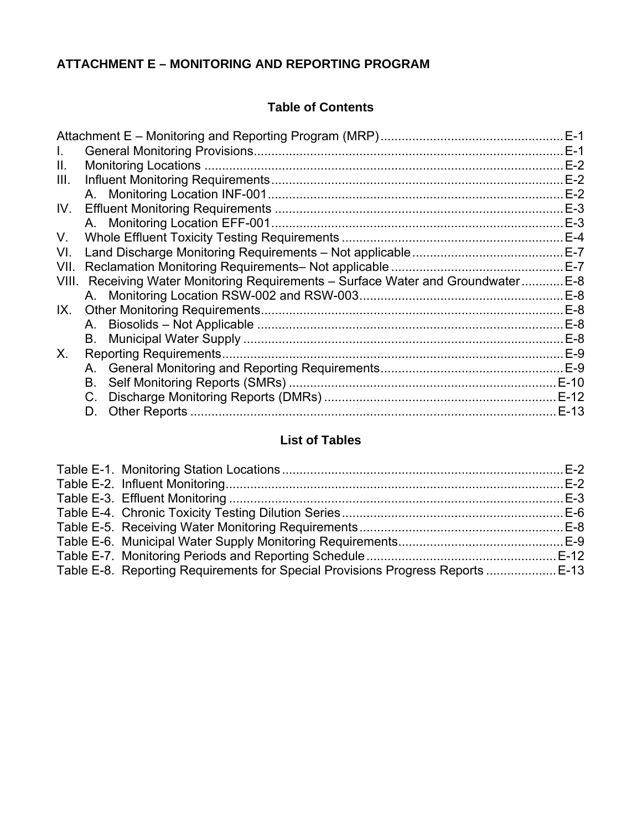# **ATTACHMENT E – MONITORING AND REPORTING PROGRAM**

# **Table of Contents**

|       |                                                                             | $E-1$ |
|-------|-----------------------------------------------------------------------------|-------|
| Ш.    |                                                                             | $E-2$ |
| III.  |                                                                             |       |
|       |                                                                             |       |
| IV.   |                                                                             | $E-3$ |
|       |                                                                             |       |
| V.    |                                                                             |       |
| VI.   |                                                                             |       |
| VII.  |                                                                             |       |
| VIII. | Receiving Water Monitoring Requirements - Surface Water and Groundwater E-8 |       |
|       |                                                                             |       |
| IX.   |                                                                             | $E-8$ |
|       |                                                                             |       |
|       |                                                                             |       |
| X.    |                                                                             |       |
|       |                                                                             |       |
|       | В.                                                                          |       |
|       | C.                                                                          |       |
|       | D.                                                                          |       |

# **List of Tables**

| Table E-8. Reporting Requirements for Special Provisions Progress Reports  E-13 |  |
|---------------------------------------------------------------------------------|--|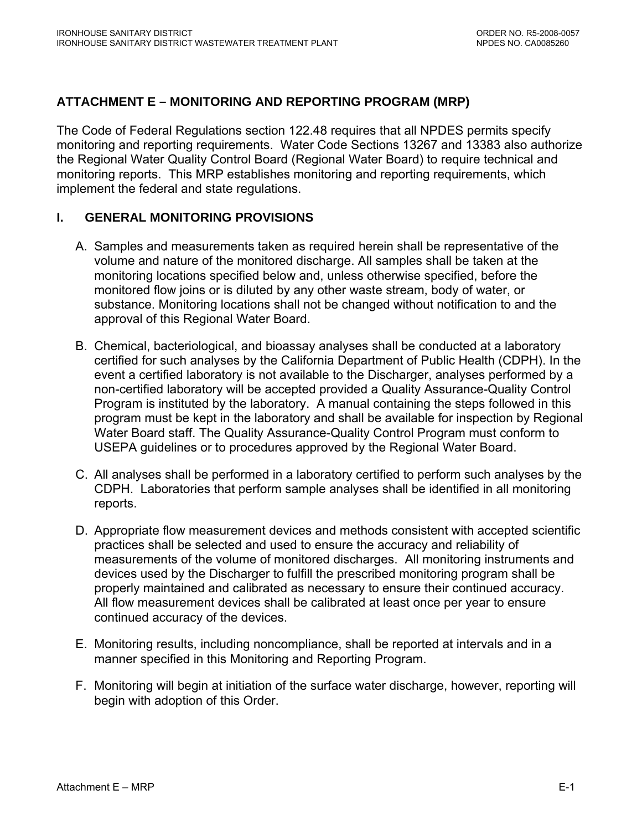# <span id="page-46-0"></span>**ATTACHMENT E – MONITORING AND REPORTING PROGRAM (MRP)**

The Code of Federal Regulations section 122.48 requires that all NPDES permits specify monitoring and reporting requirements. Water Code Sections 13267 and 13383 also authorize the Regional Water Quality Control Board (Regional Water Board) to require technical and monitoring reports. This MRP establishes monitoring and reporting requirements, which implement the federal and state regulations.

#### **I. GENERAL MONITORING PROVISIONS**

- A. Samples and measurements taken as required herein shall be representative of the volume and nature of the monitored discharge. All samples shall be taken at the monitoring locations specified below and, unless otherwise specified, before the monitored flow joins or is diluted by any other waste stream, body of water, or substance. Monitoring locations shall not be changed without notification to and the approval of this Regional Water Board.
- B. Chemical, bacteriological, and bioassay analyses shall be conducted at a laboratory certified for such analyses by the California Department of Public Health (CDPH). In the event a certified laboratory is not available to the Discharger, analyses performed by a non-certified laboratory will be accepted provided a Quality Assurance-Quality Control Program is instituted by the laboratory. A manual containing the steps followed in this program must be kept in the laboratory and shall be available for inspection by Regional Water Board staff. The Quality Assurance-Quality Control Program must conform to USEPA guidelines or to procedures approved by the Regional Water Board.
- C. All analyses shall be performed in a laboratory certified to perform such analyses by the CDPH. Laboratories that perform sample analyses shall be identified in all monitoring reports.
- D. Appropriate flow measurement devices and methods consistent with accepted scientific practices shall be selected and used to ensure the accuracy and reliability of measurements of the volume of monitored discharges. All monitoring instruments and devices used by the Discharger to fulfill the prescribed monitoring program shall be properly maintained and calibrated as necessary to ensure their continued accuracy. All flow measurement devices shall be calibrated at least once per year to ensure continued accuracy of the devices.
- E. Monitoring results, including noncompliance, shall be reported at intervals and in a manner specified in this Monitoring and Reporting Program.
- F. Monitoring will begin at initiation of the surface water discharge, however, reporting will begin with adoption of this Order.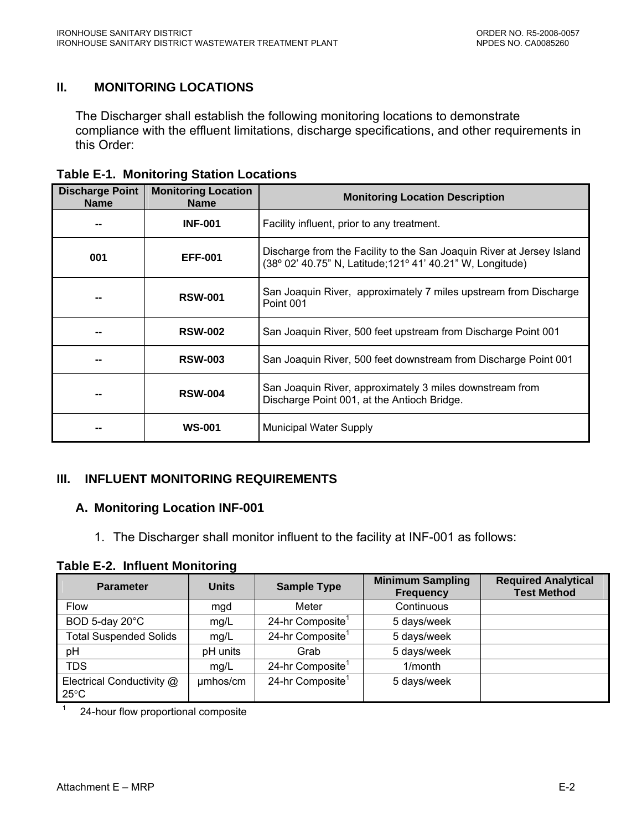# <span id="page-47-0"></span>**II. MONITORING LOCATIONS**

The Discharger shall establish the following monitoring locations to demonstrate compliance with the effluent limitations, discharge specifications, and other requirements in this Order:

| <b>Discharge Point</b><br><b>Name</b> | <b>Monitoring Location</b><br><b>Name</b> | <b>Monitoring Location Description</b>                                                                                              |
|---------------------------------------|-------------------------------------------|-------------------------------------------------------------------------------------------------------------------------------------|
|                                       | <b>INF-001</b>                            | Facility influent, prior to any treatment.                                                                                          |
| 001                                   | <b>EFF-001</b>                            | Discharge from the Facility to the San Joaquin River at Jersey Island<br>(38° 02' 40.75" N, Latitude; 121° 41' 40.21" W, Longitude) |
| --                                    | <b>RSW-001</b>                            | San Joaquin River, approximately 7 miles upstream from Discharge<br>Point 001                                                       |
|                                       | <b>RSW-002</b>                            | San Joaquin River, 500 feet upstream from Discharge Point 001                                                                       |
|                                       | <b>RSW-003</b>                            | San Joaquin River, 500 feet downstream from Discharge Point 001                                                                     |
| --                                    | <b>RSW-004</b>                            | San Joaquin River, approximately 3 miles downstream from<br>Discharge Point 001, at the Antioch Bridge.                             |
| --                                    | <b>WS-001</b>                             | <b>Municipal Water Supply</b>                                                                                                       |

# **III. INFLUENT MONITORING REQUIREMENTS**

#### **A. Monitoring Location INF-001**

1. The Discharger shall monitor influent to the facility at INF-001 as follows:

**Table E-2. Influent Monitoring** 

| <b>Parameter</b>                            | <b>Units</b> | <b>Sample Type</b>           | <b>Minimum Sampling</b><br><b>Frequency</b> | <b>Required Analytical</b><br><b>Test Method</b> |
|---------------------------------------------|--------------|------------------------------|---------------------------------------------|--------------------------------------------------|
| <b>Flow</b>                                 | mgd          | Meter                        | Continuous                                  |                                                  |
| BOD 5-day 20°C                              | mg/L         | 24-hr Composite <sup>1</sup> | 5 days/week                                 |                                                  |
| <b>Total Suspended Solids</b>               | mg/L         | 24-hr Composite <sup>1</sup> | 5 days/week                                 |                                                  |
| pH                                          | pH units     | Grab                         | 5 days/week                                 |                                                  |
| <b>TDS</b>                                  | mg/L         | 24-hr Composite <sup>1</sup> | 1/month                                     |                                                  |
| Electrical Conductivity @<br>$25^{\circ}$ C | umhos/cm     | 24-hr Composite <sup>1</sup> | 5 days/week                                 |                                                  |

1 24-hour flow proportional composite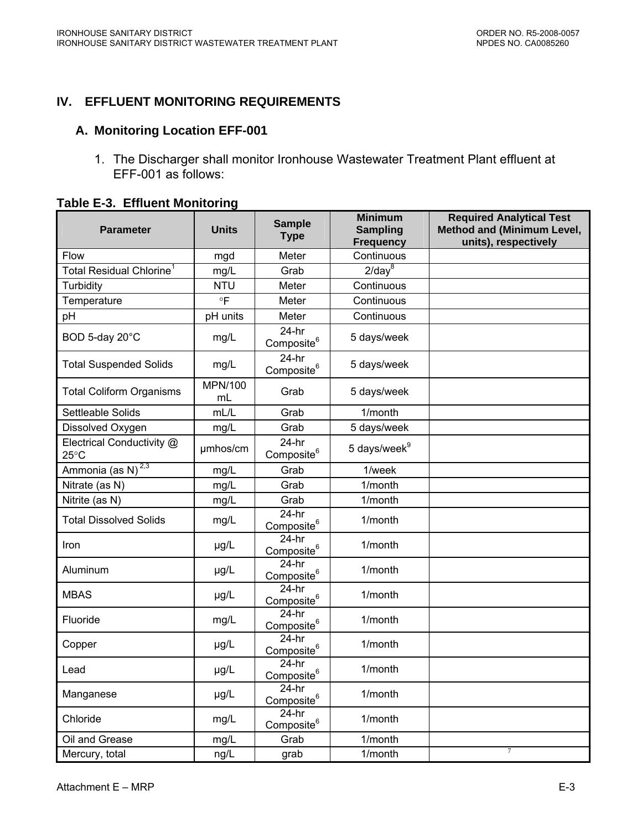# <span id="page-48-0"></span>**IV. EFFLUENT MONITORING REQUIREMENTS**

#### **A. Monitoring Location EFF-001**

1. The Discharger shall monitor Ironhouse Wastewater Treatment Plant effluent at EFF-001 as follows:

| <b>Parameter</b>                            | <b>Units</b>  | <b>Sample</b><br><b>Type</b>      | <b>Minimum</b><br><b>Sampling</b><br><b>Frequency</b> | <b>Required Analytical Test</b><br><b>Method and (Minimum Level,</b><br>units), respectively |
|---------------------------------------------|---------------|-----------------------------------|-------------------------------------------------------|----------------------------------------------------------------------------------------------|
| Flow                                        | mgd           | Meter                             | Continuous                                            |                                                                                              |
| Total Residual Chlorine <sup>1</sup>        | mg/L          | Grab                              | $2$ /day $8$                                          |                                                                                              |
| Turbidity                                   | <b>NTU</b>    | Meter                             | Continuous                                            |                                                                                              |
| Temperature                                 | $\circ$ F     | Meter                             | Continuous                                            |                                                                                              |
| pH                                          | pH units      | Meter                             | Continuous                                            |                                                                                              |
| BOD 5-day 20°C                              | mg/L          | $24-hr$<br>Composite <sup>6</sup> | 5 days/week                                           |                                                                                              |
| <b>Total Suspended Solids</b>               | mg/L          | $24-hr$<br>Composite <sup>6</sup> | 5 days/week                                           |                                                                                              |
| <b>Total Coliform Organisms</b>             | MPN/100<br>mL | Grab                              | 5 days/week                                           |                                                                                              |
| Settleable Solids                           | mL/L          | Grab                              | 1/month                                               |                                                                                              |
| Dissolved Oxygen                            | mg/L          | Grab                              | 5 days/week                                           |                                                                                              |
| Electrical Conductivity @<br>$25^{\circ}$ C | umhos/cm      | $24-hr$<br>Composite <sup>6</sup> | 5 days/week <sup>9</sup>                              |                                                                                              |
| Ammonia (as N) <sup>2,3</sup>               | mg/L          | Grab                              | 1/week                                                |                                                                                              |
| Nitrate (as N)                              | mg/L          | Grab                              | 1/month                                               |                                                                                              |
| Nitrite (as N)                              | mg/L          | Grab                              | 1/month                                               |                                                                                              |
| <b>Total Dissolved Solids</b>               | mg/L          | $24-hr$<br>Composite <sup>6</sup> | 1/month                                               |                                                                                              |
| Iron                                        | µg/L          | $24-hr$<br>Composite <sup>6</sup> | 1/month                                               |                                                                                              |
| Aluminum                                    | µg/L          | $24-hr$<br>Composite <sup>6</sup> | 1/month                                               |                                                                                              |
| <b>MBAS</b>                                 | µg/L          | $24-hr$<br>Composite <sup>6</sup> | 1/month                                               |                                                                                              |
| Fluoride                                    | mg/L          | $24-hr$<br>Composite <sup>6</sup> | 1/month                                               |                                                                                              |
| Copper                                      | µg/L          | $24-hr$<br>Composite <sup>6</sup> | 1/month                                               |                                                                                              |
| Lead                                        | µg/L          | $24-hr$<br>Composite <sup>6</sup> | 1/month                                               |                                                                                              |
| Manganese                                   | µg/L          | $24-hr$<br>Composite <sup>6</sup> | 1/month                                               |                                                                                              |
| Chloride                                    | mg/L          | $24-hr$<br>Composite <sup>6</sup> | 1/month                                               |                                                                                              |
| Oil and Grease                              | mg/L          | Grab                              | 1/month                                               |                                                                                              |
| Mercury, total                              | ng/L          | grab                              | 1/month                                               |                                                                                              |

| <b>Table E-3. Effluent Monitoring</b> |
|---------------------------------------|
|---------------------------------------|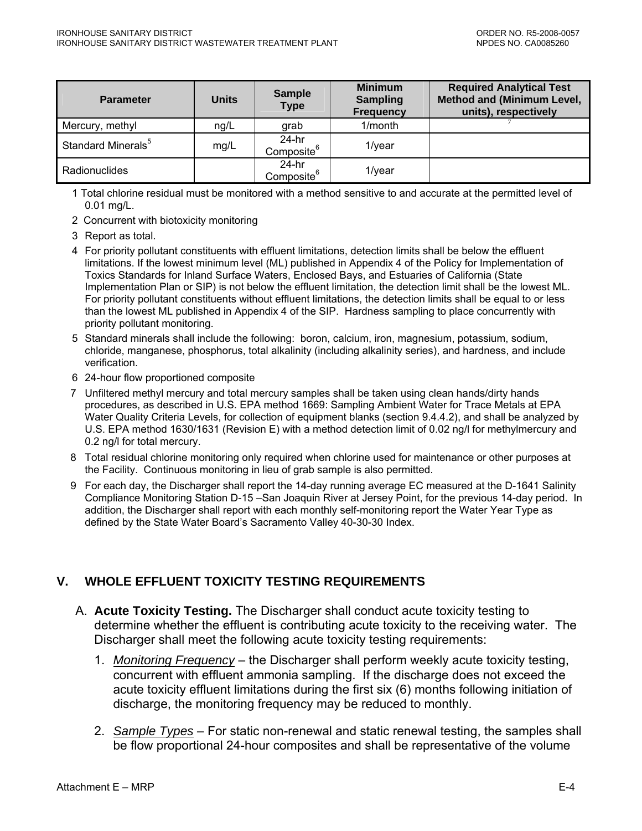<span id="page-49-0"></span>

| <b>Parameter</b>               | <b>Units</b> | <b>Sample</b><br><b>Type</b>      | <b>Minimum</b><br><b>Sampling</b><br><b>Frequency</b> | <b>Required Analytical Test</b><br><b>Method and (Minimum Level,</b><br>units), respectively |
|--------------------------------|--------------|-----------------------------------|-------------------------------------------------------|----------------------------------------------------------------------------------------------|
| Mercury, methyl                | ng/L         | grab                              | 1/month                                               |                                                                                              |
| Standard Minerals <sup>5</sup> | mg/L         | 24-hr<br>Composite <sup>6</sup>   | $1$ /year                                             |                                                                                              |
| <b>Radionuclides</b>           |              | $24-hr$<br>Composite <sup>6</sup> | $1$ /year                                             |                                                                                              |

1 Total chlorine residual must be monitored with a method sensitive to and accurate at the permitted level of 0.01 mg/L.

- 2 Concurrent with biotoxicity monitoring
- 3 Report as total.
- 4 For priority pollutant constituents with effluent limitations, detection limits shall be below the effluent limitations. If the lowest minimum level (ML) published in Appendix 4 of the Policy for Implementation of Toxics Standards for Inland Surface Waters, Enclosed Bays, and Estuaries of California (State Implementation Plan or SIP) is not below the effluent limitation, the detection limit shall be the lowest ML. For priority pollutant constituents without effluent limitations, the detection limits shall be equal to or less than the lowest ML published in Appendix 4 of the SIP. Hardness sampling to place concurrently with priority pollutant monitoring.
- 5 Standard minerals shall include the following: boron, calcium, iron, magnesium, potassium, sodium, chloride, manganese, phosphorus, total alkalinity (including alkalinity series), and hardness, and include verification.
- 6 24-hour flow proportioned composite
- 7 Unfiltered methyl mercury and total mercury samples shall be taken using clean hands/dirty hands procedures, as described in U.S. EPA method 1669: Sampling Ambient Water for Trace Metals at EPA Water Quality Criteria Levels, for collection of equipment blanks (section 9.4.4.2), and shall be analyzed by U.S. EPA method 1630/1631 (Revision E) with a method detection limit of 0.02 ng/l for methylmercury and 0.2 ng/l for total mercury.
- 8 Total residual chlorine monitoring only required when chlorine used for maintenance or other purposes at the Facility. Continuous monitoring in lieu of grab sample is also permitted.
- 9 For each day, the Discharger shall report the 14-day running average EC measured at the D-1641 Salinity Compliance Monitoring Station D-15 –San Joaquin River at Jersey Point, for the previous 14-day period. In addition, the Discharger shall report with each monthly self-monitoring report the Water Year Type as defined by the State Water Board's Sacramento Valley 40-30-30 Index.

# **V. WHOLE EFFLUENT TOXICITY TESTING REQUIREMENTS**

- A. **Acute Toxicity Testing.** The Discharger shall conduct acute toxicity testing to determine whether the effluent is contributing acute toxicity to the receiving water. The Discharger shall meet the following acute toxicity testing requirements:
	- 1. *Monitoring Frequency* the Discharger shall perform weekly acute toxicity testing, concurrent with effluent ammonia sampling. If the discharge does not exceed the acute toxicity effluent limitations during the first six (6) months following initiation of discharge, the monitoring frequency may be reduced to monthly.
	- 2. *Sample Types* For static non-renewal and static renewal testing, the samples shall be flow proportional 24-hour composites and shall be representative of the volume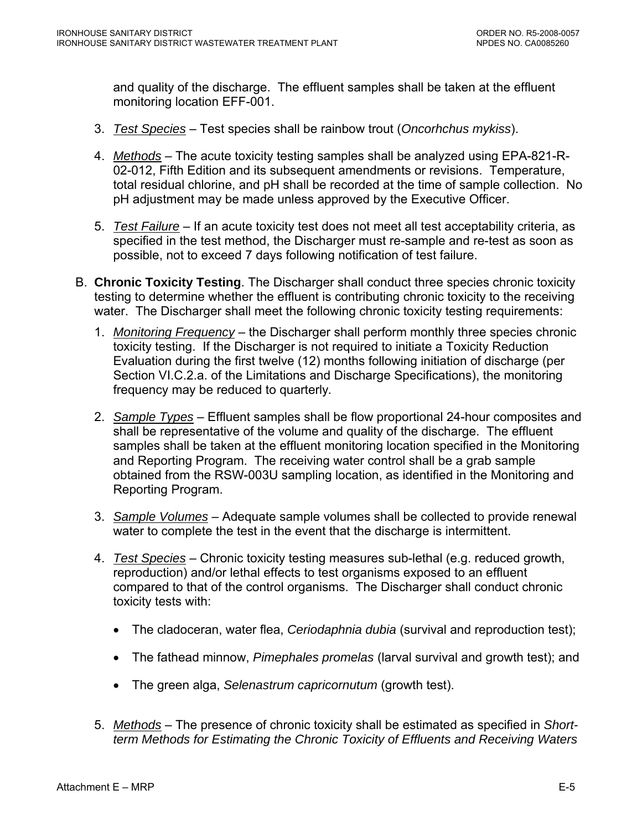and quality of the discharge. The effluent samples shall be taken at the effluent monitoring location EFF-001.

- 3. *Test Species* Test species shall be rainbow trout (*Oncorhchus mykiss*).
- 4. *Methods* The acute toxicity testing samples shall be analyzed using EPA-821-R-02-012, Fifth Edition and its subsequent amendments or revisions. Temperature, total residual chlorine, and pH shall be recorded at the time of sample collection. No pH adjustment may be made unless approved by the Executive Officer.
- 5. *Test Failure* If an acute toxicity test does not meet all test acceptability criteria, as specified in the test method, the Discharger must re-sample and re-test as soon as possible, not to exceed 7 days following notification of test failure.
- B. **Chronic Toxicity Testing**. The Discharger shall conduct three species chronic toxicity testing to determine whether the effluent is contributing chronic toxicity to the receiving water. The Discharger shall meet the following chronic toxicity testing requirements:
	- 1. *Monitoring Frequency* the Discharger shall perform monthly three species chronic toxicity testing. If the Discharger is not required to initiate a Toxicity Reduction Evaluation during the first twelve (12) months following initiation of discharge (per Section VI.C.2.a. of the Limitations and Discharge Specifications), the monitoring frequency may be reduced to quarterly*.*
	- 2. *Sample Types* Effluent samples shall be flow proportional 24-hour composites and shall be representative of the volume and quality of the discharge. The effluent samples shall be taken at the effluent monitoring location specified in the Monitoring and Reporting Program. The receiving water control shall be a grab sample obtained from the RSW-003U sampling location, as identified in the Monitoring and Reporting Program.
	- 3. *Sample Volumes* Adequate sample volumes shall be collected to provide renewal water to complete the test in the event that the discharge is intermittent.
	- 4. *Test Species* Chronic toxicity testing measures sub-lethal (e.g. reduced growth, reproduction) and/or lethal effects to test organisms exposed to an effluent compared to that of the control organisms. The Discharger shall conduct chronic toxicity tests with:
		- The cladoceran, water flea, *Ceriodaphnia dubia* (survival and reproduction test);
		- The fathead minnow, *Pimephales promelas* (larval survival and growth test); and
		- The green alga, *Selenastrum capricornutum* (growth test).
	- 5. *Methods* The presence of chronic toxicity shall be estimated as specified in *Shortterm Methods for Estimating the Chronic Toxicity of Effluents and Receiving Waters*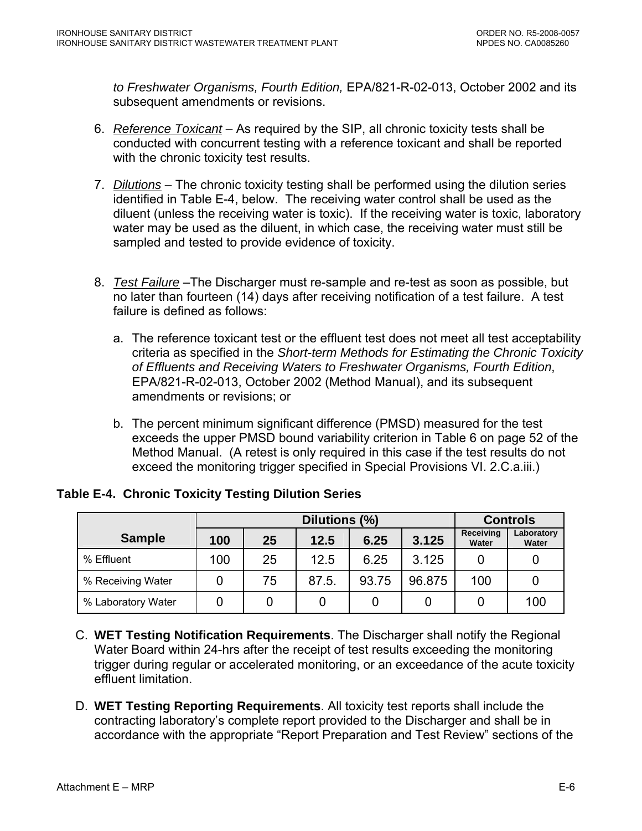<span id="page-51-0"></span>*to Freshwater Organisms, Fourth Edition,* EPA/821-R-02-013, October 2002 and its subsequent amendments or revisions.

- 6. *Reference Toxicant* As required by the SIP, all chronic toxicity tests shall be conducted with concurrent testing with a reference toxicant and shall be reported with the chronic toxicity test results.
- 7. *Dilutions* The chronic toxicity testing shall be performed using the dilution series identified in Table E-4, below. The receiving water control shall be used as the diluent (unless the receiving water is toxic). If the receiving water is toxic, laboratory water may be used as the diluent, in which case, the receiving water must still be sampled and tested to provide evidence of toxicity.
- 8. *Test Failure* –The Discharger must re-sample and re-test as soon as possible, but no later than fourteen (14) days after receiving notification of a test failure. A test failure is defined as follows:
	- a. The reference toxicant test or the effluent test does not meet all test acceptability criteria as specified in the *Short-term Methods for Estimating the Chronic Toxicity of Effluents and Receiving Waters to Freshwater Organisms, Fourth Edition*, EPA/821-R-02-013, October 2002 (Method Manual), and its subsequent amendments or revisions; or
	- b. The percent minimum significant difference (PMSD) measured for the test exceeds the upper PMSD bound variability criterion in Table 6 on page 52 of the Method Manual. (A retest is only required in this case if the test results do not exceed the monitoring trigger specified in Special Provisions VI. 2.C.a.iii.)

|                    | Dilutions (%)                      |    |       |       |        | <b>Controls</b>           |                     |
|--------------------|------------------------------------|----|-------|-------|--------|---------------------------|---------------------|
| <b>Sample</b>      | 3.125<br>25<br>6.25<br>100<br>12.5 |    |       |       |        | <b>Receiving</b><br>Water | Laboratory<br>Water |
| % Effluent         | 100                                | 25 | 12.5  | 6.25  | 3.125  |                           |                     |
| % Receiving Water  |                                    | 75 | 87.5. | 93.75 | 96.875 | 100                       |                     |
| % Laboratory Water |                                    |    |       |       |        |                           | 100                 |

**Table E-4. Chronic Toxicity Testing Dilution Series** 

- C. **WET Testing Notification Requirements**. The Discharger shall notify the Regional Water Board within 24-hrs after the receipt of test results exceeding the monitoring trigger during regular or accelerated monitoring, or an exceedance of the acute toxicity effluent limitation.
- D. **WET Testing Reporting Requirements**. All toxicity test reports shall include the contracting laboratory's complete report provided to the Discharger and shall be in accordance with the appropriate "Report Preparation and Test Review" sections of the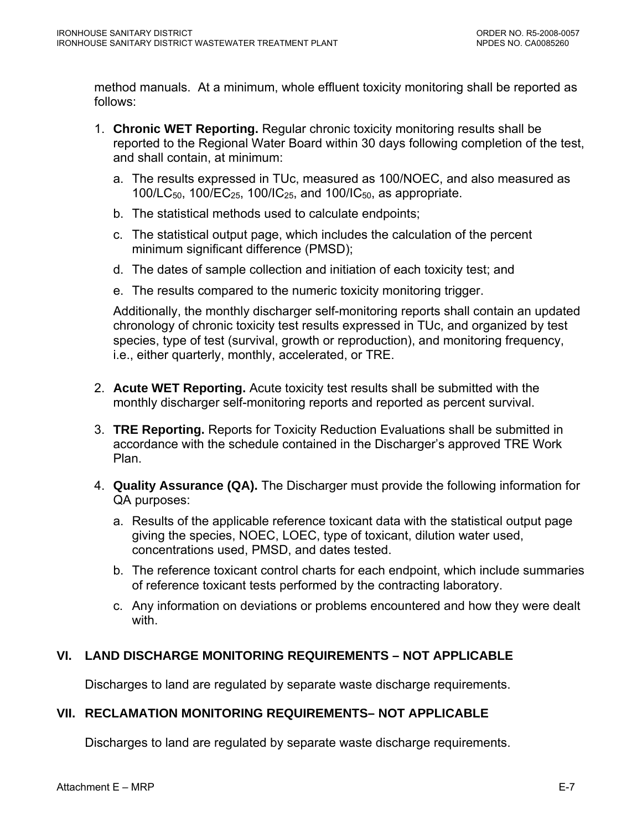<span id="page-52-0"></span>method manuals. At a minimum, whole effluent toxicity monitoring shall be reported as follows:

- 1. **Chronic WET Reporting.** Regular chronic toxicity monitoring results shall be reported to the Regional Water Board within 30 days following completion of the test, and shall contain, at minimum:
	- a. The results expressed in TUc, measured as 100/NOEC, and also measured as 100/LC<sub>50</sub>, 100/EC<sub>25</sub>, 100/IC<sub>25</sub>, and 100/IC<sub>50</sub>, as appropriate.
	- b. The statistical methods used to calculate endpoints;
	- c. The statistical output page, which includes the calculation of the percent minimum significant difference (PMSD);
	- d. The dates of sample collection and initiation of each toxicity test; and
	- e. The results compared to the numeric toxicity monitoring trigger.

Additionally, the monthly discharger self-monitoring reports shall contain an updated chronology of chronic toxicity test results expressed in TUc, and organized by test species, type of test (survival, growth or reproduction), and monitoring frequency, i.e., either quarterly, monthly, accelerated, or TRE.

- 2. **Acute WET Reporting.** Acute toxicity test results shall be submitted with the monthly discharger self-monitoring reports and reported as percent survival.
- 3. **TRE Reporting.** Reports for Toxicity Reduction Evaluations shall be submitted in accordance with the schedule contained in the Discharger's approved TRE Work Plan.
- 4. **Quality Assurance (QA).** The Discharger must provide the following information for QA purposes:
	- a. Results of the applicable reference toxicant data with the statistical output page giving the species, NOEC, LOEC, type of toxicant, dilution water used, concentrations used, PMSD, and dates tested.
	- b. The reference toxicant control charts for each endpoint, which include summaries of reference toxicant tests performed by the contracting laboratory.
	- c. Any information on deviations or problems encountered and how they were dealt with.

# **VI. LAND DISCHARGE MONITORING REQUIREMENTS – NOT APPLICABLE**

Discharges to land are regulated by separate waste discharge requirements.

# **VII. RECLAMATION MONITORING REQUIREMENTS– NOT APPLICABLE**

Discharges to land are regulated by separate waste discharge requirements.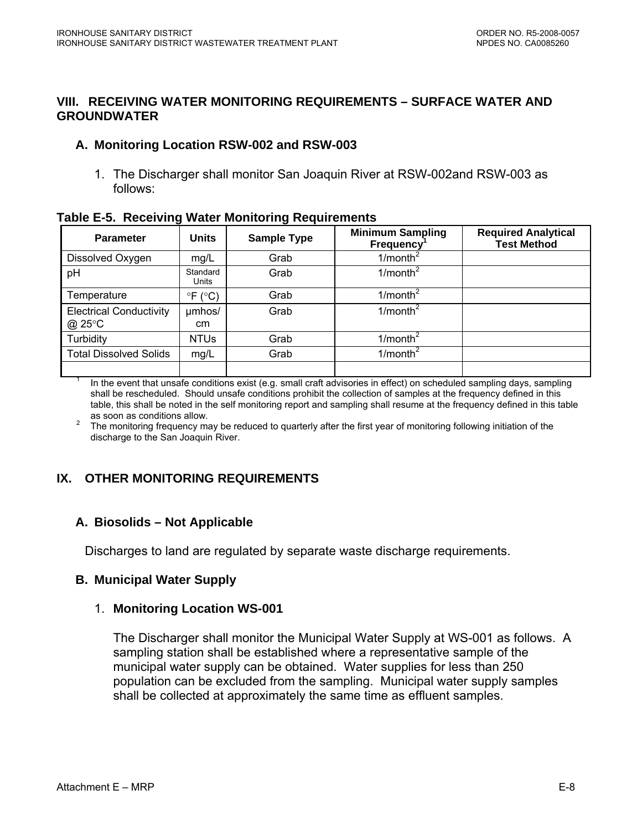#### <span id="page-53-0"></span>**VIII. RECEIVING WATER MONITORING REQUIREMENTS – SURFACE WATER AND GROUNDWATER**

### **A. Monitoring Location RSW-002 and RSW-003**

1. The Discharger shall monitor San Joaquin River at RSW-002and RSW-003 as follows:

#### **Table E-5. Receiving Water Monitoring Requirements**

| <b>Parameter</b>                         | <b>Units</b>               | <b>Sample Type</b> | <b>Minimum Sampling</b><br><b>Frequency</b> | <b>Required Analytical</b><br><b>Test Method</b> |
|------------------------------------------|----------------------------|--------------------|---------------------------------------------|--------------------------------------------------|
| Dissolved Oxygen                         | mg/L                       | Grab               | $1/m$ onth <sup>2</sup>                     |                                                  |
| pH                                       | Standard<br>Units          | Grab               | $1/m$ onth <sup>2</sup>                     |                                                  |
| Temperature                              | $\degree$ F ( $\degree$ C) | Grab               | $1/m$ onth <sup>2</sup>                     |                                                  |
| <b>Electrical Conductivity</b><br>@ 25°C | umhos/<br>cm.              | Grab               | $1/m$ onth <sup>2</sup>                     |                                                  |
| Turbidity                                | <b>NTUs</b>                | Grab               | 1/month <sup>2</sup>                        |                                                  |
| <b>Total Dissolved Solids</b>            | mg/L                       | Grab               | $1/m$ onth <sup>2</sup>                     |                                                  |
|                                          |                            |                    |                                             |                                                  |

1 In the event that unsafe conditions exist (e.g. small craft advisories in effect) on scheduled sampling days, sampling shall be rescheduled. Should unsafe conditions prohibit the collection of samples at the frequency defined in this table, this shall be noted in the self monitoring report and sampling shall resume at the frequency defined in this table

as soon as conditions allow.<br><sup>2</sup> The monitoring frequency may be reduced to quarterly after the first year of monitoring following initiation of the discharge to the San Joaquin River.

# **IX. OTHER MONITORING REQUIREMENTS**

# **A. Biosolids – Not Applicable**

Discharges to land are regulated by separate waste discharge requirements.

#### **B. Municipal Water Supply**

#### 1. **Monitoring Location WS-001**

The Discharger shall monitor the Municipal Water Supply at WS-001 as follows. A sampling station shall be established where a representative sample of the municipal water supply can be obtained. Water supplies for less than 250 population can be excluded from the sampling. Municipal water supply samples shall be collected at approximately the same time as effluent samples.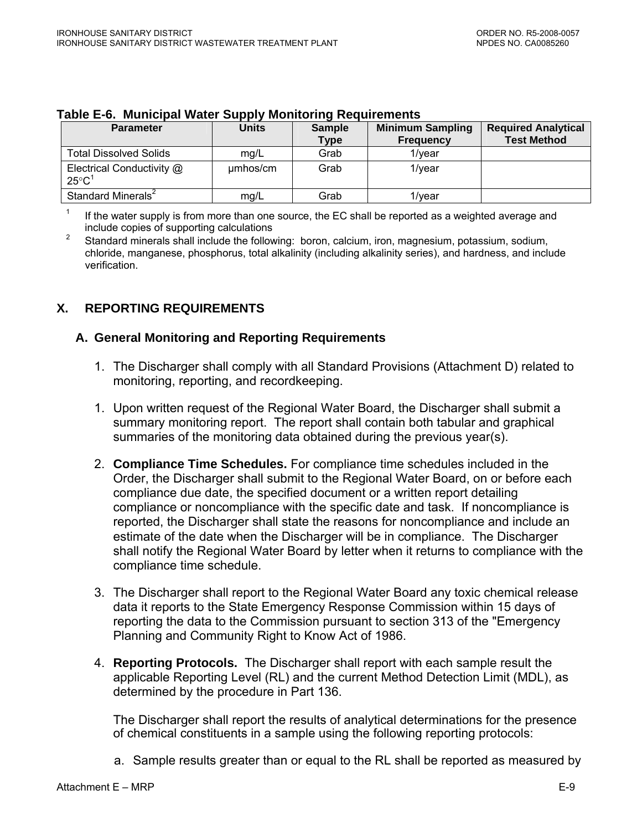| <b>Parameter</b>                               | <b>Units</b> | <b>Sample</b><br><b>Type</b> | <b>Minimum Sampling</b><br><b>Frequency</b> | <b>Required Analytical</b><br><b>Test Method</b> |
|------------------------------------------------|--------------|------------------------------|---------------------------------------------|--------------------------------------------------|
| <b>Total Dissolved Solids</b>                  | mg/L         | Grab                         | 1/vear                                      |                                                  |
| Electrical Conductivity @<br>$25^{\circ}C^{1}$ | umhos/cm     | Grab                         | 1/vear                                      |                                                  |
| Standard Minerals <sup>2</sup>                 | mg/L         | Grab                         | 1/vear                                      |                                                  |

#### <span id="page-54-0"></span>**Table E-6. Municipal Water Supply Monitoring Requirements**

1 If the water supply is from more than one source, the EC shall be reported as a weighted average and include copies of supporting calculations

2 Standard minerals shall include the following: boron, calcium, iron, magnesium, potassium, sodium, chloride, manganese, phosphorus, total alkalinity (including alkalinity series), and hardness, and include verification.

# **X. REPORTING REQUIREMENTS**

### **A. General Monitoring and Reporting Requirements**

- 1. The Discharger shall comply with all Standard Provisions (Attachment D) related to monitoring, reporting, and recordkeeping.
- 1. Upon written request of the Regional Water Board, the Discharger shall submit a summary monitoring report. The report shall contain both tabular and graphical summaries of the monitoring data obtained during the previous year(s).
- 2. **Compliance Time Schedules.** For compliance time schedules included in the Order, the Discharger shall submit to the Regional Water Board, on or before each compliance due date, the specified document or a written report detailing compliance or noncompliance with the specific date and task. If noncompliance is reported, the Discharger shall state the reasons for noncompliance and include an estimate of the date when the Discharger will be in compliance. The Discharger shall notify the Regional Water Board by letter when it returns to compliance with the compliance time schedule.
- 3. The Discharger shall report to the Regional Water Board any toxic chemical release data it reports to the State Emergency Response Commission within 15 days of reporting the data to the Commission pursuant to section 313 of the "Emergency Planning and Community Right to Know Act of 1986.
- 4. **Reporting Protocols.** The Discharger shall report with each sample result the applicable Reporting Level (RL) and the current Method Detection Limit (MDL), as determined by the procedure in Part 136.

The Discharger shall report the results of analytical determinations for the presence of chemical constituents in a sample using the following reporting protocols:

a. Sample results greater than or equal to the RL shall be reported as measured by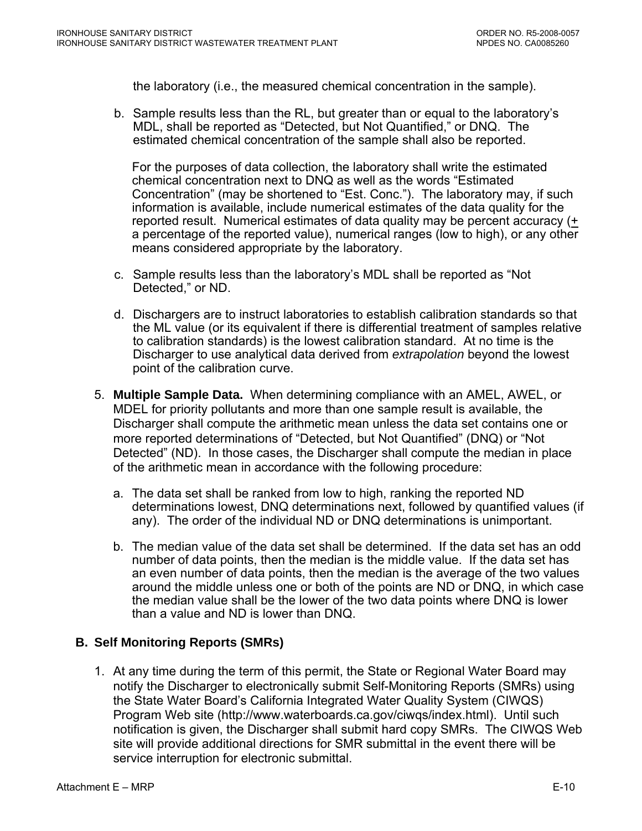<span id="page-55-0"></span>the laboratory (i.e., the measured chemical concentration in the sample).

b. Sample results less than the RL, but greater than or equal to the laboratory's MDL, shall be reported as "Detected, but Not Quantified," or DNQ. The estimated chemical concentration of the sample shall also be reported.

For the purposes of data collection, the laboratory shall write the estimated chemical concentration next to DNQ as well as the words "Estimated Concentration" (may be shortened to "Est. Conc."). The laboratory may, if such information is available, include numerical estimates of the data quality for the reported result. Numerical estimates of data quality may be percent accuracy (+ a percentage of the reported value), numerical ranges (low to high), or any other means considered appropriate by the laboratory.

- c. Sample results less than the laboratory's MDL shall be reported as "Not Detected," or ND.
- d. Dischargers are to instruct laboratories to establish calibration standards so that the ML value (or its equivalent if there is differential treatment of samples relative to calibration standards) is the lowest calibration standard. At no time is the Discharger to use analytical data derived from *extrapolation* beyond the lowest point of the calibration curve.
- 5. **Multiple Sample Data.** When determining compliance with an AMEL, AWEL, or MDEL for priority pollutants and more than one sample result is available, the Discharger shall compute the arithmetic mean unless the data set contains one or more reported determinations of "Detected, but Not Quantified" (DNQ) or "Not Detected" (ND). In those cases, the Discharger shall compute the median in place of the arithmetic mean in accordance with the following procedure:
	- a. The data set shall be ranked from low to high, ranking the reported ND determinations lowest, DNQ determinations next, followed by quantified values (if any). The order of the individual ND or DNQ determinations is unimportant.
	- b. The median value of the data set shall be determined. If the data set has an odd number of data points, then the median is the middle value. If the data set has an even number of data points, then the median is the average of the two values around the middle unless one or both of the points are ND or DNQ, in which case the median value shall be the lower of the two data points where DNQ is lower than a value and ND is lower than DNQ.

#### **B. Self Monitoring Reports (SMRs)**

1. At any time during the term of this permit, the State or Regional Water Board may notify the Discharger to electronically submit Self-Monitoring Reports (SMRs) using the State Water Board's California Integrated Water Quality System (CIWQS) Program Web site (http://www.waterboards.ca.gov/ciwqs/index.html). Until such notification is given, the Discharger shall submit hard copy SMRs. The CIWQS Web site will provide additional directions for SMR submittal in the event there will be service interruption for electronic submittal.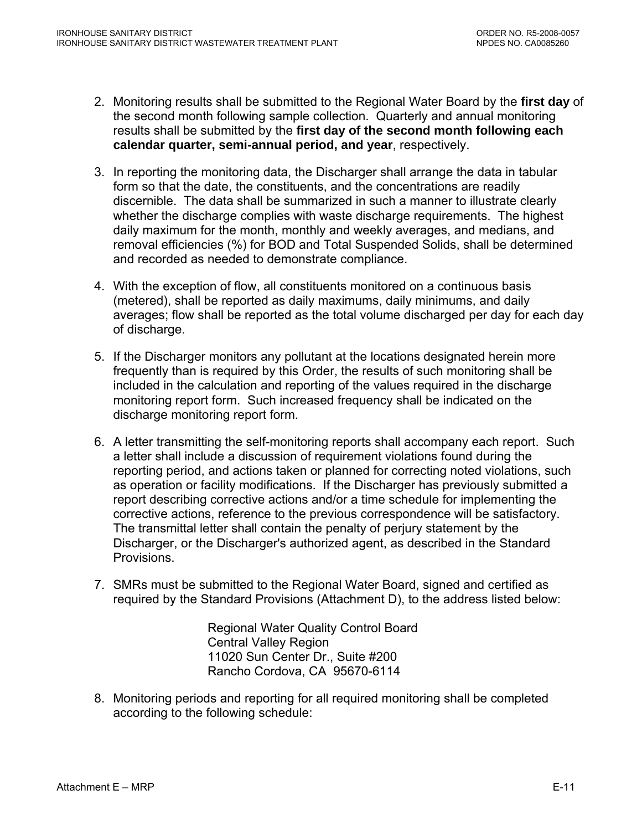- 2. Monitoring results shall be submitted to the Regional Water Board by the **first day** of the second month following sample collection. Quarterly and annual monitoring results shall be submitted by the **first day of the second month following each calendar quarter, semi-annual period, and year**, respectively.
- 3. In reporting the monitoring data, the Discharger shall arrange the data in tabular form so that the date, the constituents, and the concentrations are readily discernible. The data shall be summarized in such a manner to illustrate clearly whether the discharge complies with waste discharge requirements. The highest daily maximum for the month, monthly and weekly averages, and medians, and removal efficiencies (%) for BOD and Total Suspended Solids, shall be determined and recorded as needed to demonstrate compliance.
- 4. With the exception of flow, all constituents monitored on a continuous basis (metered), shall be reported as daily maximums, daily minimums, and daily averages; flow shall be reported as the total volume discharged per day for each day of discharge.
- 5. If the Discharger monitors any pollutant at the locations designated herein more frequently than is required by this Order, the results of such monitoring shall be included in the calculation and reporting of the values required in the discharge monitoring report form. Such increased frequency shall be indicated on the discharge monitoring report form.
- 6. A letter transmitting the self-monitoring reports shall accompany each report. Such a letter shall include a discussion of requirement violations found during the reporting period, and actions taken or planned for correcting noted violations, such as operation or facility modifications. If the Discharger has previously submitted a report describing corrective actions and/or a time schedule for implementing the corrective actions, reference to the previous correspondence will be satisfactory. The transmittal letter shall contain the penalty of perjury statement by the Discharger, or the Discharger's authorized agent, as described in the Standard Provisions.
- 7. SMRs must be submitted to the Regional Water Board, signed and certified as required by the Standard Provisions (Attachment D), to the address listed below:

Regional Water Quality Control Board Central Valley Region 11020 Sun Center Dr., Suite #200 Rancho Cordova, CA 95670-6114

8. Monitoring periods and reporting for all required monitoring shall be completed according to the following schedule: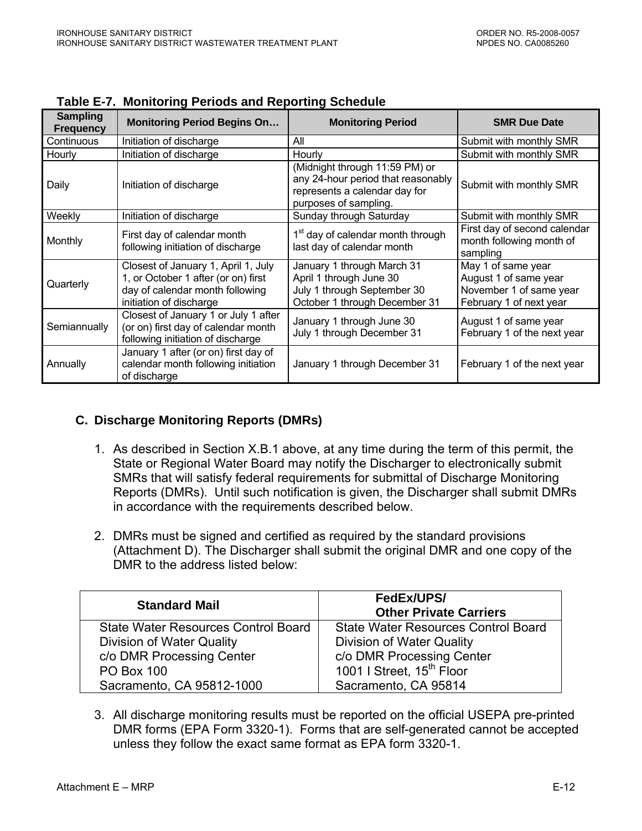| <b>Sampling</b><br><b>Frequency</b> | <b>Monitoring Period Begins On</b>                                                                                                       | <b>Monitoring Period</b>                                                                                                       | <b>SMR Due Date</b>                                                                               |
|-------------------------------------|------------------------------------------------------------------------------------------------------------------------------------------|--------------------------------------------------------------------------------------------------------------------------------|---------------------------------------------------------------------------------------------------|
| Continuous                          | Initiation of discharge                                                                                                                  | All                                                                                                                            | Submit with monthly SMR                                                                           |
| Hourly                              | Initiation of discharge                                                                                                                  | Hourly                                                                                                                         | Submit with monthly SMR                                                                           |
| Daily                               | Initiation of discharge                                                                                                                  | (Midnight through 11:59 PM) or<br>any 24-hour period that reasonably<br>represents a calendar day for<br>purposes of sampling. | Submit with monthly SMR                                                                           |
| Weekly                              | Initiation of discharge                                                                                                                  | Sunday through Saturday                                                                                                        | Submit with monthly SMR                                                                           |
| Monthly                             | First day of calendar month<br>following initiation of discharge                                                                         | 1 <sup>st</sup> day of calendar month through<br>last day of calendar month                                                    | First day of second calendar<br>month following month of<br>sampling                              |
| Quarterly                           | Closest of January 1, April 1, July<br>1, or October 1 after (or on) first<br>day of calendar month following<br>initiation of discharge | January 1 through March 31<br>April 1 through June 30<br>July 1 through September 30<br>October 1 through December 31          | May 1 of same year<br>August 1 of same year<br>November 1 of same year<br>February 1 of next year |
| Semiannually                        | Closest of January 1 or July 1 after<br>(or on) first day of calendar month<br>following initiation of discharge                         | January 1 through June 30<br>July 1 through December 31                                                                        | August 1 of same year<br>February 1 of the next year                                              |
| Annually                            | January 1 after (or on) first day of<br>calendar month following initiation<br>of discharge                                              | January 1 through December 31                                                                                                  | February 1 of the next year                                                                       |

<span id="page-57-0"></span>**Table E-7. Monitoring Periods and Reporting Schedule** 

# **C. Discharge Monitoring Reports (DMRs)**

- 1. As described in Section X.B.1 above, at any time during the term of this permit, the State or Regional Water Board may notify the Discharger to electronically submit SMRs that will satisfy federal requirements for submittal of Discharge Monitoring Reports (DMRs). Until such notification is given, the Discharger shall submit DMRs in accordance with the requirements described below.
- 2. DMRs must be signed and certified as required by the standard provisions (Attachment D). The Discharger shall submit the original DMR and one copy of the DMR to the address listed below:

| <b>Standard Mail</b>                       | FedEx/UPS/<br><b>Other Private Carriers</b> |
|--------------------------------------------|---------------------------------------------|
| <b>State Water Resources Control Board</b> | <b>State Water Resources Control Board</b>  |
| Division of Water Quality                  | Division of Water Quality                   |
| c/o DMR Processing Center                  | c/o DMR Processing Center                   |
| <b>PO Box 100</b>                          | 1001   Street, 15 <sup>th</sup> Floor       |
| Sacramento, CA 95812-1000                  | Sacramento, CA 95814                        |

3. All discharge monitoring results must be reported on the official USEPA pre-printed DMR forms (EPA Form 3320-1). Forms that are self-generated cannot be accepted unless they follow the exact same format as EPA form 3320-1.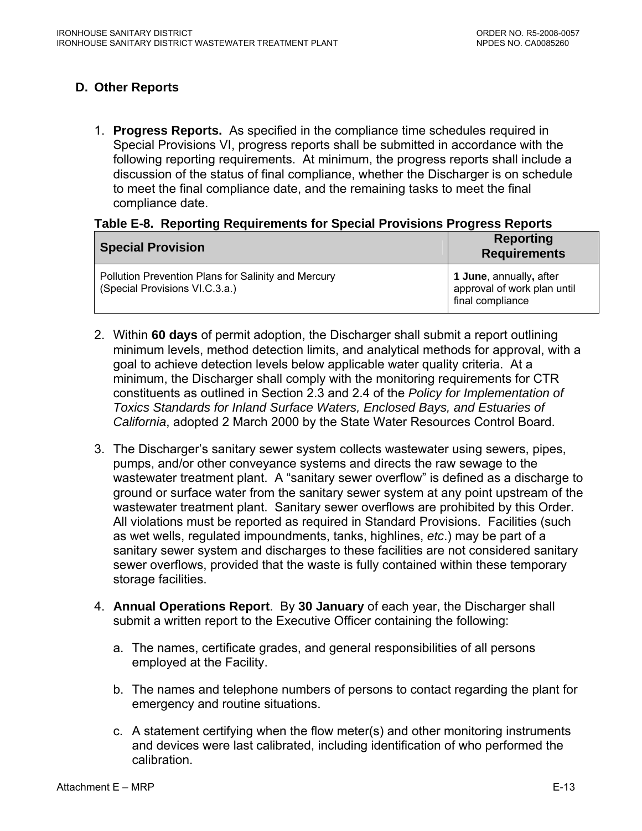# <span id="page-58-0"></span>**D. Other Reports**

1. **Progress Reports.** As specified in the compliance time schedules required in Special Provisions VI, progress reports shall be submitted in accordance with the following reporting requirements. At minimum, the progress reports shall include a discussion of the status of final compliance, whether the Discharger is on schedule to meet the final compliance date, and the remaining tasks to meet the final compliance date.

### **Table E-8. Reporting Requirements for Special Provisions Progress Reports**

| <b>Special Provision</b>                            | <b>Reporting</b><br><b>Requirements</b>                        |
|-----------------------------------------------------|----------------------------------------------------------------|
| Pollution Prevention Plans for Salinity and Mercury | <b>1 June</b> , annually, after<br>approval of work plan until |
| (Special Provisions VI.C.3.a.)                      | final compliance                                               |

- 2. Within **60 days** of permit adoption, the Discharger shall submit a report outlining minimum levels, method detection limits, and analytical methods for approval, with a goal to achieve detection levels below applicable water quality criteria. At a minimum, the Discharger shall comply with the monitoring requirements for CTR constituents as outlined in Section 2.3 and 2.4 of the *Policy for Implementation of Toxics Standards for Inland Surface Waters, Enclosed Bays, and Estuaries of California*, adopted 2 March 2000 by the State Water Resources Control Board.
- 3. The Discharger's sanitary sewer system collects wastewater using sewers, pipes, pumps, and/or other conveyance systems and directs the raw sewage to the wastewater treatment plant. A "sanitary sewer overflow" is defined as a discharge to ground or surface water from the sanitary sewer system at any point upstream of the wastewater treatment plant. Sanitary sewer overflows are prohibited by this Order. All violations must be reported as required in Standard Provisions. Facilities (such as wet wells, regulated impoundments, tanks, highlines, *etc*.) may be part of a sanitary sewer system and discharges to these facilities are not considered sanitary sewer overflows, provided that the waste is fully contained within these temporary storage facilities.
- 4. **Annual Operations Report**. By **30 January** of each year, the Discharger shall submit a written report to the Executive Officer containing the following:
	- a. The names, certificate grades, and general responsibilities of all persons employed at the Facility.
	- b. The names and telephone numbers of persons to contact regarding the plant for emergency and routine situations.
	- c. A statement certifying when the flow meter(s) and other monitoring instruments and devices were last calibrated, including identification of who performed the calibration.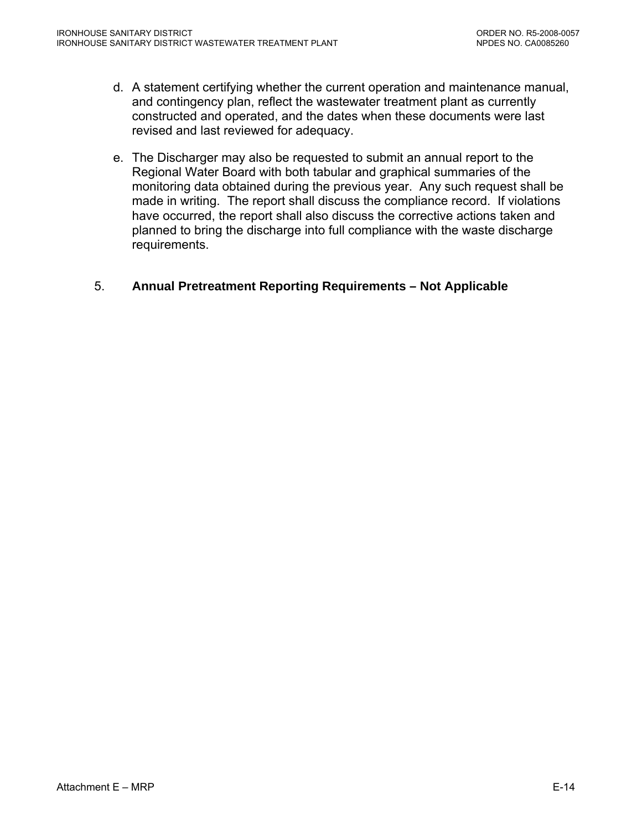- d. A statement certifying whether the current operation and maintenance manual, and contingency plan, reflect the wastewater treatment plant as currently constructed and operated, and the dates when these documents were last revised and last reviewed for adequacy.
- e. The Discharger may also be requested to submit an annual report to the Regional Water Board with both tabular and graphical summaries of the monitoring data obtained during the previous year. Any such request shall be made in writing. The report shall discuss the compliance record. If violations have occurred, the report shall also discuss the corrective actions taken and planned to bring the discharge into full compliance with the waste discharge requirements.

#### 5. **Annual Pretreatment Reporting Requirements – Not Applicable**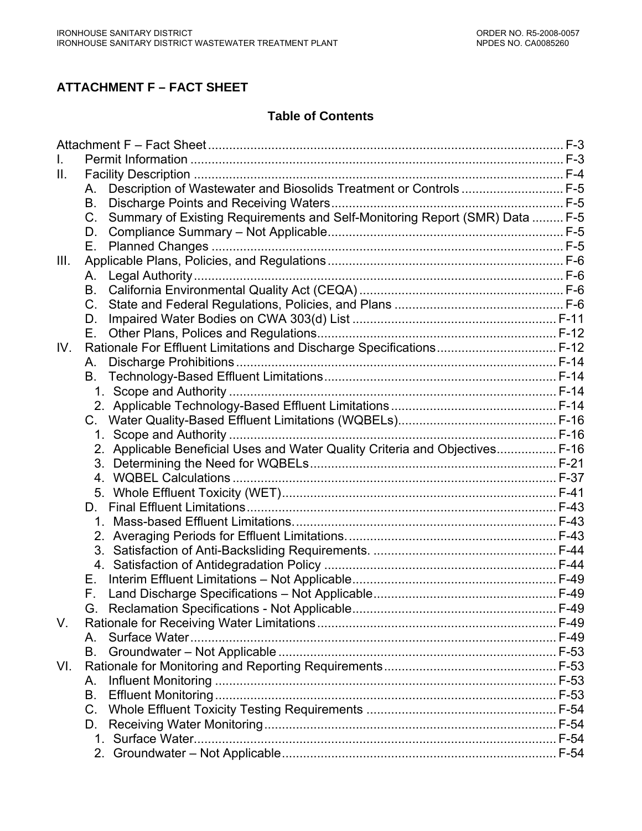# **ATTACHMENT F – FACT SHEET**

#### **Table of Contents**

| Ш.   |                                                                                            |  |
|------|--------------------------------------------------------------------------------------------|--|
|      | Description of Wastewater and Biosolids Treatment or Controls  F-5<br>Α.                   |  |
|      | В.                                                                                         |  |
|      | Summary of Existing Requirements and Self-Monitoring Report (SMR) Data  F-5<br>$C_{\cdot}$ |  |
|      | D.                                                                                         |  |
|      | Е.                                                                                         |  |
| III. |                                                                                            |  |
|      | Α.                                                                                         |  |
|      | В.                                                                                         |  |
|      | $C_{\cdot}$                                                                                |  |
|      | D.                                                                                         |  |
|      | Е.                                                                                         |  |
| IV.  | Rationale For Effluent Limitations and Discharge Specifications F-12                       |  |
|      | Α.                                                                                         |  |
|      | В.                                                                                         |  |
|      |                                                                                            |  |
|      |                                                                                            |  |
|      |                                                                                            |  |
|      |                                                                                            |  |
|      | 2. Applicable Beneficial Uses and Water Quality Criteria and Objectives F-16               |  |
|      |                                                                                            |  |
|      | 4.                                                                                         |  |
|      | 5.                                                                                         |  |
|      | D.                                                                                         |  |
|      |                                                                                            |  |
|      |                                                                                            |  |
|      |                                                                                            |  |
|      | 4.                                                                                         |  |
|      | Е.                                                                                         |  |
|      | F.                                                                                         |  |
|      |                                                                                            |  |
| V.   |                                                                                            |  |
|      | Α.                                                                                         |  |
|      | В.                                                                                         |  |
| VI.  |                                                                                            |  |
|      | А.                                                                                         |  |
|      | B.                                                                                         |  |
|      | C.                                                                                         |  |
|      | D.                                                                                         |  |
|      |                                                                                            |  |
|      |                                                                                            |  |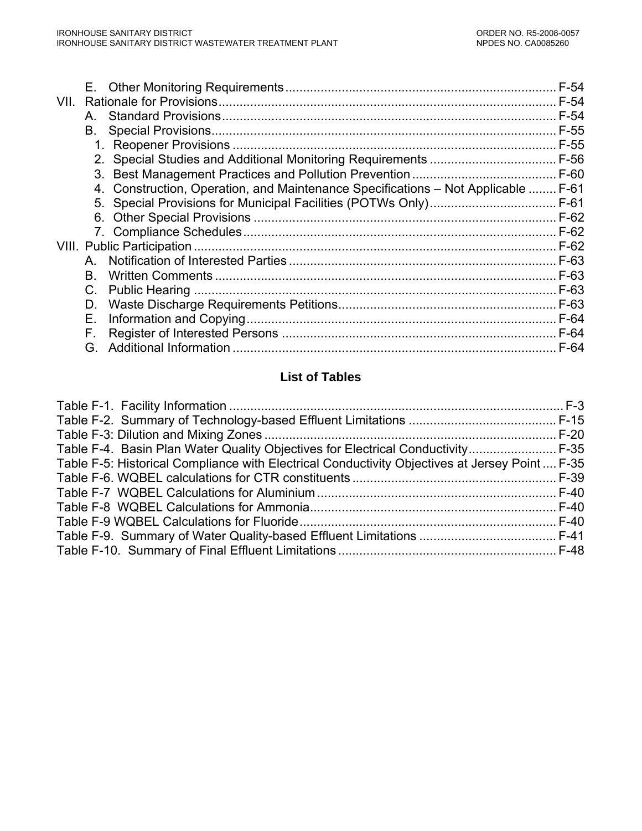| VII. |    |                                                                                   | $F-54$ |
|------|----|-----------------------------------------------------------------------------------|--------|
|      | A. |                                                                                   | $F-54$ |
|      | В. |                                                                                   |        |
|      |    |                                                                                   |        |
|      |    |                                                                                   |        |
|      |    |                                                                                   |        |
|      |    | 4. Construction, Operation, and Maintenance Specifications – Not Applicable  F-61 |        |
|      |    |                                                                                   |        |
|      |    |                                                                                   |        |
|      |    |                                                                                   |        |
|      |    |                                                                                   |        |
|      | A  |                                                                                   |        |
|      | Β. |                                                                                   | $F-63$ |
|      | C. |                                                                                   | $F-63$ |
|      | D. |                                                                                   | F-63   |
|      | Е. |                                                                                   |        |
|      | F. |                                                                                   |        |
|      | G. |                                                                                   | F-64   |
|      |    |                                                                                   |        |

# **List of Tables**

| Table F-4. Basin Plan Water Quality Objectives for Electrical Conductivity F-35                |  |
|------------------------------------------------------------------------------------------------|--|
| Table F-5: Historical Compliance with Electrical Conductivity Objectives at Jersey Point  F-35 |  |
|                                                                                                |  |
|                                                                                                |  |
|                                                                                                |  |
|                                                                                                |  |
|                                                                                                |  |
|                                                                                                |  |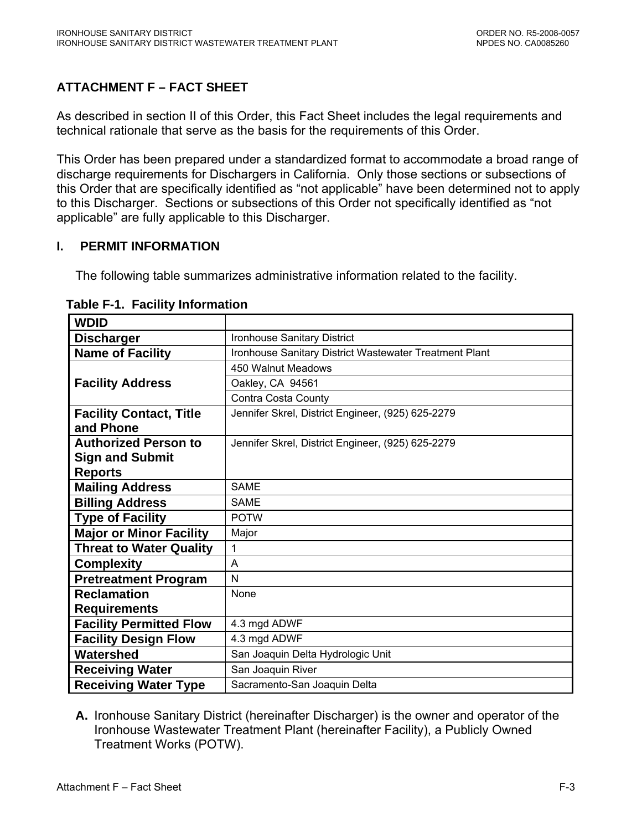# <span id="page-62-0"></span>**ATTACHMENT F – FACT SHEET**

As described in section II of this Order, this Fact Sheet includes the legal requirements and technical rationale that serve as the basis for the requirements of this Order.

This Order has been prepared under a standardized format to accommodate a broad range of discharge requirements for Dischargers in California. Only those sections or subsections of this Order that are specifically identified as "not applicable" have been determined not to apply to this Discharger. Sections or subsections of this Order not specifically identified as "not applicable" are fully applicable to this Discharger.

### **I. PERMIT INFORMATION**

The following table summarizes administrative information related to the facility.

| <b>WDID</b>                    |                                                        |
|--------------------------------|--------------------------------------------------------|
| <b>Discharger</b>              | <b>Ironhouse Sanitary District</b>                     |
| <b>Name of Facility</b>        | Ironhouse Sanitary District Wastewater Treatment Plant |
|                                | 450 Walnut Meadows                                     |
| <b>Facility Address</b>        | Oakley, CA 94561                                       |
|                                | Contra Costa County                                    |
| <b>Facility Contact, Title</b> | Jennifer Skrel, District Engineer, (925) 625-2279      |
| and Phone                      |                                                        |
| <b>Authorized Person to</b>    | Jennifer Skrel, District Engineer, (925) 625-2279      |
| <b>Sign and Submit</b>         |                                                        |
| <b>Reports</b>                 |                                                        |
| <b>Mailing Address</b>         | <b>SAME</b>                                            |
| <b>Billing Address</b>         | <b>SAME</b>                                            |
| <b>Type of Facility</b>        | <b>POTW</b>                                            |
| <b>Major or Minor Facility</b> | Major                                                  |
| <b>Threat to Water Quality</b> | 1                                                      |
| <b>Complexity</b>              | A                                                      |
| <b>Pretreatment Program</b>    | N                                                      |
| <b>Reclamation</b>             | None                                                   |
| <b>Requirements</b>            |                                                        |
| <b>Facility Permitted Flow</b> | 4.3 mgd ADWF                                           |
| <b>Facility Design Flow</b>    | 4.3 mgd ADWF                                           |
| Watershed                      | San Joaquin Delta Hydrologic Unit                      |
| <b>Receiving Water</b>         | San Joaquin River                                      |
| <b>Receiving Water Type</b>    | Sacramento-San Joaquin Delta                           |

#### **Table F-1. Facility Information**

**A.** Ironhouse Sanitary District (hereinafter Discharger) is the owner and operator of the Ironhouse Wastewater Treatment Plant (hereinafter Facility), a Publicly Owned Treatment Works (POTW).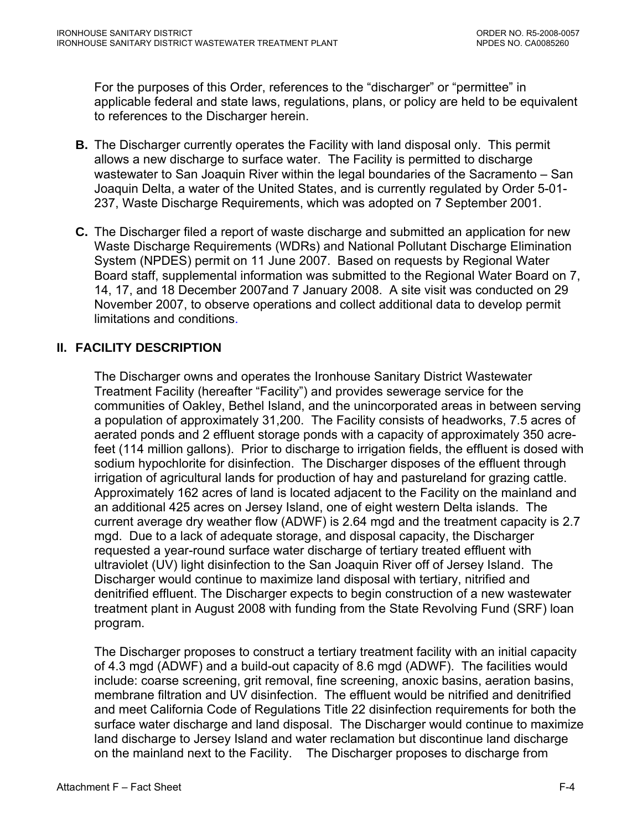<span id="page-63-0"></span>For the purposes of this Order, references to the "discharger" or "permittee" in applicable federal and state laws, regulations, plans, or policy are held to be equivalent to references to the Discharger herein.

- **B.** The Discharger currently operates the Facility with land disposal only. This permit allows a new discharge to surface water. The Facility is permitted to discharge wastewater to San Joaquin River within the legal boundaries of the Sacramento – San Joaquin Delta, a water of the United States, and is currently regulated by Order 5-01- 237, Waste Discharge Requirements, which was adopted on 7 September 2001.
- **C.** The Discharger filed a report of waste discharge and submitted an application for new Waste Discharge Requirements (WDRs) and National Pollutant Discharge Elimination System (NPDES) permit on 11 June 2007. Based on requests by Regional Water Board staff, supplemental information was submitted to the Regional Water Board on 7, 14, 17, and 18 December 2007and 7 January 2008. A site visit was conducted on 29 November 2007, to observe operations and collect additional data to develop permit limitations and conditions.

# **II. FACILITY DESCRIPTION**

 The Discharger owns and operates the Ironhouse Sanitary District Wastewater Treatment Facility (hereafter "Facility") and provides sewerage service for the communities of Oakley, Bethel Island, and the unincorporated areas in between serving a population of approximately 31,200. The Facility consists of headworks, 7.5 acres of aerated ponds and 2 effluent storage ponds with a capacity of approximately 350 acrefeet (114 million gallons). Prior to discharge to irrigation fields, the effluent is dosed with sodium hypochlorite for disinfection. The Discharger disposes of the effluent through irrigation of agricultural lands for production of hay and pastureland for grazing cattle. Approximately 162 acres of land is located adjacent to the Facility on the mainland and an additional 425 acres on Jersey Island, one of eight western Delta islands. The current average dry weather flow (ADWF) is 2.64 mgd and the treatment capacity is 2.7 mgd. Due to a lack of adequate storage, and disposal capacity, the Discharger requested a year-round surface water discharge of tertiary treated effluent with ultraviolet (UV) light disinfection to the San Joaquin River off of Jersey Island. The Discharger would continue to maximize land disposal with tertiary, nitrified and denitrified effluent. The Discharger expects to begin construction of a new wastewater treatment plant in August 2008 with funding from the State Revolving Fund (SRF) loan program.

The Discharger proposes to construct a tertiary treatment facility with an initial capacity of 4.3 mgd (ADWF) and a build-out capacity of 8.6 mgd (ADWF). The facilities would include: coarse screening, grit removal, fine screening, anoxic basins, aeration basins, membrane filtration and UV disinfection. The effluent would be nitrified and denitrified and meet California Code of Regulations Title 22 disinfection requirements for both the surface water discharge and land disposal. The Discharger would continue to maximize land discharge to Jersey Island and water reclamation but discontinue land discharge on the mainland next to the Facility. The Discharger proposes to discharge from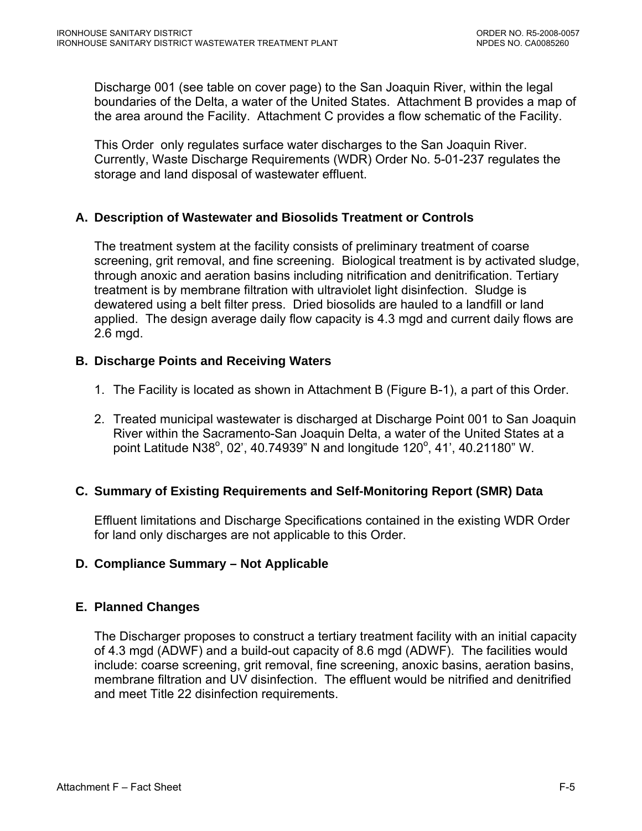<span id="page-64-0"></span>Discharge 001 (see table on cover page) to the San Joaquin River, within the legal boundaries of the Delta, a water of the United States. Attachment B provides a map of the area around the Facility. Attachment C provides a flow schematic of the Facility.

This Order only regulates surface water discharges to the San Joaquin River. Currently, Waste Discharge Requirements (WDR) Order No. 5-01-237 regulates the storage and land disposal of wastewater effluent.

#### **A. Description of Wastewater and Biosolids Treatment or Controls**

The treatment system at the facility consists of preliminary treatment of coarse screening, grit removal, and fine screening. Biological treatment is by activated sludge, through anoxic and aeration basins including nitrification and denitrification. Tertiary treatment is by membrane filtration with ultraviolet light disinfection. Sludge is dewatered using a belt filter press. Dried biosolids are hauled to a landfill or land applied. The design average daily flow capacity is 4.3 mgd and current daily flows are 2.6 mgd.

### **B. Discharge Points and Receiving Waters**

- 1. The Facility is located as shown in Attachment B (Figure B-1), a part of this Order.
- 2. Treated municipal wastewater is discharged at Discharge Point 001 to San Joaquin River within the Sacramento-San Joaquin Delta, a water of the United States at a point Latitude N38°, 02', 40.74939" N and longitude 120°, 41', 40.21180" W.

# **C. Summary of Existing Requirements and Self-Monitoring Report (SMR) Data**

Effluent limitations and Discharge Specifications contained in the existing WDR Order for land only discharges are not applicable to this Order.

#### **D. Compliance Summary – Not Applicable**

#### **E. Planned Changes**

The Discharger proposes to construct a tertiary treatment facility with an initial capacity of 4.3 mgd (ADWF) and a build-out capacity of 8.6 mgd (ADWF). The facilities would include: coarse screening, grit removal, fine screening, anoxic basins, aeration basins, membrane filtration and UV disinfection. The effluent would be nitrified and denitrified and meet Title 22 disinfection requirements.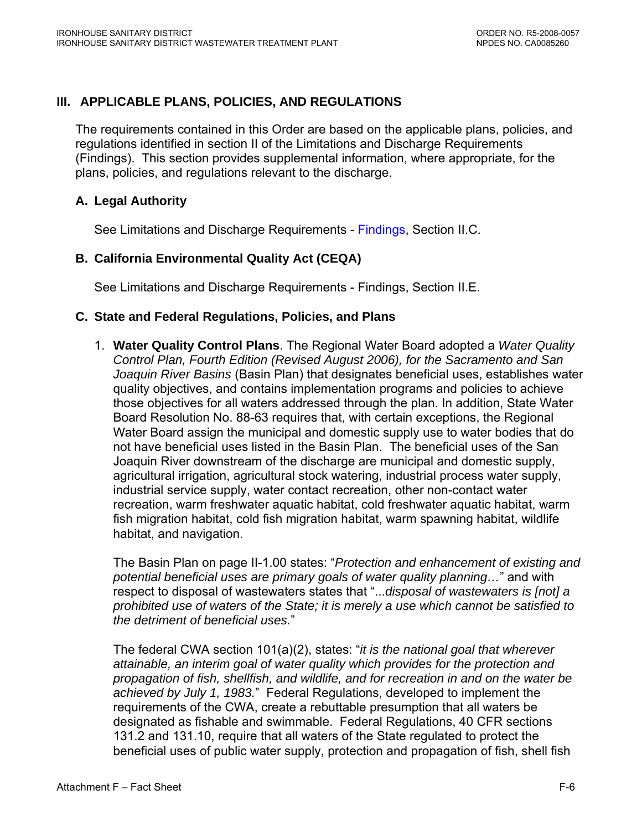# <span id="page-65-0"></span>**III. APPLICABLE PLANS, POLICIES, AND REGULATIONS**

The requirements contained in this Order are based on the applicable plans, policies, and regulations identified in section II of the Limitations and Discharge Requirements ([Findings](#page-2-0)). This section provides supplemental information, where appropriate, for the plans, policies, and regulations relevant to the discharge.

#### **A. Legal Authority**

See Limitations and Discharge Requirements - [Findings, Section II.C.](#page-3-0) 

### **B. California Environmental Quality Act (CEQA)**

See Limitations and Discharge Requirements - [Findings, Section II.E.](#page-3-0)

#### **C. State and Federal Regulations, Policies, and Plans**

1. **Water Quality Control Plans**. The Regional Water Board adopted a *Water Quality Control Plan, Fourth Edition (Revised August 2006), for the Sacramento and San Joaquin River Basins* (Basin Plan) that designates beneficial uses, establishes water quality objectives, and contains implementation programs and policies to achieve those objectives for all waters addressed through the plan. In addition, State Water Board Resolution No. 88-63 requires that, with certain exceptions, the Regional Water Board assign the municipal and domestic supply use to water bodies that do not have beneficial uses listed in the Basin Plan. The beneficial uses of the San Joaquin River downstream of the discharge are municipal and domestic supply, agricultural irrigation, agricultural stock watering, industrial process water supply, industrial service supply, water contact recreation, other non-contact water recreation, warm freshwater aquatic habitat, cold freshwater aquatic habitat, warm fish migration habitat, cold fish migration habitat, warm spawning habitat, wildlife habitat, and navigation.

The Basin Plan on page II-1.00 states: "*Protection and enhancement of existing and potential beneficial uses are primary goals of water quality planning…*" and with respect to disposal of wastewaters states that "...*disposal of wastewaters is [not] a prohibited use of waters of the State; it is merely a use which cannot be satisfied to the detriment of beneficial uses.*"

The federal CWA section 101(a)(2), states: "*it is the national goal that wherever attainable, an interim goal of water quality which provides for the protection and propagation of fish, shellfish, and wildlife, and for recreation in and on the water be achieved by July 1, 1983.*" Federal Regulations, developed to implement the requirements of the CWA, create a rebuttable presumption that all waters be designated as fishable and swimmable. Federal Regulations, 40 CFR sections 131.2 and 131.10, require that all waters of the State regulated to protect the beneficial uses of public water supply, protection and propagation of fish, shell fish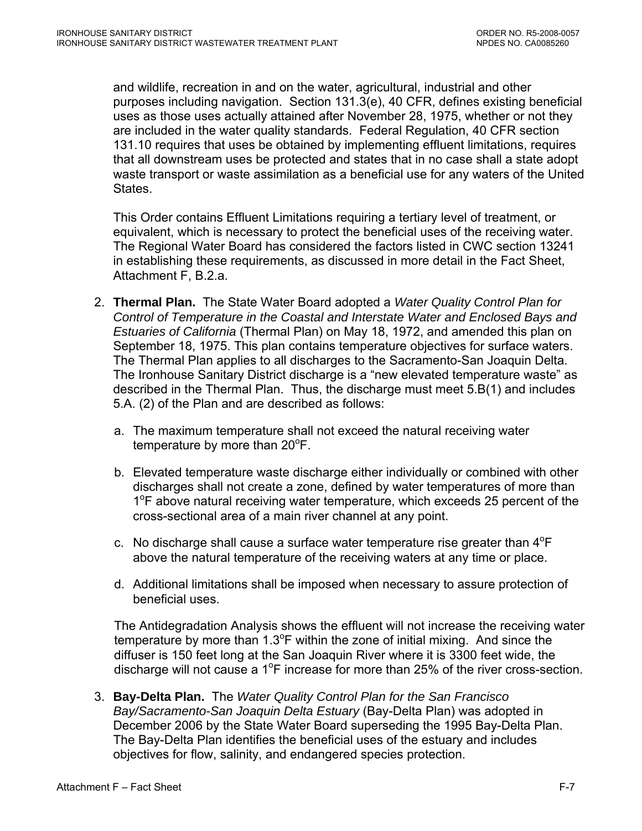and wildlife, recreation in and on the water, agricultural, industrial and other purposes including navigation. Section 131.3(e), 40 CFR, defines existing beneficial uses as those uses actually attained after November 28, 1975, whether or not they are included in the water quality standards. Federal Regulation, 40 CFR section 131.10 requires that uses be obtained by implementing effluent limitations, requires that all downstream uses be protected and states that in no case shall a state adopt waste transport or waste assimilation as a beneficial use for any waters of the United States.

This Order contains Effluent Limitations requiring a tertiary level of treatment, or equivalent, which is necessary to protect the beneficial uses of the receiving water. The Regional Water Board has considered the factors listed in CWC section 13241 in establishing these requirements, as discussed in more detail in the Fact Sheet, Attachment F, B.2.a.

- 2. **Thermal Plan.** The State Water Board adopted a *Water Quality Control Plan for Control of Temperature in the Coastal and Interstate Water and Enclosed Bays and Estuaries of California* (Thermal Plan) on May 18, 1972, and amended this plan on September 18, 1975. This plan contains temperature objectives for surface waters. The Thermal Plan applies to all discharges to the Sacramento-San Joaquin Delta. The Ironhouse Sanitary District discharge is a "new elevated temperature waste" as described in the Thermal Plan. Thus, the discharge must meet 5.B(1) and includes 5.A. (2) of the Plan and are described as follows:
	- a. The maximum temperature shall not exceed the natural receiving water temperature by more than  $20^{\circ}$ F.
	- b. Elevated temperature waste discharge either individually or combined with other discharges shall not create a zone, defined by water temperatures of more than 1<sup>o</sup>F above natural receiving water temperature, which exceeds 25 percent of the cross-sectional area of a main river channel at any point.
	- c. No discharge shall cause a surface water temperature rise greater than  $4^{\circ}F$ above the natural temperature of the receiving waters at any time or place.
	- d. Additional limitations shall be imposed when necessary to assure protection of beneficial uses.

The Antidegradation Analysis shows the effluent will not increase the receiving water temperature by more than  $1.3^{\circ}$ F within the zone of initial mixing. And since the diffuser is 150 feet long at the San Joaquin River where it is 3300 feet wide, the discharge will not cause a 1<sup>o</sup>F increase for more than 25% of the river cross-section.

3. **Bay-Delta Plan.** The *Water Quality Control Plan for the San Francisco Bay/Sacramento-San Joaquin Delta Estuary* (Bay-Delta Plan) was adopted in December 2006 by the State Water Board superseding the 1995 Bay-Delta Plan. The Bay-Delta Plan identifies the beneficial uses of the estuary and includes objectives for flow, salinity, and endangered species protection.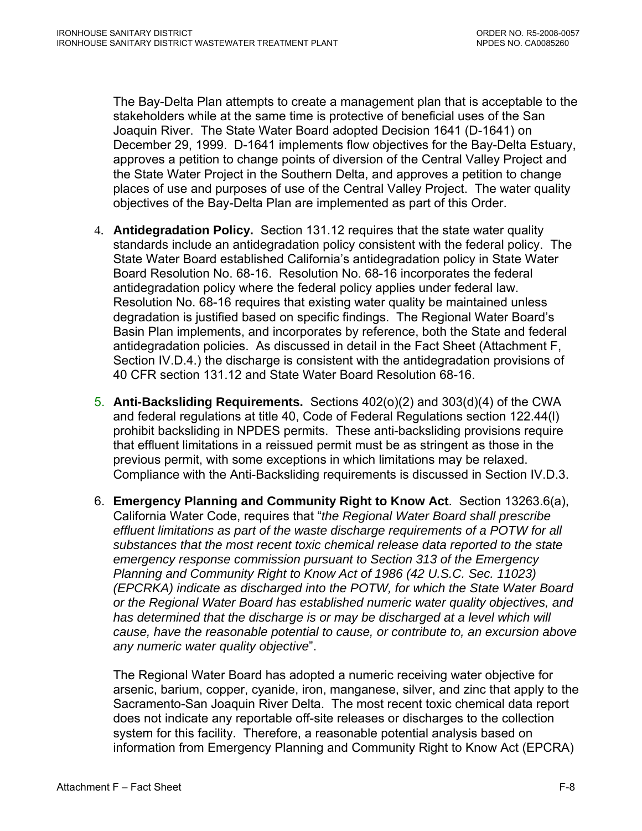The Bay-Delta Plan attempts to create a management plan that is acceptable to the stakeholders while at the same time is protective of beneficial uses of the San Joaquin River. The State Water Board adopted Decision 1641 (D-1641) on December 29, 1999. D-1641 implements flow objectives for the Bay-Delta Estuary, approves a petition to change points of diversion of the Central Valley Project and the State Water Project in the Southern Delta, and approves a petition to change places of use and purposes of use of the Central Valley Project. The water quality objectives of the Bay-Delta Plan are implemented as part of this Order.

- 4. **Antidegradation Policy.** Section 131.12 requires that the state water quality standards include an antidegradation policy consistent with the federal policy. The State Water Board established California's antidegradation policy in State Water Board Resolution No. 68-16. Resolution No. 68-16 incorporates the federal antidegradation policy where the federal policy applies under federal law. Resolution No. 68-16 requires that existing water quality be maintained unless degradation is justified based on specific findings. The Regional Water Board's Basin Plan implements, and incorporates by reference, both the State and federal antidegradation policies. As discussed in detail in the Fact Sheet ([Attachment F,](#page-103-0)  [Section IV.D.4.](#page-103-0)) the discharge is consistent with the antidegradation provisions of 40 CFR section 131.12 and State Water Board Resolution 68-16.
- 5. **Anti-Backsliding Requirements.** Sections 402(o)(2) and 303(d)(4) of the CWA and federal regulations at title 40, Code of Federal Regulations section 122.44(l) prohibit backsliding in NPDES permits. These anti-backsliding provisions require that effluent limitations in a reissued permit must be as stringent as those in the previous permit, with some exceptions in which limitations may be relaxed. Compliance with the Anti-Backsliding requirements is discussed in [Section IV.D.3.](#page-103-0)
- 6. **Emergency Planning and Community Right to Know Act**. Section 13263.6(a), California Water Code, requires that "*the Regional Water Board shall prescribe effluent limitations as part of the waste discharge requirements of a POTW for all substances that the most recent toxic chemical release data reported to the state emergency response commission pursuant to Section 313 of the Emergency Planning and Community Right to Know Act of 1986 (42 U.S.C. Sec. 11023) (EPCRKA) indicate as discharged into the POTW, for which the State Water Board or the Regional Water Board has established numeric water quality objectives, and*  has determined that the discharge is or may be discharged at a level which will *cause, have the reasonable potential to cause, or contribute to, an excursion above any numeric water quality objective*".

The Regional Water Board has adopted a numeric receiving water objective for arsenic, barium, copper, cyanide, iron, manganese, silver, and zinc that apply to the Sacramento-San Joaquin River Delta. The most recent toxic chemical data report does not indicate any reportable off-site releases or discharges to the collection system for this facility. Therefore, a reasonable potential analysis based on information from Emergency Planning and Community Right to Know Act (EPCRA)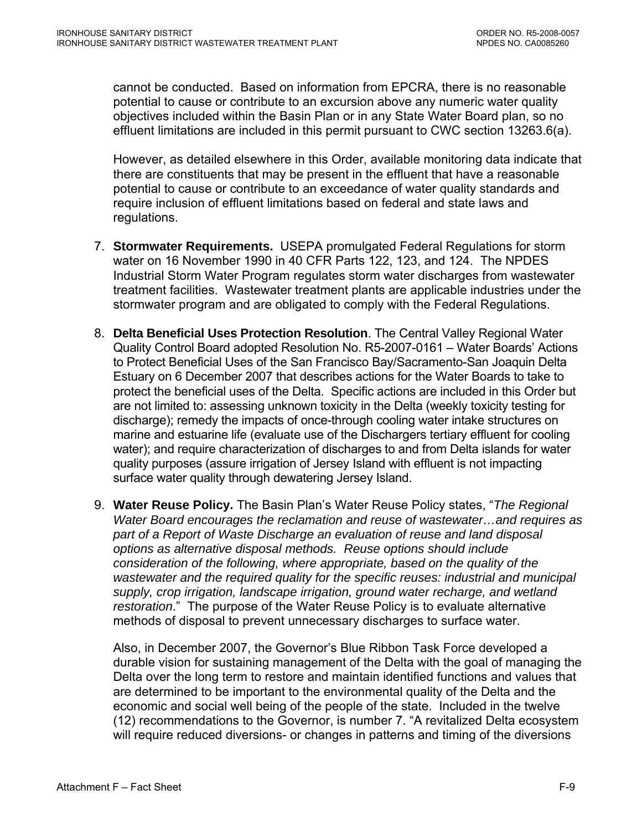cannot be conducted. Based on information from EPCRA, there is no reasonable potential to cause or contribute to an excursion above any numeric water quality objectives included within the Basin Plan or in any State Water Board plan, so no effluent limitations are included in this permit pursuant to CWC section 13263.6(a).

However, as detailed elsewhere in this Order, available monitoring data indicate that there are constituents that may be present in the effluent that have a reasonable potential to cause or contribute to an exceedance of water quality standards and require inclusion of effluent limitations based on federal and state laws and regulations.

- 7. **Stormwater Requirements.** USEPA promulgated Federal Regulations for storm water on 16 November 1990 in 40 CFR Parts 122, 123, and 124. The NPDES Industrial Storm Water Program regulates storm water discharges from wastewater treatment facilities. Wastewater treatment plants are applicable industries under the stormwater program and are obligated to comply with the Federal Regulations.
- 8. **Delta Beneficial Uses Protection Resolution**. The Central Valley Regional Water Quality Control Board adopted Resolution No. R5-2007-0161 – Water Boards' Actions to Protect Beneficial Uses of the San Francisco Bay/Sacramento-San Joaquin Delta Estuary on 6 December 2007 that describes actions for the Water Boards to take to protect the beneficial uses of the Delta. Specific actions are included in this Order but are not limited to: assessing unknown toxicity in the Delta (weekly toxicity testing for discharge); remedy the impacts of once-through cooling water intake structures on marine and estuarine life (evaluate use of the Dischargers tertiary effluent for cooling water); and require characterization of discharges to and from Delta islands for water quality purposes (assure irrigation of Jersey Island with effluent is not impacting surface water quality through dewatering Jersey Island.
- 9. **Water Reuse Policy.** The Basin Plan's Water Reuse Policy states, "*The Regional Water Board encourages the reclamation and reuse of wastewater…and requires as part of a Report of Waste Discharge an evaluation of reuse and land disposal options as alternative disposal methods. Reuse options should include consideration of the following, where appropriate, based on the quality of the wastewater and the required quality for the specific reuses: industrial and municipal supply, crop irrigation, landscape irrigation, ground water recharge, and wetland restoration*." The purpose of the Water Reuse Policy is to evaluate alternative methods of disposal to prevent unnecessary discharges to surface water.

Also, in December 2007, the Governor's Blue Ribbon Task Force developed a durable vision for sustaining management of the Delta with the goal of managing the Delta over the long term to restore and maintain identified functions and values that are determined to be important to the environmental quality of the Delta and the economic and social well being of the people of the state. Included in the twelve (12) recommendations to the Governor, is number 7. "A revitalized Delta ecosystem will require reduced diversions- or changes in patterns and timing of the diversions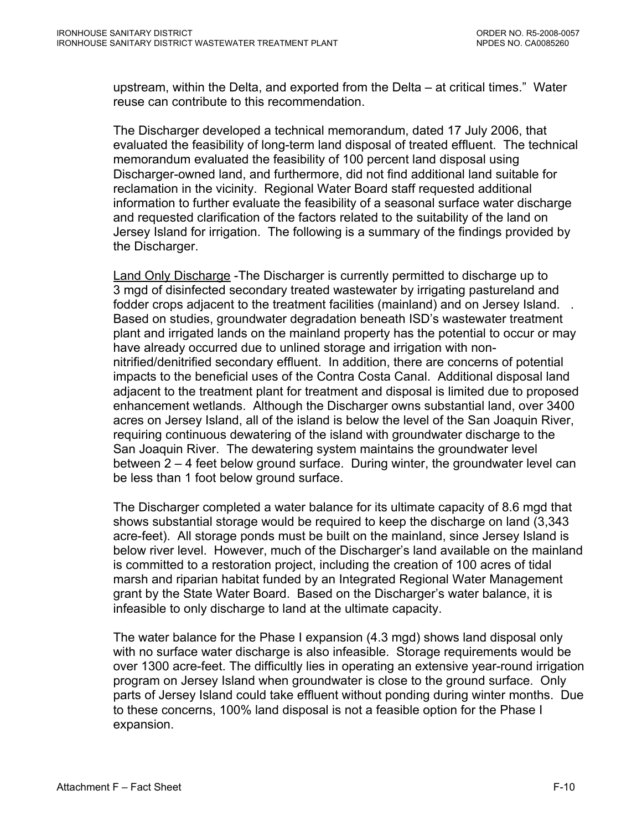upstream, within the Delta, and exported from the Delta – at critical times." Water reuse can contribute to this recommendation.

The Discharger developed a technical memorandum, dated 17 July 2006, that evaluated the feasibility of long-term land disposal of treated effluent. The technical memorandum evaluated the feasibility of 100 percent land disposal using Discharger-owned land, and furthermore, did not find additional land suitable for reclamation in the vicinity. Regional Water Board staff requested additional information to further evaluate the feasibility of a seasonal surface water discharge and requested clarification of the factors related to the suitability of the land on Jersey Island for irrigation. The following is a summary of the findings provided by the Discharger.

Land Only Discharge -The Discharger is currently permitted to discharge up to 3 mgd of disinfected secondary treated wastewater by irrigating pastureland and fodder crops adjacent to the treatment facilities (mainland) and on Jersey Island. . Based on studies, groundwater degradation beneath ISD's wastewater treatment plant and irrigated lands on the mainland property has the potential to occur or may have already occurred due to unlined storage and irrigation with nonnitrified/denitrified secondary effluent. In addition, there are concerns of potential impacts to the beneficial uses of the Contra Costa Canal. Additional disposal land adjacent to the treatment plant for treatment and disposal is limited due to proposed enhancement wetlands. Although the Discharger owns substantial land, over 3400 acres on Jersey Island, all of the island is below the level of the San Joaquin River, requiring continuous dewatering of the island with groundwater discharge to the San Joaquin River. The dewatering system maintains the groundwater level between 2 – 4 feet below ground surface. During winter, the groundwater level can be less than 1 foot below ground surface.

The Discharger completed a water balance for its ultimate capacity of 8.6 mgd that shows substantial storage would be required to keep the discharge on land (3,343 acre-feet). All storage ponds must be built on the mainland, since Jersey Island is below river level. However, much of the Discharger's land available on the mainland is committed to a restoration project, including the creation of 100 acres of tidal marsh and riparian habitat funded by an Integrated Regional Water Management grant by the State Water Board. Based on the Discharger's water balance, it is infeasible to only discharge to land at the ultimate capacity.

The water balance for the Phase I expansion (4.3 mgd) shows land disposal only with no surface water discharge is also infeasible. Storage requirements would be over 1300 acre-feet. The difficultly lies in operating an extensive year-round irrigation program on Jersey Island when groundwater is close to the ground surface. Only parts of Jersey Island could take effluent without ponding during winter months. Due to these concerns, 100% land disposal is not a feasible option for the Phase I expansion.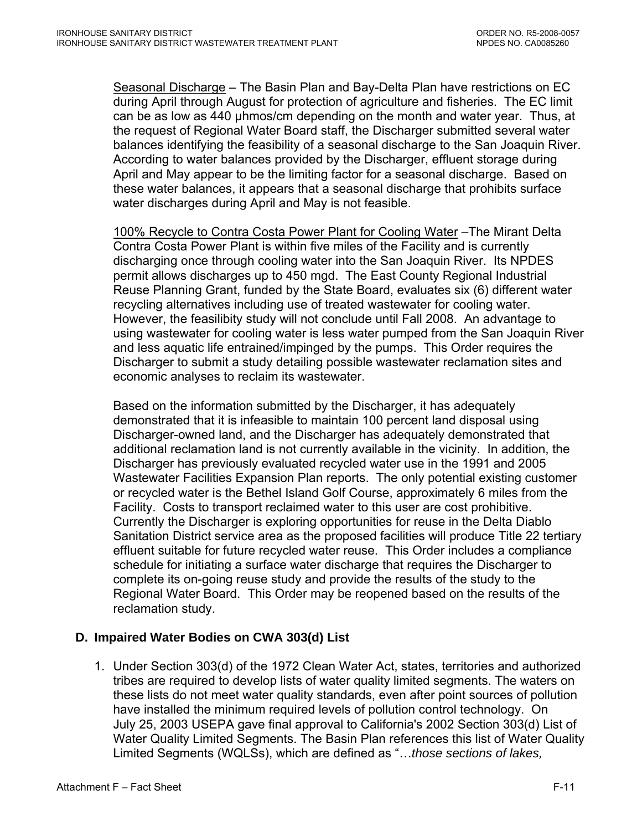<span id="page-70-0"></span>Seasonal Discharge – The Basin Plan and Bay-Delta Plan have restrictions on EC during April through August for protection of agriculture and fisheries. The EC limit can be as low as 440 µhmos/cm depending on the month and water year. Thus, at the request of Regional Water Board staff, the Discharger submitted several water balances identifying the feasibility of a seasonal discharge to the San Joaquin River. According to water balances provided by the Discharger, effluent storage during April and May appear to be the limiting factor for a seasonal discharge. Based on these water balances, it appears that a seasonal discharge that prohibits surface water discharges during April and May is not feasible.

100% Recycle to Contra Costa Power Plant for Cooling Water –The Mirant Delta Contra Costa Power Plant is within five miles of the Facility and is currently discharging once through cooling water into the San Joaquin River. Its NPDES permit allows discharges up to 450 mgd. The East County Regional Industrial Reuse Planning Grant, funded by the State Board, evaluates six (6) different water recycling alternatives including use of treated wastewater for cooling water. However, the feasilibity study will not conclude until Fall 2008. An advantage to using wastewater for cooling water is less water pumped from the San Joaquin River and less aquatic life entrained/impinged by the pumps. This Order requires the Discharger to submit a study detailing possible wastewater reclamation sites and economic analyses to reclaim its wastewater.

Based on the information submitted by the Discharger, it has adequately demonstrated that it is infeasible to maintain 100 percent land disposal using Discharger-owned land, and the Discharger has adequately demonstrated that additional reclamation land is not currently available in the vicinity. In addition, the Discharger has previously evaluated recycled water use in the 1991 and 2005 Wastewater Facilities Expansion Plan reports. The only potential existing customer or recycled water is the Bethel Island Golf Course, approximately 6 miles from the Facility. Costs to transport reclaimed water to this user are cost prohibitive. Currently the Discharger is exploring opportunities for reuse in the Delta Diablo Sanitation District service area as the proposed facilities will produce Title 22 tertiary effluent suitable for future recycled water reuse. This Order includes a compliance schedule for initiating a surface water discharge that requires the Discharger to complete its on-going reuse study and provide the results of the study to the Regional Water Board. This Order may be reopened based on the results of the reclamation study.

# **D. Impaired Water Bodies on CWA 303(d) List**

1. Under Section 303(d) of the 1972 Clean Water Act, states, territories and authorized tribes are required to develop lists of water quality limited segments. The waters on these lists do not meet water quality standards, even after point sources of pollution have installed the minimum required levels of pollution control technology. On July 25, 2003 USEPA gave final approval to California's 2002 Section 303(d) List of Water Quality Limited Segments. The Basin Plan references this list of Water Quality Limited Segments (WQLSs), which are defined as "…*those sections of lakes,*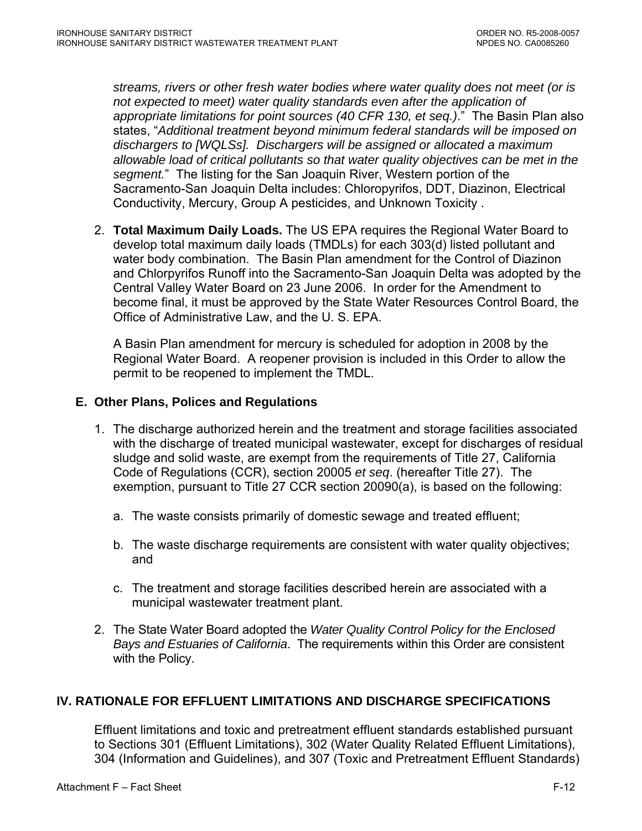<span id="page-71-0"></span>*streams, rivers or other fresh water bodies where water quality does not meet (or is not expected to meet) water quality standards even after the application of appropriate limitations for point sources (40 CFR 130, et seq.)*." The Basin Plan also states, "*Additional treatment beyond minimum federal standards will be imposed on dischargers to [WQLSs]. Dischargers will be assigned or allocated a maximum allowable load of critical pollutants so that water quality objectives can be met in the segment.*" The listing for the San Joaquin River, Western portion of the Sacramento-San Joaquin Delta includes: Chloropyrifos, DDT, Diazinon, Electrical Conductivity, Mercury, Group A pesticides, and Unknown Toxicity .

2. **Total Maximum Daily Loads.** The US EPA requires the Regional Water Board to develop total maximum daily loads (TMDLs) for each 303(d) listed pollutant and water body combination. The Basin Plan amendment for the Control of Diazinon and Chlorpyrifos Runoff into the Sacramento-San Joaquin Delta was adopted by the Central Valley Water Board on 23 June 2006. In order for the Amendment to become final, it must be approved by the State Water Resources Control Board, the Office of Administrative Law, and the U. S. EPA.

A Basin Plan amendment for mercury is scheduled for adoption in 2008 by the Regional Water Board. A reopener provision is included in this Order to allow the permit to be reopened to implement the TMDL.

### **E. Other Plans, Polices and Regulations**

- 1. The discharge authorized herein and the treatment and storage facilities associated with the discharge of treated municipal wastewater, except for discharges of residual sludge and solid waste, are exempt from the requirements of Title 27, California Code of Regulations (CCR), section 20005 *et seq*. (hereafter Title 27). The exemption, pursuant to Title 27 CCR section 20090(a), is based on the following:
	- a. The waste consists primarily of domestic sewage and treated effluent;
	- b. The waste discharge requirements are consistent with water quality objectives; and
	- c. The treatment and storage facilities described herein are associated with a municipal wastewater treatment plant.
- 2. The State Water Board adopted the *Water Quality Control Policy for the Enclosed Bays and Estuaries of California*. The requirements within this Order are consistent with the Policy.

# **IV. RATIONALE FOR EFFLUENT LIMITATIONS AND DISCHARGE SPECIFICATIONS**

Effluent limitations and toxic and pretreatment effluent standards established pursuant to Sections 301 (Effluent Limitations), 302 (Water Quality Related Effluent Limitations), 304 (Information and Guidelines), and 307 (Toxic and Pretreatment Effluent Standards)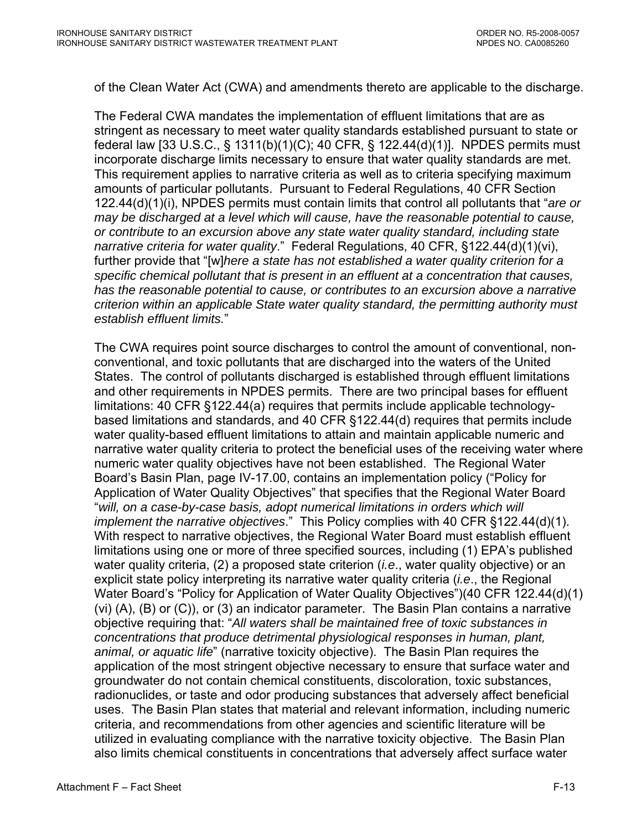of the Clean Water Act (CWA) and amendments thereto are applicable to the discharge.

The Federal CWA mandates the implementation of effluent limitations that are as stringent as necessary to meet water quality standards established pursuant to state or federal law [33 U.S.C., § 1311(b)(1)(C); 40 CFR, § 122.44(d)(1)]. NPDES permits must incorporate discharge limits necessary to ensure that water quality standards are met. This requirement applies to narrative criteria as well as to criteria specifying maximum amounts of particular pollutants. Pursuant to Federal Regulations, 40 CFR Section 122.44(d)(1)(i), NPDES permits must contain limits that control all pollutants that "*are or may be discharged at a level which will cause, have the reasonable potential to cause, or contribute to an excursion above any state water quality standard, including state narrative criteria for water quality*." Federal Regulations, 40 CFR, §122.44(d)(1)(vi), further provide that "[w]*here a state has not established a water quality criterion for a specific chemical pollutant that is present in an effluent at a concentration that causes, has the reasonable potential to cause, or contributes to an excursion above a narrative criterion within an applicable State water quality standard, the permitting authority must establish effluent limits.*"

The CWA requires point source discharges to control the amount of conventional, nonconventional, and toxic pollutants that are discharged into the waters of the United States. The control of pollutants discharged is established through effluent limitations and other requirements in NPDES permits. There are two principal bases for effluent limitations: 40 CFR §122.44(a) requires that permits include applicable technologybased limitations and standards, and 40 CFR §122.44(d) requires that permits include water quality-based effluent limitations to attain and maintain applicable numeric and narrative water quality criteria to protect the beneficial uses of the receiving water where numeric water quality objectives have not been established. The Regional Water Board's Basin Plan, page IV-17.00, contains an implementation policy ("Policy for Application of Water Quality Objectives" that specifies that the Regional Water Board "*will, on a case-by-case basis, adopt numerical limitations in orders which will implement the narrative objectives*." This Policy complies with 40 CFR §122.44(d)(1). With respect to narrative objectives, the Regional Water Board must establish effluent limitations using one or more of three specified sources, including (1) EPA's published water quality criteria, (2) a proposed state criterion (*i.e*., water quality objective) or an explicit state policy interpreting its narrative water quality criteria (*i.e*., the Regional Water Board's "Policy for Application of Water Quality Objectives")(40 CFR 122.44(d)(1) (vi) (A), (B) or (C)), or (3) an indicator parameter. The Basin Plan contains a narrative objective requiring that: "*All waters shall be maintained free of toxic substances in concentrations that produce detrimental physiological responses in human, plant, animal, or aquatic life*" (narrative toxicity objective). The Basin Plan requires the application of the most stringent objective necessary to ensure that surface water and groundwater do not contain chemical constituents, discoloration, toxic substances, radionuclides, or taste and odor producing substances that adversely affect beneficial uses. The Basin Plan states that material and relevant information, including numeric criteria, and recommendations from other agencies and scientific literature will be utilized in evaluating compliance with the narrative toxicity objective. The Basin Plan also limits chemical constituents in concentrations that adversely affect surface water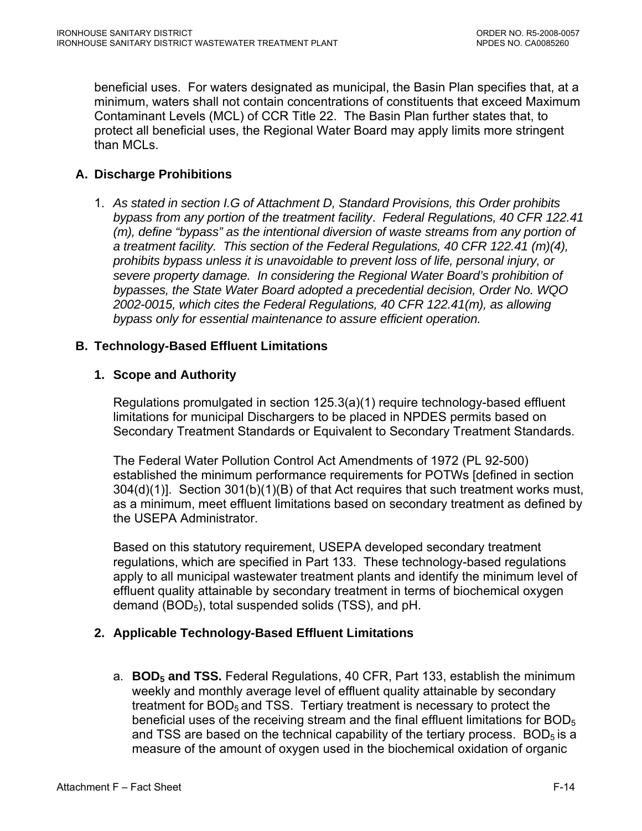beneficial uses. For waters designated as municipal, the Basin Plan specifies that, at a minimum, waters shall not contain concentrations of constituents that exceed Maximum Contaminant Levels (MCL) of CCR Title 22. The Basin Plan further states that, to protect all beneficial uses, the Regional Water Board may apply limits more stringent than MCLs.

## **A. Discharge Prohibitions**

1. *As stated in section I.G of Attachment D, Standard Provisions, this Order prohibits bypass from any portion of the treatment facility*. *Federal Regulations, 40 CFR 122.41 (m), define "bypass" as the intentional diversion of waste streams from any portion of a treatment facility. This section of the Federal Regulations, 40 CFR 122.41 (m)(4), prohibits bypass unless it is unavoidable to prevent loss of life, personal injury, or severe property damage. In considering the Regional Water Board's prohibition of bypasses, the State Water Board adopted a precedential decision, Order No. WQO 2002-0015, which cites the Federal Regulations, 40 CFR 122.41(m), as allowing bypass only for essential maintenance to assure efficient operation.* 

## **B. Technology-Based Effluent Limitations**

## **1. Scope and Authority**

Regulations promulgated in section 125.3(a)(1) require technology-based effluent limitations for municipal Dischargers to be placed in NPDES permits based on Secondary Treatment Standards or Equivalent to Secondary Treatment Standards.

The Federal Water Pollution Control Act Amendments of 1972 (PL 92-500) established the minimum performance requirements for POTWs [defined in section 304(d)(1)]. Section 301(b)(1)(B) of that Act requires that such treatment works must, as a minimum, meet effluent limitations based on secondary treatment as defined by the USEPA Administrator.

Based on this statutory requirement, USEPA developed secondary treatment regulations, which are specified in Part 133. These technology-based regulations apply to all municipal wastewater treatment plants and identify the minimum level of effluent quality attainable by secondary treatment in terms of biochemical oxygen demand  $(BOD<sub>5</sub>)$ , total suspended solids (TSS), and pH.

## **2. Applicable Technology-Based Effluent Limitations**

a. **BOD<sub>5</sub> and TSS.** Federal Regulations, 40 CFR, Part 133, establish the minimum weekly and monthly average level of effluent quality attainable by secondary treatment for  $BOD<sub>5</sub>$  and TSS. Tertiary treatment is necessary to protect the beneficial uses of the receiving stream and the final effluent limitations for  $BOD<sub>5</sub>$ and TSS are based on the technical capability of the tertiary process.  $BOD<sub>5</sub>$  is a measure of the amount of oxygen used in the biochemical oxidation of organic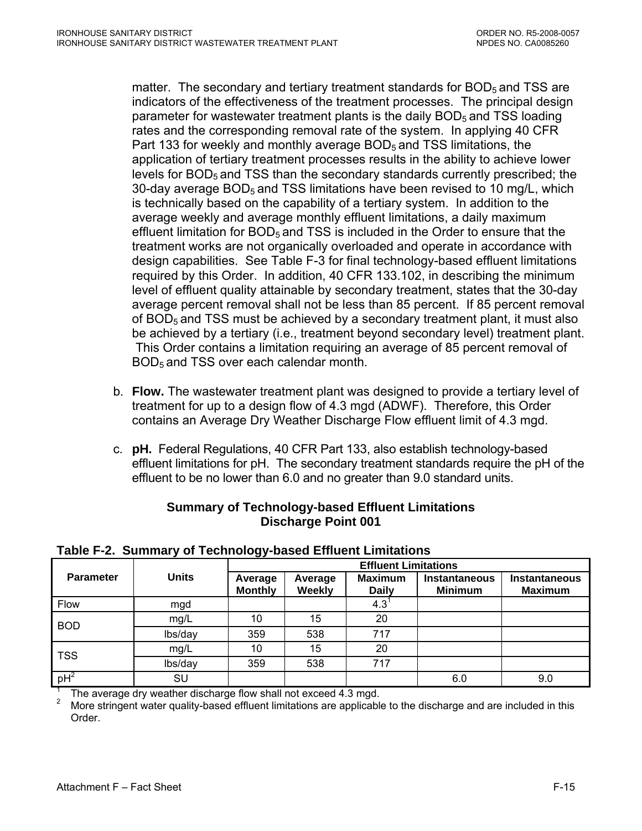matter. The secondary and tertiary treatment standards for  $BOD<sub>5</sub>$  and TSS are indicators of the effectiveness of the treatment processes. The principal design parameter for wastewater treatment plants is the daily  $BOD<sub>5</sub>$  and TSS loading rates and the corresponding removal rate of the system. In applying 40 CFR Part 133 for weekly and monthly average BOD<sub>5</sub> and TSS limitations, the application of tertiary treatment processes results in the ability to achieve lower levels for BOD<sub>5</sub> and TSS than the secondary standards currently prescribed; the 30-day average BOD<sub>5</sub> and TSS limitations have been revised to 10 mg/L, which is technically based on the capability of a tertiary system. In addition to the average weekly and average monthly effluent limitations, a daily maximum effluent limitation for  $BOD<sub>5</sub>$  and TSS is included in the Order to ensure that the treatment works are not organically overloaded and operate in accordance with design capabilities. See Table F-3 for final technology-based effluent limitations required by this Order. In addition, 40 CFR 133.102, in describing the minimum level of effluent quality attainable by secondary treatment, states that the 30-day average percent removal shall not be less than 85 percent. If 85 percent removal of  $BOD<sub>5</sub>$  and TSS must be achieved by a secondary treatment plant, it must also be achieved by a tertiary (i.e., treatment beyond secondary level) treatment plant. This Order contains a limitation requiring an average of 85 percent removal of BOD<sub>5</sub> and TSS over each calendar month.

- b. **Flow.** The wastewater treatment plant was designed to provide a tertiary level of treatment for up to a design flow of 4.3 mgd (ADWF). Therefore, this Order contains an Average Dry Weather Discharge Flow effluent limit of 4.3 mgd.
- c. **pH.** Federal Regulations, 40 CFR Part 133, also establish technology-based effluent limitations for pH. The secondary treatment standards require the pH of the effluent to be no lower than 6.0 and no greater than 9.0 standard units.

## **Summary of Technology-based Effluent Limitations Discharge Point 001**

|                  |                                                                |                           | <b>Effluent Limitations</b> |                         |                                        |                                 |  |  |
|------------------|----------------------------------------------------------------|---------------------------|-----------------------------|-------------------------|----------------------------------------|---------------------------------|--|--|
| <b>Parameter</b> | <b>Units</b>                                                   | Average<br><b>Monthly</b> | Average<br>Weekly           | <b>Maximum</b><br>Daily | <b>Instantaneous</b><br><b>Minimum</b> | Instantaneous<br><b>Maximum</b> |  |  |
| <b>Flow</b>      | mgd                                                            |                           |                             | $4.3^{1}$               |                                        |                                 |  |  |
| <b>BOD</b>       | mg/L                                                           | 10                        | 15                          | 20                      |                                        |                                 |  |  |
|                  | lbs/day                                                        | 359                       | 538                         | 717                     |                                        |                                 |  |  |
| <b>TSS</b>       | mg/L                                                           | 10                        | 15                          | 20                      |                                        |                                 |  |  |
|                  | lbs/day                                                        | 359                       | 538                         | 717                     |                                        |                                 |  |  |
| $pH^2$           | SU                                                             |                           |                             |                         | 6.0                                    | 9.0                             |  |  |
|                  | The overage druwesther discharge flow aboll not evened 1.2 med |                           |                             |                         |                                        |                                 |  |  |

## **Table F-2. Summary of Technology-based Effluent Limitations**

The average dry weather discharge flow shall not exceed 4.3 mgd.

2 More stringent water quality-based effluent limitations are applicable to the discharge and are included in this Order.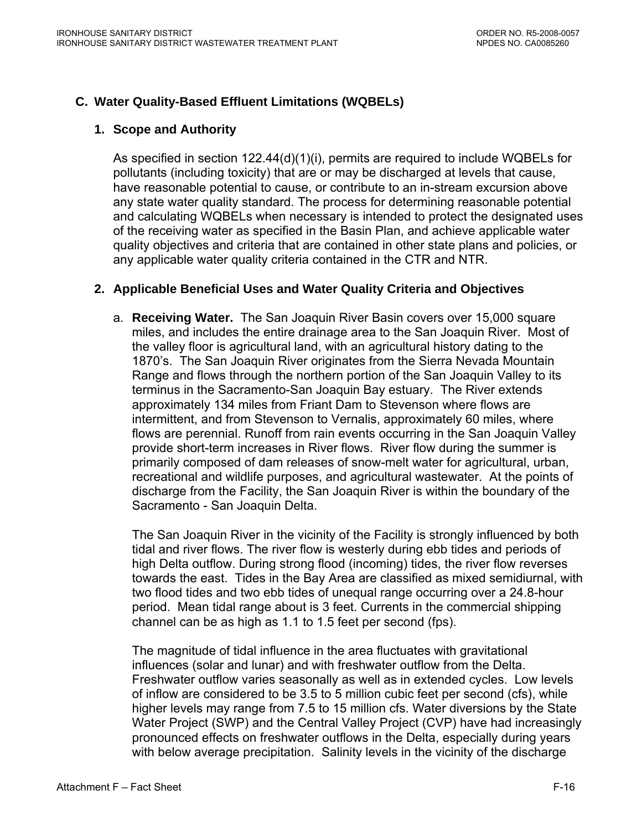# **C. Water Quality-Based Effluent Limitations (WQBELs)**

## **1. Scope and Authority**

As specified in section 122.44(d)(1)(i), permits are required to include WQBELs for pollutants (including toxicity) that are or may be discharged at levels that cause, have reasonable potential to cause, or contribute to an in-stream excursion above any state water quality standard. The process for determining reasonable potential and calculating WQBELs when necessary is intended to protect the designated uses of the receiving water as specified in the Basin Plan, and achieve applicable water quality objectives and criteria that are contained in other state plans and policies, or any applicable water quality criteria contained in the CTR and NTR.

# **2. Applicable Beneficial Uses and Water Quality Criteria and Objectives**

a. **Receiving Water.** The San Joaquin River Basin covers over 15,000 square miles, and includes the entire drainage area to the San Joaquin River. Most of the valley floor is agricultural land, with an agricultural history dating to the 1870's. The San Joaquin River originates from the Sierra Nevada Mountain Range and flows through the northern portion of the San Joaquin Valley to its terminus in the Sacramento-San Joaquin Bay estuary. The River extends approximately 134 miles from Friant Dam to Stevenson where flows are intermittent, and from Stevenson to Vernalis, approximately 60 miles, where flows are perennial. Runoff from rain events occurring in the San Joaquin Valley provide short-term increases in River flows. River flow during the summer is primarily composed of dam releases of snow-melt water for agricultural, urban, recreational and wildlife purposes, and agricultural wastewater. At the points of discharge from the Facility, the San Joaquin River is within the boundary of the Sacramento - San Joaquin Delta.

The San Joaquin River in the vicinity of the Facility is strongly influenced by both tidal and river flows. The river flow is westerly during ebb tides and periods of high Delta outflow. During strong flood (incoming) tides, the river flow reverses towards the east. Tides in the Bay Area are classified as mixed semidiurnal, with two flood tides and two ebb tides of unequal range occurring over a 24.8-hour period. Mean tidal range about is 3 feet. Currents in the commercial shipping channel can be as high as 1.1 to 1.5 feet per second (fps).

The magnitude of tidal influence in the area fluctuates with gravitational influences (solar and lunar) and with freshwater outflow from the Delta. Freshwater outflow varies seasonally as well as in extended cycles. Low levels of inflow are considered to be 3.5 to 5 million cubic feet per second (cfs), while higher levels may range from 7.5 to 15 million cfs. Water diversions by the State Water Project (SWP) and the Central Valley Project (CVP) have had increasingly pronounced effects on freshwater outflows in the Delta, especially during years with below average precipitation. Salinity levels in the vicinity of the discharge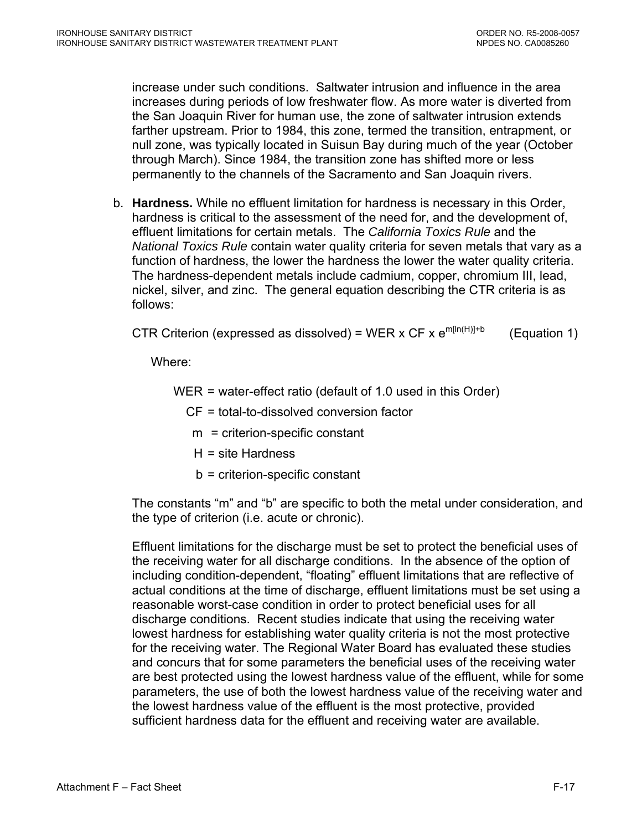increase under such conditions. Saltwater intrusion and influence in the area increases during periods of low freshwater flow. As more water is diverted from the San Joaquin River for human use, the zone of saltwater intrusion extends farther upstream. Prior to 1984, this zone, termed the transition, entrapment, or null zone, was typically located in Suisun Bay during much of the year (October through March). Since 1984, the transition zone has shifted more or less permanently to the channels of the Sacramento and San Joaquin rivers.

b. **Hardness.** While no effluent limitation for hardness is necessary in this Order, hardness is critical to the assessment of the need for, and the development of, effluent limitations for certain metals. The *California Toxics Rule* and the *National Toxics Rule* contain water quality criteria for seven metals that vary as a function of hardness, the lower the hardness the lower the water quality criteria. The hardness-dependent metals include cadmium, copper, chromium III, lead, nickel, silver, and zinc. The general equation describing the CTR criteria is as follows:

CTR Criterion (expressed as dissolved) = WER x CF x  $e^{m[\ln(H)]+b}$  (Equation 1)

Where:

- WER = water-effect ratio (default of 1.0 used in this Order)
	- CF = total-to-dissolved conversion factor
	- m = criterion-specific constant
	- H = site Hardness
	- b = criterion-specific constant

The constants "m" and "b" are specific to both the metal under consideration, and the type of criterion (i.e. acute or chronic).

Effluent limitations for the discharge must be set to protect the beneficial uses of the receiving water for all discharge conditions. In the absence of the option of including condition-dependent, "floating" effluent limitations that are reflective of actual conditions at the time of discharge, effluent limitations must be set using a reasonable worst-case condition in order to protect beneficial uses for all discharge conditions. Recent studies indicate that using the receiving water lowest hardness for establishing water quality criteria is not the most protective for the receiving water. The Regional Water Board has evaluated these studies and concurs that for some parameters the beneficial uses of the receiving water are best protected using the lowest hardness value of the effluent, while for some parameters, the use of both the lowest hardness value of the receiving water and the lowest hardness value of the effluent is the most protective, provided sufficient hardness data for the effluent and receiving water are available.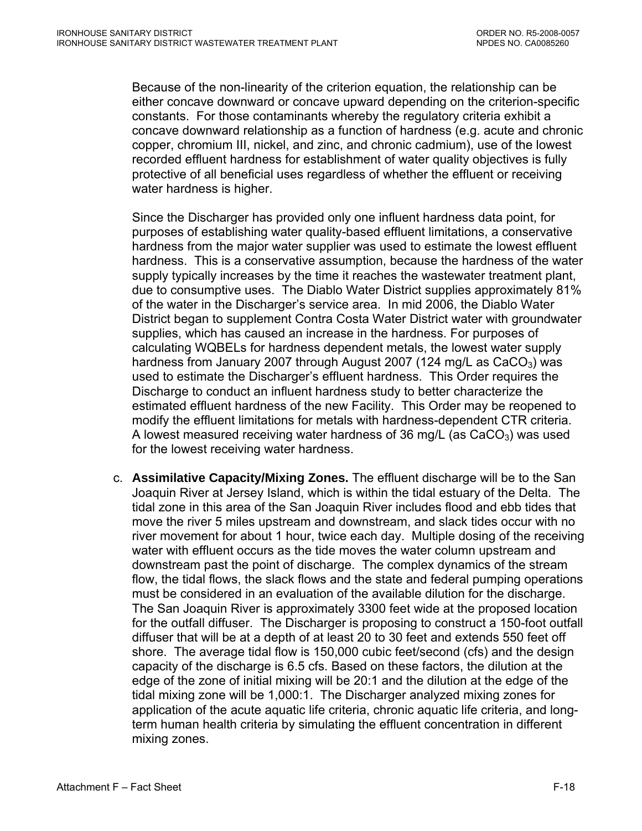Because of the non-linearity of the criterion equation, the relationship can be either concave downward or concave upward depending on the criterion-specific constants. For those contaminants whereby the regulatory criteria exhibit a concave downward relationship as a function of hardness (e.g. acute and chronic copper, chromium III, nickel, and zinc, and chronic cadmium), use of the lowest recorded effluent hardness for establishment of water quality objectives is fully protective of all beneficial uses regardless of whether the effluent or receiving water hardness is higher.

Since the Discharger has provided only one influent hardness data point, for purposes of establishing water quality-based effluent limitations, a conservative hardness from the major water supplier was used to estimate the lowest effluent hardness. This is a conservative assumption, because the hardness of the water supply typically increases by the time it reaches the wastewater treatment plant, due to consumptive uses. The Diablo Water District supplies approximately 81% of the water in the Discharger's service area. In mid 2006, the Diablo Water District began to supplement Contra Costa Water District water with groundwater supplies, which has caused an increase in the hardness. For purposes of calculating WQBELs for hardness dependent metals, the lowest water supply hardness from January 2007 through August 2007 (124 mg/L as  $CaCO<sub>3</sub>$ ) was used to estimate the Discharger's effluent hardness. This Order requires the Discharge to conduct an influent hardness study to better characterize the estimated effluent hardness of the new Facility. This Order may be reopened to modify the effluent limitations for metals with hardness-dependent CTR criteria. A lowest measured receiving water hardness of 36 mg/L (as  $CaCO<sub>3</sub>$ ) was used for the lowest receiving water hardness.

c. **Assimilative Capacity/Mixing Zones.** The effluent discharge will be to the San Joaquin River at Jersey Island, which is within the tidal estuary of the Delta. The tidal zone in this area of the San Joaquin River includes flood and ebb tides that move the river 5 miles upstream and downstream, and slack tides occur with no river movement for about 1 hour, twice each day. Multiple dosing of the receiving water with effluent occurs as the tide moves the water column upstream and downstream past the point of discharge. The complex dynamics of the stream flow, the tidal flows, the slack flows and the state and federal pumping operations must be considered in an evaluation of the available dilution for the discharge. The San Joaquin River is approximately 3300 feet wide at the proposed location for the outfall diffuser. The Discharger is proposing to construct a 150-foot outfall diffuser that will be at a depth of at least 20 to 30 feet and extends 550 feet off shore. The average tidal flow is 150,000 cubic feet/second (cfs) and the design capacity of the discharge is 6.5 cfs. Based on these factors, the dilution at the edge of the zone of initial mixing will be 20:1 and the dilution at the edge of the tidal mixing zone will be 1,000:1. The Discharger analyzed mixing zones for application of the acute aquatic life criteria, chronic aquatic life criteria, and longterm human health criteria by simulating the effluent concentration in different mixing zones.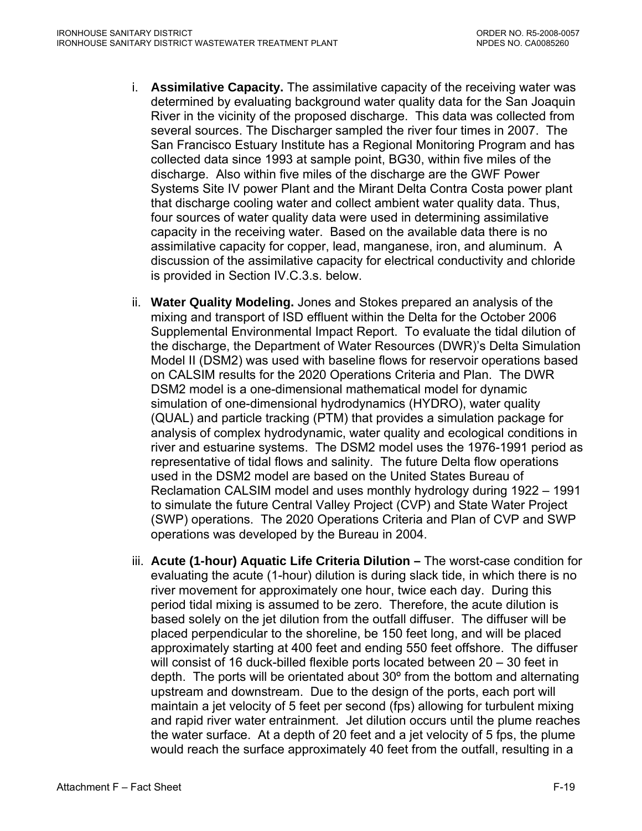- i. **Assimilative Capacity.** The assimilative capacity of the receiving water was determined by evaluating background water quality data for the San Joaquin River in the vicinity of the proposed discharge. This data was collected from several sources. The Discharger sampled the river four times in 2007. The San Francisco Estuary Institute has a Regional Monitoring Program and has collected data since 1993 at sample point, BG30, within five miles of the discharge. Also within five miles of the discharge are the GWF Power Systems Site IV power Plant and the Mirant Delta Contra Costa power plant that discharge cooling water and collect ambient water quality data. Thus, four sources of water quality data were used in determining assimilative capacity in the receiving water. Based on the available data there is no assimilative capacity for copper, lead, manganese, iron, and aluminum. A discussion of the assimilative capacity for electrical conductivity and chloride is provided in Section IV.C.3.s. below.
- ii. **Water Quality Modeling.** Jones and Stokes prepared an analysis of the mixing and transport of ISD effluent within the Delta for the October 2006 Supplemental Environmental Impact Report. To evaluate the tidal dilution of the discharge, the Department of Water Resources (DWR)'s Delta Simulation Model II (DSM2) was used with baseline flows for reservoir operations based on CALSIM results for the 2020 Operations Criteria and Plan. The DWR DSM2 model is a one-dimensional mathematical model for dynamic simulation of one-dimensional hydrodynamics (HYDRO), water quality (QUAL) and particle tracking (PTM) that provides a simulation package for analysis of complex hydrodynamic, water quality and ecological conditions in river and estuarine systems. The DSM2 model uses the 1976-1991 period as representative of tidal flows and salinity. The future Delta flow operations used in the DSM2 model are based on the United States Bureau of Reclamation CALSIM model and uses monthly hydrology during 1922 – 1991 to simulate the future Central Valley Project (CVP) and State Water Project (SWP) operations. The 2020 Operations Criteria and Plan of CVP and SWP operations was developed by the Bureau in 2004.
- iii. **Acute (1-hour) Aquatic Life Criteria Dilution –** The worst-case condition for evaluating the acute (1-hour) dilution is during slack tide, in which there is no river movement for approximately one hour, twice each day. During this period tidal mixing is assumed to be zero. Therefore, the acute dilution is based solely on the jet dilution from the outfall diffuser. The diffuser will be placed perpendicular to the shoreline, be 150 feet long, and will be placed approximately starting at 400 feet and ending 550 feet offshore. The diffuser will consist of 16 duck-billed flexible ports located between 20 – 30 feet in depth. The ports will be orientated about 30º from the bottom and alternating upstream and downstream. Due to the design of the ports, each port will maintain a jet velocity of 5 feet per second (fps) allowing for turbulent mixing and rapid river water entrainment. Jet dilution occurs until the plume reaches the water surface. At a depth of 20 feet and a jet velocity of 5 fps, the plume would reach the surface approximately 40 feet from the outfall, resulting in a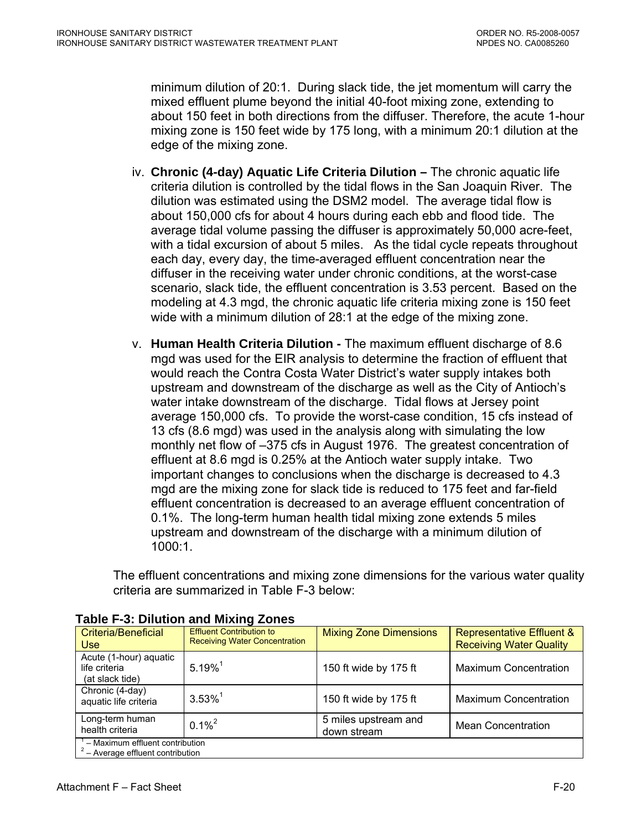minimum dilution of 20:1. During slack tide, the jet momentum will carry the mixed effluent plume beyond the initial 40-foot mixing zone, extending to about 150 feet in both directions from the diffuser. Therefore, the acute 1-hour mixing zone is 150 feet wide by 175 long, with a minimum 20:1 dilution at the edge of the mixing zone.

- iv. **Chronic (4-day) Aquatic Life Criteria Dilution –** The chronic aquatic life criteria dilution is controlled by the tidal flows in the San Joaquin River. The dilution was estimated using the DSM2 model. The average tidal flow is about 150,000 cfs for about 4 hours during each ebb and flood tide. The average tidal volume passing the diffuser is approximately 50,000 acre-feet, with a tidal excursion of about 5 miles. As the tidal cycle repeats throughout each day, every day, the time-averaged effluent concentration near the diffuser in the receiving water under chronic conditions, at the worst-case scenario, slack tide, the effluent concentration is 3.53 percent. Based on the modeling at 4.3 mgd, the chronic aquatic life criteria mixing zone is 150 feet wide with a minimum dilution of 28:1 at the edge of the mixing zone.
- v. **Human Health Criteria Dilution -** The maximum effluent discharge of 8.6 mgd was used for the EIR analysis to determine the fraction of effluent that would reach the Contra Costa Water District's water supply intakes both upstream and downstream of the discharge as well as the City of Antioch's water intake downstream of the discharge. Tidal flows at Jersey point average 150,000 cfs. To provide the worst-case condition, 15 cfs instead of 13 cfs (8.6 mgd) was used in the analysis along with simulating the low monthly net flow of –375 cfs in August 1976. The greatest concentration of effluent at 8.6 mgd is 0.25% at the Antioch water supply intake. Two important changes to conclusions when the discharge is decreased to 4.3 mgd are the mixing zone for slack tide is reduced to 175 feet and far-field effluent concentration is decreased to an average effluent concentration of 0.1%. The long-term human health tidal mixing zone extends 5 miles upstream and downstream of the discharge with a minimum dilution of 1000:1.

The effluent concentrations and mixing zone dimensions for the various water quality criteria are summarized in Table F-3 below:

| <b>Criteria/Beneficial</b><br><b>Use</b>                                   | <b>Effluent Contribution to</b><br><b>Receiving Water Concentration</b> | <b>Mixing Zone Dimensions</b>       | <b>Representative Effluent &amp;</b><br><b>Receiving Water Quality</b> |
|----------------------------------------------------------------------------|-------------------------------------------------------------------------|-------------------------------------|------------------------------------------------------------------------|
| Acute (1-hour) aquatic<br>life criteria<br>(at slack tide)                 | $5.19\%$ <sup>1</sup>                                                   | 150 ft wide by 175 ft               | <b>Maximum Concentration</b>                                           |
| Chronic (4-day)<br>aquatic life criteria                                   | $3.53\%$ <sup>1</sup>                                                   | 150 ft wide by 175 ft               | <b>Maximum Concentration</b>                                           |
| Long-term human<br>health criteria                                         | $0.1\%^{2}$                                                             | 5 miles upstream and<br>down stream | <b>Mean Concentration</b>                                              |
| $1 -$ Maximum effluent contribution<br>$2 -$ Average effluent contribution |                                                                         |                                     |                                                                        |

**Table F-3: Dilution and Mixing Zones**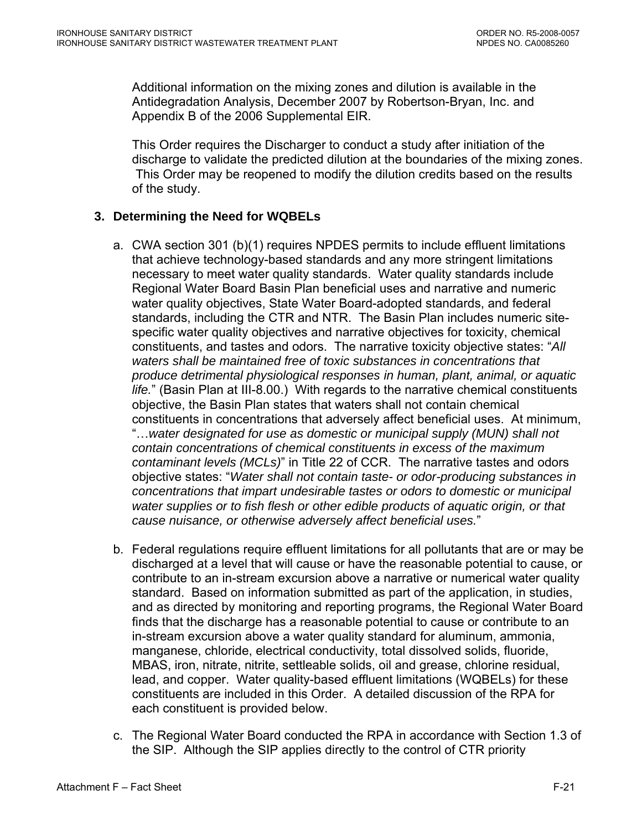Additional information on the mixing zones and dilution is available in the Antidegradation Analysis, December 2007 by Robertson-Bryan, Inc. and Appendix B of the 2006 Supplemental EIR.

This Order requires the Discharger to conduct a study after initiation of the discharge to validate the predicted dilution at the boundaries of the mixing zones. This Order may be reopened to modify the dilution credits based on the results of the study.

# **3. Determining the Need for WQBELs**

- a. CWA section 301 (b)(1) requires NPDES permits to include effluent limitations that achieve technology-based standards and any more stringent limitations necessary to meet water quality standards. Water quality standards include Regional Water Board Basin Plan beneficial uses and narrative and numeric water quality objectives, State Water Board-adopted standards, and federal standards, including the CTR and NTR. The Basin Plan includes numeric sitespecific water quality objectives and narrative objectives for toxicity, chemical constituents, and tastes and odors. The narrative toxicity objective states: "*All waters shall be maintained free of toxic substances in concentrations that produce detrimental physiological responses in human, plant, animal, or aquatic life.*" (Basin Plan at III-8.00.) With regards to the narrative chemical constituents objective, the Basin Plan states that waters shall not contain chemical constituents in concentrations that adversely affect beneficial uses. At minimum, "…*water designated for use as domestic or municipal supply (MUN) shall not contain concentrations of chemical constituents in excess of the maximum contaminant levels (MCLs)*" in Title 22 of CCR. The narrative tastes and odors objective states: "*Water shall not contain taste- or odor-producing substances in concentrations that impart undesirable tastes or odors to domestic or municipal water supplies or to fish flesh or other edible products of aquatic origin, or that cause nuisance, or otherwise adversely affect beneficial uses.*"
- b. Federal regulations require effluent limitations for all pollutants that are or may be discharged at a level that will cause or have the reasonable potential to cause, or contribute to an in-stream excursion above a narrative or numerical water quality standard. Based on information submitted as part of the application, in studies, and as directed by monitoring and reporting programs, the Regional Water Board finds that the discharge has a reasonable potential to cause or contribute to an in-stream excursion above a water quality standard for aluminum, ammonia, manganese, chloride, electrical conductivity, total dissolved solids, fluoride, MBAS, iron, nitrate, nitrite, settleable solids, oil and grease, chlorine residual, lead, and copper. Water quality-based effluent limitations (WQBELs) for these constituents are included in this Order. A detailed discussion of the RPA for each constituent is provided below.
- c. The Regional Water Board conducted the RPA in accordance with Section 1.3 of the SIP. Although the SIP applies directly to the control of CTR priority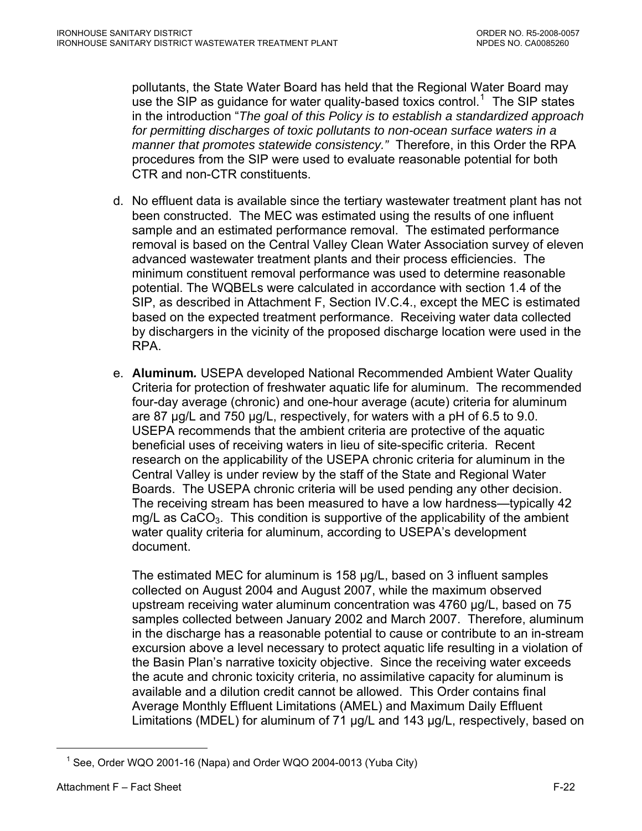pollutants, the State Water Board has held that the Regional Water Board may use the SIP as guidance for water quality-based toxics control.<sup>1</sup> The SIP states in the introduction "*The goal of this Policy is to establish a standardized approach for permitting discharges of toxic pollutants to non-ocean surface waters in a manner that promotes statewide consistency."* Therefore, in this Order the RPA procedures from the SIP were used to evaluate reasonable potential for both CTR and non-CTR constituents.

- d. No effluent data is available since the tertiary wastewater treatment plant has not been constructed. The MEC was estimated using the results of one influent sample and an estimated performance removal. The estimated performance removal is based on the Central Valley Clean Water Association survey of eleven advanced wastewater treatment plants and their process efficiencies. The minimum constituent removal performance was used to determine reasonable potential. The WQBELs were calculated in accordance with section 1.4 of the SIP, as described in [Attachment F, Section IV.C.4.](#page-96-0), except the MEC is estimated based on the expected treatment performance. Receiving water data collected by dischargers in the vicinity of the proposed discharge location were used in the RPA.
- e. **Aluminum***.* USEPA developed National Recommended Ambient Water Quality Criteria for protection of freshwater aquatic life for aluminum. The recommended four-day average (chronic) and one-hour average (acute) criteria for aluminum are 87 µg/L and 750 µg/L, respectively, for waters with a pH of 6.5 to 9.0. USEPA recommends that the ambient criteria are protective of the aquatic beneficial uses of receiving waters in lieu of site-specific criteria. Recent research on the applicability of the USEPA chronic criteria for aluminum in the Central Valley is under review by the staff of the State and Regional Water Boards. The USEPA chronic criteria will be used pending any other decision. The receiving stream has been measured to have a low hardness—typically 42 mg/L as  $CaCO<sub>3</sub>$ . This condition is supportive of the applicability of the ambient water quality criteria for aluminum, according to USEPA's development document.

The estimated MEC for aluminum is 158 µg/L, based on 3 influent samples collected on August 2004 and August 2007, while the maximum observed upstream receiving water aluminum concentration was 4760 µg/L, based on 75 samples collected between January 2002 and March 2007. Therefore, aluminum in the discharge has a reasonable potential to cause or contribute to an in-stream excursion above a level necessary to protect aquatic life resulting in a violation of the Basin Plan's narrative toxicity objective. Since the receiving water exceeds the acute and chronic toxicity criteria, no assimilative capacity for aluminum is available and a dilution credit cannot be allowed. This Order contains final Average Monthly Effluent Limitations (AMEL) and Maximum Daily Effluent Limitations (MDEL) for aluminum of 71 µg/L and 143 µg/L, respectively, based on

 $\overline{a}$ 

<sup>&</sup>lt;sup>1</sup> See, Order WQO 2001-16 (Napa) and Order WQO 2004-0013 (Yuba City)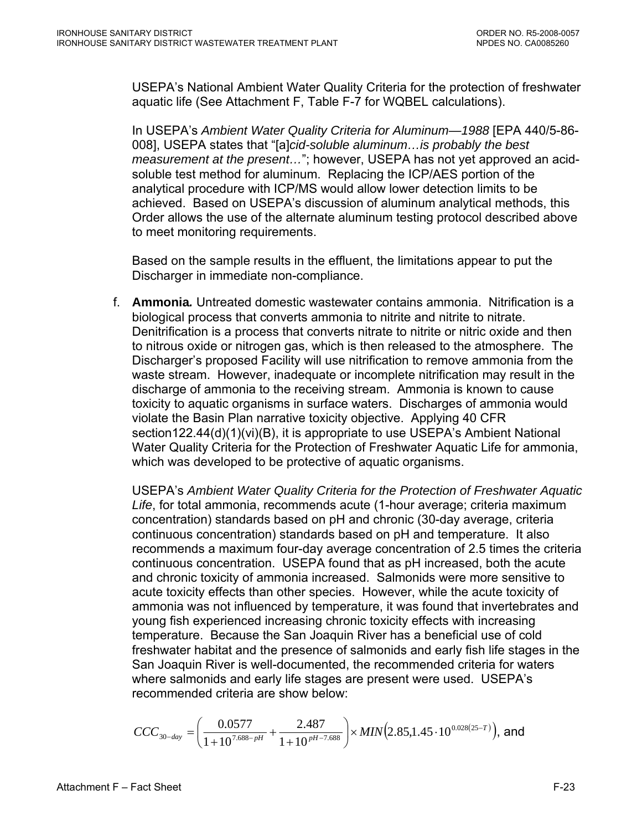USEPA's National Ambient Water Quality Criteria for the protection of freshwater aquatic life (See Attachment F, Table F-7 for WQBEL calculations).

In USEPA's *Ambient Water Quality Criteria for Aluminum—1988* [EPA 440/5-86- 008], USEPA states that "[a]*cid-soluble aluminum…is probably the best measurement at the present…*"; however, USEPA has not yet approved an acidsoluble test method for aluminum. Replacing the ICP/AES portion of the analytical procedure with ICP/MS would allow lower detection limits to be achieved. Based on USEPA's discussion of aluminum analytical methods, this Order allows the use of the alternate aluminum testing protocol described above to meet monitoring requirements.

Based on the sample results in the effluent, the limitations appear to put the Discharger in immediate non-compliance.

f. **Ammonia***.* Untreated domestic wastewater contains ammonia. Nitrification is a biological process that converts ammonia to nitrite and nitrite to nitrate. Denitrification is a process that converts nitrate to nitrite or nitric oxide and then to nitrous oxide or nitrogen gas, which is then released to the atmosphere. The Discharger's proposed Facility will use nitrification to remove ammonia from the waste stream. However, inadequate or incomplete nitrification may result in the discharge of ammonia to the receiving stream. Ammonia is known to cause toxicity to aquatic organisms in surface waters. Discharges of ammonia would violate the Basin Plan narrative toxicity objective. Applying 40 CFR section122.44(d)(1)(vi)(B), it is appropriate to use USEPA's Ambient National Water Quality Criteria for the Protection of Freshwater Aquatic Life for ammonia, which was developed to be protective of aquatic organisms.

USEPA's *Ambient Water Quality Criteria for the Protection of Freshwater Aquatic Life*, for total ammonia, recommends acute (1-hour average; criteria maximum concentration) standards based on pH and chronic (30-day average, criteria continuous concentration) standards based on pH and temperature. It also recommends a maximum four-day average concentration of 2.5 times the criteria continuous concentration. USEPA found that as pH increased, both the acute and chronic toxicity of ammonia increased. Salmonids were more sensitive to acute toxicity effects than other species. However, while the acute toxicity of ammonia was not influenced by temperature, it was found that invertebrates and young fish experienced increasing chronic toxicity effects with increasing temperature. Because the San Joaquin River has a beneficial use of cold freshwater habitat and the presence of salmonids and early fish life stages in the San Joaquin River is well-documented, the recommended criteria for waters where salmonids and early life stages are present were used. USEPA's recommended criteria are show below:

$$
CCC_{30-day} = \left(\frac{0.0577}{1+10^{7.688-pH}} + \frac{2.487}{1+10^{pH-7.688}}\right) \times MIN(2.85, 1.45 \cdot 10^{0.028(25-T)}), \text{ and}
$$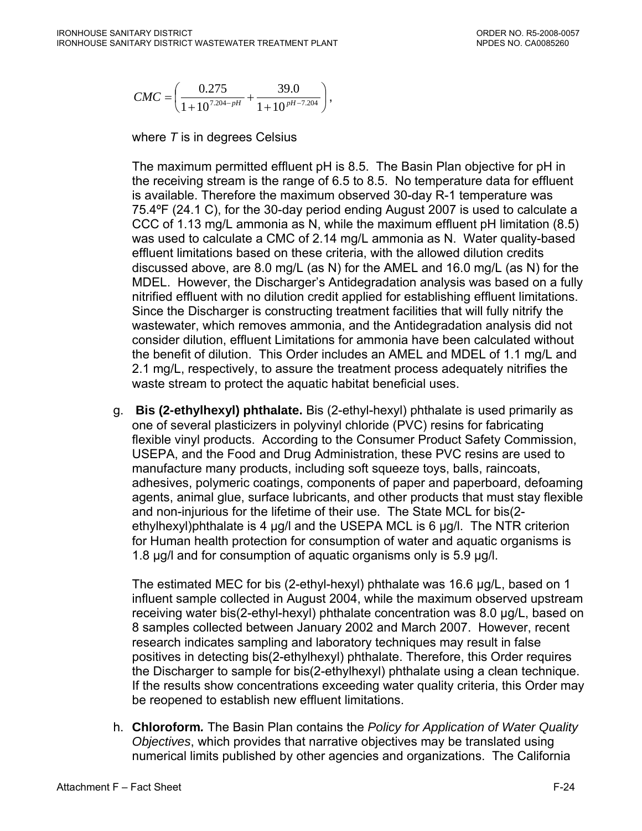$$
CMC = \left(\frac{0.275}{1 + 10^{7.204 - pH}} + \frac{39.0}{1 + 10^{pt - 7.204}}\right),
$$

where *T* is in degrees Celsius

The maximum permitted effluent pH is 8.5. The Basin Plan objective for pH in the receiving stream is the range of 6.5 to 8.5. No temperature data for effluent is available. Therefore the maximum observed 30-day R-1 temperature was 75.4ºF (24.1 C), for the 30-day period ending August 2007 is used to calculate a CCC of 1.13 mg/L ammonia as N, while the maximum effluent pH limitation (8.5) was used to calculate a CMC of 2.14 mg/L ammonia as N. Water quality-based effluent limitations based on these criteria, with the allowed dilution credits discussed above, are 8.0 mg/L (as N) for the AMEL and 16.0 mg/L (as N) for the MDEL. However, the Discharger's Antidegradation analysis was based on a fully nitrified effluent with no dilution credit applied for establishing effluent limitations. Since the Discharger is constructing treatment facilities that will fully nitrify the wastewater, which removes ammonia, and the Antidegradation analysis did not consider dilution, effluent Limitations for ammonia have been calculated without the benefit of dilution. This Order includes an AMEL and MDEL of 1.1 mg/L and 2.1 mg/L, respectively, to assure the treatment process adequately nitrifies the waste stream to protect the aquatic habitat beneficial uses.

g. **Bis (2-ethylhexyl) phthalate.** Bis (2-ethyl-hexyl) phthalate is used primarily as one of several plasticizers in polyvinyl chloride (PVC) resins for fabricating flexible vinyl products. According to the Consumer Product Safety Commission, USEPA, and the Food and Drug Administration, these PVC resins are used to manufacture many products, including soft squeeze toys, balls, raincoats, adhesives, polymeric coatings, components of paper and paperboard, defoaming agents, animal glue, surface lubricants, and other products that must stay flexible and non-injurious for the lifetime of their use. The State MCL for bis(2 ethylhexyl)phthalate is 4  $\mu$ g/l and the USEPA MCL is 6  $\mu$ g/l. The NTR criterion for Human health protection for consumption of water and aquatic organisms is 1.8 µg/l and for consumption of aquatic organisms only is 5.9 µg/l.

The estimated MEC for bis (2-ethyl-hexyl) phthalate was 16.6 µg/L, based on 1 influent sample collected in August 2004, while the maximum observed upstream receiving water bis(2-ethyl-hexyl) phthalate concentration was 8.0 µg/L, based on 8 samples collected between January 2002 and March 2007. However, recent research indicates sampling and laboratory techniques may result in false positives in detecting bis(2-ethylhexyl) phthalate. Therefore, this Order requires the Discharger to sample for bis(2-ethylhexyl) phthalate using a clean technique. If the results show concentrations exceeding water quality criteria, this Order may be reopened to establish new effluent limitations.

h. **Chloroform***.* The Basin Plan contains the *Policy for Application of Water Quality Objectives*, which provides that narrative objectives may be translated using numerical limits published by other agencies and organizations. The California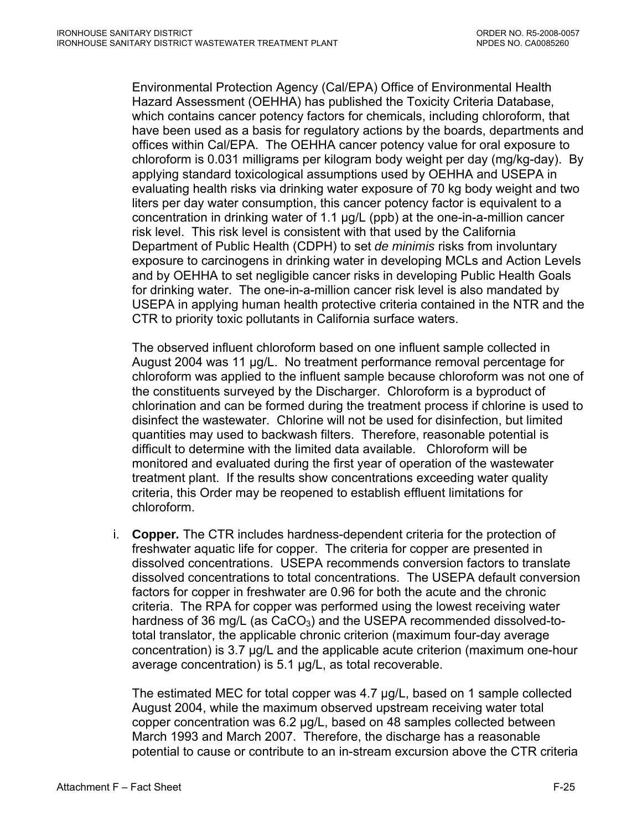Environmental Protection Agency (Cal/EPA) Office of Environmental Health Hazard Assessment (OEHHA) has published the Toxicity Criteria Database, which contains cancer potency factors for chemicals, including chloroform, that have been used as a basis for regulatory actions by the boards, departments and offices within Cal/EPA. The OEHHA cancer potency value for oral exposure to chloroform is 0.031 milligrams per kilogram body weight per day (mg/kg-day). By applying standard toxicological assumptions used by OEHHA and USEPA in evaluating health risks via drinking water exposure of 70 kg body weight and two liters per day water consumption, this cancer potency factor is equivalent to a concentration in drinking water of 1.1 µg/L (ppb) at the one-in-a-million cancer risk level. This risk level is consistent with that used by the California Department of Public Health (CDPH) to set *de minimis* risks from involuntary exposure to carcinogens in drinking water in developing MCLs and Action Levels and by OEHHA to set negligible cancer risks in developing Public Health Goals for drinking water. The one-in-a-million cancer risk level is also mandated by USEPA in applying human health protective criteria contained in the NTR and the CTR to priority toxic pollutants in California surface waters.

The observed influent chloroform based on one influent sample collected in August 2004 was 11 µg/L. No treatment performance removal percentage for chloroform was applied to the influent sample because chloroform was not one of the constituents surveyed by the Discharger. Chloroform is a byproduct of chlorination and can be formed during the treatment process if chlorine is used to disinfect the wastewater. Chlorine will not be used for disinfection, but limited quantities may used to backwash filters. Therefore, reasonable potential is difficult to determine with the limited data available. Chloroform will be monitored and evaluated during the first year of operation of the wastewater treatment plant. If the results show concentrations exceeding water quality criteria, this Order may be reopened to establish effluent limitations for chloroform.

i. **Copper***.* The CTR includes hardness-dependent criteria for the protection of freshwater aquatic life for copper. The criteria for copper are presented in dissolved concentrations. USEPA recommends conversion factors to translate dissolved concentrations to total concentrations. The USEPA default conversion factors for copper in freshwater are 0.96 for both the acute and the chronic criteria. The RPA for copper was performed using the lowest receiving water hardness of 36 mg/L (as  $CaCO<sub>3</sub>$ ) and the USEPA recommended dissolved-tototal translator, the applicable chronic criterion (maximum four-day average concentration) is 3.7 µg/L and the applicable acute criterion (maximum one-hour average concentration) is 5.1 µg/L, as total recoverable.

The estimated MEC for total copper was 4.7 µg/L, based on 1 sample collected August 2004, while the maximum observed upstream receiving water total copper concentration was 6.2 µg/L, based on 48 samples collected between March 1993 and March 2007. Therefore, the discharge has a reasonable potential to cause or contribute to an in-stream excursion above the CTR criteria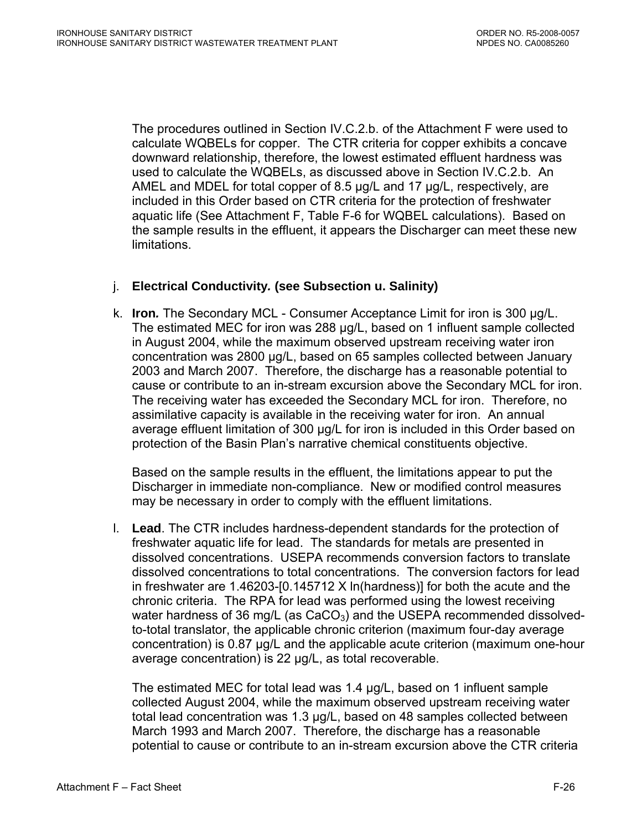The procedures outlined in Section IV.C.2.b. of the Attachment F were used to calculate WQBELs for copper. The CTR criteria for copper exhibits a concave downward relationship, therefore, the lowest estimated effluent hardness was used to calculate the WQBELs, as discussed above in Section IV.C.2.b. An AMEL and MDEL for total copper of 8.5 µg/L and 17 µg/L, respectively, are included in this Order based on CTR criteria for the protection of freshwater aquatic life (See Attachment F, Table F-6 for WQBEL calculations). Based on the sample results in the effluent, it appears the Discharger can meet these new limitations.

## j. **Electrical Conductivity***.* **(see Subsection u. Salinity)**

k. **Iron***.* The Secondary MCL - Consumer Acceptance Limit for iron is 300 µg/L. The estimated MEC for iron was 288 µg/L, based on 1 influent sample collected in August 2004, while the maximum observed upstream receiving water iron concentration was 2800 µg/L, based on 65 samples collected between January 2003 and March 2007. Therefore, the discharge has a reasonable potential to cause or contribute to an in-stream excursion above the Secondary MCL for iron. The receiving water has exceeded the Secondary MCL for iron. Therefore, no assimilative capacity is available in the receiving water for iron. An annual average effluent limitation of 300 µg/L for iron is included in this Order based on protection of the Basin Plan's narrative chemical constituents objective.

Based on the sample results in the effluent, the limitations appear to put the Discharger in immediate non-compliance. New or modified control measures may be necessary in order to comply with the effluent limitations.

l. **Lead**. The CTR includes hardness-dependent standards for the protection of freshwater aquatic life for lead. The standards for metals are presented in dissolved concentrations. USEPA recommends conversion factors to translate dissolved concentrations to total concentrations. The conversion factors for lead in freshwater are 1.46203-[0.145712 X ln(hardness)] for both the acute and the chronic criteria. The RPA for lead was performed using the lowest receiving water hardness of 36 mg/L (as  $CaCO<sub>3</sub>$ ) and the USEPA recommended dissolvedto-total translator, the applicable chronic criterion (maximum four-day average concentration) is 0.87 µg/L and the applicable acute criterion (maximum one-hour average concentration) is 22 µg/L, as total recoverable.

The estimated MEC for total lead was 1.4 µg/L, based on 1 influent sample collected August 2004, while the maximum observed upstream receiving water total lead concentration was 1.3 µg/L, based on 48 samples collected between March 1993 and March 2007. Therefore, the discharge has a reasonable potential to cause or contribute to an in-stream excursion above the CTR criteria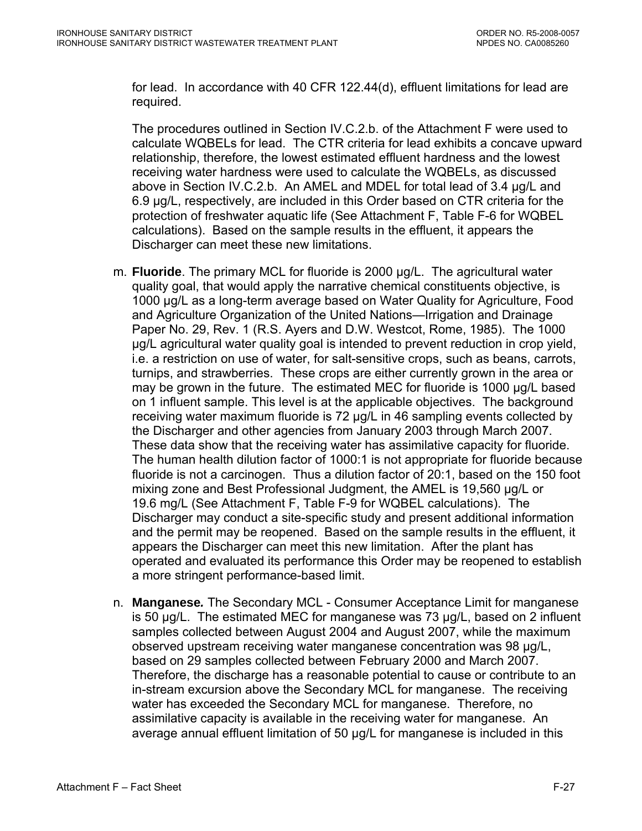for lead. In accordance with 40 CFR 122.44(d), effluent limitations for lead are required.

The procedures outlined in Section IV.C.2.b. of the Attachment F were used to calculate WQBELs for lead. The CTR criteria for lead exhibits a concave upward relationship, therefore, the lowest estimated effluent hardness and the lowest receiving water hardness were used to calculate the WQBELs, as discussed above in Section IV.C.2.b. An AMEL and MDEL for total lead of 3.4 µg/L and 6.9 µg/L, respectively, are included in this Order based on CTR criteria for the protection of freshwater aquatic life (See Attachment F, Table F-6 for WQBEL calculations). Based on the sample results in the effluent, it appears the Discharger can meet these new limitations.

- m. **Fluoride**. The primary MCL for fluoride is 2000 µg/L. The agricultural water quality goal, that would apply the narrative chemical constituents objective, is 1000 µg/L as a long-term average based on Water Quality for Agriculture, Food and Agriculture Organization of the United Nations—Irrigation and Drainage Paper No. 29, Rev. 1 (R.S. Ayers and D.W. Westcot, Rome, 1985). The 1000 µg/L agricultural water quality goal is intended to prevent reduction in crop yield, i.e. a restriction on use of water, for salt-sensitive crops, such as beans, carrots, turnips, and strawberries. These crops are either currently grown in the area or may be grown in the future. The estimated MEC for fluoride is 1000 µg/L based on 1 influent sample. This level is at the applicable objectives. The background receiving water maximum fluoride is 72 µg/L in 46 sampling events collected by the Discharger and other agencies from January 2003 through March 2007. These data show that the receiving water has assimilative capacity for fluoride. The human health dilution factor of 1000:1 is not appropriate for fluoride because fluoride is not a carcinogen. Thus a dilution factor of 20:1, based on the 150 foot mixing zone and Best Professional Judgment, the AMEL is 19,560 µg/L or 19.6 mg/L (See Attachment F, Table F-9 for WQBEL calculations). The Discharger may conduct a site-specific study and present additional information and the permit may be reopened. Based on the sample results in the effluent, it appears the Discharger can meet this new limitation. After the plant has operated and evaluated its performance this Order may be reopened to establish a more stringent performance-based limit.
- n. **Manganese***.* The Secondary MCL Consumer Acceptance Limit for manganese is 50 µg/L. The estimated MEC for manganese was 73 µg/L, based on 2 influent samples collected between August 2004 and August 2007, while the maximum observed upstream receiving water manganese concentration was 98 µg/L, based on 29 samples collected between February 2000 and March 2007. Therefore, the discharge has a reasonable potential to cause or contribute to an in-stream excursion above the Secondary MCL for manganese. The receiving water has exceeded the Secondary MCL for manganese. Therefore, no assimilative capacity is available in the receiving water for manganese. An average annual effluent limitation of 50 µg/L for manganese is included in this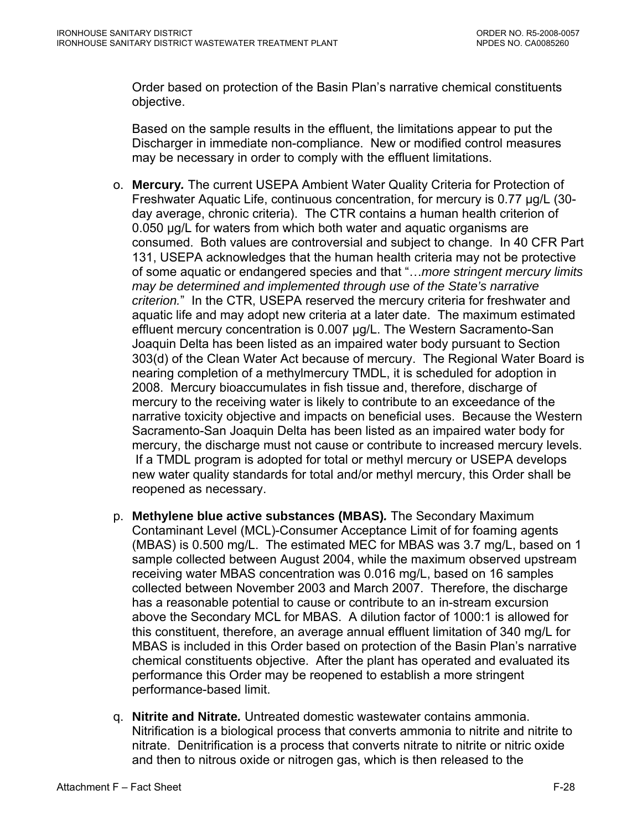Order based on protection of the Basin Plan's narrative chemical constituents objective.

Based on the sample results in the effluent, the limitations appear to put the Discharger in immediate non-compliance. New or modified control measures may be necessary in order to comply with the effluent limitations.

- o. **Mercury***.* The current USEPA Ambient Water Quality Criteria for Protection of Freshwater Aquatic Life, continuous concentration, for mercury is 0.77 µg/L (30 day average, chronic criteria). The CTR contains a human health criterion of 0.050 µg/L for waters from which both water and aquatic organisms are consumed. Both values are controversial and subject to change. In 40 CFR Part 131, USEPA acknowledges that the human health criteria may not be protective of some aquatic or endangered species and that "…*more stringent mercury limits may be determined and implemented through use of the State's narrative criterion.*" In the CTR, USEPA reserved the mercury criteria for freshwater and aquatic life and may adopt new criteria at a later date. The maximum estimated effluent mercury concentration is 0.007 µg/L. The Western Sacramento-San Joaquin Delta has been listed as an impaired water body pursuant to Section 303(d) of the Clean Water Act because of mercury. The Regional Water Board is nearing completion of a methylmercury TMDL, it is scheduled for adoption in 2008. Mercury bioaccumulates in fish tissue and, therefore, discharge of mercury to the receiving water is likely to contribute to an exceedance of the narrative toxicity objective and impacts on beneficial uses.Because the Western Sacramento-San Joaquin Delta has been listed as an impaired water body for mercury, the discharge must not cause or contribute to increased mercury levels. If a TMDL program is adopted for total or methyl mercury or USEPA develops new water quality standards for total and/or methyl mercury, this Order shall be reopened as necessary.
- p. **Methylene blue active substances (MBAS)***.* The Secondary Maximum Contaminant Level (MCL)-Consumer Acceptance Limit of for foaming agents (MBAS) is 0.500 mg/L. The estimated MEC for MBAS was 3.7 mg/L, based on 1 sample collected between August 2004, while the maximum observed upstream receiving water MBAS concentration was 0.016 mg/L, based on 16 samples collected between November 2003 and March 2007. Therefore, the discharge has a reasonable potential to cause or contribute to an in-stream excursion above the Secondary MCL for MBAS. A dilution factor of 1000:1 is allowed for this constituent, therefore, an average annual effluent limitation of 340 mg/L for MBAS is included in this Order based on protection of the Basin Plan's narrative chemical constituents objective. After the plant has operated and evaluated its performance this Order may be reopened to establish a more stringent performance-based limit.
- q. **Nitrite and Nitrate***.* Untreated domestic wastewater contains ammonia. Nitrification is a biological process that converts ammonia to nitrite and nitrite to nitrate. Denitrification is a process that converts nitrate to nitrite or nitric oxide and then to nitrous oxide or nitrogen gas, which is then released to the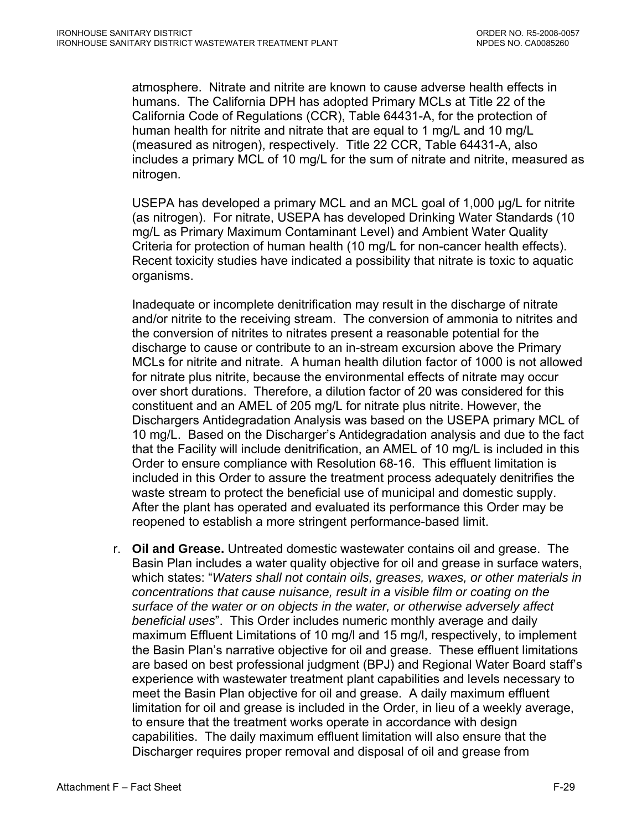atmosphere. Nitrate and nitrite are known to cause adverse health effects in humans. The California DPH has adopted Primary MCLs at Title 22 of the California Code of Regulations (CCR), Table 64431-A, for the protection of human health for nitrite and nitrate that are equal to 1 mg/L and 10 mg/L (measured as nitrogen), respectively. Title 22 CCR, Table 64431-A, also includes a primary MCL of 10 mg/L for the sum of nitrate and nitrite, measured as nitrogen.

USEPA has developed a primary MCL and an MCL goal of 1,000 µg/L for nitrite (as nitrogen). For nitrate, USEPA has developed Drinking Water Standards (10 mg/L as Primary Maximum Contaminant Level) and Ambient Water Quality Criteria for protection of human health (10 mg/L for non-cancer health effects). Recent toxicity studies have indicated a possibility that nitrate is toxic to aquatic organisms.

Inadequate or incomplete denitrification may result in the discharge of nitrate and/or nitrite to the receiving stream. The conversion of ammonia to nitrites and the conversion of nitrites to nitrates present a reasonable potential for the discharge to cause or contribute to an in-stream excursion above the Primary MCLs for nitrite and nitrate. A human health dilution factor of 1000 is not allowed for nitrate plus nitrite, because the environmental effects of nitrate may occur over short durations. Therefore, a dilution factor of 20 was considered for this constituent and an AMEL of 205 mg/L for nitrate plus nitrite. However, the Dischargers Antidegradation Analysis was based on the USEPA primary MCL of 10 mg/L. Based on the Discharger's Antidegradation analysis and due to the fact that the Facility will include denitrification, an AMEL of 10 mg/L is included in this Order to ensure compliance with Resolution 68-16. This effluent limitation is included in this Order to assure the treatment process adequately denitrifies the waste stream to protect the beneficial use of municipal and domestic supply. After the plant has operated and evaluated its performance this Order may be reopened to establish a more stringent performance-based limit.

r. **Oil and Grease.** Untreated domestic wastewater contains oil and grease. The Basin Plan includes a water quality objective for oil and grease in surface waters, which states: "*Waters shall not contain oils, greases, waxes, or other materials in concentrations that cause nuisance, result in a visible film or coating on the surface of the water or on objects in the water, or otherwise adversely affect beneficial uses*". This Order includes numeric monthly average and daily maximum Effluent Limitations of 10 mg/l and 15 mg/l, respectively, to implement the Basin Plan's narrative objective for oil and grease. These effluent limitations are based on best professional judgment (BPJ) and Regional Water Board staff's experience with wastewater treatment plant capabilities and levels necessary to meet the Basin Plan objective for oil and grease. A daily maximum effluent limitation for oil and grease is included in the Order, in lieu of a weekly average, to ensure that the treatment works operate in accordance with design capabilities. The daily maximum effluent limitation will also ensure that the Discharger requires proper removal and disposal of oil and grease from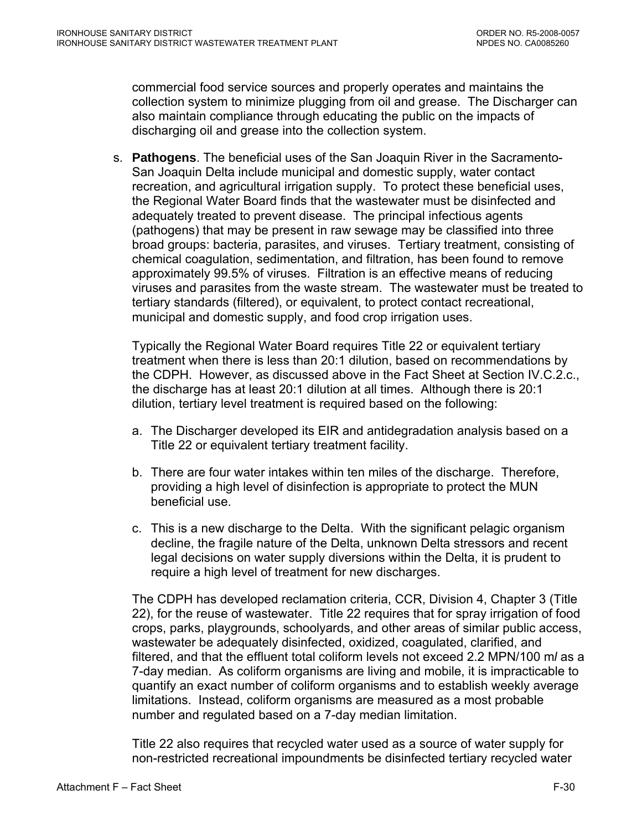commercial food service sources and properly operates and maintains the collection system to minimize plugging from oil and grease. The Discharger can also maintain compliance through educating the public on the impacts of discharging oil and grease into the collection system.

s. **Pathogens**. The beneficial uses of the San Joaquin River in the Sacramento-San Joaquin Delta include municipal and domestic supply, water contact recreation, and agricultural irrigation supply. To protect these beneficial uses, the Regional Water Board finds that the wastewater must be disinfected and adequately treated to prevent disease. The principal infectious agents (pathogens) that may be present in raw sewage may be classified into three broad groups: bacteria, parasites, and viruses. Tertiary treatment, consisting of chemical coagulation, sedimentation, and filtration, has been found to remove approximately 99.5% of viruses. Filtration is an effective means of reducing viruses and parasites from the waste stream. The wastewater must be treated to tertiary standards (filtered), or equivalent, to protect contact recreational, municipal and domestic supply, and food crop irrigation uses.

Typically the Regional Water Board requires Title 22 or equivalent tertiary treatment when there is less than 20:1 dilution, based on recommendations by the CDPH. However, as discussed above in the Fact Sheet at Section IV.C.2.c., the discharge has at least 20:1 dilution at all times. Although there is 20:1 dilution, tertiary level treatment is required based on the following:

- a. The Discharger developed its EIR and antidegradation analysis based on a Title 22 or equivalent tertiary treatment facility.
- b. There are four water intakes within ten miles of the discharge. Therefore, providing a high level of disinfection is appropriate to protect the MUN beneficial use.
- c. This is a new discharge to the Delta. With the significant pelagic organism decline, the fragile nature of the Delta, unknown Delta stressors and recent legal decisions on water supply diversions within the Delta, it is prudent to require a high level of treatment for new discharges.

The CDPH has developed reclamation criteria, CCR, Division 4, Chapter 3 (Title 22), for the reuse of wastewater. Title 22 requires that for spray irrigation of food crops, parks, playgrounds, schoolyards, and other areas of similar public access, wastewater be adequately disinfected, oxidized, coagulated, clarified, and filtered, and that the effluent total coliform levels not exceed 2.2 MPN/100 m*l* as a 7-day median. As coliform organisms are living and mobile, it is impracticable to quantify an exact number of coliform organisms and to establish weekly average limitations. Instead, coliform organisms are measured as a most probable number and regulated based on a 7-day median limitation.

Title 22 also requires that recycled water used as a source of water supply for non-restricted recreational impoundments be disinfected tertiary recycled water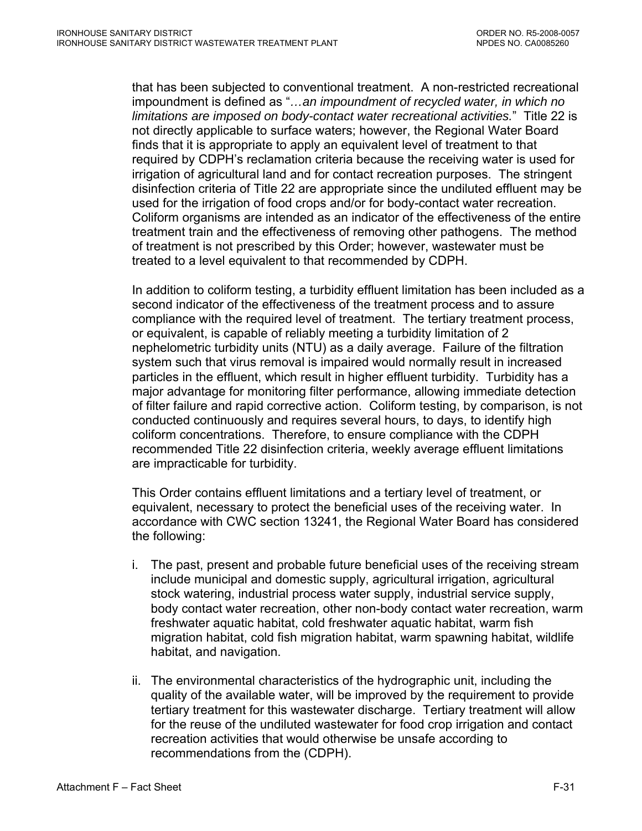that has been subjected to conventional treatment. A non-restricted recreational impoundment is defined as "*…an impoundment of recycled water, in which no limitations are imposed on body-contact water recreational activities.*" Title 22 is not directly applicable to surface waters; however, the Regional Water Board finds that it is appropriate to apply an equivalent level of treatment to that required by CDPH's reclamation criteria because the receiving water is used for irrigation of agricultural land and for contact recreation purposes. The stringent disinfection criteria of Title 22 are appropriate since the undiluted effluent may be used for the irrigation of food crops and/or for body-contact water recreation. Coliform organisms are intended as an indicator of the effectiveness of the entire treatment train and the effectiveness of removing other pathogens. The method of treatment is not prescribed by this Order; however, wastewater must be treated to a level equivalent to that recommended by CDPH.

In addition to coliform testing, a turbidity effluent limitation has been included as a second indicator of the effectiveness of the treatment process and to assure compliance with the required level of treatment. The tertiary treatment process, or equivalent, is capable of reliably meeting a turbidity limitation of 2 nephelometric turbidity units (NTU) as a daily average. Failure of the filtration system such that virus removal is impaired would normally result in increased particles in the effluent, which result in higher effluent turbidity. Turbidity has a major advantage for monitoring filter performance, allowing immediate detection of filter failure and rapid corrective action. Coliform testing, by comparison, is not conducted continuously and requires several hours, to days, to identify high coliform concentrations. Therefore, to ensure compliance with the CDPH recommended Title 22 disinfection criteria, weekly average effluent limitations are impracticable for turbidity.

This Order contains effluent limitations and a tertiary level of treatment, or equivalent, necessary to protect the beneficial uses of the receiving water. In accordance with CWC section 13241, the Regional Water Board has considered the following:

- i. The past, present and probable future beneficial uses of the receiving stream include municipal and domestic supply, agricultural irrigation, agricultural stock watering, industrial process water supply, industrial service supply, body contact water recreation, other non-body contact water recreation, warm freshwater aquatic habitat, cold freshwater aquatic habitat, warm fish migration habitat, cold fish migration habitat, warm spawning habitat, wildlife habitat, and navigation.
- ii. The environmental characteristics of the hydrographic unit, including the quality of the available water, will be improved by the requirement to provide tertiary treatment for this wastewater discharge. Tertiary treatment will allow for the reuse of the undiluted wastewater for food crop irrigation and contact recreation activities that would otherwise be unsafe according to recommendations from the (CDPH).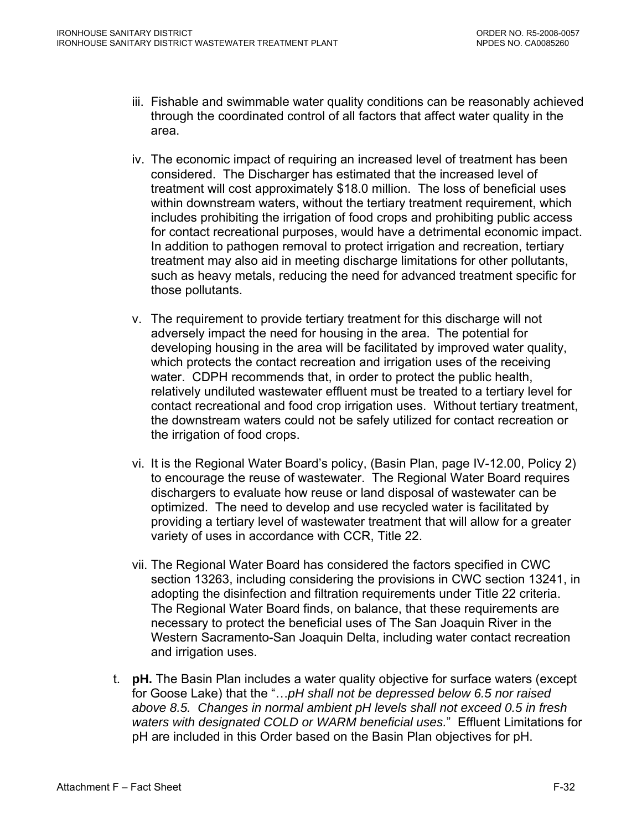- iii. Fishable and swimmable water quality conditions can be reasonably achieved through the coordinated control of all factors that affect water quality in the area.
- iv. The economic impact of requiring an increased level of treatment has been considered. The Discharger has estimated that the increased level of treatment will cost approximately \$18.0 million. The loss of beneficial uses within downstream waters, without the tertiary treatment requirement, which includes prohibiting the irrigation of food crops and prohibiting public access for contact recreational purposes, would have a detrimental economic impact. In addition to pathogen removal to protect irrigation and recreation, tertiary treatment may also aid in meeting discharge limitations for other pollutants, such as heavy metals, reducing the need for advanced treatment specific for those pollutants.
- v. The requirement to provide tertiary treatment for this discharge will not adversely impact the need for housing in the area. The potential for developing housing in the area will be facilitated by improved water quality, which protects the contact recreation and irrigation uses of the receiving water. CDPH recommends that, in order to protect the public health, relatively undiluted wastewater effluent must be treated to a tertiary level for contact recreational and food crop irrigation uses. Without tertiary treatment, the downstream waters could not be safely utilized for contact recreation or the irrigation of food crops.
- vi. It is the Regional Water Board's policy, (Basin Plan, page IV-12.00, Policy 2) to encourage the reuse of wastewater. The Regional Water Board requires dischargers to evaluate how reuse or land disposal of wastewater can be optimized. The need to develop and use recycled water is facilitated by providing a tertiary level of wastewater treatment that will allow for a greater variety of uses in accordance with CCR, Title 22.
- vii. The Regional Water Board has considered the factors specified in CWC section 13263, including considering the provisions in CWC section 13241, in adopting the disinfection and filtration requirements under Title 22 criteria. The Regional Water Board finds, on balance, that these requirements are necessary to protect the beneficial uses of The San Joaquin River in the Western Sacramento-San Joaquin Delta, including water contact recreation and irrigation uses.
- t. **pH.** The Basin Plan includes a water quality objective for surface waters (except for Goose Lake) that the "…*pH shall not be depressed below 6.5 nor raised above 8.5. Changes in normal ambient pH levels shall not exceed 0.5 in fresh waters with designated COLD or WARM beneficial uses.*" Effluent Limitations for pH are included in this Order based on the Basin Plan objectives for pH.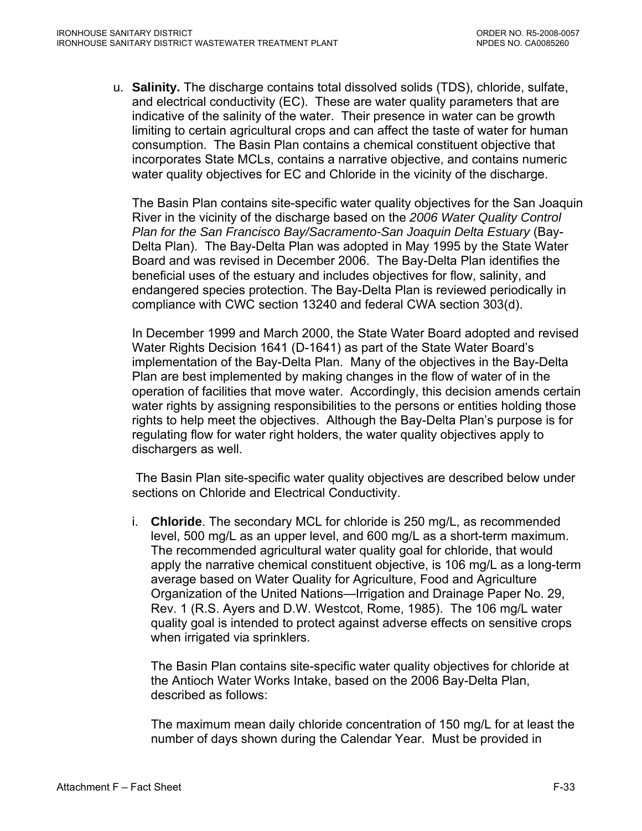u. **Salinity.** The discharge contains total dissolved solids (TDS), chloride, sulfate, and electrical conductivity (EC). These are water quality parameters that are indicative of the salinity of the water. Their presence in water can be growth limiting to certain agricultural crops and can affect the taste of water for human consumption. The Basin Plan contains a chemical constituent objective that incorporates State MCLs, contains a narrative objective, and contains numeric water quality objectives for EC and Chloride in the vicinity of the discharge.

The Basin Plan contains site-specific water quality objectives for the San Joaquin River in the vicinity of the discharge based on the *2006 Water Quality Control Plan for the San Francisco Bay/Sacramento-San Joaquin Delta Estuary* (Bay-Delta Plan). The Bay-Delta Plan was adopted in May 1995 by the State Water Board and was revised in December 2006. The Bay-Delta Plan identifies the beneficial uses of the estuary and includes objectives for flow, salinity, and endangered species protection. The Bay-Delta Plan is reviewed periodically in compliance with CWC section 13240 and federal CWA section 303(d).

 In December 1999 and March 2000, the State Water Board adopted and revised Water Rights Decision 1641 (D-1641) as part of the State Water Board's implementation of the Bay-Delta Plan. Many of the objectives in the Bay-Delta Plan are best implemented by making changes in the flow of water of in the operation of facilities that move water. Accordingly, this decision amends certain water rights by assigning responsibilities to the persons or entities holding those rights to help meet the objectives. Although the Bay-Delta Plan's purpose is for regulating flow for water right holders, the water quality objectives apply to dischargers as well.

 The Basin Plan site-specific water quality objectives are described below under sections on Chloride and Electrical Conductivity.

i. **Chloride**. The secondary MCL for chloride is 250 mg/L, as recommended level, 500 mg/L as an upper level, and 600 mg/L as a short-term maximum. The recommended agricultural water quality goal for chloride, that would apply the narrative chemical constituent objective, is 106 mg/L as a long-term average based on Water Quality for Agriculture, Food and Agriculture Organization of the United Nations—Irrigation and Drainage Paper No. 29, Rev. 1 (R.S. Ayers and D.W. Westcot, Rome, 1985). The 106 mg/L water quality goal is intended to protect against adverse effects on sensitive crops when irrigated via sprinklers.

The Basin Plan contains site-specific water quality objectives for chloride at the Antioch Water Works Intake, based on the 2006 Bay-Delta Plan, described as follows:

 The maximum mean daily chloride concentration of 150 mg/L for at least the number of days shown during the Calendar Year. Must be provided in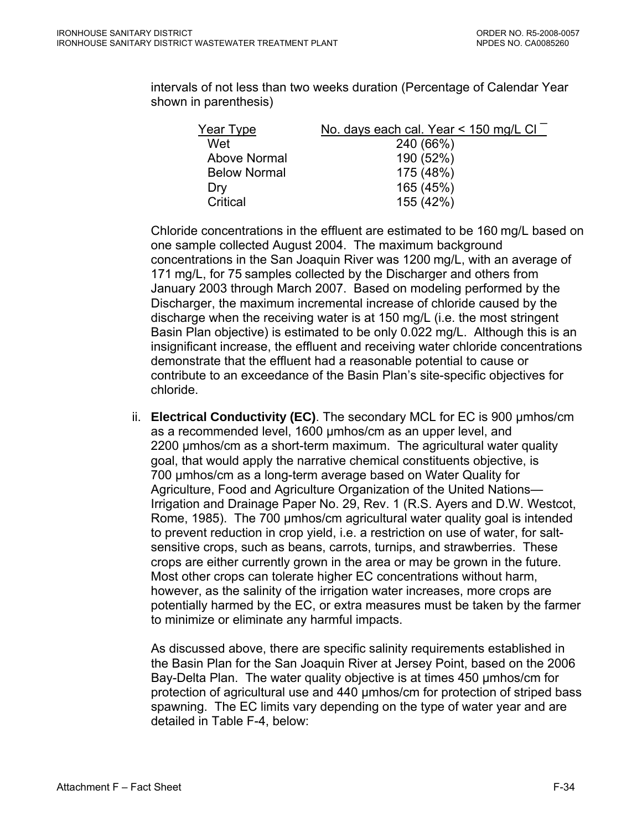intervals of not less than two weeks duration (Percentage of Calendar Year shown in parenthesis)

| Year Type           | No. days each cal. Year < 150 mg/L CI |
|---------------------|---------------------------------------|
| Wet                 | 240 (66%)                             |
| Above Normal        | 190 (52%)                             |
| <b>Below Normal</b> | 175 (48%)                             |
| Dry                 | 165 (45%)                             |
| Critical            | 155 (42%)                             |

Chloride concentrations in the effluent are estimated to be 160 mg/L based on one sample collected August 2004. The maximum background concentrations in the San Joaquin River was 1200 mg/L, with an average of 171 mg/L, for 75 samples collected by the Discharger and others from January 2003 through March 2007. Based on modeling performed by the Discharger, the maximum incremental increase of chloride caused by the discharge when the receiving water is at 150 mg/L (i.e. the most stringent Basin Plan objective) is estimated to be only 0.022 mg/L. Although this is an insignificant increase, the effluent and receiving water chloride concentrations demonstrate that the effluent had a reasonable potential to cause or contribute to an exceedance of the Basin Plan's site-specific objectives for chloride.

ii. **Electrical Conductivity (EC)**. The secondary MCL for EC is 900 µmhos/cm as a recommended level, 1600 µmhos/cm as an upper level, and 2200 µmhos/cm as a short-term maximum. The agricultural water quality goal, that would apply the narrative chemical constituents objective, is 700 µmhos/cm as a long-term average based on Water Quality for Agriculture, Food and Agriculture Organization of the United Nations— Irrigation and Drainage Paper No. 29, Rev. 1 (R.S. Ayers and D.W. Westcot, Rome, 1985). The 700 µmhos/cm agricultural water quality goal is intended to prevent reduction in crop yield, i.e. a restriction on use of water, for saltsensitive crops, such as beans, carrots, turnips, and strawberries. These crops are either currently grown in the area or may be grown in the future. Most other crops can tolerate higher EC concentrations without harm, however, as the salinity of the irrigation water increases, more crops are potentially harmed by the EC, or extra measures must be taken by the farmer to minimize or eliminate any harmful impacts.

As discussed above, there are specific salinity requirements established in the Basin Plan for the San Joaquin River at Jersey Point, based on the 2006 Bay-Delta Plan. The water quality objective is at times 450 µmhos/cm for protection of agricultural use and 440 µmhos/cm for protection of striped bass spawning. The EC limits vary depending on the type of water year and are detailed in Table F-4, below: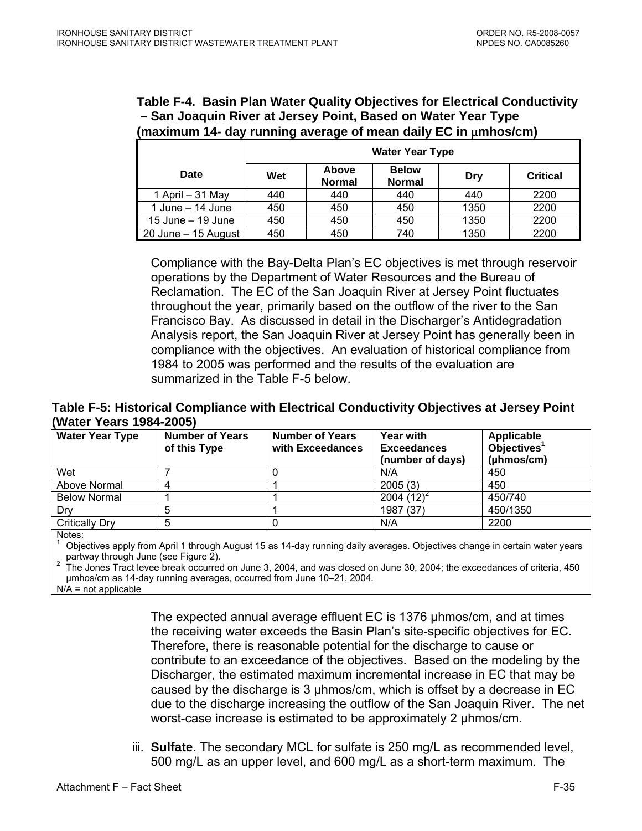**Table F-4. Basin Plan Water Quality Objectives for Electrical Conductivity – San Joaquin River at Jersey Point, Based on Water Year Type (maximum 14- day running average of mean daily EC in** μ**mhos/cm)** 

|                     | <b>Water Year Type</b>                                                                   |     |     |      |      |  |  |
|---------------------|------------------------------------------------------------------------------------------|-----|-----|------|------|--|--|
| Date                | Above<br><b>Below</b><br>Wet<br><b>Critical</b><br>Dry<br><b>Normal</b><br><b>Normal</b> |     |     |      |      |  |  |
| 1 April $-31$ May   | 440                                                                                      | 440 | 440 | 440  | 2200 |  |  |
| 1 June $-$ 14 June  | 450                                                                                      | 450 | 450 | 1350 | 2200 |  |  |
| 15 June $-$ 19 June | 450                                                                                      | 450 | 450 | 1350 | 2200 |  |  |
| 20 June - 15 August | 450                                                                                      | 450 | 740 | 1350 | 2200 |  |  |

Compliance with the Bay-Delta Plan's EC objectives is met through reservoir operations by the Department of Water Resources and the Bureau of Reclamation. The EC of the San Joaquin River at Jersey Point fluctuates throughout the year, primarily based on the outflow of the river to the San Francisco Bay. As discussed in detail in the Discharger's Antidegradation Analysis report, the San Joaquin River at Jersey Point has generally been in compliance with the objectives. An evaluation of historical compliance from 1984 to 2005 was performed and the results of the evaluation are summarized in the Table F-5 below.

### **Table F-5: Historical Compliance with Electrical Conductivity Objectives at Jersey Point (Water Years 1984-2005)**

| <b>Water Year Type</b> | <b>Number of Years</b><br>of this Type | <b>Number of Years</b><br>with Exceedances | <b>Year with</b><br><b>Exceedances</b><br>(number of days) | Applicable<br>Objectives <sup>1</sup><br>(µhmos/cm) |
|------------------------|----------------------------------------|--------------------------------------------|------------------------------------------------------------|-----------------------------------------------------|
| Wet                    |                                        |                                            | N/A                                                        | 450                                                 |
| Above Normal           |                                        |                                            | 2005(3)                                                    | 450                                                 |
| <b>Below Normal</b>    |                                        |                                            | 2004 $(12)^2$                                              | 450/740                                             |
| Drv                    |                                        |                                            | 1987 (37)                                                  | 450/1350                                            |
| <b>Critically Dry</b>  |                                        |                                            | N/A                                                        | 2200                                                |

Notes:

1 Objectives apply from April 1 through August 15 as 14-day running daily averages. Objectives change in certain water years partway through June (see Figure 2).

 The Jones Tract levee break occurred on June 3, 2004, and was closed on June 30, 2004; the exceedances of criteria, 450 μmhos/cm as 14-day running averages, occurred from June 10–21, 2004.

 $N/A$  = not applicable

The expected annual average effluent EC is 1376 µhmos/cm, and at times the receiving water exceeds the Basin Plan's site-specific objectives for EC. Therefore, there is reasonable potential for the discharge to cause or contribute to an exceedance of the objectives. Based on the modeling by the Discharger, the estimated maximum incremental increase in EC that may be caused by the discharge is 3 µhmos/cm, which is offset by a decrease in EC due to the discharge increasing the outflow of the San Joaquin River. The net worst-case increase is estimated to be approximately 2 µhmos/cm.

iii. **Sulfate**. The secondary MCL for sulfate is 250 mg/L as recommended level, 500 mg/L as an upper level, and 600 mg/L as a short-term maximum. The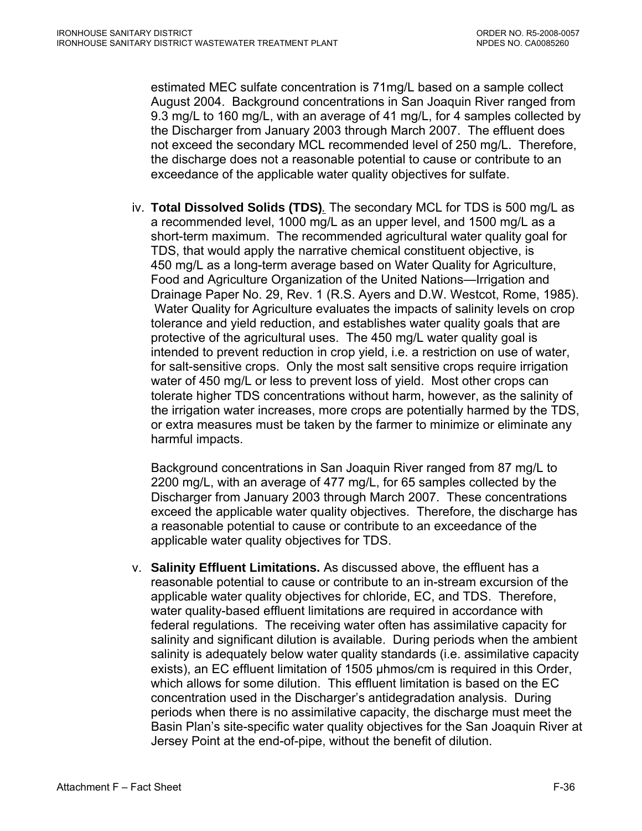estimated MEC sulfate concentration is 71mg/L based on a sample collect August 2004. Background concentrations in San Joaquin River ranged from 9.3 mg/L to 160 mg/L, with an average of 41 mg/L, for 4 samples collected by the Discharger from January 2003 through March 2007. The effluent does not exceed the secondary MCL recommended level of 250 mg/L. Therefore, the discharge does not a reasonable potential to cause or contribute to an exceedance of the applicable water quality objectives for sulfate.

iv. **Total Dissolved Solids (TDS)***.* The secondary MCL for TDS is 500 mg/L as a recommended level, 1000 mg/L as an upper level, and 1500 mg/L as a short-term maximum. The recommended agricultural water quality goal for TDS, that would apply the narrative chemical constituent objective, is 450 mg/L as a long-term average based on Water Quality for Agriculture, Food and Agriculture Organization of the United Nations—Irrigation and Drainage Paper No. 29, Rev. 1 (R.S. Ayers and D.W. Westcot, Rome, 1985). Water Quality for Agriculture evaluates the impacts of salinity levels on crop tolerance and yield reduction, and establishes water quality goals that are protective of the agricultural uses. The 450 mg/L water quality goal is intended to prevent reduction in crop yield, i.e. a restriction on use of water, for salt-sensitive crops. Only the most salt sensitive crops require irrigation water of 450 mg/L or less to prevent loss of yield. Most other crops can tolerate higher TDS concentrations without harm, however, as the salinity of the irrigation water increases, more crops are potentially harmed by the TDS, or extra measures must be taken by the farmer to minimize or eliminate any harmful impacts.

Background concentrations in San Joaquin River ranged from 87 mg/L to 2200 mg/L, with an average of 477 mg/L, for 65 samples collected by the Discharger from January 2003 through March 2007. These concentrations exceed the applicable water quality objectives. Therefore, the discharge has a reasonable potential to cause or contribute to an exceedance of the applicable water quality objectives for TDS.

v. **Salinity Effluent Limitations.** As discussed above, the effluent has a reasonable potential to cause or contribute to an in-stream excursion of the applicable water quality objectives for chloride, EC, and TDS. Therefore, water quality-based effluent limitations are required in accordance with federal regulations. The receiving water often has assimilative capacity for salinity and significant dilution is available. During periods when the ambient salinity is adequately below water quality standards (i.e. assimilative capacity exists), an EC effluent limitation of 1505 µhmos/cm is required in this Order, which allows for some dilution. This effluent limitation is based on the EC concentration used in the Discharger's antidegradation analysis. During periods when there is no assimilative capacity, the discharge must meet the Basin Plan's site-specific water quality objectives for the San Joaquin River at Jersey Point at the end-of-pipe, without the benefit of dilution.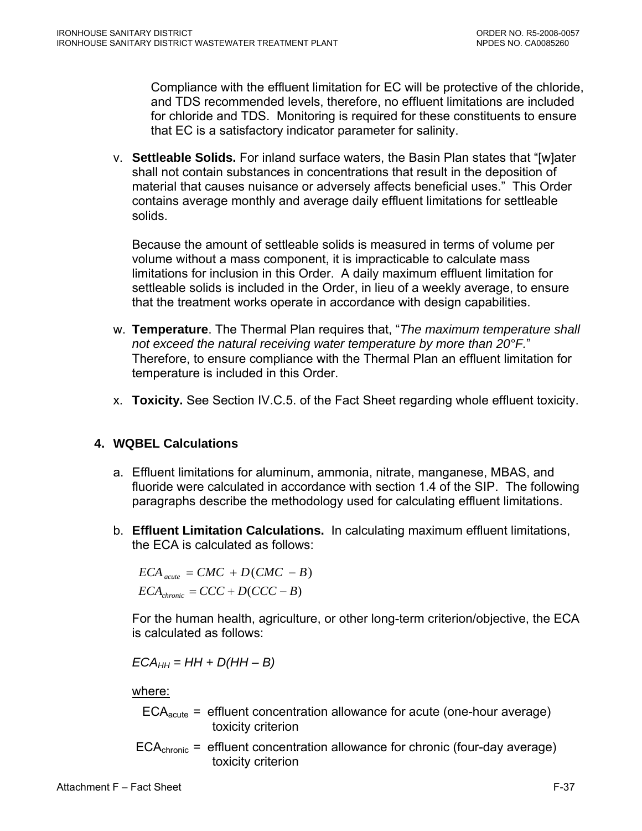<span id="page-96-0"></span>Compliance with the effluent limitation for EC will be protective of the chloride, and TDS recommended levels, therefore, no effluent limitations are included for chloride and TDS. Monitoring is required for these constituents to ensure that EC is a satisfactory indicator parameter for salinity.

v. **Settleable Solids.** For inland surface waters, the Basin Plan states that "[w]ater shall not contain substances in concentrations that result in the deposition of material that causes nuisance or adversely affects beneficial uses." This Order contains average monthly and average daily effluent limitations for settleable solids.

Because the amount of settleable solids is measured in terms of volume per volume without a mass component, it is impracticable to calculate mass limitations for inclusion in this Order. A daily maximum effluent limitation for settleable solids is included in the Order, in lieu of a weekly average, to ensure that the treatment works operate in accordance with design capabilities.

- w. **Temperature**. The Thermal Plan requires that, "*The maximum temperature shall not exceed the natural receiving water temperature by more than 20°F.*" Therefore, to ensure compliance with the Thermal Plan an effluent limitation for temperature is included in this Order.
- x. **Toxicity.** See Section IV.C.5. of the Fact Sheet regarding whole effluent toxicity.

# **4. WQBEL Calculations**

- a. Effluent limitations for aluminum, ammonia, nitrate, manganese, MBAS, and fluoride were calculated in accordance with section 1.4 of the SIP. The following paragraphs describe the methodology used for calculating effluent limitations.
- b. **Effluent Limitation Calculations.** In calculating maximum effluent limitations, the ECA is calculated as follows:

 $ECA$ <sub>*acute</sub>* =  $CMC + D(CMC - B)$ </sub>  $ECA_{chromic} = CCC + D(CCC - B)$ 

For the human health, agriculture, or other long-term criterion/objective, the ECA is calculated as follows:

$$
ECA_{HH} = HH + D(HH - B)
$$

where:

- $ECA<sub>acute</sub> = effluent concentration allowed for acute (one-hour average)$ toxicity criterion
- $ECA<sub>chronic</sub> = effluent concentration allowed for chronic (four-day average)$ toxicity criterion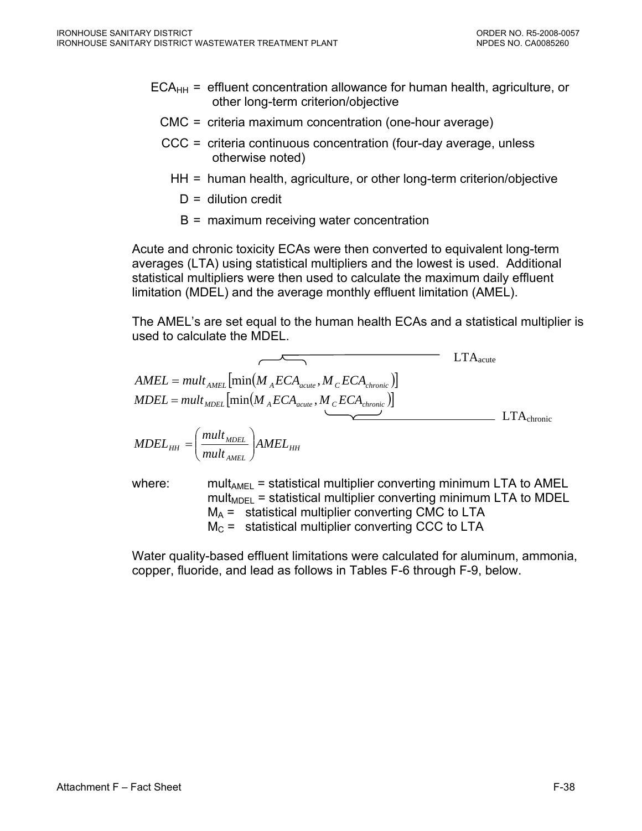- $ECA<sub>HH</sub>$  = effluent concentration allowance for human health, agriculture, or other long-term criterion/objective
	- CMC = criteria maximum concentration (one-hour average)
	- CCC = criteria continuous concentration (four-day average, unless otherwise noted)
		- HH = human health, agriculture, or other long-term criterion/objective
			- $D =$  dilution credit
			- B = maximum receiving water concentration

Acute and chronic toxicity ECAs were then converted to equivalent long-term averages (LTA) using statistical multipliers and the lowest is used. Additional statistical multipliers were then used to calculate the maximum daily effluent limitation (MDEL) and the average monthly effluent limitation (AMEL).

The AMEL's are set equal to the human health ECAs and a statistical multiplier is used to calculate the MDEL.

$$
AMEL = mult_{AMEL} \left[ min(M_{A}ECA_{acute}, M_{C}ECA_{chronic}) \right]
$$
  
\n
$$
MDEL = mult_{MDEL} \left[ min(M_{A}ECA_{acute}, M_{C}ECA_{chronic}) \right]
$$
  
\n
$$
MDEL_{HH} = \left( \frac{mult_{MDEL}}{mult_{AMEL}} \right) AMEL_{HH}
$$
  
\n
$$
LTA_{chronic}
$$

where: mult<sub>AMEL</sub> = statistical multiplier converting minimum LTA to AMEL mult<sub>MDEL</sub> = statistical multiplier converting minimum LTA to MDEL  $M_A$  = statistical multiplier converting CMC to LTA  $M<sub>C</sub>$  = statistical multiplier converting CCC to LTA

Water quality-based effluent limitations were calculated for aluminum, ammonia, copper, fluoride, and lead as follows in Tables F-6 through F-9, below.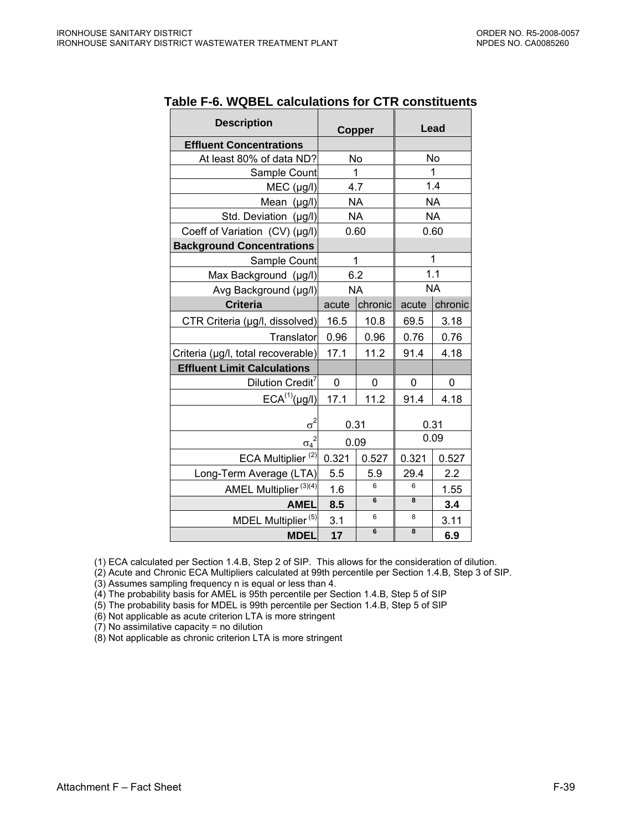| <b>Description</b>                      | Copper    |         | Lead      |           |
|-----------------------------------------|-----------|---------|-----------|-----------|
| <b>Effluent Concentrations</b>          |           |         |           |           |
| At least 80% of data ND?                | No        |         | No        |           |
| Sample Count                            |           | 1       |           | 1         |
| MEC (µg/l)                              | 4.7       |         |           | 1.4       |
| Mean $(\mu g/l)$                        | <b>NA</b> |         |           | <b>NA</b> |
| Std. Deviation (µg/l)                   | <b>NA</b> |         |           | <b>NA</b> |
| Coeff of Variation (CV) (µg/l)          | 0.60      |         |           | 0.60      |
| <b>Background Concentrations</b>        |           |         |           |           |
| Sample Count                            | 1         |         |           | 1         |
| Max Background (µg/l)                   | 6.2       |         | 1.1       |           |
| Avg Background (µg/l)                   | <b>NA</b> |         | <b>NA</b> |           |
| <b>Criteria</b>                         | acute     | chronic | acute     | chronic   |
| CTR Criteria (µg/l, dissolved)          | 16.5      | 10.8    | 69.5      | 3.18      |
| Translator                              | 0.96      | 0.96    | 0.76      | 0.76      |
| Criteria (µg/l, total recoverable)      | 17.1      | 11.2    | 91.4      | 4.18      |
| <b>Effluent Limit Calculations</b>      |           |         |           |           |
| Dilution Credit <sup>7</sup>            | 0         | 0       | 0         | 0         |
| $ECA^{(1)}(\mu g/I)$                    | 17.1      | 11.2    | 91.4      | 4.18      |
| $\underline{\sigma}^2$                  | 0.31      |         | 0.31      |           |
| $\sigma_4$ <sup><math>\sim</math></sup> | 0.09      |         | 0.09      |           |
| ECA Multiplier <sup>(2)</sup>           | 0.321     | 0.527   | 0.321     | 0.527     |
| Long-Term Average (LTA)                 | 5.5       | 5.9     | 29.4      | 2.2       |
| AMEL Multiplier <sup>(3)(4)</sup>       | 1.6       | 6       | 6         | 1.55      |
| <b>AMEL</b>                             | 8.5       | 6       | 8         | 3.4       |
| MDEL Multiplier <sup>(5)</sup>          | 3.1       | 6       | 8         | 3.11      |
| <b>MDEL</b>                             | 17        | 6       | 8         | 6.9       |

### **Table F-6. WQBEL calculations for CTR constituents**

(1) ECA calculated per Section 1.4.B, Step 2 of SIP. This allows for the consideration of dilution.

(2) Acute and Chronic ECA Multipliers calculated at 99th percentile per Section 1.4.B, Step 3 of SIP.

(3) Assumes sampling frequency n is equal or less than 4.

(4) The probability basis for AMEL is 95th percentile per Section 1.4.B, Step 5 of SIP

(5) The probability basis for MDEL is 99th percentile per Section 1.4.B, Step 5 of SIP

(6) Not applicable as acute criterion LTA is more stringent

(7) No assimilative capacity = no dilution

(8) Not applicable as chronic criterion LTA is more stringent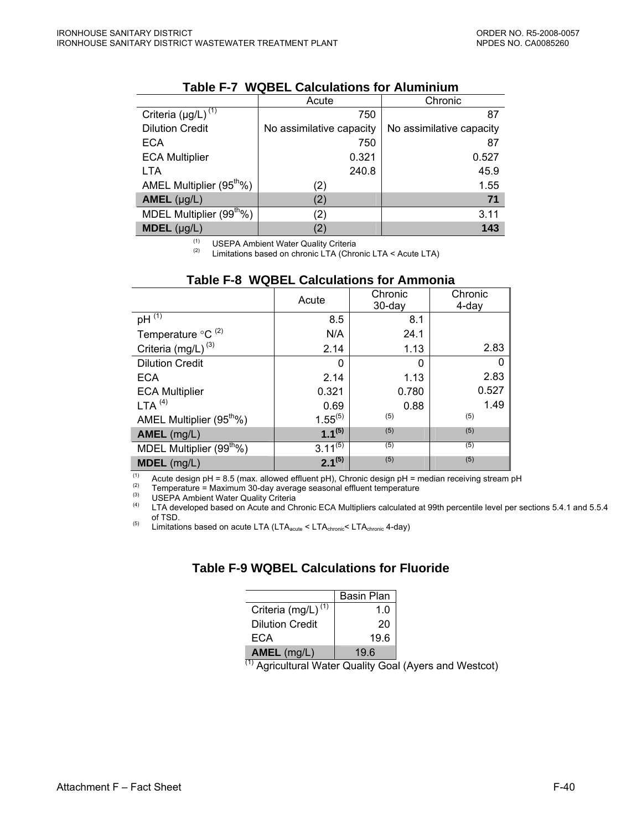|                                      | Acute                    | Chronic                  |
|--------------------------------------|--------------------------|--------------------------|
| Criteria $(\mu g/L)^{(1)}$           | 750                      | 87                       |
| <b>Dilution Credit</b>               | No assimilative capacity | No assimilative capacity |
| ECA                                  | 750                      | 87                       |
| <b>ECA Multiplier</b>                | 0.321                    | 0.527                    |
| <b>LTA</b>                           | 240.8                    | 45.9                     |
| AMEL Multiplier (95 <sup>th</sup> %) | (2)                      | 1.55                     |
| $AMEL$ (µg/L)                        | (2)                      | 71                       |
| MDEL Multiplier (99 <sup>th</sup> %) | (2)                      | 3.11                     |
| $MDEL$ (µg/L)                        |                          | 143                      |

#### **Table F-7 WQBEL Calculations for Aluminium**

(1) USEPA Ambient Water Quality Criteria<br>(2) Unitations begad an episode LTA (Chro

Limitations based on chronic LTA (Chronic LTA < Acute LTA)

|                                           | Chronic<br>Acute<br>$30$ -day |       | Chronic<br>4-day |
|-------------------------------------------|-------------------------------|-------|------------------|
| pH $\overline{^{(1)}}$                    | 8.5                           | 8.1   |                  |
| Temperature ${}^{\circ}$ C <sup>(2)</sup> | N/A                           | 24.1  |                  |
| Criteria (mg/L) <sup>(3)</sup>            | 2.14                          | 1.13  | 2.83             |
| <b>Dilution Credit</b>                    | 0                             | 0     | 0                |
| <b>ECA</b>                                | 2.14                          | 1.13  | 2.83             |
| <b>ECA Multiplier</b>                     | 0.321                         | 0.780 | 0.527            |
| LTA <sup>(4)</sup>                        | 0.69                          | 0.88  | 1.49             |
| AMEL Multiplier (95 <sup>th</sup> %)      | $1.55^{(5)}$                  | (5)   | (5)              |
| AMEL (mg/L)                               | $1.1^{(5)}$                   | (5)   | (5)              |
| MDEL Multiplier (99 <sup>th</sup> %)      | $3.11^{(5)}$                  | (5)   | (5)              |
| MDEL (mg/L)                               | $2.1^{(5)}$                   | (5)   | (5)              |

### **Table F-8 WQBEL Calculations for Ammonia**

(1) <sup>(1)</sup> Acute design pH = 8.5 (max. allowed effluent pH), Chronic design pH = median receiving stream pH (2) Temperature = Maximum 30-day average seasonal effluent temperature

(3) USEPA Ambient Water Quality Criteria<br>
LTA developed based on Acute and Chronic ECA Multipliers calculated at 99th percentile level per sections 5.4.1 and 5.5.4 of TSD.

(5)  $\frac{1}{100}$  Limitations based on acute LTA (LTA<sub>acute</sub> < LTA<sub>chronic</sub> < LTA<sub>chronic</sub> 4-day)

## **Table F-9 WQBEL Calculations for Fluoride**

|                                | Basin Plan |
|--------------------------------|------------|
| Criteria (mg/L) <sup>(1)</sup> | 1.0        |
| <b>Dilution Credit</b>         | 20         |
| ECA                            | 19.6       |
| AMEL (mg/L)                    | 19.6       |

 $\overline{^{(1)}}$  Agricultural Water Quality Goal (Ayers and Westcot)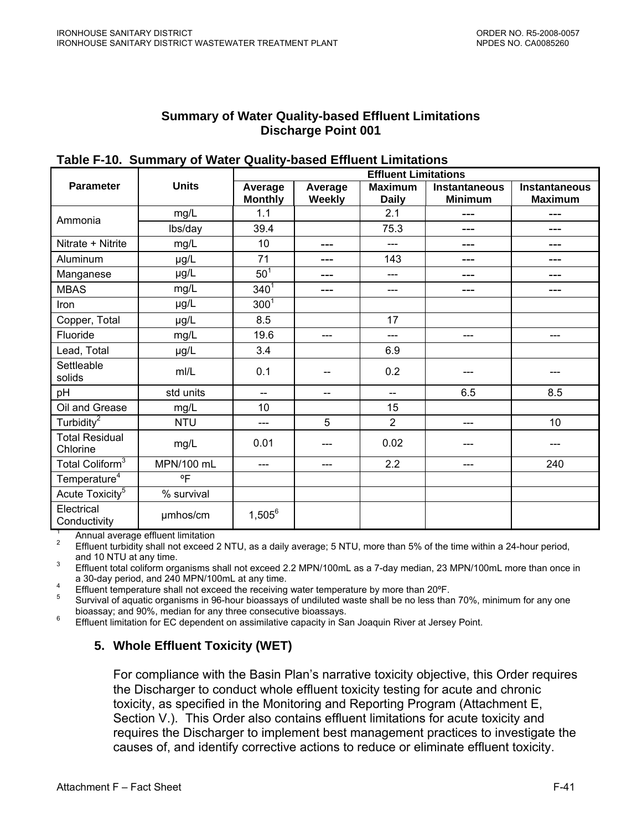## **Summary of Water Quality-based Effluent Limitations Discharge Point 001**

|                                   | <b>Units</b> | <b>Effluent Limitations</b> |                          |                                |                                        |                                        |  |
|-----------------------------------|--------------|-----------------------------|--------------------------|--------------------------------|----------------------------------------|----------------------------------------|--|
| <b>Parameter</b>                  |              | Average<br><b>Monthly</b>   | Average<br><b>Weekly</b> | <b>Maximum</b><br><b>Daily</b> | <b>Instantaneous</b><br><b>Minimum</b> | <b>Instantaneous</b><br><b>Maximum</b> |  |
| Ammonia                           | mg/L         | 1.1                         |                          | 2.1                            | ---                                    | ---                                    |  |
|                                   | lbs/day      | 39.4                        |                          | 75.3                           | ---                                    | ---                                    |  |
| Nitrate + Nitrite                 | mg/L         | 10                          | ---                      | ---                            | ---                                    | ---                                    |  |
| Aluminum                          | µg/L         | 71                          | ---                      | 143                            | ---                                    | ---                                    |  |
| Manganese                         | µg/L         | 50 <sup>1</sup>             | ---                      | ---                            | ---                                    | ---                                    |  |
| <b>MBAS</b>                       | mg/L         | $340^{1}$                   | ---                      | ---                            |                                        | ---                                    |  |
| Iron                              | µg/L         | $300^1$                     |                          |                                |                                        |                                        |  |
| Copper, Total                     | µg/L         | 8.5                         |                          | 17                             |                                        |                                        |  |
| Fluoride                          | mg/L         | 19.6                        | ---                      | ---                            | ---                                    | ---                                    |  |
| Lead, Total                       | µg/L         | 3.4                         |                          | 6.9                            |                                        |                                        |  |
| Settleable<br>solids              | m/L          | 0.1                         | $-$                      | 0.2                            |                                        |                                        |  |
| pH                                | std units    | $\overline{a}$              | $-$                      | $-$                            | 6.5                                    | 8.5                                    |  |
| Oil and Grease                    | mg/L         | 10                          |                          | 15                             |                                        |                                        |  |
| Turbidity <sup>2</sup>            | <b>NTU</b>   | ---                         | 5                        | $\overline{2}$                 | $---$                                  | 10                                     |  |
| <b>Total Residual</b><br>Chlorine | mg/L         | 0.01                        |                          | 0.02                           |                                        |                                        |  |
| Total Coliform <sup>3</sup>       | MPN/100 mL   | ---                         | ---                      | 2.2                            | ---                                    | 240                                    |  |
| Temperature <sup>4</sup>          | $^{\circ}$ F |                             |                          |                                |                                        |                                        |  |
| Acute Toxicity <sup>5</sup>       | % survival   |                             |                          |                                |                                        |                                        |  |
| Electrical<br>Conductivity        | umhos/cm     | $1,505^6$                   |                          |                                |                                        |                                        |  |

**Table F-10. Summary of Water Quality-based Effluent Limitations** 

<sup>1</sup> Annual average effluent limitation<br><sup>2</sup> Effluent turbidity shall not exceed 2 NTU, as a daily average; 5 NTU, more than 5% of the time within a 24-hour period, and 10 NTU at any time.

 Effluent total coliform organisms shall not exceed 2.2 MPN/100mL as a 7-day median, 23 MPN/100mL more than once in a 30-day period, and 240 MPN/100mL at any time.

<sup>4</sup> Effluent temperature shall not exceed the receiving water temperature by more than 20°F.

 Survival of aquatic organisms in 96-hour bioassays of undiluted waste shall be no less than 70%, minimum for any one bioassay; and 90%, median for any three consecutive bioassays.

Effluent limitation for EC dependent on assimilative capacity in San Joaquin River at Jersey Point.

# **5. Whole Effluent Toxicity (WET)**

For compliance with the Basin Plan's narrative toxicity objective, this Order requires the Discharger to conduct whole effluent toxicity testing for acute and chronic toxicity, as specified in the Monitoring and Reporting Program (Attachment E, Section V.). This Order also contains effluent limitations for acute toxicity and requires the Discharger to implement best management practices to investigate the causes of, and identify corrective actions to reduce or eliminate effluent toxicity.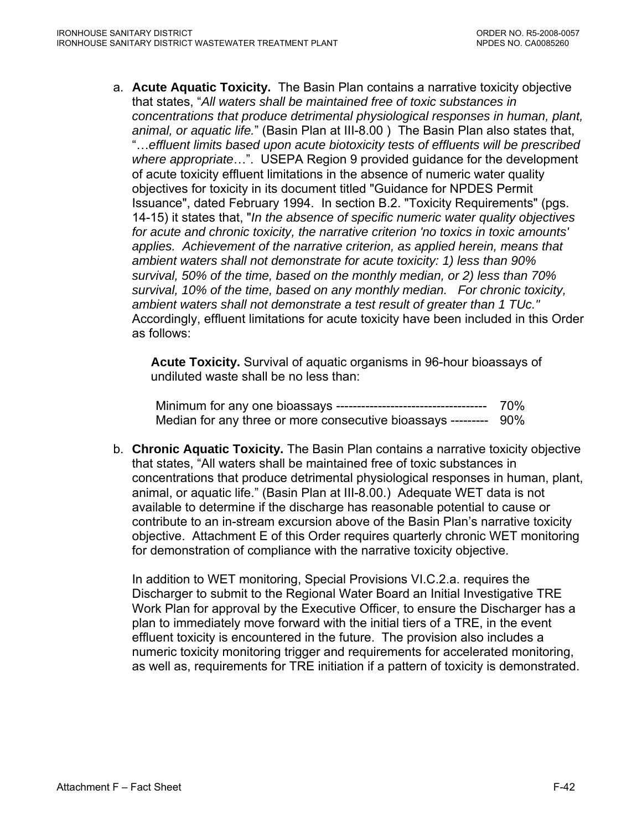a. **Acute Aquatic Toxicity.** The Basin Plan contains a narrative toxicity objective that states, "*All waters shall be maintained free of toxic substances in concentrations that produce detrimental physiological responses in human, plant, animal, or aquatic life.*" (Basin Plan at III-8.00 ) The Basin Plan also states that, "…*effluent limits based upon acute biotoxicity tests of effluents will be prescribed where appropriate*…". USEPA Region 9 provided guidance for the development of acute toxicity effluent limitations in the absence of numeric water quality objectives for toxicity in its document titled "Guidance for NPDES Permit Issuance", dated February 1994. In section B.2. "Toxicity Requirements" (pgs. 14-15) it states that, "*In the absence of specific numeric water quality objectives for acute and chronic toxicity, the narrative criterion 'no toxics in toxic amounts' applies. Achievement of the narrative criterion, as applied herein, means that ambient waters shall not demonstrate for acute toxicity: 1) less than 90% survival, 50% of the time, based on the monthly median, or 2) less than 70% survival, 10% of the time, based on any monthly median. For chronic toxicity, ambient waters shall not demonstrate a test result of greater than 1 TUc."* Accordingly, effluent limitations for acute toxicity have been included in this Order as follows:

**Acute Toxicity.** Survival of aquatic organisms in 96-hour bioassays of undiluted waste shall be no less than:

Minimum for any one bioassays ------------------------------------ 70% Median for any three or more consecutive bioassays --------- 90%

b. **Chronic Aquatic Toxicity.** The Basin Plan contains a narrative toxicity objective that states, "All waters shall be maintained free of toxic substances in concentrations that produce detrimental physiological responses in human, plant, animal, or aquatic life." (Basin Plan at III-8.00.) Adequate WET data is not available to determine if the discharge has reasonable potential to cause or contribute to an in-stream excursion above of the Basin Plan's narrative toxicity objective. Attachment E of this Order requires quarterly chronic WET monitoring for demonstration of compliance with the narrative toxicity objective.

 In addition to WET monitoring, Special Provisions VI.C.2.a. requires the Discharger to submit to the Regional Water Board an Initial Investigative TRE Work Plan for approval by the Executive Officer, to ensure the Discharger has a plan to immediately move forward with the initial tiers of a TRE, in the event effluent toxicity is encountered in the future. The provision also includes a numeric toxicity monitoring trigger and requirements for accelerated monitoring, as well as, requirements for TRE initiation if a pattern of toxicity is demonstrated.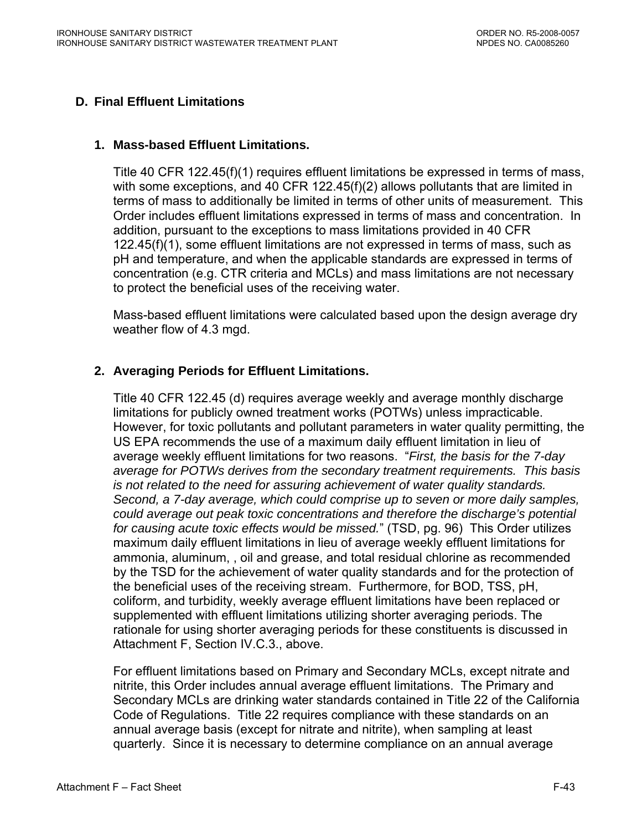# **D. Final Effluent Limitations**

## **1. Mass-based Effluent Limitations.**

Title 40 CFR 122.45(f)(1) requires effluent limitations be expressed in terms of mass, with some exceptions, and 40 CFR 122.45(f)(2) allows pollutants that are limited in terms of mass to additionally be limited in terms of other units of measurement. This Order includes effluent limitations expressed in terms of mass and concentration. In addition, pursuant to the exceptions to mass limitations provided in 40 CFR 122.45(f)(1), some effluent limitations are not expressed in terms of mass, such as pH and temperature, and when the applicable standards are expressed in terms of concentration (e.g. CTR criteria and MCLs) and mass limitations are not necessary to protect the beneficial uses of the receiving water.

Mass-based effluent limitations were calculated based upon the design average dry weather flow of 4.3 mgd.

# **2. Averaging Periods for Effluent Limitations.**

Title 40 CFR 122.45 (d) requires average weekly and average monthly discharge limitations for publicly owned treatment works (POTWs) unless impracticable. However, for toxic pollutants and pollutant parameters in water quality permitting, the US EPA recommends the use of a maximum daily effluent limitation in lieu of average weekly effluent limitations for two reasons. "*First, the basis for the 7-day average for POTWs derives from the secondary treatment requirements. This basis is not related to the need for assuring achievement of water quality standards. Second, a 7-day average, which could comprise up to seven or more daily samples, could average out peak toxic concentrations and therefore the discharge's potential for causing acute toxic effects would be missed.*" (TSD, pg. 96) This Order utilizes maximum daily effluent limitations in lieu of average weekly effluent limitations for ammonia, aluminum, , oil and grease, and total residual chlorine as recommended by the TSD for the achievement of water quality standards and for the protection of the beneficial uses of the receiving stream. Furthermore, for BOD, TSS, pH, coliform, and turbidity, weekly average effluent limitations have been replaced or supplemented with effluent limitations utilizing shorter averaging periods. The rationale for using shorter averaging periods for these constituents is discussed in Attachment F, Section IV.C.3., above.

For effluent limitations based on Primary and Secondary MCLs, except nitrate and nitrite, this Order includes annual average effluent limitations. The Primary and Secondary MCLs are drinking water standards contained in Title 22 of the California Code of Regulations. Title 22 requires compliance with these standards on an annual average basis (except for nitrate and nitrite), when sampling at least quarterly. Since it is necessary to determine compliance on an annual average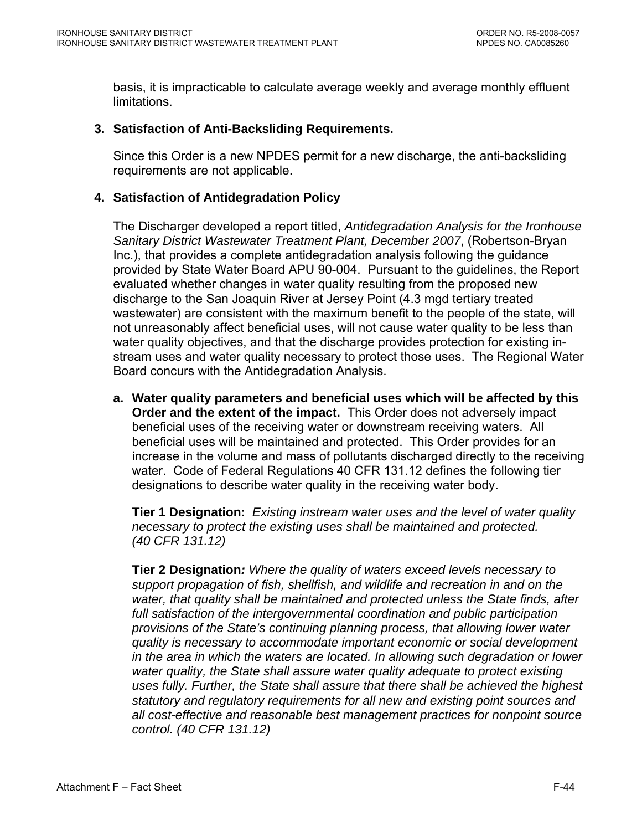basis, it is impracticable to calculate average weekly and average monthly effluent limitations.

### **3. Satisfaction of Anti-Backsliding Requirements.**

Since this Order is a new NPDES permit for a new discharge, the anti-backsliding requirements are not applicable.

### **4. Satisfaction of Antidegradation Policy**

The Discharger developed a report titled, *Antidegradation Analysis for the Ironhouse Sanitary District Wastewater Treatment Plant, December 2007*, (Robertson-Bryan Inc.), that provides a complete antidegradation analysis following the guidance provided by State Water Board APU 90-004. Pursuant to the guidelines, the Report evaluated whether changes in water quality resulting from the proposed new discharge to the San Joaquin River at Jersey Point (4.3 mgd tertiary treated wastewater) are consistent with the maximum benefit to the people of the state, will not unreasonably affect beneficial uses, will not cause water quality to be less than water quality objectives, and that the discharge provides protection for existing instream uses and water quality necessary to protect those uses. The Regional Water Board concurs with the Antidegradation Analysis.

**a. Water quality parameters and beneficial uses which will be affected by this Order and the extent of the impact.** This Order does not adversely impact beneficial uses of the receiving water or downstream receiving waters. All beneficial uses will be maintained and protected. This Order provides for an increase in the volume and mass of pollutants discharged directly to the receiving water. Code of Federal Regulations 40 CFR 131.12 defines the following tier designations to describe water quality in the receiving water body.

**Tier 1 Designation:** *Existing instream water uses and the level of water quality necessary to protect the existing uses shall be maintained and protected. (40 CFR 131.12)* 

**Tier 2 Designation***: Where the quality of waters exceed levels necessary to support propagation of fish, shellfish, and wildlife and recreation in and on the water, that quality shall be maintained and protected unless the State finds, after full satisfaction of the intergovernmental coordination and public participation provisions of the State's continuing planning process, that allowing lower water quality is necessary to accommodate important economic or social development in the area in which the waters are located. In allowing such degradation or lower water quality, the State shall assure water quality adequate to protect existing uses fully. Further, the State shall assure that there shall be achieved the highest statutory and regulatory requirements for all new and existing point sources and all cost-effective and reasonable best management practices for nonpoint source control. (40 CFR 131.12)*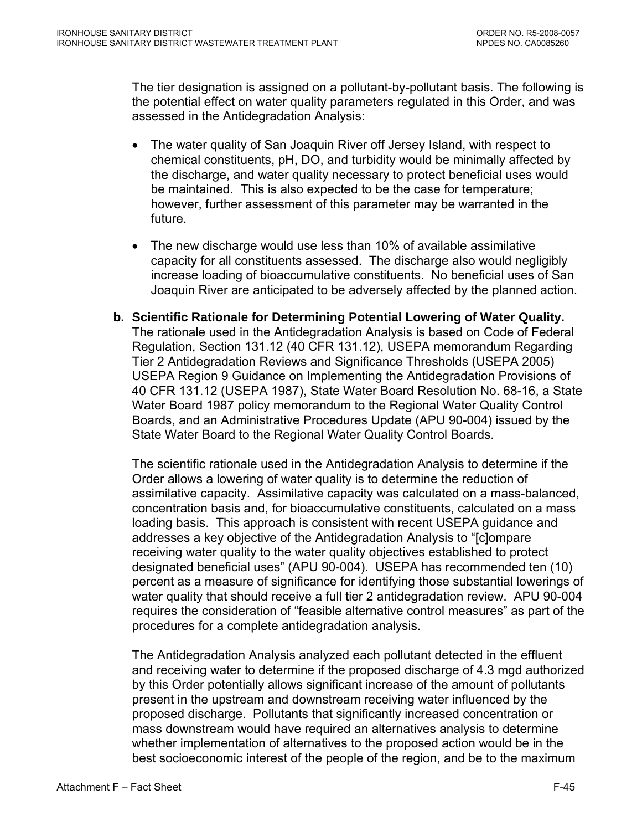The tier designation is assigned on a pollutant-by-pollutant basis. The following is the potential effect on water quality parameters regulated in this Order, and was assessed in the Antidegradation Analysis:

- The water quality of San Joaquin River off Jersey Island, with respect to chemical constituents, pH, DO, and turbidity would be minimally affected by the discharge, and water quality necessary to protect beneficial uses would be maintained. This is also expected to be the case for temperature; however, further assessment of this parameter may be warranted in the future.
- The new discharge would use less than 10% of available assimilative capacity for all constituents assessed. The discharge also would negligibly increase loading of bioaccumulative constituents. No beneficial uses of San Joaquin River are anticipated to be adversely affected by the planned action.
- **b. Scientific Rationale for Determining Potential Lowering of Water Quality.**  The rationale used in the Antidegradation Analysis is based on Code of Federal Regulation, Section 131.12 (40 CFR 131.12), USEPA memorandum Regarding Tier 2 Antidegradation Reviews and Significance Thresholds (USEPA 2005) USEPA Region 9 Guidance on Implementing the Antidegradation Provisions of 40 CFR 131.12 (USEPA 1987), State Water Board Resolution No. 68-16, a State Water Board 1987 policy memorandum to the Regional Water Quality Control Boards, and an Administrative Procedures Update (APU 90-004) issued by the State Water Board to the Regional Water Quality Control Boards.

The scientific rationale used in the Antidegradation Analysis to determine if the Order allows a lowering of water quality is to determine the reduction of assimilative capacity. Assimilative capacity was calculated on a mass-balanced, concentration basis and, for bioaccumulative constituents, calculated on a mass loading basis. This approach is consistent with recent USEPA guidance and addresses a key objective of the Antidegradation Analysis to "[c]ompare receiving water quality to the water quality objectives established to protect designated beneficial uses" (APU 90-004). USEPA has recommended ten (10) percent as a measure of significance for identifying those substantial lowerings of water quality that should receive a full tier 2 antidegradation review. APU 90-004 requires the consideration of "feasible alternative control measures" as part of the procedures for a complete antidegradation analysis.

The Antidegradation Analysis analyzed each pollutant detected in the effluent and receiving water to determine if the proposed discharge of 4.3 mgd authorized by this Order potentially allows significant increase of the amount of pollutants present in the upstream and downstream receiving water influenced by the proposed discharge. Pollutants that significantly increased concentration or mass downstream would have required an alternatives analysis to determine whether implementation of alternatives to the proposed action would be in the best socioeconomic interest of the people of the region, and be to the maximum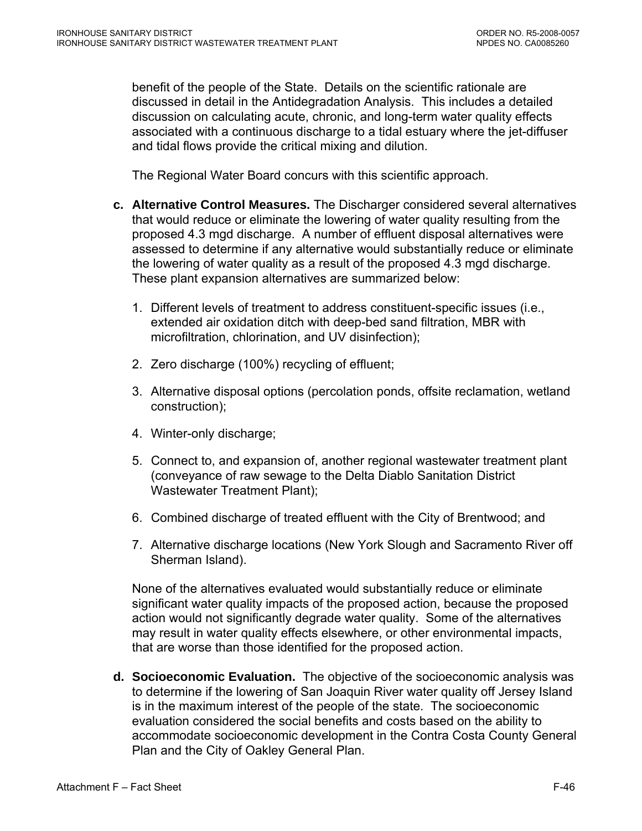benefit of the people of the State. Details on the scientific rationale are discussed in detail in the Antidegradation Analysis. This includes a detailed discussion on calculating acute, chronic, and long-term water quality effects associated with a continuous discharge to a tidal estuary where the jet-diffuser and tidal flows provide the critical mixing and dilution.

The Regional Water Board concurs with this scientific approach.

- **c. Alternative Control Measures.** The Discharger considered several alternatives that would reduce or eliminate the lowering of water quality resulting from the proposed 4.3 mgd discharge. A number of effluent disposal alternatives were assessed to determine if any alternative would substantially reduce or eliminate the lowering of water quality as a result of the proposed 4.3 mgd discharge. These plant expansion alternatives are summarized below:
	- 1. Different levels of treatment to address constituent-specific issues (i.e., extended air oxidation ditch with deep-bed sand filtration, MBR with microfiltration, chlorination, and UV disinfection);
	- 2. Zero discharge (100%) recycling of effluent;
	- 3. Alternative disposal options (percolation ponds, offsite reclamation, wetland construction);
	- 4. Winter-only discharge;
	- 5. Connect to, and expansion of, another regional wastewater treatment plant (conveyance of raw sewage to the Delta Diablo Sanitation District Wastewater Treatment Plant);
	- 6. Combined discharge of treated effluent with the City of Brentwood; and
	- 7. Alternative discharge locations (New York Slough and Sacramento River off Sherman Island).

None of the alternatives evaluated would substantially reduce or eliminate significant water quality impacts of the proposed action, because the proposed action would not significantly degrade water quality. Some of the alternatives may result in water quality effects elsewhere, or other environmental impacts, that are worse than those identified for the proposed action.

**d. Socioeconomic Evaluation.** The objective of the socioeconomic analysis was to determine if the lowering of San Joaquin River water quality off Jersey Island is in the maximum interest of the people of the state. The socioeconomic evaluation considered the social benefits and costs based on the ability to accommodate socioeconomic development in the Contra Costa County General Plan and the City of Oakley General Plan.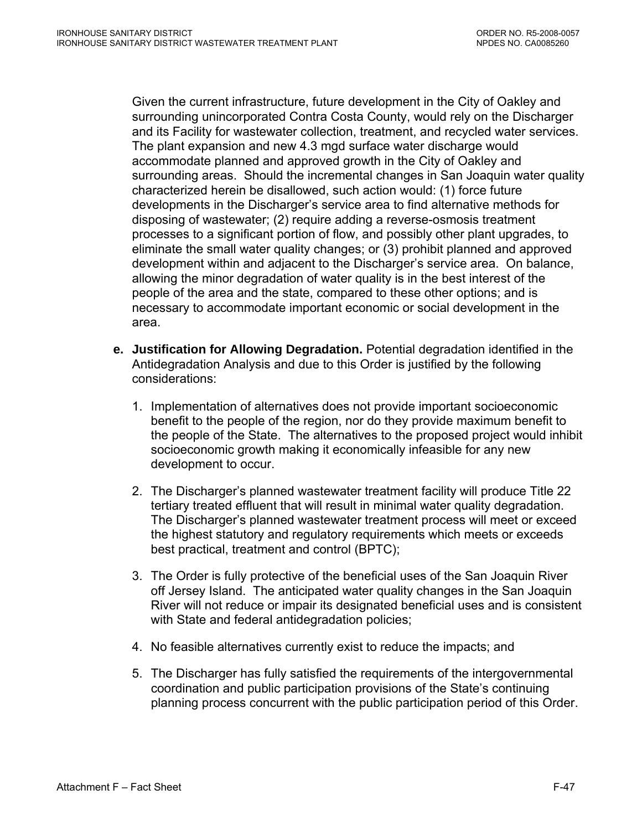Given the current infrastructure, future development in the City of Oakley and surrounding unincorporated Contra Costa County, would rely on the Discharger and its Facility for wastewater collection, treatment, and recycled water services. The plant expansion and new 4.3 mgd surface water discharge would accommodate planned and approved growth in the City of Oakley and surrounding areas. Should the incremental changes in San Joaquin water quality characterized herein be disallowed, such action would: (1) force future developments in the Discharger's service area to find alternative methods for disposing of wastewater; (2) require adding a reverse-osmosis treatment processes to a significant portion of flow, and possibly other plant upgrades, to eliminate the small water quality changes; or (3) prohibit planned and approved development within and adjacent to the Discharger's service area. On balance, allowing the minor degradation of water quality is in the best interest of the people of the area and the state, compared to these other options; and is necessary to accommodate important economic or social development in the area.

- **e. Justification for Allowing Degradation.** Potential degradation identified in the Antidegradation Analysis and due to this Order is justified by the following considerations:
	- 1. Implementation of alternatives does not provide important socioeconomic benefit to the people of the region, nor do they provide maximum benefit to the people of the State. The alternatives to the proposed project would inhibit socioeconomic growth making it economically infeasible for any new development to occur.
	- 2. The Discharger's planned wastewater treatment facility will produce Title 22 tertiary treated effluent that will result in minimal water quality degradation. The Discharger's planned wastewater treatment process will meet or exceed the highest statutory and regulatory requirements which meets or exceeds best practical, treatment and control (BPTC);
	- 3. The Order is fully protective of the beneficial uses of the San Joaquin River off Jersey Island. The anticipated water quality changes in the San Joaquin River will not reduce or impair its designated beneficial uses and is consistent with State and federal antidegradation policies;
	- 4. No feasible alternatives currently exist to reduce the impacts; and
	- 5. The Discharger has fully satisfied the requirements of the intergovernmental coordination and public participation provisions of the State's continuing planning process concurrent with the public participation period of this Order.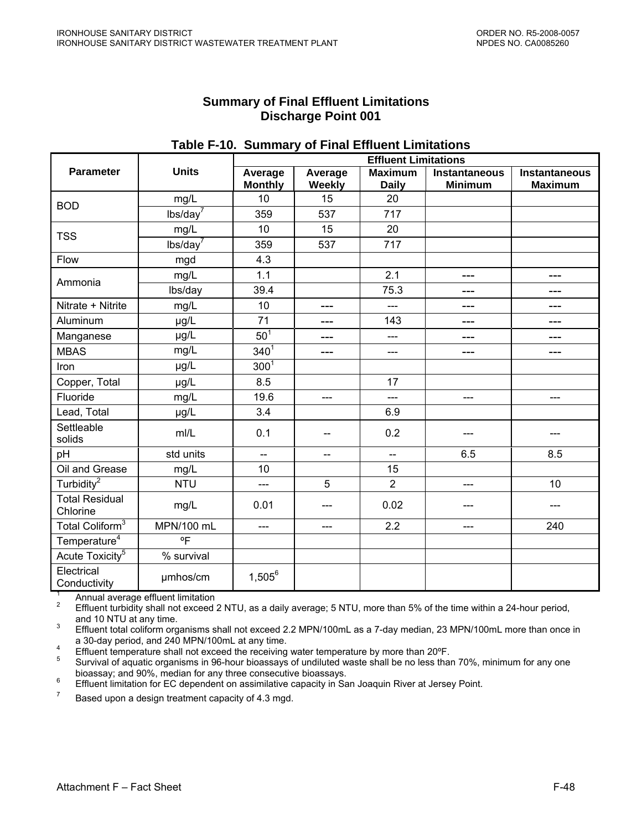### **Summary of Final Effluent Limitations Discharge Point 001**

|                                   |              |                             | .                        |                                |                                        |                                        |  |
|-----------------------------------|--------------|-----------------------------|--------------------------|--------------------------------|----------------------------------------|----------------------------------------|--|
|                                   |              | <b>Effluent Limitations</b> |                          |                                |                                        |                                        |  |
| <b>Parameter</b>                  | <b>Units</b> | Average<br><b>Monthly</b>   | Average<br>Weekly        | <b>Maximum</b><br><b>Daily</b> | <b>Instantaneous</b><br><b>Minimum</b> | <b>Instantaneous</b><br><b>Maximum</b> |  |
| <b>BOD</b>                        | mg/L         | 10                          | 15                       | 20                             |                                        |                                        |  |
|                                   | $lbs/day^7$  | 359                         | 537                      | 717                            |                                        |                                        |  |
| <b>TSS</b>                        | mg/L         | 10                          | 15                       | 20                             |                                        |                                        |  |
|                                   | $lbs/day^7$  | 359                         | 537                      | 717                            |                                        |                                        |  |
| Flow                              | mgd          | 4.3                         |                          |                                |                                        |                                        |  |
| Ammonia                           | mg/L         | 1.1                         |                          | 2.1                            | $---$                                  | ---                                    |  |
|                                   | lbs/day      | 39.4                        |                          | 75.3                           | $---$                                  | ---                                    |  |
| Nitrate + Nitrite                 | mg/L         | 10                          | ---                      | ---                            | ---                                    | ---                                    |  |
| Aluminum                          | µg/L         | 71                          | ---                      | 143                            | $---$                                  | ---                                    |  |
| Manganese                         | µg/L         | 50 <sup>1</sup>             | ---                      | $---$                          | ---                                    | ---                                    |  |
| <b>MBAS</b>                       | mg/L         | $340^{1}$                   | ---                      | $---$                          | ---                                    | ---                                    |  |
| Iron                              | µg/L         | 300 <sup>1</sup>            |                          |                                |                                        |                                        |  |
| Copper, Total                     | µg/L         | 8.5                         |                          | 17                             |                                        |                                        |  |
| Fluoride                          | mg/L         | 19.6                        | $---$                    | $---$                          | $---$                                  | ---                                    |  |
| Lead, Total                       | µg/L         | 3.4                         |                          | 6.9                            |                                        |                                        |  |
| Settleable<br>solids              | m/L          | 0.1                         | $-$                      | 0.2                            |                                        |                                        |  |
| pH                                | std units    | ш.,                         | $\overline{\phantom{a}}$ | $\overline{\phantom{a}}$       | 6.5                                    | 8.5                                    |  |
| Oil and Grease                    | mg/L         | 10                          |                          | 15                             |                                        |                                        |  |
| Turbidity <sup>2</sup>            | <b>NTU</b>   | ---                         | 5                        | $\overline{2}$                 | ---                                    | 10                                     |  |
| <b>Total Residual</b><br>Chlorine | mg/L         | 0.01                        | ---                      | 0.02                           |                                        |                                        |  |
| Total Coliform <sup>3</sup>       | MPN/100 mL   | $---$                       | $---$                    | 2.2                            | ---                                    | 240                                    |  |
| Temperature <sup>4</sup>          | °F           |                             |                          |                                |                                        |                                        |  |
| Acute Toxicity <sup>5</sup>       | % survival   |                             |                          |                                |                                        |                                        |  |
| Electrical<br>Conductivity        | umhos/cm     | $1,505^6$                   |                          |                                |                                        |                                        |  |

## **Table F-10. Summary of Final Effluent Limitations**

<sup>1</sup> Annual average effluent limitation<br><sup>2</sup> Effluent turbidity shall not exceed 2 NTU, as a daily average; 5 NTU, more than 5% of the time within a 24-hour period, and 10 NTU at any time.

 Effluent total coliform organisms shall not exceed 2.2 MPN/100mL as a 7-day median, 23 MPN/100mL more than once in a 30-day period, and 240 MPN/100mL at any time.

Effluent temperature shall not exceed the receiving water temperature by more than  $20^{\circ}$ F.<br>5 Survival of aquatic examings in 06 hour bioassays of undiluted waste shall be no loss that

 Survival of aquatic organisms in 96-hour bioassays of undiluted waste shall be no less than 70%, minimum for any one bioassay; and 90%, median for any three consecutive bioassays.

<sup>6</sup> Effluent limitation for EC dependent on assimilative capacity in San Joaquin River at Jersey Point.

Based upon a design treatment capacity of 4.3 mgd.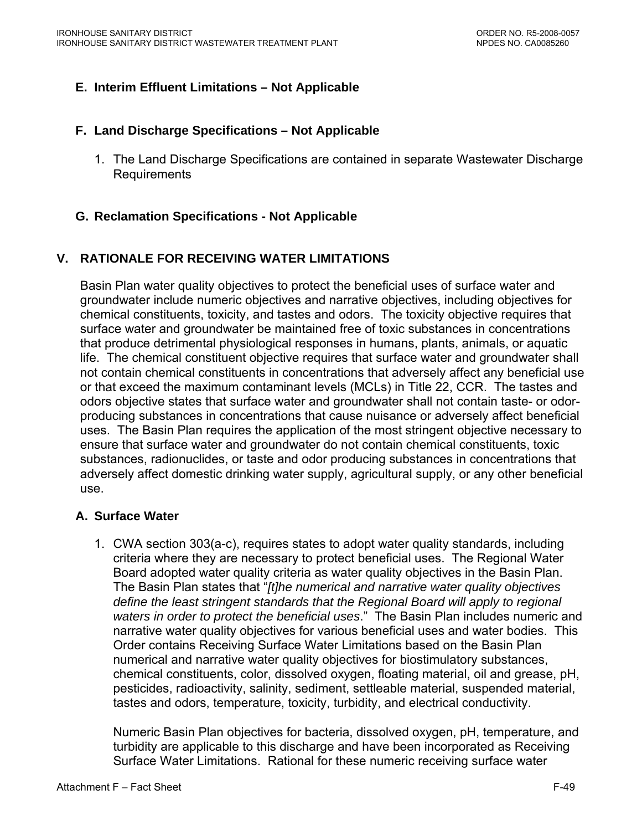# **E. Interim Effluent Limitations – Not Applicable**

#### **F. Land Discharge Specifications – Not Applicable**

1. The Land Discharge Specifications are contained in separate Wastewater Discharge Requirements

# **G. Reclamation Specifications - Not Applicable**

# **V. RATIONALE FOR RECEIVING WATER LIMITATIONS**

Basin Plan water quality objectives to protect the beneficial uses of surface water and groundwater include numeric objectives and narrative objectives, including objectives for chemical constituents, toxicity, and tastes and odors. The toxicity objective requires that surface water and groundwater be maintained free of toxic substances in concentrations that produce detrimental physiological responses in humans, plants, animals, or aquatic life. The chemical constituent objective requires that surface water and groundwater shall not contain chemical constituents in concentrations that adversely affect any beneficial use or that exceed the maximum contaminant levels (MCLs) in Title 22, CCR. The tastes and odors objective states that surface water and groundwater shall not contain taste- or odorproducing substances in concentrations that cause nuisance or adversely affect beneficial uses. The Basin Plan requires the application of the most stringent objective necessary to ensure that surface water and groundwater do not contain chemical constituents, toxic substances, radionuclides, or taste and odor producing substances in concentrations that adversely affect domestic drinking water supply, agricultural supply, or any other beneficial use.

#### **A. Surface Water**

1. CWA section 303(a-c), requires states to adopt water quality standards, including criteria where they are necessary to protect beneficial uses. The Regional Water Board adopted water quality criteria as water quality objectives in the Basin Plan. The Basin Plan states that "*[t]he numerical and narrative water quality objectives define the least stringent standards that the Regional Board will apply to regional waters in order to protect the beneficial uses*." The Basin Plan includes numeric and narrative water quality objectives for various beneficial uses and water bodies. This Order contains Receiving Surface Water Limitations based on the Basin Plan numerical and narrative water quality objectives for biostimulatory substances, chemical constituents, color, dissolved oxygen, floating material, oil and grease, pH, pesticides, radioactivity, salinity, sediment, settleable material, suspended material, tastes and odors, temperature, toxicity, turbidity, and electrical conductivity.

Numeric Basin Plan objectives for bacteria, dissolved oxygen, pH, temperature, and turbidity are applicable to this discharge and have been incorporated as Receiving Surface Water Limitations. Rational for these numeric receiving surface water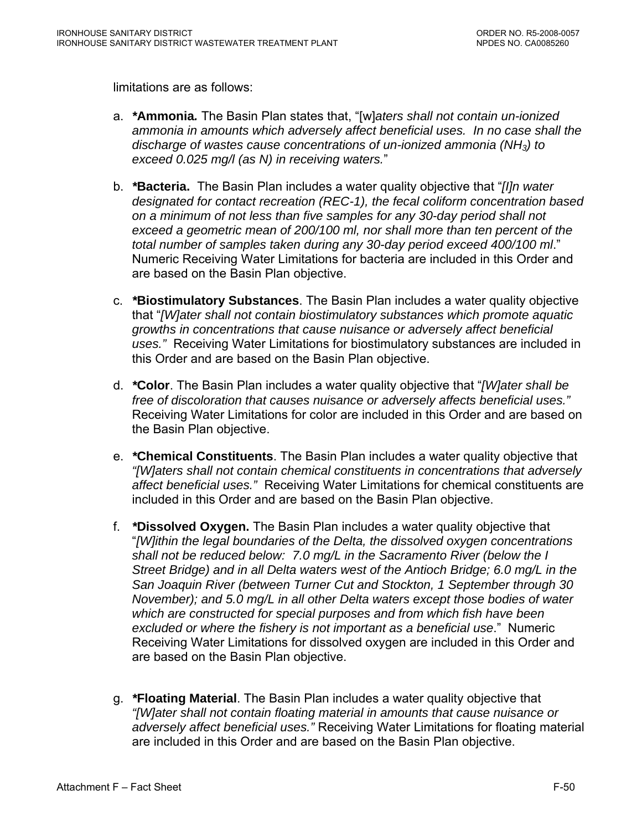limitations are as follows:

- a. *\****Ammonia***.* The Basin Plan states that, "[w]*aters shall not contain un-ionized ammonia in amounts which adversely affect beneficial uses. In no case shall the discharge of wastes cause concentrations of un-ionized ammonia (NH3) to exceed 0.025 mg/l (as N) in receiving waters.*"
- b. *\****Bacteria.** The Basin Plan includes a water quality objective that "*[I]n water designated for contact recreation (REC-1), the fecal coliform concentration based on a minimum of not less than five samples for any 30-day period shall not exceed a geometric mean of 200/100 ml, nor shall more than ten percent of the total number of samples taken during any 30-day period exceed 400/100 ml*." Numeric Receiving Water Limitations for bacteria are included in this Order and are based on the Basin Plan objective.
- c. *\****Biostimulatory Substances**. The Basin Plan includes a water quality objective that "*[W]ater shall not contain biostimulatory substances which promote aquatic growths in concentrations that cause nuisance or adversely affect beneficial uses."* Receiving Water Limitations for biostimulatory substances are included in this Order and are based on the Basin Plan objective.
- d. *\****Color**. The Basin Plan includes a water quality objective that "*[W]ater shall be free of discoloration that causes nuisance or adversely affects beneficial uses."*  Receiving Water Limitations for color are included in this Order and are based on the Basin Plan objective.
- e. *\****Chemical Constituents**. The Basin Plan includes a water quality objective that *"[W]aters shall not contain chemical constituents in concentrations that adversely affect beneficial uses."* Receiving Water Limitations for chemical constituents are included in this Order and are based on the Basin Plan objective.
- f. *\****Dissolved Oxygen.** The Basin Plan includes a water quality objective that "*[W]ithin the legal boundaries of the Delta, the dissolved oxygen concentrations shall not be reduced below: 7.0 mg/L in the Sacramento River (below the I Street Bridge) and in all Delta waters west of the Antioch Bridge; 6.0 mg/L in the San Joaquin River (between Turner Cut and Stockton, 1 September through 30 November); and 5.0 mg/L in all other Delta waters except those bodies of water which are constructed for special purposes and from which fish have been excluded or where the fishery is not important as a beneficial use*." Numeric Receiving Water Limitations for dissolved oxygen are included in this Order and are based on the Basin Plan objective.
- g. *\****Floating Material**. The Basin Plan includes a water quality objective that *"[W]ater shall not contain floating material in amounts that cause nuisance or adversely affect beneficial uses."* Receiving Water Limitations for floating material are included in this Order and are based on the Basin Plan objective.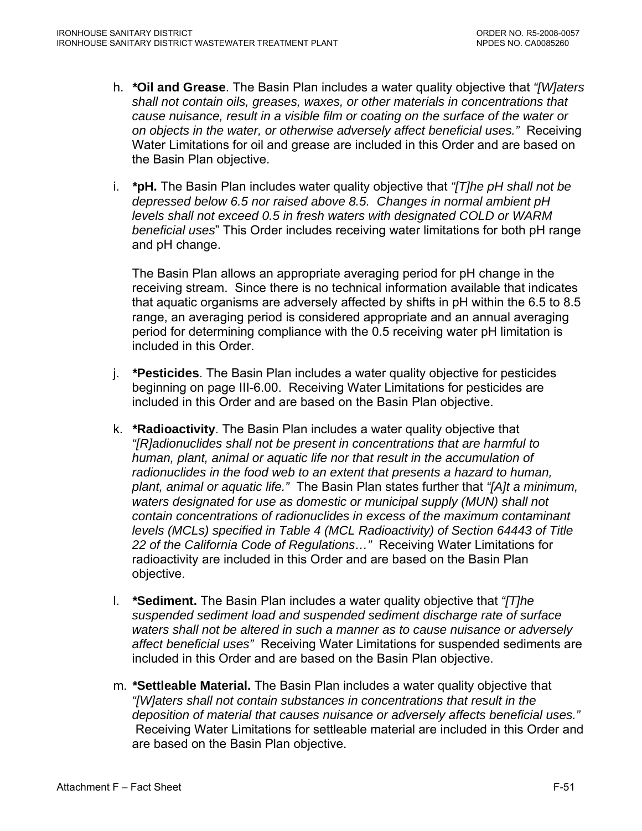- h. *\****Oil and Grease**. The Basin Plan includes a water quality objective that *"[W]aters shall not contain oils, greases, waxes, or other materials in concentrations that cause nuisance, result in a visible film or coating on the surface of the water or on objects in the water, or otherwise adversely affect beneficial uses."* Receiving Water Limitations for oil and grease are included in this Order and are based on the Basin Plan objective.
- i. *\****pH.** The Basin Plan includes water quality objective that *"[T]he pH shall not be depressed below 6.5 nor raised above 8.5. Changes in normal ambient pH levels shall not exceed 0.5 in fresh waters with designated COLD or WARM beneficial uses*" This Order includes receiving water limitations for both pH range and pH change.

The Basin Plan allows an appropriate averaging period for pH change in the receiving stream. Since there is no technical information available that indicates that aquatic organisms are adversely affected by shifts in pH within the 6.5 to 8.5 range, an averaging period is considered appropriate and an annual averaging period for determining compliance with the 0.5 receiving water pH limitation is included in this Order.

- j. *\****Pesticides**. The Basin Plan includes a water quality objective for pesticides beginning on page III-6.00. Receiving Water Limitations for pesticides are included in this Order and are based on the Basin Plan objective.
- k. *\****Radioactivity**. The Basin Plan includes a water quality objective that *"[R]adionuclides shall not be present in concentrations that are harmful to human, plant, animal or aquatic life nor that result in the accumulation of radionuclides in the food web to an extent that presents a hazard to human, plant, animal or aquatic life."* The Basin Plan states further that *"[A]t a minimum, waters designated for use as domestic or municipal supply (MUN) shall not contain concentrations of radionuclides in excess of the maximum contaminant levels (MCLs) specified in Table 4 (MCL Radioactivity) of Section 64443 of Title 22 of the California Code of Regulations…"* Receiving Water Limitations for radioactivity are included in this Order and are based on the Basin Plan objective.
- l. *\****Sediment.** The Basin Plan includes a water quality objective that *"[T]he suspended sediment load and suspended sediment discharge rate of surface waters shall not be altered in such a manner as to cause nuisance or adversely affect beneficial uses"* Receiving Water Limitations for suspended sediments are included in this Order and are based on the Basin Plan objective.
- m. *\****Settleable Material.** The Basin Plan includes a water quality objective that *"[W]aters shall not contain substances in concentrations that result in the deposition of material that causes nuisance or adversely affects beneficial uses."* Receiving Water Limitations for settleable material are included in this Order and are based on the Basin Plan objective.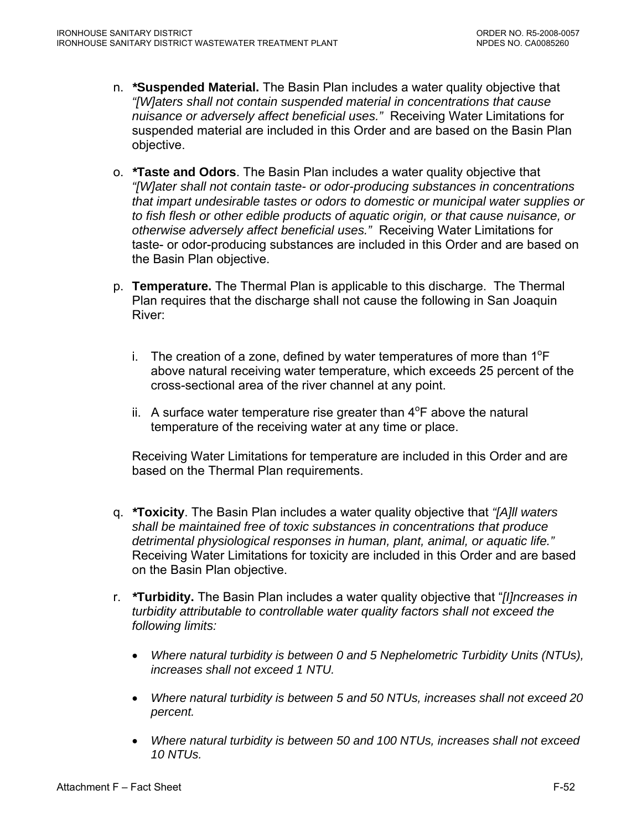- n. *\****Suspended Material.** The Basin Plan includes a water quality objective that *"[W]aters shall not contain suspended material in concentrations that cause nuisance or adversely affect beneficial uses."* Receiving Water Limitations for suspended material are included in this Order and are based on the Basin Plan objective.
- o. *\****Taste and Odors**. The Basin Plan includes a water quality objective that *"[W]ater shall not contain taste- or odor-producing substances in concentrations that impart undesirable tastes or odors to domestic or municipal water supplies or to fish flesh or other edible products of aquatic origin, or that cause nuisance, or otherwise adversely affect beneficial uses."* Receiving Water Limitations for taste- or odor-producing substances are included in this Order and are based on the Basin Plan objective.
- p. **Temperature.** The Thermal Plan is applicable to this discharge. The Thermal Plan requires that the discharge shall not cause the following in San Joaquin River:
	- i. The creation of a zone, defined by water temperatures of more than  $1^{\circ}F$ above natural receiving water temperature, which exceeds 25 percent of the cross-sectional area of the river channel at any point.
	- ii. A surface water temperature rise greater than  $4^{\circ}$ F above the natural temperature of the receiving water at any time or place.

Receiving Water Limitations for temperature are included in this Order and are based on the Thermal Plan requirements.

- q. *\****Toxicity**. The Basin Plan includes a water quality objective that *"[A]ll waters shall be maintained free of toxic substances in concentrations that produce detrimental physiological responses in human, plant, animal, or aquatic life."* Receiving Water Limitations for toxicity are included in this Order and are based on the Basin Plan objective.
- r. *\****Turbidity.** The Basin Plan includes a water quality objective that "*[I]ncreases in turbidity attributable to controllable water quality factors shall not exceed the following limits:* 
	- *Where natural turbidity is between 0 and 5 Nephelometric Turbidity Units (NTUs), increases shall not exceed 1 NTU.*
	- *Where natural turbidity is between 5 and 50 NTUs, increases shall not exceed 20 percent.*
	- *Where natural turbidity is between 50 and 100 NTUs, increases shall not exceed 10 NTUs.*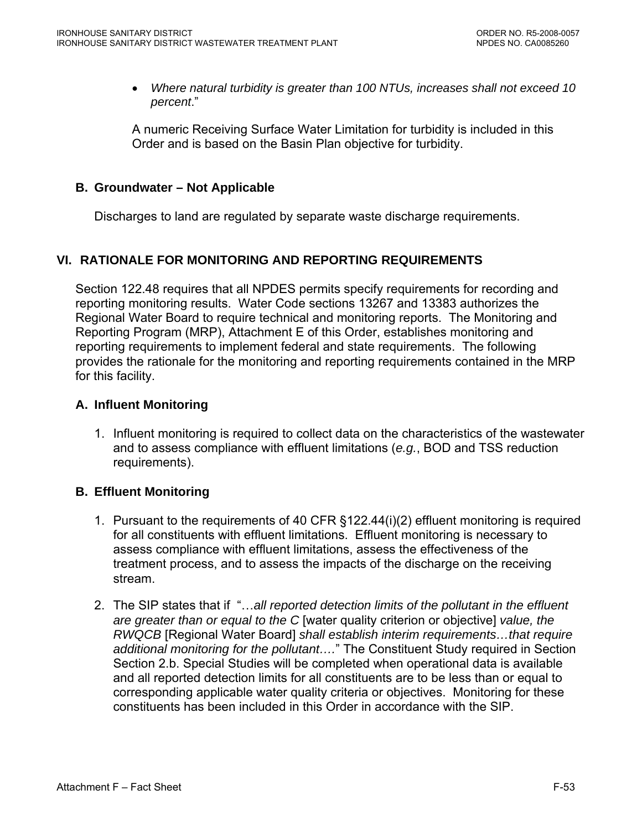• *Where natural turbidity is greater than 100 NTUs, increases shall not exceed 10 percent*."

A numeric Receiving Surface Water Limitation for turbidity is included in this Order and is based on the Basin Plan objective for turbidity.

### **B. Groundwater – Not Applicable**

Discharges to land are regulated by separate waste discharge requirements.

# **VI. RATIONALE FOR MONITORING AND REPORTING REQUIREMENTS**

Section 122.48 requires that all NPDES permits specify requirements for recording and reporting monitoring results. Water Code sections 13267 and 13383 authorizes the Regional Water Board to require technical and monitoring reports. The Monitoring and Reporting Program (MRP), Attachment E of this Order, establishes monitoring and reporting requirements to implement federal and state requirements. The following provides the rationale for the monitoring and reporting requirements contained in the MRP for this facility.

## **A. Influent Monitoring**

1. Influent monitoring is required to collect data on the characteristics of the wastewater and to assess compliance with effluent limitations (*e.g.*, BOD and TSS reduction requirements).

# **B. Effluent Monitoring**

- 1. Pursuant to the requirements of 40 CFR §122.44(i)(2) effluent monitoring is required for all constituents with effluent limitations. Effluent monitoring is necessary to assess compliance with effluent limitations, assess the effectiveness of the treatment process, and to assess the impacts of the discharge on the receiving stream.
- 2. The SIP states that if "…*all reported detection limits of the pollutant in the effluent are greater than or equal to the C* [water quality criterion or objective] *value, the RWQCB* [Regional Water Board] *shall establish interim requirements…that require*  additional monitoring for the pollutant...." The Constituent Study required in Section Section 2.b. Special Studies will be completed when operational data is available and all reported detection limits for all constituents are to be less than or equal to corresponding applicable water quality criteria or objectives. Monitoring for these constituents has been included in this Order in accordance with the SIP.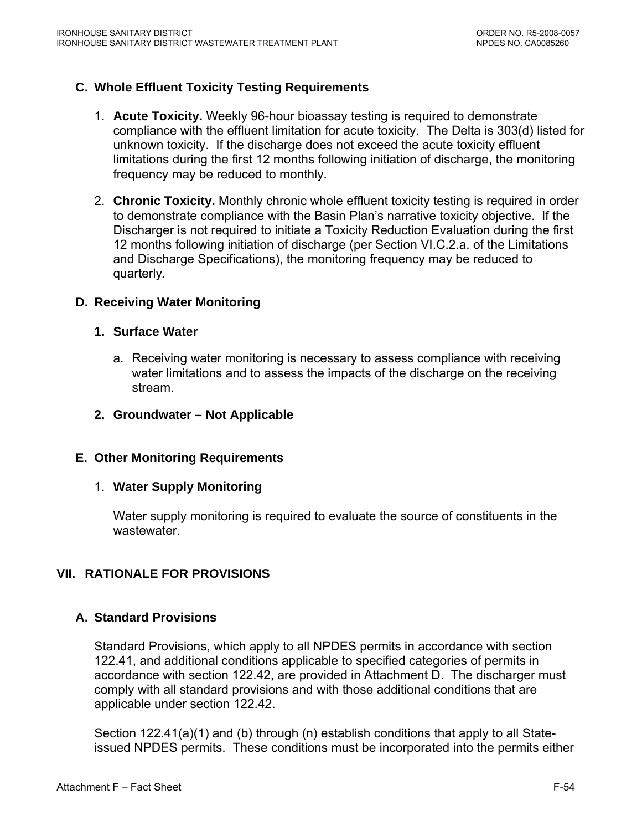## **C. Whole Effluent Toxicity Testing Requirements**

- 1. **Acute Toxicity.** Weekly 96-hour bioassay testing is required to demonstrate compliance with the effluent limitation for acute toxicity. The Delta is 303(d) listed for unknown toxicity. If the discharge does not exceed the acute toxicity effluent limitations during the first 12 months following initiation of discharge, the monitoring frequency may be reduced to monthly.
- 2. **Chronic Toxicity.** Monthly chronic whole effluent toxicity testing is required in order to demonstrate compliance with the Basin Plan's narrative toxicity objective. If the Discharger is not required to initiate a Toxicity Reduction Evaluation during the first 12 months following initiation of discharge (per Section VI.C.2.a. of the Limitations and Discharge Specifications), the monitoring frequency may be reduced to quarterly*.*

### **D. Receiving Water Monitoring**

#### **1. Surface Water**

- a. Receiving water monitoring is necessary to assess compliance with receiving water limitations and to assess the impacts of the discharge on the receiving stream.
- **2. Groundwater Not Applicable**

#### **E. Other Monitoring Requirements**

#### 1. **Water Supply Monitoring**

Water supply monitoring is required to evaluate the source of constituents in the wastewater.

# **VII. RATIONALE FOR PROVISIONS**

#### **A. Standard Provisions**

Standard Provisions, which apply to all NPDES permits in accordance with section 122.41, and additional conditions applicable to specified categories of permits in accordance with section 122.42, are provided in Attachment D. The discharger must comply with all standard provisions and with those additional conditions that are applicable under section 122.42.

Section 122.41(a)(1) and (b) through (n) establish conditions that apply to all Stateissued NPDES permits. These conditions must be incorporated into the permits either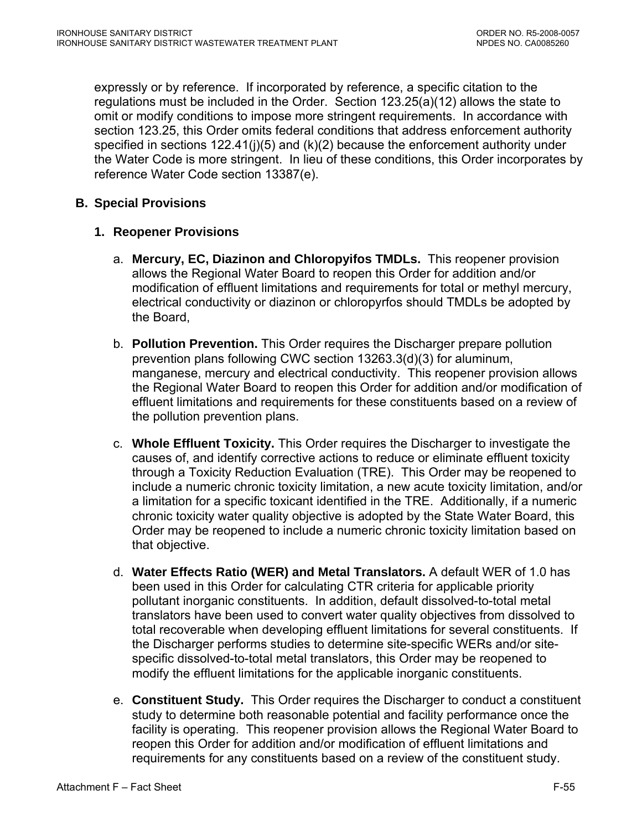expressly or by reference. If incorporated by reference, a specific citation to the regulations must be included in the Order. Section 123.25(a)(12) allows the state to omit or modify conditions to impose more stringent requirements. In accordance with section 123.25, this Order omits federal conditions that address enforcement authority specified in sections  $122.41(j)(5)$  and  $(k)(2)$  because the enforcement authority under the Water Code is more stringent. In lieu of these conditions, this Order incorporates by reference Water Code section 13387(e).

## **B. Special Provisions**

## **1. Reopener Provisions**

- a. **Mercury, EC, Diazinon and Chloropyifos TMDLs.** This reopener provision allows the Regional Water Board to reopen this Order for addition and/or modification of effluent limitations and requirements for total or methyl mercury, electrical conductivity or diazinon or chloropyrfos should TMDLs be adopted by the Board,
- b. **Pollution Prevention.** This Order requires the Discharger prepare pollution prevention plans following CWC section 13263.3(d)(3) for aluminum, manganese, mercury and electrical conductivity. This reopener provision allows the Regional Water Board to reopen this Order for addition and/or modification of effluent limitations and requirements for these constituents based on a review of the pollution prevention plans.
- c. **Whole Effluent Toxicity.** This Order requires the Discharger to investigate the causes of, and identify corrective actions to reduce or eliminate effluent toxicity through a Toxicity Reduction Evaluation (TRE). This Order may be reopened to include a numeric chronic toxicity limitation, a new acute toxicity limitation, and/or a limitation for a specific toxicant identified in the TRE. Additionally, if a numeric chronic toxicity water quality objective is adopted by the State Water Board, this Order may be reopened to include a numeric chronic toxicity limitation based on that objective.
- d. **Water Effects Ratio (WER) and Metal Translators.** A default WER of 1.0 has been used in this Order for calculating CTR criteria for applicable priority pollutant inorganic constituents.In addition, default dissolved-to-total metal translators have been used to convert water quality objectives from dissolved to total recoverable when developing effluent limitations for several constituents. If the Discharger performs studies to determine site-specific WERs and/or sitespecific dissolved-to-total metal translators, this Order may be reopened to modify the effluent limitations for the applicable inorganic constituents.
- e. **Constituent Study.** This Order requires the Discharger to conduct a constituent study to determine both reasonable potential and facility performance once the facility is operating. This reopener provision allows the Regional Water Board to reopen this Order for addition and/or modification of effluent limitations and requirements for any constituents based on a review of the constituent study.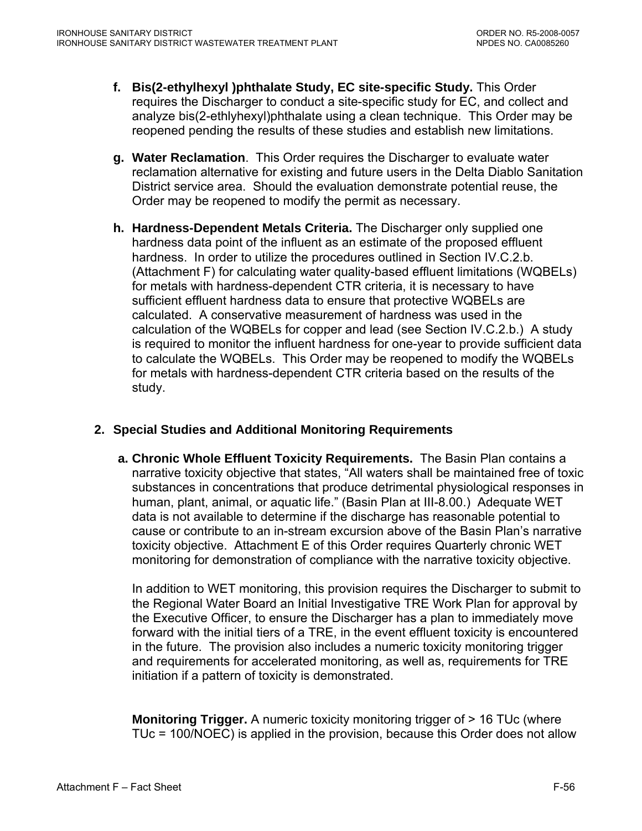- **f. Bis(2-ethylhexyl )phthalate Study, EC site-specific Study.** This Order requires the Discharger to conduct a site-specific study for EC, and collect and analyze bis(2-ethlyhexyl)phthalate using a clean technique. This Order may be reopened pending the results of these studies and establish new limitations.
- **g. Water Reclamation**. This Order requires the Discharger to evaluate water reclamation alternative for existing and future users in the Delta Diablo Sanitation District service area. Should the evaluation demonstrate potential reuse, the Order may be reopened to modify the permit as necessary.
- **h. Hardness-Dependent Metals Criteria.** The Discharger only supplied one hardness data point of the influent as an estimate of the proposed effluent hardness. In order to utilize the procedures outlined in Section IV.C.2.b. (Attachment F) for calculating water quality-based effluent limitations (WQBELs) for metals with hardness-dependent CTR criteria, it is necessary to have sufficient effluent hardness data to ensure that protective WQBELs are calculated. A conservative measurement of hardness was used in the calculation of the WQBELs for copper and lead (see Section IV.C.2.b.) A study is required to monitor the influent hardness for one-year to provide sufficient data to calculate the WQBELs. This Order may be reopened to modify the WQBELs for metals with hardness-dependent CTR criteria based on the results of the study.

# **2. Special Studies and Additional Monitoring Requirements**

 **a. Chronic Whole Effluent Toxicity Requirements.** The Basin Plan contains a narrative toxicity objective that states, "All waters shall be maintained free of toxic substances in concentrations that produce detrimental physiological responses in human, plant, animal, or aquatic life." (Basin Plan at III-8.00.) Adequate WET data is not available to determine if the discharge has reasonable potential to cause or contribute to an in-stream excursion above of the Basin Plan's narrative toxicity objective. Attachment E of this Order requires Quarterly chronic WET monitoring for demonstration of compliance with the narrative toxicity objective.

In addition to WET monitoring, this provision requires the Discharger to submit to the Regional Water Board an Initial Investigative TRE Work Plan for approval by the Executive Officer, to ensure the Discharger has a plan to immediately move forward with the initial tiers of a TRE, in the event effluent toxicity is encountered in the future. The provision also includes a numeric toxicity monitoring trigger and requirements for accelerated monitoring, as well as, requirements for TRE initiation if a pattern of toxicity is demonstrated.

**Monitoring Trigger.** A numeric toxicity monitoring trigger of > 16 TUc (where TUc = 100/NOEC) is applied in the provision, because this Order does not allow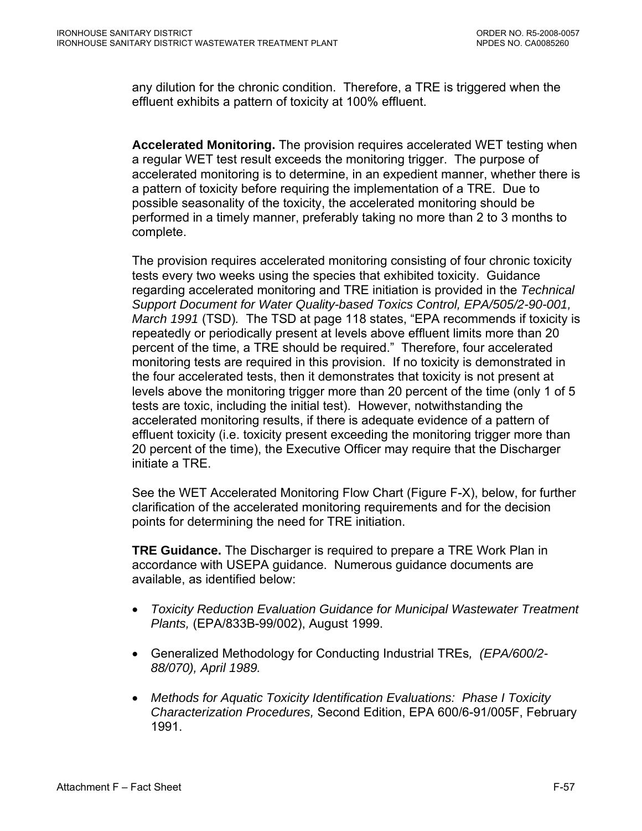any dilution for the chronic condition. Therefore, a TRE is triggered when the effluent exhibits a pattern of toxicity at 100% effluent.

**Accelerated Monitoring.** The provision requires accelerated WET testing when a regular WET test result exceeds the monitoring trigger. The purpose of accelerated monitoring is to determine, in an expedient manner, whether there is a pattern of toxicity before requiring the implementation of a TRE. Due to possible seasonality of the toxicity, the accelerated monitoring should be performed in a timely manner, preferably taking no more than 2 to 3 months to complete.

The provision requires accelerated monitoring consisting of four chronic toxicity tests every two weeks using the species that exhibited toxicity. Guidance regarding accelerated monitoring and TRE initiation is provided in the *Technical Support Document for Water Quality-based Toxics Control, EPA/505/2-90-001, March 1991* (TSD)*.* The TSD at page 118 states, "EPA recommends if toxicity is repeatedly or periodically present at levels above effluent limits more than 20 percent of the time, a TRE should be required." Therefore, four accelerated monitoring tests are required in this provision. If no toxicity is demonstrated in the four accelerated tests, then it demonstrates that toxicity is not present at levels above the monitoring trigger more than 20 percent of the time (only 1 of 5 tests are toxic, including the initial test). However, notwithstanding the accelerated monitoring results, if there is adequate evidence of a pattern of effluent toxicity (i.e. toxicity present exceeding the monitoring trigger more than 20 percent of the time), the Executive Officer may require that the Discharger initiate a TRE.

See the WET Accelerated Monitoring Flow Chart (Figure F-X), below, for further clarification of the accelerated monitoring requirements and for the decision points for determining the need for TRE initiation.

**TRE Guidance.** The Discharger is required to prepare a TRE Work Plan in accordance with USEPA guidance. Numerous guidance documents are available, as identified below:

- *Toxicity Reduction Evaluation Guidance for Municipal Wastewater Treatment Plants,* (EPA/833B-99/002), August 1999.
- Generalized Methodology for Conducting Industrial TREs*, (EPA/600/2- 88/070), April 1989.*
- *Methods for Aquatic Toxicity Identification Evaluations: Phase I Toxicity Characterization Procedures,* Second Edition, EPA 600/6-91/005F, February 1991.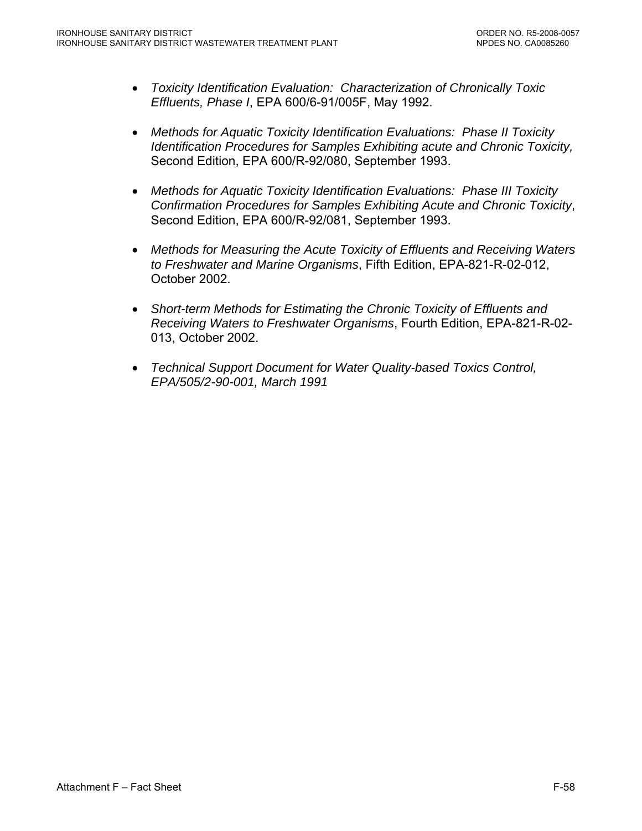- *Toxicity Identification Evaluation: Characterization of Chronically Toxic Effluents, Phase I*, EPA 600/6-91/005F, May 1992.
- *Methods for Aquatic Toxicity Identification Evaluations: Phase II Toxicity Identification Procedures for Samples Exhibiting acute and Chronic Toxicity,*  Second Edition, EPA 600/R-92/080, September 1993.
- *Methods for Aquatic Toxicity Identification Evaluations: Phase III Toxicity Confirmation Procedures for Samples Exhibiting Acute and Chronic Toxicity*, Second Edition, EPA 600/R-92/081, September 1993.
- *Methods for Measuring the Acute Toxicity of Effluents and Receiving Waters to Freshwater and Marine Organisms*, Fifth Edition, EPA-821-R-02-012, October 2002.
- *Short-term Methods for Estimating the Chronic Toxicity of Effluents and Receiving Waters to Freshwater Organisms*, Fourth Edition, EPA-821-R-02- 013, October 2002.
- *Technical Support Document for Water Quality-based Toxics Control, EPA/505/2-90-001, March 1991*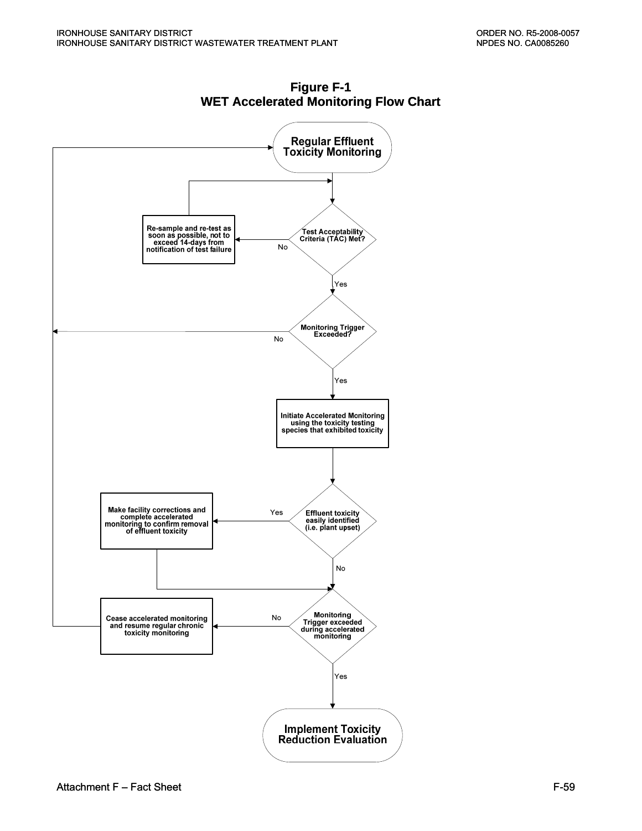

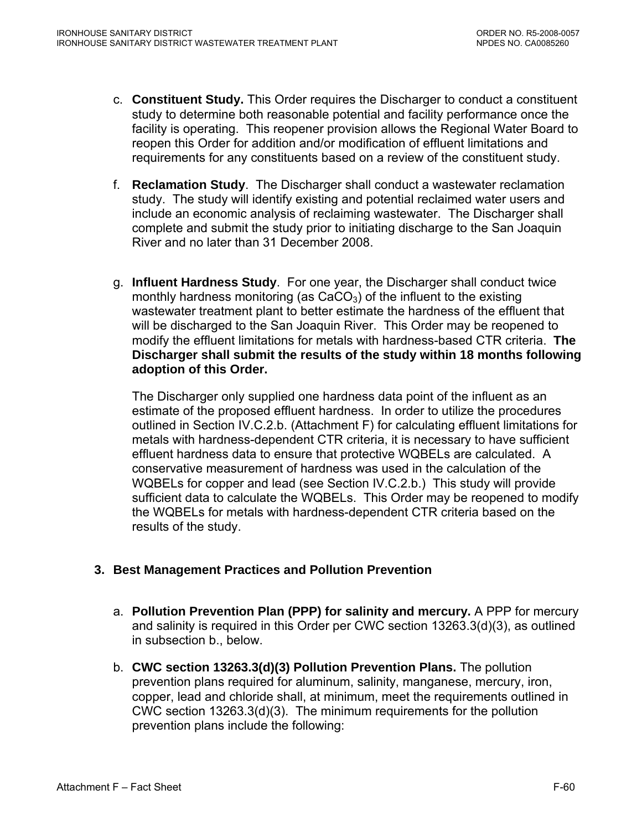- c. **Constituent Study.** This Order requires the Discharger to conduct a constituent study to determine both reasonable potential and facility performance once the facility is operating. This reopener provision allows the Regional Water Board to reopen this Order for addition and/or modification of effluent limitations and requirements for any constituents based on a review of the constituent study.
- f. **Reclamation Study**. The Discharger shall conduct a wastewater reclamation study. The study will identify existing and potential reclaimed water users and include an economic analysis of reclaiming wastewater. The Discharger shall complete and submit the study prior to initiating discharge to the San Joaquin River and no later than 31 December 2008.
- g. **Influent Hardness Study**. For one year, the Discharger shall conduct twice monthly hardness monitoring (as  $CaCO<sub>3</sub>$ ) of the influent to the existing wastewater treatment plant to better estimate the hardness of the effluent that will be discharged to the San Joaquin River. This Order may be reopened to modify the effluent limitations for metals with hardness-based CTR criteria. **The Discharger shall submit the results of the study within 18 months following adoption of this Order.**

The Discharger only supplied one hardness data point of the influent as an estimate of the proposed effluent hardness. In order to utilize the procedures outlined in Section IV.C.2.b. (Attachment F) for calculating effluent limitations for metals with hardness-dependent CTR criteria, it is necessary to have sufficient effluent hardness data to ensure that protective WQBELs are calculated. A conservative measurement of hardness was used in the calculation of the WQBELs for copper and lead (see Section IV.C.2.b.) This study will provide sufficient data to calculate the WQBELs. This Order may be reopened to modify the WQBELs for metals with hardness-dependent CTR criteria based on the results of the study.

# **3. Best Management Practices and Pollution Prevention**

- a. **Pollution Prevention Plan (PPP) for salinity and mercury.** A PPP for mercury and salinity is required in this Order per CWC section 13263.3(d)(3), as outlined in subsection b., below.
- b. **CWC section 13263.3(d)(3) Pollution Prevention Plans.** The pollution prevention plans required for aluminum, salinity, manganese, mercury, iron, copper, lead and chloride shall, at minimum, meet the requirements outlined in CWC section 13263.3(d)(3). The minimum requirements for the pollution prevention plans include the following: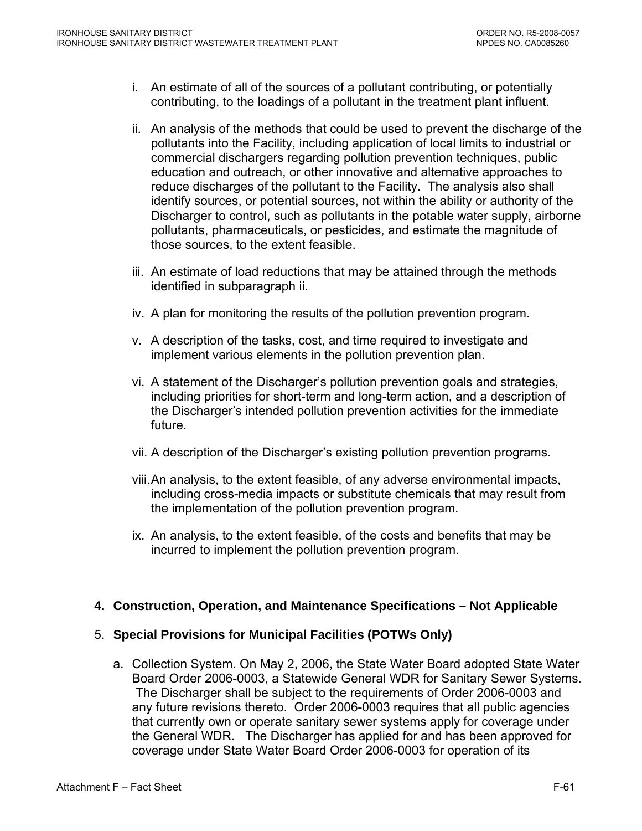- i. An estimate of all of the sources of a pollutant contributing, or potentially contributing, to the loadings of a pollutant in the treatment plant influent.
- ii. An analysis of the methods that could be used to prevent the discharge of the pollutants into the Facility, including application of local limits to industrial or commercial dischargers regarding pollution prevention techniques, public education and outreach, or other innovative and alternative approaches to reduce discharges of the pollutant to the Facility. The analysis also shall identify sources, or potential sources, not within the ability or authority of the Discharger to control, such as pollutants in the potable water supply, airborne pollutants, pharmaceuticals, or pesticides, and estimate the magnitude of those sources, to the extent feasible.
- iii. An estimate of load reductions that may be attained through the methods identified in subparagraph ii.
- iv. A plan for monitoring the results of the pollution prevention program.
- v. A description of the tasks, cost, and time required to investigate and implement various elements in the pollution prevention plan.
- vi. A statement of the Discharger's pollution prevention goals and strategies, including priorities for short-term and long-term action, and a description of the Discharger's intended pollution prevention activities for the immediate future.
- vii. A description of the Discharger's existing pollution prevention programs.
- viii. An analysis, to the extent feasible, of any adverse environmental impacts, including cross-media impacts or substitute chemicals that may result from the implementation of the pollution prevention program.
- ix. An analysis, to the extent feasible, of the costs and benefits that may be incurred to implement the pollution prevention program.

#### **4. Construction, Operation, and Maintenance Specifications – Not Applicable**

#### 5. **Special Provisions for Municipal Facilities (POTWs Only)**

a. Collection System. On May 2, 2006, the State Water Board adopted State Water Board Order 2006-0003, a Statewide General WDR for Sanitary Sewer Systems. The Discharger shall be subject to the requirements of Order 2006-0003 and any future revisions thereto. Order 2006-0003 requires that all public agencies that currently own or operate sanitary sewer systems apply for coverage under the General WDR. The Discharger has applied for and has been approved for coverage under State Water Board Order 2006-0003 for operation of its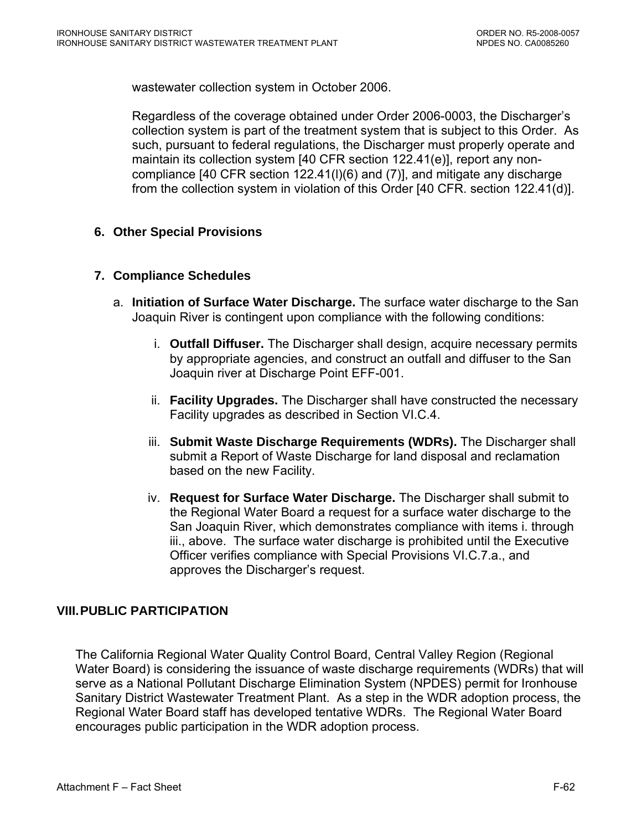wastewater collection system in October 2006.

Regardless of the coverage obtained under Order 2006-0003, the Discharger's collection system is part of the treatment system that is subject to this Order. As such, pursuant to federal regulations, the Discharger must properly operate and maintain its collection system [40 CFR section 122.41(e)], report any noncompliance [40 CFR section 122.41(l)(6) and (7)], and mitigate any discharge from the collection system in violation of this Order [40 CFR. section 122.41(d)].

## **6. Other Special Provisions**

#### **7. Compliance Schedules**

- a. **Initiation of Surface Water Discharge.** The surface water discharge to the San Joaquin River is contingent upon compliance with the following conditions:
	- i. **Outfall Diffuser.** The Discharger shall design, acquire necessary permits by appropriate agencies, and construct an outfall and diffuser to the San Joaquin river at Discharge Point EFF-001.
	- ii. **Facility Upgrades.** The Discharger shall have constructed the necessary Facility upgrades as described in Section VI.C.4.
	- iii. **Submit Waste Discharge Requirements (WDRs).** The Discharger shall submit a Report of Waste Discharge for land disposal and reclamation based on the new Facility.
	- iv. **Request for Surface Water Discharge.** The Discharger shall submit to the Regional Water Board a request for a surface water discharge to the San Joaquin River, which demonstrates compliance with items i. through iii., above. The surface water discharge is prohibited until the Executive Officer verifies compliance with Special Provisions VI.C.7.a., and approves the Discharger's request.

# **VIII. PUBLIC PARTICIPATION**

The California Regional Water Quality Control Board, Central Valley Region (Regional Water Board) is considering the issuance of waste discharge requirements (WDRs) that will serve as a National Pollutant Discharge Elimination System (NPDES) permit for Ironhouse Sanitary District Wastewater Treatment Plant. As a step in the WDR adoption process, the Regional Water Board staff has developed tentative WDRs. The Regional Water Board encourages public participation in the WDR adoption process.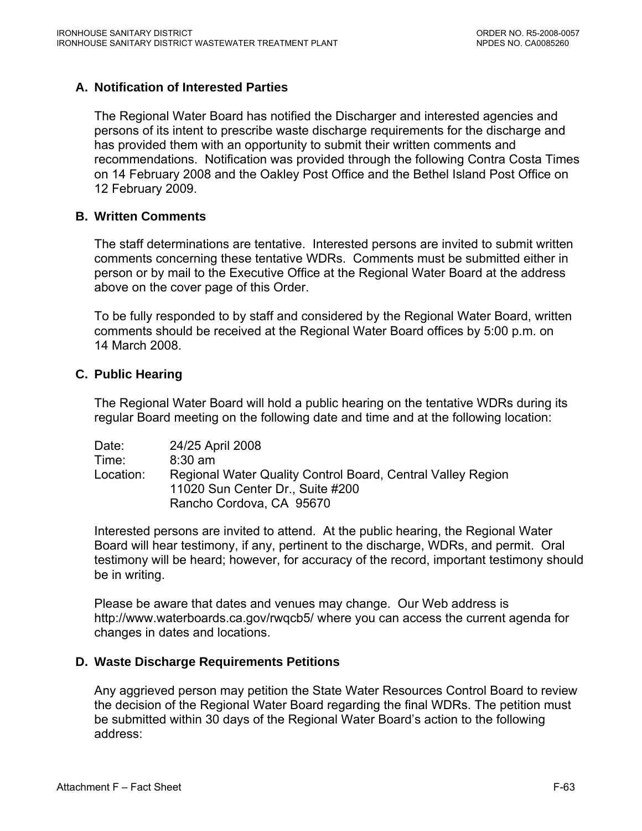## **A. Notification of Interested Parties**

The Regional Water Board has notified the Discharger and interested agencies and persons of its intent to prescribe waste discharge requirements for the discharge and has provided them with an opportunity to submit their written comments and recommendations. Notification was provided through the following Contra Costa Times on 14 February 2008 and the Oakley Post Office and the Bethel Island Post Office on 12 February 2009.

#### **B. Written Comments**

The staff determinations are tentative. Interested persons are invited to submit written comments concerning these tentative WDRs. Comments must be submitted either in person or by mail to the Executive Office at the Regional Water Board at the address above on the cover page of this Order.

To be fully responded to by staff and considered by the Regional Water Board, written comments should be received at the Regional Water Board offices by 5:00 p.m. on 14 March 2008.

#### **C. Public Hearing**

The Regional Water Board will hold a public hearing on the tentative WDRs during its regular Board meeting on the following date and time and at the following location:

Date: 24/25 April 2008 Time: 8:30 am Location: Regional Water Quality Control Board, Central Valley Region 11020 Sun Center Dr., Suite #200 Rancho Cordova, CA 95670

Interested persons are invited to attend. At the public hearing, the Regional Water Board will hear testimony, if any, pertinent to the discharge, WDRs, and permit. Oral testimony will be heard; however, for accuracy of the record, important testimony should be in writing.

Please be aware that dates and venues may change. Our Web address is <http://www.waterboards.ca.gov/rwqcb5/> where you can access the current agenda for changes in dates and locations.

#### **D. Waste Discharge Requirements Petitions**

Any aggrieved person may petition the State Water Resources Control Board to review the decision of the Regional Water Board regarding the final WDRs. The petition must be submitted within 30 days of the Regional Water Board's action to the following address: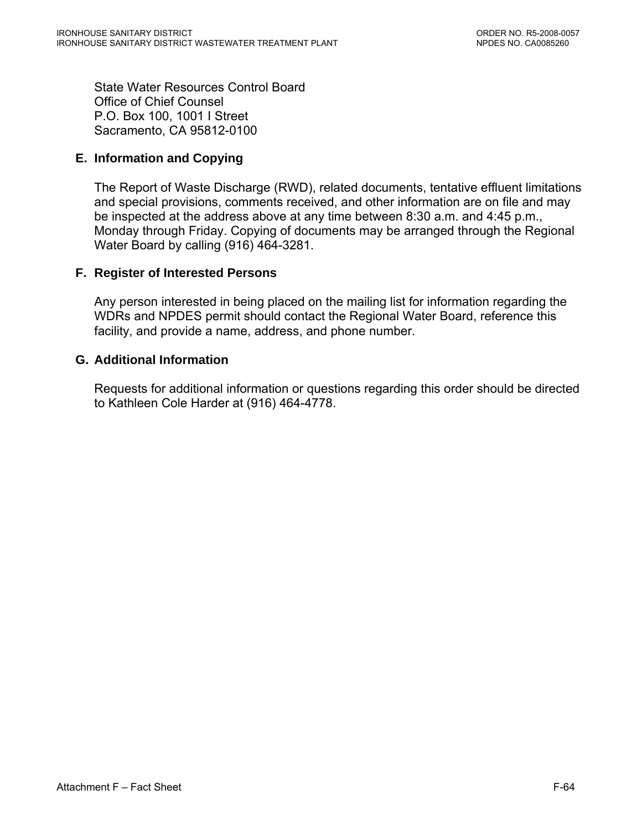State Water Resources Control Board Office of Chief Counsel P.O. Box 100, 1001 I Street Sacramento, CA 95812-0100

## **E. Information and Copying**

The Report of Waste Discharge (RWD), related documents, tentative effluent limitations and special provisions, comments received, and other information are on file and may be inspected at the address above at any time between 8:30 a.m. and 4:45 p.m., Monday through Friday. Copying of documents may be arranged through the Regional Water Board by calling (916) 464-3281.

#### **F. Register of Interested Persons**

Any person interested in being placed on the mailing list for information regarding the WDRs and NPDES permit should contact the Regional Water Board, reference this facility, and provide a name, address, and phone number.

## **G. Additional Information**

Requests for additional information or questions regarding this order should be directed to Kathleen Cole Harder at (916) 464-4778.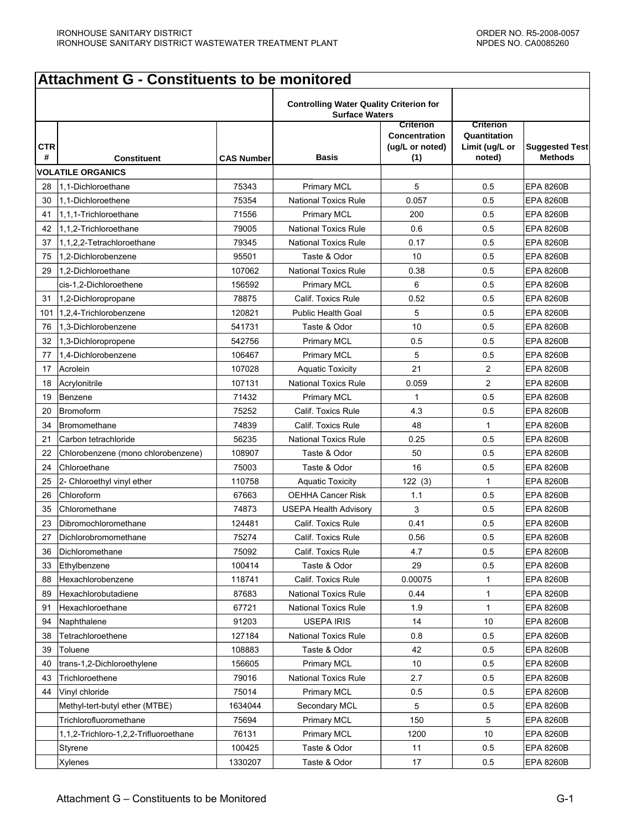#### **CTR # Constituent CAS Number Basis Criterion Concentration (ug/L or noted) (1) Criterion Quantitation Limit (ug/L or noted) Suggested Test Methods VOLATILE ORGANICS** 28 1,1-Dichloroethane 1 75343 Primary MCL 5 0.5 EPA 8260B 30 1,1-Dichloroethene 75354 National Toxics Rule 0.057 0.5 EPA 8260B 41 1,1,1-Trichloroethane 71556 Primary MCL 200 0.5 EPA 8260B 42 1.1.2-Trichloroethane The Term of the Term of the Mational Toxics Rule 1 0.6 1 0.5 EPA 8260B 37 1,1,2,2-Tetrachloroethane 79345 National Toxics Rule 0.17 0.5 EPA 8260B 75 1,2-Dichlorobenzene 95501 Taste & Odo 10 0.5 EPA 8260B 29 |1,2-Dichloroethane 107062 | National Toxics Rule | 0.38 | 0.5 | EPA 8260B cis-1,2-Dichloroethene 156592 Primary MCL 6 0.5 EPA 8260B 31 1,2-Dichloropropane 78875 Calif. Toxics Rule 0.52 0.5 EPA 8260B 101 1,2,4-Trichlorobenzene 120821 Public Health Goal 5 0.5 EPA 8260B 76 1,3-Dichlorobenzene 541731 Taste & Odor 10 0.5 EPA 8260B 32 1,3-Dichloropropene | 542756 | Primary MCL | 0.5 | 0.5 | EPA 8260B 77 1,4-Dichlorobenzene 106467 Primary MCL 5 0.5 EPA 8260B 17 Acrolein 107028 | Aquatic Toxicity | 21 | 2 | EPA 8260B 18 Acrylonitrile 107131 | National Toxics Rule | 0.059 | 2 | EPA 8260B 19 Benzene 71432 Primary MCL 1 0.5 EPA 8260B 20 Bromoform 75252 Calif. Toxics Rule 4.3 0.5 EPA 8260B 34 Bromomethane 1 1 74839 Calif. Toxics Rule 48 1 FPA 8260B 21 Carbon tetrachloride **120 Carbon tetrachloride** 1 Carbon 156235 National Toxics Rule 0.25 0.5 EPA 8260B 22 Chlorobenzene (mono chlorobenzene) | 108907 | Taste & Odor | 50 | 0.5 | EPA 8260B 24 Chloroethane 75003 Taste & Odor 16 0.5 EPA 8260B 25 2- Chloroethyl vinyl ether 110758 Aquatic Toxicity 122 (3) 1 1 EPA 8260B 26 Chloroform 67663 OEHHA Cancer Risk 1.1 0.5 EPA 8260B 35 Chloromethane 74873 USEPA Health Advisory 3 0.5 EPA 8260B 23 Dibromochloromethane 124481 Calif. Toxics Rule 0.41 0.5 EPA 8260B 27 Dichlorobromomethane 75274 Calif. Toxics Rule 0.56 0.5 EPA 8260B 36 Dichloromethane 75092 Calif. Toxics Rule 4.7 0.5 EPA 8260B 33 Ethylbenzene 100414 Taste & Odor 29 0.5 EPA 8260B 88 Hexachlorobenzene | 118741 | Calif. Toxics Rule | 0.00075 | 1 | EPA 8260B 89 Hexachlorobutadiene 87683 National Toxics Rule 0.44 1 EPA 8260B 91 Hexachloroethane The State of the GT721 National Toxics Rule 1.9 1 1 EPA 8260B 94 Naphthalene 91203 USEPA IRIS 14 10 EPA 8260B 38 Tetrachloroethene 127184 National Toxics Rule 0.8 0.5 EPA 8260B 39 Toluene 108883 Taste & Odor 42 0.5 EPA 8260B 40 |trans-1,2-Dichloroethylene | 156605 | Primary MCL | 10 |EPA 8260B 43 Trichloroethene The Text Control of the 19016 National Toxics Rule 1 2.7 1 0.5 EPA 8260B 44 |Vinyl chloride | 75014 | Primary MCL | 0.5 | 0.5 |EPA 8260B Methyl-tert-butyl ether (MTBE) 1634044 Secondary MCL 5 0.5 EPA 8260B Trichlorofluoromethane 75694 Primary MCL 150 5 EPA 8260B 1,1,2-Trichloro-1,2,2-Trifluoroethane | 76131 | Primary MCL | 1200 | 10 |EPA 8260B Styrene 100025 | Taste & Odor | 11 | 0.5 |EPA 8260B Xylenes 1330207 Taste & Odor 17 0.5 EPA 8260B **Attachment G - Constituents to be monitored Controlling Water Quality Criterion for Surface Waters**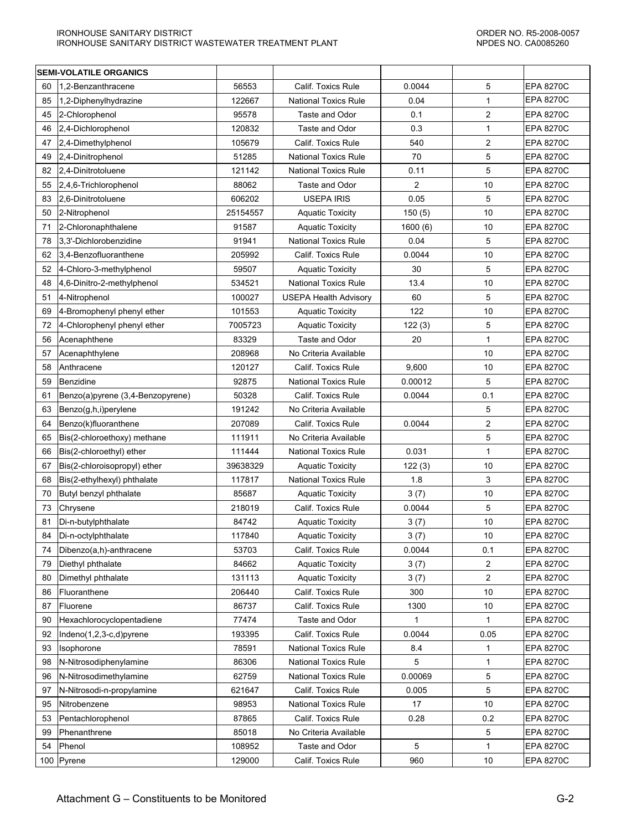| <b>SEMI-VOLATILE ORGANICS</b> |                                  |          |                             |                |                |                  |
|-------------------------------|----------------------------------|----------|-----------------------------|----------------|----------------|------------------|
| 60                            | 1,2-Benzanthracene               | 56553    | Calif. Toxics Rule          | 0.0044         | 5              | <b>EPA 8270C</b> |
| 85                            | 1,2-Diphenylhydrazine            | 122667   | <b>National Toxics Rule</b> | 0.04           | 1              | <b>EPA 8270C</b> |
| 45                            | 2-Chlorophenol                   | 95578    | Taste and Odor              | 0.1            | $\overline{2}$ | <b>EPA 8270C</b> |
| 46                            | 2,4-Dichlorophenol               | 120832   | Taste and Odor              | 0.3            | 1              | <b>EPA 8270C</b> |
| 47                            | 2,4-Dimethylphenol               | 105679   | Calif. Toxics Rule          | 540            | $\overline{2}$ | <b>EPA 8270C</b> |
| 49                            | 2,4-Dinitrophenol                | 51285    | <b>National Toxics Rule</b> | 70             | 5              | <b>EPA 8270C</b> |
| 82                            | 2,4-Dinitrotoluene               | 121142   | <b>National Toxics Rule</b> | 0.11           | 5              | <b>EPA 8270C</b> |
| 55                            | 2,4,6-Trichlorophenol            | 88062    | Taste and Odor              | $\overline{2}$ | 10             | <b>EPA 8270C</b> |
| 83                            | 2.6-Dinitrotoluene               | 606202   | <b>USEPA IRIS</b>           | 0.05           | 5              | <b>EPA 8270C</b> |
| 50                            | 2-Nitrophenol                    | 25154557 | <b>Aquatic Toxicity</b>     | 150(5)         | 10             | <b>EPA 8270C</b> |
| 71                            | 2-Chloronaphthalene              | 91587    | <b>Aquatic Toxicity</b>     | 1600 (6)       | 10             | <b>EPA 8270C</b> |
| 78                            | 3,3'-Dichlorobenzidine           | 91941    | <b>National Toxics Rule</b> | 0.04           | 5              | <b>EPA 8270C</b> |
| 62                            | 3,4-Benzofluoranthene            | 205992   | Calif. Toxics Rule          | 0.0044         | 10             | <b>EPA 8270C</b> |
| 52                            | 4-Chloro-3-methylphenol          | 59507    | <b>Aquatic Toxicity</b>     | 30             | 5              | <b>EPA 8270C</b> |
| 48                            | 4,6-Dinitro-2-methylphenol       | 534521   | <b>National Toxics Rule</b> | 13.4           | 10             | <b>EPA 8270C</b> |
| 51                            | 4-Nitrophenol                    | 100027   | USEPA Health Advisory       | 60             | 5              | <b>EPA 8270C</b> |
| 69                            | 4-Bromophenyl phenyl ether       | 101553   | <b>Aquatic Toxicity</b>     | 122            | 10             | <b>EPA 8270C</b> |
| 72                            | 4-Chlorophenyl phenyl ether      | 7005723  | <b>Aquatic Toxicity</b>     | 122(3)         | 5              | <b>EPA 8270C</b> |
| 56                            | Acenaphthene                     | 83329    | Taste and Odor              | 20             | $\mathbf{1}$   | <b>EPA 8270C</b> |
| 57                            | Acenaphthylene                   | 208968   | No Criteria Available       |                | 10             | <b>EPA 8270C</b> |
| 58                            | Anthracene                       | 120127   | Calif. Toxics Rule          | 9,600          | 10             | <b>EPA 8270C</b> |
| 59                            | Benzidine                        | 92875    | <b>National Toxics Rule</b> | 0.00012        | 5              | <b>EPA 8270C</b> |
| 61                            | Benzo(a)pyrene (3,4-Benzopyrene) | 50328    | Calif. Toxics Rule          | 0.0044         | 0.1            | <b>EPA 8270C</b> |
| 63                            | Benzo(g,h,i)perylene             | 191242   | No Criteria Available       |                | 5              | <b>EPA 8270C</b> |
| 64                            | Benzo(k)fluoranthene             | 207089   | Calif. Toxics Rule          | 0.0044         | $\overline{c}$ | <b>EPA 8270C</b> |
| 65                            | Bis(2-chloroethoxy) methane      | 111911   | No Criteria Available       |                | 5              | <b>EPA 8270C</b> |
| 66                            | Bis(2-chloroethyl) ether         | 111444   | <b>National Toxics Rule</b> | 0.031          | $\mathbf{1}$   | <b>EPA 8270C</b> |
| 67                            | Bis(2-chloroisopropyl) ether     | 39638329 | <b>Aquatic Toxicity</b>     | 122(3)         | 10             | <b>EPA 8270C</b> |
| 68                            | Bis(2-ethylhexyl) phthalate      | 117817   | <b>National Toxics Rule</b> | 1.8            | 3              | <b>EPA 8270C</b> |
| 70                            | Butyl benzyl phthalate           | 85687    | <b>Aquatic Toxicity</b>     | 3(7)           | 10             | <b>EPA 8270C</b> |
| 73                            | Chrysene                         | 218019   | Calif. Toxics Rule          | 0.0044         | 5              | <b>EPA 8270C</b> |
| 81                            | Di-n-butylphthalate              | 84742    | <b>Aquatic Toxicity</b>     | 3(7)           | 10             | <b>EPA 8270C</b> |
| 84                            | Di-n-octylphthalate              | 117840   | <b>Aquatic Toxicity</b>     | 3(7)           | 10             | <b>EPA 8270C</b> |
| 74                            | Dibenzo(a,h)-anthracene          | 53703    | Calif. Toxics Rule          | 0.0044         | 0.1            | EPA 8270C        |
| 79                            | Diethyl phthalate                | 84662    | <b>Aquatic Toxicity</b>     | 3(7)           | 2              | <b>EPA 8270C</b> |
| 80                            | Dimethyl phthalate               | 131113   | <b>Aquatic Toxicity</b>     | 3(7)           | 2              | <b>EPA 8270C</b> |
| 86                            | Fluoranthene                     | 206440   | Calif. Toxics Rule          | 300            | 10             | <b>EPA 8270C</b> |
| 87                            | Fluorene                         | 86737    | Calif. Toxics Rule          | 1300           | 10             | <b>EPA 8270C</b> |
| 90                            | Hexachlorocyclopentadiene        | 77474    | Taste and Odor              | 1              | 1              | <b>EPA 8270C</b> |
| 92                            | Indeno(1,2,3-c,d)pyrene          | 193395   | Calif. Toxics Rule          | 0.0044         | 0.05           | <b>EPA 8270C</b> |
| 93                            | Isophorone                       | 78591    | <b>National Toxics Rule</b> | 8.4            | 1              | <b>EPA 8270C</b> |
| 98                            | N-Nitrosodiphenylamine           | 86306    | <b>National Toxics Rule</b> | 5              | 1              | <b>EPA 8270C</b> |
| 96                            | N-Nitrosodimethylamine           | 62759    | <b>National Toxics Rule</b> | 0.00069        | 5              | <b>EPA 8270C</b> |
| 97                            | N-Nitrosodi-n-propylamine        | 621647   | Calif. Toxics Rule          | 0.005          | 5              | <b>EPA 8270C</b> |
| 95                            | Nitrobenzene                     | 98953    | <b>National Toxics Rule</b> | 17             | 10             | <b>EPA 8270C</b> |
| 53                            | Pentachlorophenol                | 87865    | Calif. Toxics Rule          | 0.28           | 0.2            | <b>EPA 8270C</b> |
| 99                            | Phenanthrene                     | 85018    | No Criteria Available       |                | 5              | <b>EPA 8270C</b> |
| 54                            | Phenol                           | 108952   | Taste and Odor              | 5              | 1              | <b>EPA 8270C</b> |
|                               | 100 Pyrene                       | 129000   | Calif. Toxics Rule          | 960            | 10             | <b>EPA 8270C</b> |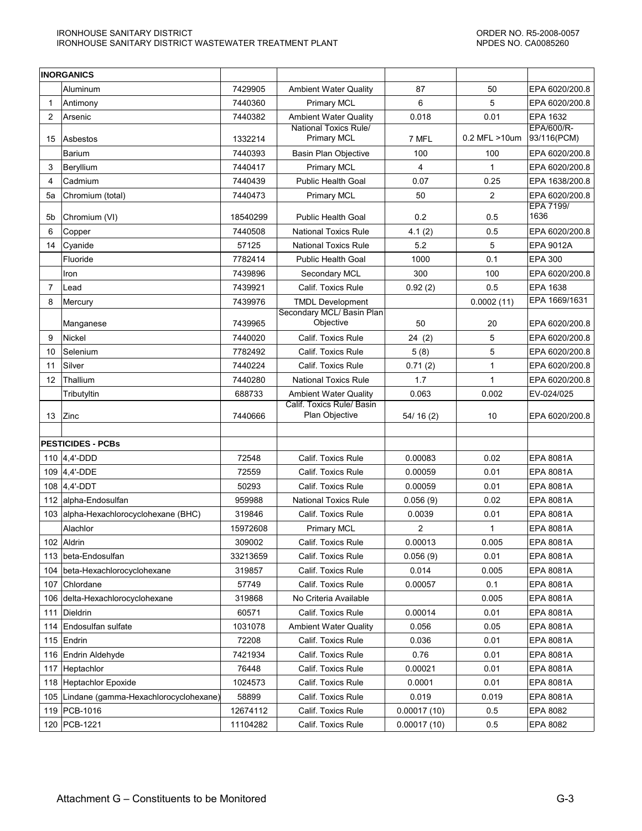|     | <b>INORGANICS</b>                         |          |                                                           |             |                         |                             |
|-----|-------------------------------------------|----------|-----------------------------------------------------------|-------------|-------------------------|-----------------------------|
|     | Aluminum                                  | 7429905  | <b>Ambient Water Quality</b>                              | 87          | 50                      | EPA 6020/200.8              |
| 1   | Antimony                                  | 7440360  | <b>Primary MCL</b>                                        | 6           | 5                       | EPA 6020/200.8              |
| 2   | Arsenic                                   | 7440382  | <b>Ambient Water Quality</b>                              | 0.018       | 0.01                    | EPA 1632                    |
| 15  | Asbestos                                  | 1332214  | <b>National Toxics Rule/</b><br><b>Primary MCL</b>        | 7 MFL       | 0.2 MFL >10um           | EPA/600/R-<br>93/116(PCM)   |
|     | <b>Barium</b>                             | 7440393  | Basin Plan Objective                                      | 100         | 100                     | EPA 6020/200.8              |
| 3   | Beryllium                                 | 7440417  | <b>Primary MCL</b>                                        | 4           | $\mathbf{1}$            | EPA 6020/200.8              |
| 4   | Cadmium                                   | 7440439  | <b>Public Health Goal</b>                                 | 0.07        | 0.25                    | EPA 1638/200.8              |
| 5a  | Chromium (total)                          | 7440473  | <b>Primary MCL</b>                                        | 50          | $\overline{\mathbf{c}}$ | EPA 6020/200.8<br>EPA 7199/ |
| 5b  | Chromium (VI)                             | 18540299 | <b>Public Health Goal</b>                                 | 0.2         | 0.5                     | 1636                        |
| 6   | Copper                                    | 7440508  | <b>National Toxics Rule</b>                               | 4.1(2)      | 0.5                     | EPA 6020/200.8              |
| 14  | Cyanide                                   | 57125    | <b>National Toxics Rule</b>                               | 5.2         | 5                       | EPA 9012A                   |
|     | Fluoride                                  | 7782414  | <b>Public Health Goal</b>                                 | 1000        | 0.1                     | <b>EPA 300</b>              |
|     | Iron                                      | 7439896  | Secondary MCL                                             | 300         | 100                     | EPA 6020/200.8              |
| 7   | Lead                                      | 7439921  | Calif. Toxics Rule                                        | 0.92(2)     | 0.5                     | EPA 1638                    |
| 8   | Mercury                                   | 7439976  | <b>TMDL Development</b>                                   |             | 0.0002(11)              | EPA 1669/1631               |
|     |                                           |          | Secondary MCL/ Basin Plan                                 |             |                         |                             |
|     | Manganese                                 | 7439965  | Objective                                                 | 50          | 20                      | EPA 6020/200.8              |
| 9   | <b>Nickel</b>                             | 7440020  | <b>Calif. Toxics Rule</b>                                 | 24(2)       | 5                       | EPA 6020/200.8              |
| 10  | Selenium                                  | 7782492  | Calif. Toxics Rule                                        | 5(8)        | 5                       | EPA 6020/200.8              |
| 11  | Silver                                    | 7440224  | Calif. Toxics Rule                                        | 0.71(2)     | 1                       | EPA 6020/200.8              |
| 12  | Thallium                                  | 7440280  | <b>National Toxics Rule</b>                               | 1.7         | 1                       | EPA 6020/200.8              |
|     | Tributyltin                               | 688733   | <b>Ambient Water Quality</b><br>Calif. Toxics Rule/ Basin | 0.063       | 0.002                   | EV-024/025                  |
| 13  | Zinc                                      | 7440666  | Plan Objective                                            | 54/16(2)    | 10                      | EPA 6020/200.8              |
|     |                                           |          |                                                           |             |                         |                             |
|     | <b>PESTICIDES - PCBs</b>                  |          |                                                           |             |                         |                             |
|     | 110 $ 4,4$ -DDD                           | 72548    | <b>Calif. Toxics Rule</b>                                 | 0.00083     | 0.02                    | EPA 8081A                   |
|     | 109 4,4'-DDE                              | 72559    | Calif. Toxics Rule                                        | 0.00059     | 0.01                    | <b>EPA 8081A</b>            |
|     | 108 4.4'-DDT                              | 50293    | Calif. Toxics Rule                                        | 0.00059     | 0.01                    | <b>EPA 8081A</b>            |
|     | 112 alpha-Endosulfan                      | 959988   | National Toxics Rule                                      | 0.056(9)    | 0.02                    | <b>EPA 8081A</b>            |
|     | 103 alpha-Hexachlorocyclohexane (BHC)     | 319846   | Calif. Toxics Rule                                        | 0.0039      | 0.01                    | <b>EPA 8081A</b>            |
|     | Alachlor                                  | 15972608 | <b>Primary MCL</b>                                        | 2           | 1                       | <b>EPA 8081A</b>            |
|     | 102 Aldrin                                | 309002   | Calif. Toxics Rule                                        | 0.00013     | 0.005                   | EPA 8081A                   |
| 113 | beta-Endosulfan                           | 33213659 | Calif. Toxics Rule                                        | 0.056(9)    | 0.01                    | EPA 8081A                   |
| 104 | beta-Hexachlorocyclohexane                | 319857   | Calif. Toxics Rule                                        | 0.014       | 0.005                   | EPA 8081A                   |
| 107 | Chlordane                                 | 57749    | Calif. Toxics Rule                                        | 0.00057     | 0.1                     | EPA 8081A                   |
| 106 | delta-Hexachlorocyclohexane               | 319868   | No Criteria Available                                     |             | 0.005                   | EPA 8081A                   |
| 111 | Dieldrin                                  | 60571    | Calif. Toxics Rule                                        | 0.00014     | 0.01                    | EPA 8081A                   |
|     | 114 Endosulfan sulfate                    | 1031078  | <b>Ambient Water Quality</b>                              | 0.056       | 0.05                    | EPA 8081A                   |
|     | 115 $ Endrin$                             | 72208    | Calif. Toxics Rule                                        | 0.036       | 0.01                    | EPA 8081A                   |
| 116 | Endrin Aldehyde                           | 7421934  | Calif. Toxics Rule                                        | 0.76        | 0.01                    | EPA 8081A                   |
| 117 | Heptachlor                                | 76448    | Calif. Toxics Rule                                        | 0.00021     | 0.01                    | EPA 8081A                   |
| 118 | Heptachlor Epoxide                        | 1024573  | Calif. Toxics Rule                                        | 0.0001      | 0.01                    | EPA 8081A                   |
|     | 105 Lindane (gamma-Hexachlorocyclohexane) | 58899    | Calif. Toxics Rule                                        | 0.019       | 0.019                   | EPA 8081A                   |
|     | 119   PCB-1016                            | 12674112 | Calif. Toxics Rule                                        | 0.00017(10) | 0.5                     | EPA 8082                    |
|     | 120 PCB-1221                              | 11104282 | Calif. Toxics Rule                                        | 0.00017(10) | 0.5                     | EPA 8082                    |
|     |                                           |          |                                                           |             |                         |                             |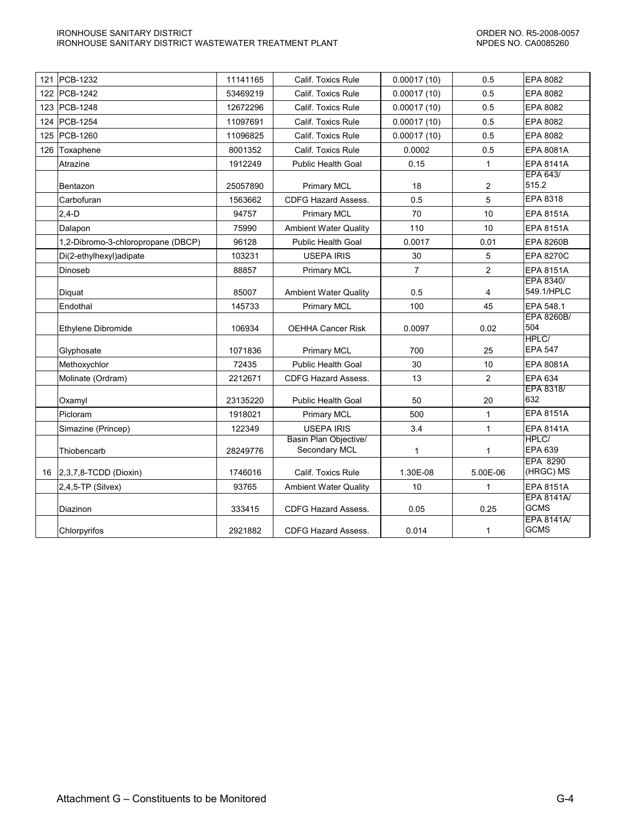| 121 | <b>PCB-1232</b>                    | 11141165 | Calif. Toxics Rule                     | 0.00017(10)    | 0.5            | EPA 8082                         |
|-----|------------------------------------|----------|----------------------------------------|----------------|----------------|----------------------------------|
|     | 122 PCB-1242                       | 53469219 | Calif. Toxics Rule                     | 0.00017(10)    | 0.5            | EPA 8082                         |
|     | 123 PCB-1248                       | 12672296 | Calif. Toxics Rule                     | 0.00017(10)    | 0.5            | EPA 8082                         |
|     | 124 PCB-1254                       | 11097691 | Calif. Toxics Rule                     | 0.00017(10)    | 0.5            | EPA 8082                         |
|     | 125 PCB-1260                       | 11096825 | Calif. Toxics Rule                     | 0.00017(10)    | 0.5            | EPA 8082                         |
|     | 126 Toxaphene                      | 8001352  | Calif. Toxics Rule                     | 0.0002         | 0.5            | EPA 8081A                        |
|     | Atrazine                           | 1912249  | <b>Public Health Goal</b>              | 0.15           | 1              | <b>EPA 8141A</b>                 |
|     | Bentazon                           | 25057890 | <b>Primary MCL</b>                     | 18             | 2              | EPA 643/<br>515.2                |
|     | Carbofuran                         | 1563662  | <b>CDFG Hazard Assess.</b>             | 0.5            | 5              | EPA 8318                         |
|     | $2,4-D$                            | 94757    | <b>Primary MCL</b>                     | 70             | 10             | <b>EPA 8151A</b>                 |
|     | Dalapon                            | 75990    | <b>Ambient Water Quality</b>           | 110            | 10             | <b>EPA 8151A</b>                 |
|     | 1,2-Dibromo-3-chloropropane (DBCP) | 96128    | <b>Public Health Goal</b>              | 0.0017         | 0.01           | <b>EPA 8260B</b>                 |
|     | Di(2-ethylhexyl)adipate            | 103231   | <b>USEPA IRIS</b>                      | 30             | 5              | <b>EPA 8270C</b>                 |
|     | Dinoseb                            | 88857    | <b>Primary MCL</b>                     | $\overline{7}$ | $\overline{2}$ | <b>EPA 8151A</b>                 |
|     | Diquat                             | 85007    | <b>Ambient Water Quality</b>           | 0.5            | 4              | <b>EPA 8340/</b><br>549.1/HPLC   |
|     | Endothal                           | 145733   | <b>Primary MCL</b>                     | 100            | 45             | EPA 548.1                        |
|     | Ethylene Dibromide                 | 106934   | <b>OEHHA Cancer Risk</b>               | 0.0097         | 0.02           | <b>EPA 8260B/</b><br>504         |
|     | Glyphosate                         | 1071836  | <b>Primary MCL</b>                     | 700            | 25             | HPLC/<br><b>EPA 547</b>          |
|     | Methoxychlor                       | 72435    | <b>Public Health Goal</b>              | 30             | 10             | EPA 8081A                        |
|     | Molinate (Ordram)                  | 2212671  | <b>CDFG Hazard Assess.</b>             | 13             | $\overline{2}$ | <b>EPA 634</b>                   |
|     | Oxamyl                             | 23135220 | <b>Public Health Goal</b>              | 50             | 20             | EPA 8318/<br>632                 |
|     | Picloram                           | 1918021  | <b>Primary MCL</b>                     | 500            | 1              | <b>EPA 8151A</b>                 |
|     | Simazine (Princep)                 | 122349   | <b>USEPA IRIS</b>                      | 3.4            | 1              | <b>EPA 8141A</b>                 |
|     | Thiobencarb                        | 28249776 | Basin Plan Objective/<br>Secondary MCL | $\mathbf{1}$   | 1              | HPLC/<br>EPA 639                 |
| 16  | $ 2,3,7,8$ -TCDD (Dioxin)          | 1746016  | Calif. Toxics Rule                     | 1.30E-08       | 5.00E-06       | <b>EPA 8290</b><br>(HRGC) MS     |
|     | $2,4,5$ -TP (Silvex)               | 93765    | <b>Ambient Water Quality</b>           | 10             | 1              | EPA 8151A                        |
|     | Diazinon                           | 333415   | <b>CDFG Hazard Assess.</b>             | 0.05           | 0.25           | <b>EPA 8141A/</b><br><b>GCMS</b> |
|     | Chlorpyrifos                       | 2921882  | <b>CDFG Hazard Assess.</b>             | 0.014          | 1              | <b>EPA 8141A/</b><br><b>GCMS</b> |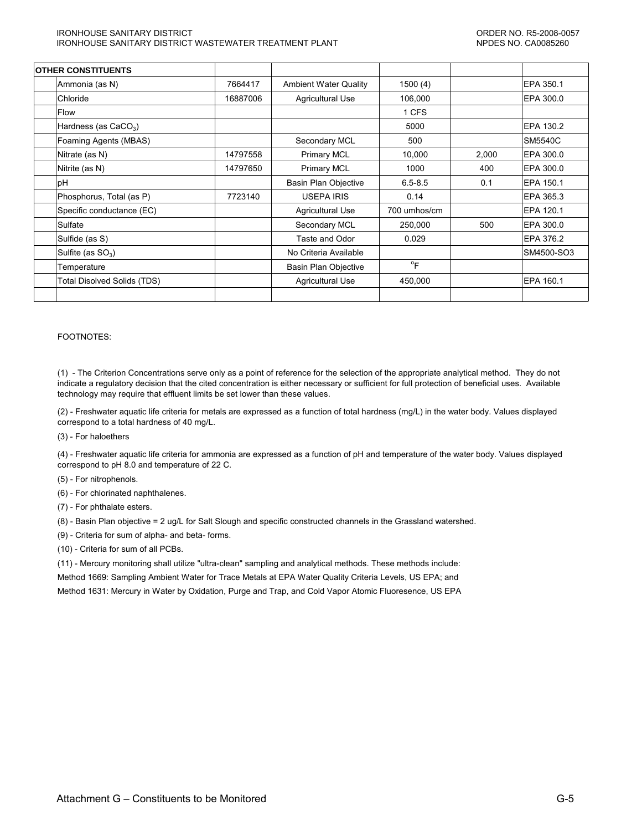#### IRONHOUSE SANITARY DISTRICT ORDER NO. R5-2008-0057 IRONHOUSE SANITARY DISTRICT WASTEWATER TREATMENT PLANT NETWORK AND AND ANDES NO. CA0085260

| <b>OTHER CONSTITUENTS</b>          |          |                              |                           |       |                |
|------------------------------------|----------|------------------------------|---------------------------|-------|----------------|
| Ammonia (as N)                     | 7664417  | <b>Ambient Water Quality</b> | 1500(4)                   |       | EPA 350.1      |
| Chloride                           | 16887006 | Agricultural Use             | 106,000                   |       | EPA 300.0      |
| Flow                               |          |                              | 1 CFS                     |       |                |
| Hardness (as $CaCO3$ )             |          |                              | 5000                      |       | EPA 130.2      |
| Foaming Agents (MBAS)              |          | Secondary MCL                | 500                       |       | <b>SM5540C</b> |
| Nitrate (as N)                     | 14797558 | <b>Primary MCL</b>           | 10,000                    | 2,000 | EPA 300.0      |
| Nitrite (as N)                     | 14797650 | <b>Primary MCL</b>           | 1000                      | 400   | EPA 300.0      |
| рH                                 |          | <b>Basin Plan Objective</b>  | $6.5 - 8.5$               | 0.1   | EPA 150.1      |
| Phosphorus, Total (as P)           | 7723140  | <b>USEPA IRIS</b>            | 0.14                      |       | EPA 365.3      |
| Specific conductance (EC)          |          | Agricultural Use             | 700 umhos/cm              |       | EPA 120.1      |
| Sulfate                            |          | Secondary MCL                | 250,000                   | 500   | EPA 300.0      |
| Sulfide (as S)                     |          | Taste and Odor               | 0.029                     |       | EPA 376.2      |
| Sulfite (as $SO_3$ )               |          | No Criteria Available        |                           |       | SM4500-SO3     |
| Temperature                        |          | Basin Plan Objective         | $\mathrm{P}_{\mathsf{F}}$ |       |                |
| <b>Total Disolved Solids (TDS)</b> |          | <b>Agricultural Use</b>      | 450,000                   |       | EPA 160.1      |
|                                    |          |                              |                           |       |                |

#### FOOTNOTES:

(1) - The Criterion Concentrations serve only as a point of reference for the selection of the appropriate analytical method. They do not indicate a regulatory decision that the cited concentration is either necessary or sufficient for full protection of beneficial uses. Available technology may require that effluent limits be set lower than these values.

(2) - Freshwater aquatic life criteria for metals are expressed as a function of total hardness (mg/L) in the water body. Values displayed correspond to a total hardness of 40 mg/L.

(3) - For haloethers

(4) - Freshwater aquatic life criteria for ammonia are expressed as a function of pH and temperature of the water body. Values displayed correspond to pH 8.0 and temperature of 22 C.

- (5) For nitrophenols.
- (6) For chlorinated naphthalenes.
- (7) For phthalate esters.
- (8) Basin Plan objective = 2 ug/L for Salt Slough and specific constructed channels in the Grassland watershed.
- (9) Criteria for sum of alpha- and beta- forms.
- (10) Criteria for sum of all PCBs.

(11) - Mercury monitoring shall utilize "ultra-clean" sampling and analytical methods. These methods include: Method 1669: Sampling Ambient Water for Trace Metals at EPA Water Quality Criteria Levels, US EPA; and Method 1631: Mercury in Water by Oxidation, Purge and Trap, and Cold Vapor Atomic Fluoresence, US EPA